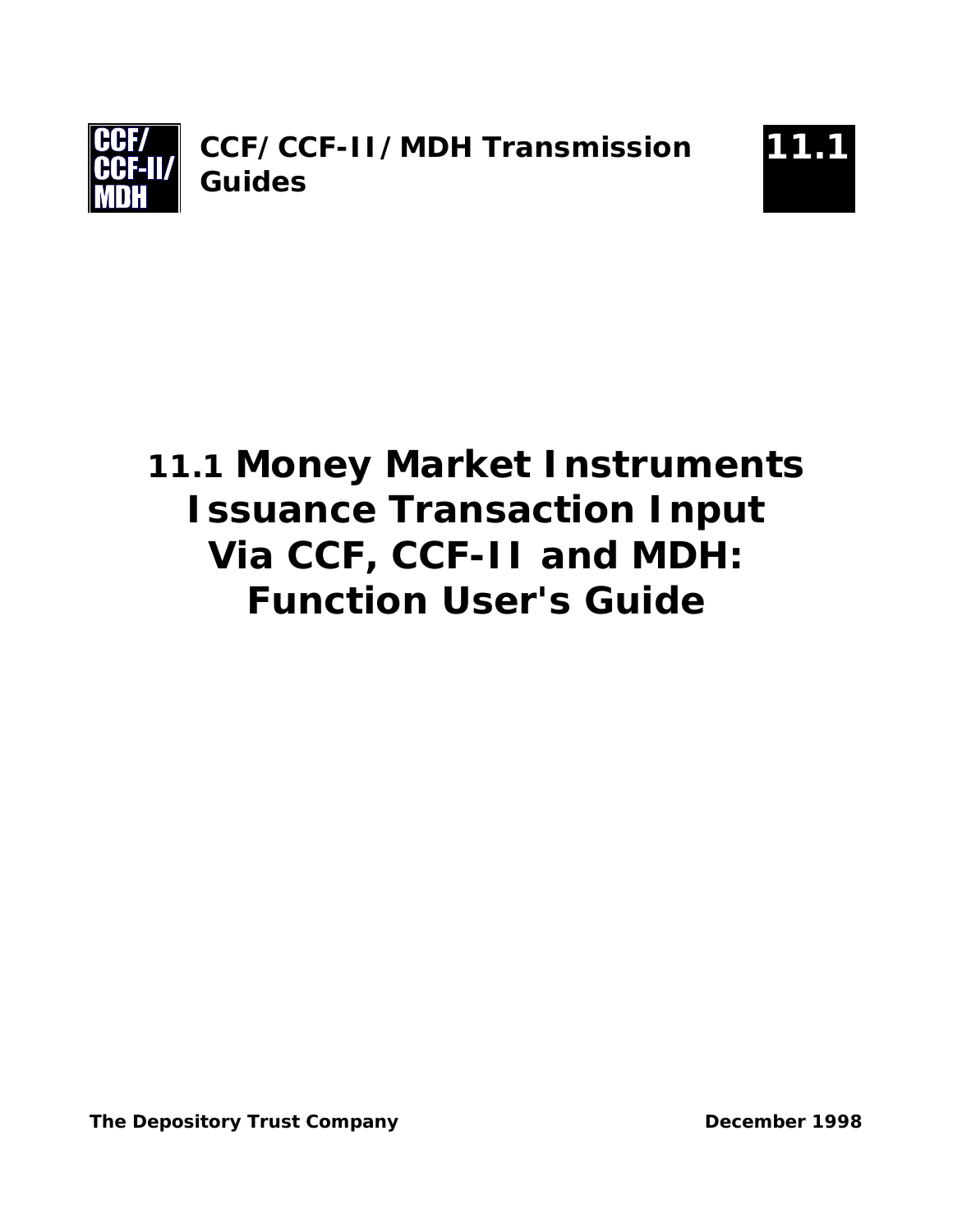



# **11.1 Money Market Instruments Issuance Transaction Input Via CCF, CCF-II and MDH: Function User's Guide**

**The Depository Trust Company Company Community Company Community December 1998**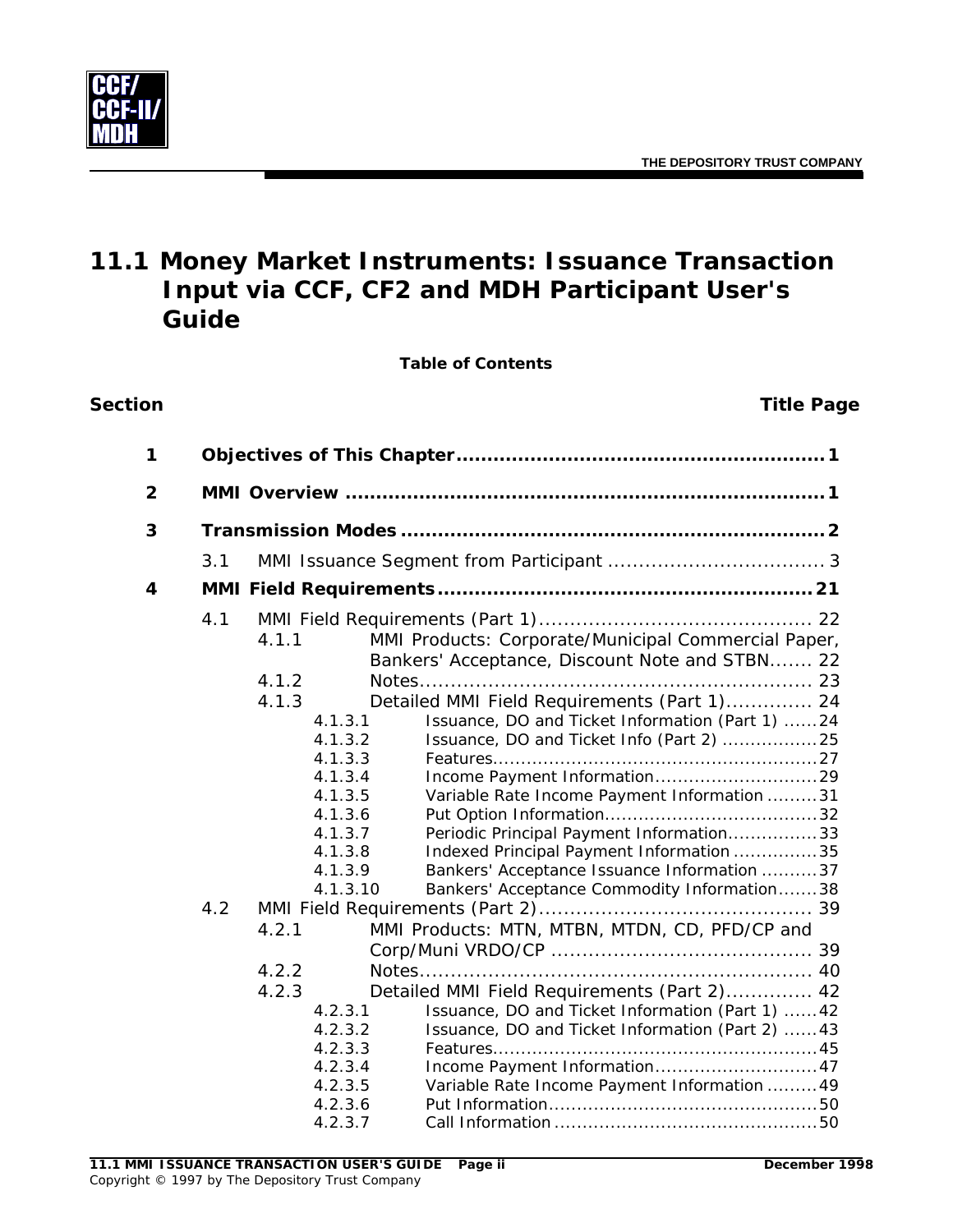

# **11.1 Money Market Instruments: Issuance Transaction Input via CCF, CF2 and MDH Participant User's Guide**

**Table of Contents**

#### **Section Title Page**

| 1            |            |                                                                                                                                                 |                                                                                                                                                                                                                                                                                                                                                                                                                                                                                                                                           |  |  |  |  |  |
|--------------|------------|-------------------------------------------------------------------------------------------------------------------------------------------------|-------------------------------------------------------------------------------------------------------------------------------------------------------------------------------------------------------------------------------------------------------------------------------------------------------------------------------------------------------------------------------------------------------------------------------------------------------------------------------------------------------------------------------------------|--|--|--|--|--|
| $\mathbf{2}$ |            |                                                                                                                                                 |                                                                                                                                                                                                                                                                                                                                                                                                                                                                                                                                           |  |  |  |  |  |
| 3            |            |                                                                                                                                                 |                                                                                                                                                                                                                                                                                                                                                                                                                                                                                                                                           |  |  |  |  |  |
|              | 3.1        |                                                                                                                                                 |                                                                                                                                                                                                                                                                                                                                                                                                                                                                                                                                           |  |  |  |  |  |
| 4            |            |                                                                                                                                                 |                                                                                                                                                                                                                                                                                                                                                                                                                                                                                                                                           |  |  |  |  |  |
|              | 4.1<br>4.2 | 4.1.1<br>4.1.2<br>4.1.3<br>4.1.3.1<br>4.1.3.2<br>4.1.3.3<br>4.1.3.4<br>4.1.3.5<br>4.1.3.6<br>4.1.3.7<br>4.1.3.8<br>4.1.3.9<br>4.1.3.10<br>4.2.1 | MMI Products: Corporate/Municipal Commercial Paper,<br>Bankers' Acceptance, Discount Note and STBN 22<br>Detailed MMI Field Requirements (Part 1) 24<br>Issuance, DO and Ticket Information (Part 1) 24<br>Issuance, DO and Ticket Info (Part 2) 25<br>Variable Rate Income Payment Information 31<br>Periodic Principal Payment Information33<br>Indexed Principal Payment Information 35<br>Bankers' Acceptance Issuance Information 37<br>Bankers' Acceptance Commodity Information38<br>MMI Products: MTN, MTBN, MTDN, CD, PFD/CP and |  |  |  |  |  |
|              |            | 4.2.2<br>4.2.3<br>4.2.3.1<br>4.2.3.2<br>4.2.3.3<br>4.2.3.4<br>4.2.3.5<br>4.2.3.6<br>4.2.3.7                                                     | Detailed MMI Field Requirements (Part 2) 42<br>Issuance, DO and Ticket Information (Part 1)  42<br>Issuance, DO and Ticket Information (Part 2)  43<br>Income Payment Information 47<br>Variable Rate Income Payment Information  49                                                                                                                                                                                                                                                                                                      |  |  |  |  |  |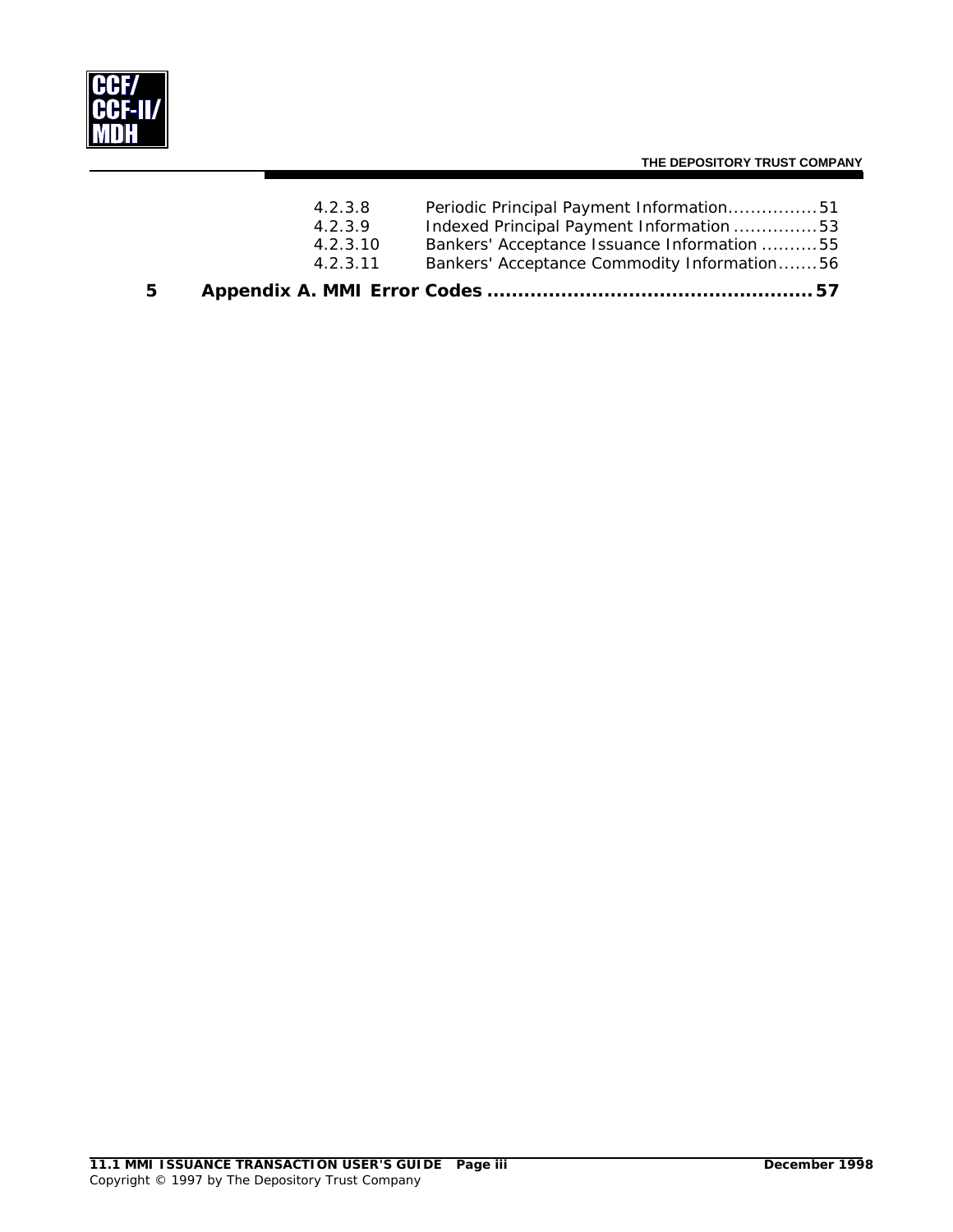

#### **THE DEPOSITORY TRUST COMPANY**

| 5. |          |                                             |  |
|----|----------|---------------------------------------------|--|
|    | 4.2.3.11 | Bankers' Acceptance Commodity Information56 |  |
|    | 4.2.3.10 | Bankers' Acceptance Issuance Information 55 |  |
|    | 4.2.3.9  | Indexed Principal Payment Information 53    |  |
|    | 4.2.3.8  | Periodic Principal Payment Information51    |  |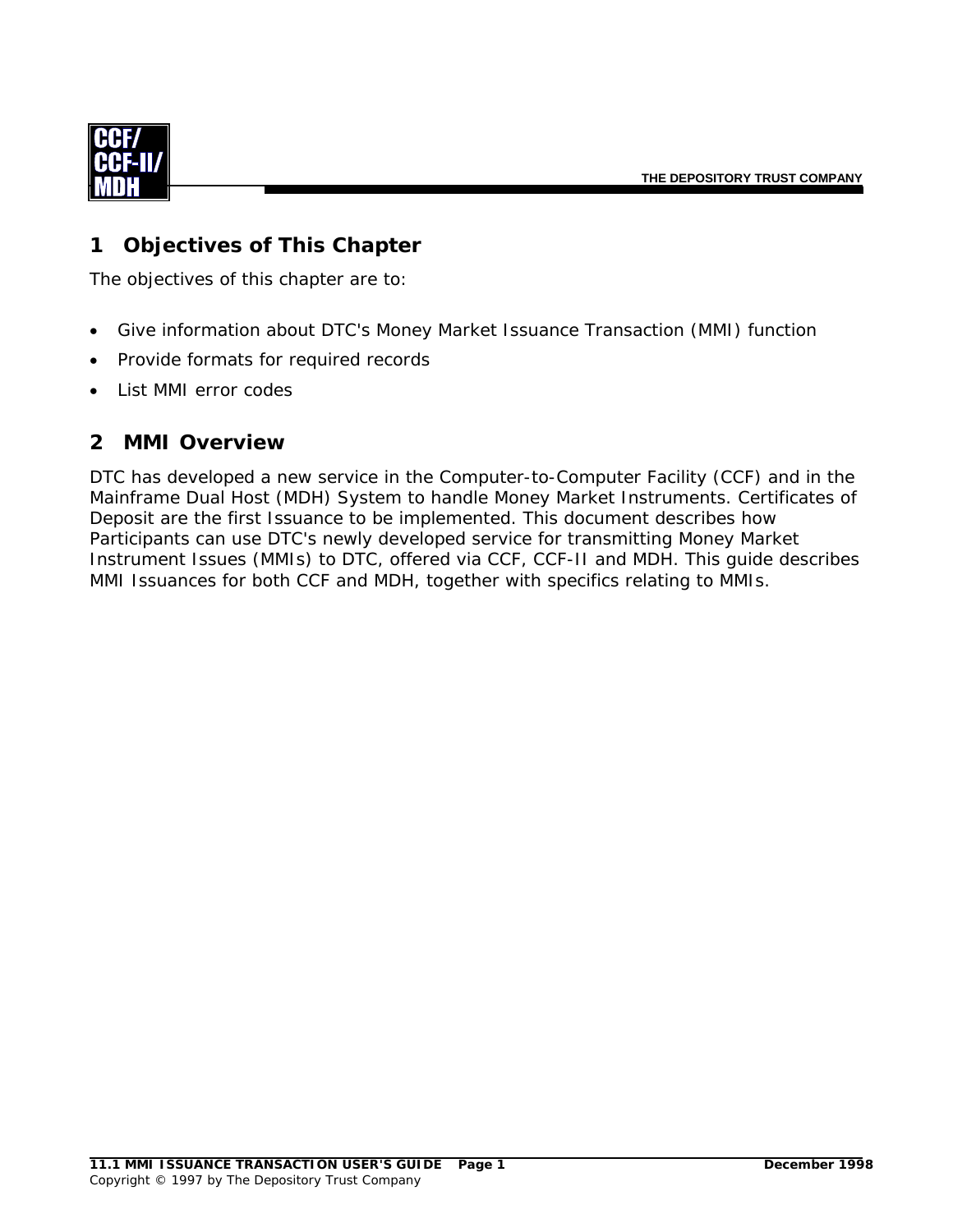<span id="page-3-0"></span>

### **1 Objectives of This Chapter**

The objectives of this chapter are to:

- Give information about DTC's Money Market Issuance Transaction (MMI) function
- Provide formats for required records
- List MMI error codes

#### **2 MMI Overview**

DTC has developed a new service in the Computer-to-Computer Facility (CCF) and in the Mainframe Dual Host (MDH) System to handle Money Market Instruments. Certificates of Deposit are the first Issuance to be implemented. This document describes how Participants can use DTC's newly developed service for transmitting Money Market Instrument Issues (MMIs) to DTC, offered via CCF, CCF-II and MDH. This guide describes MMI Issuances for both CCF and MDH, together with specifics relating to MMIs.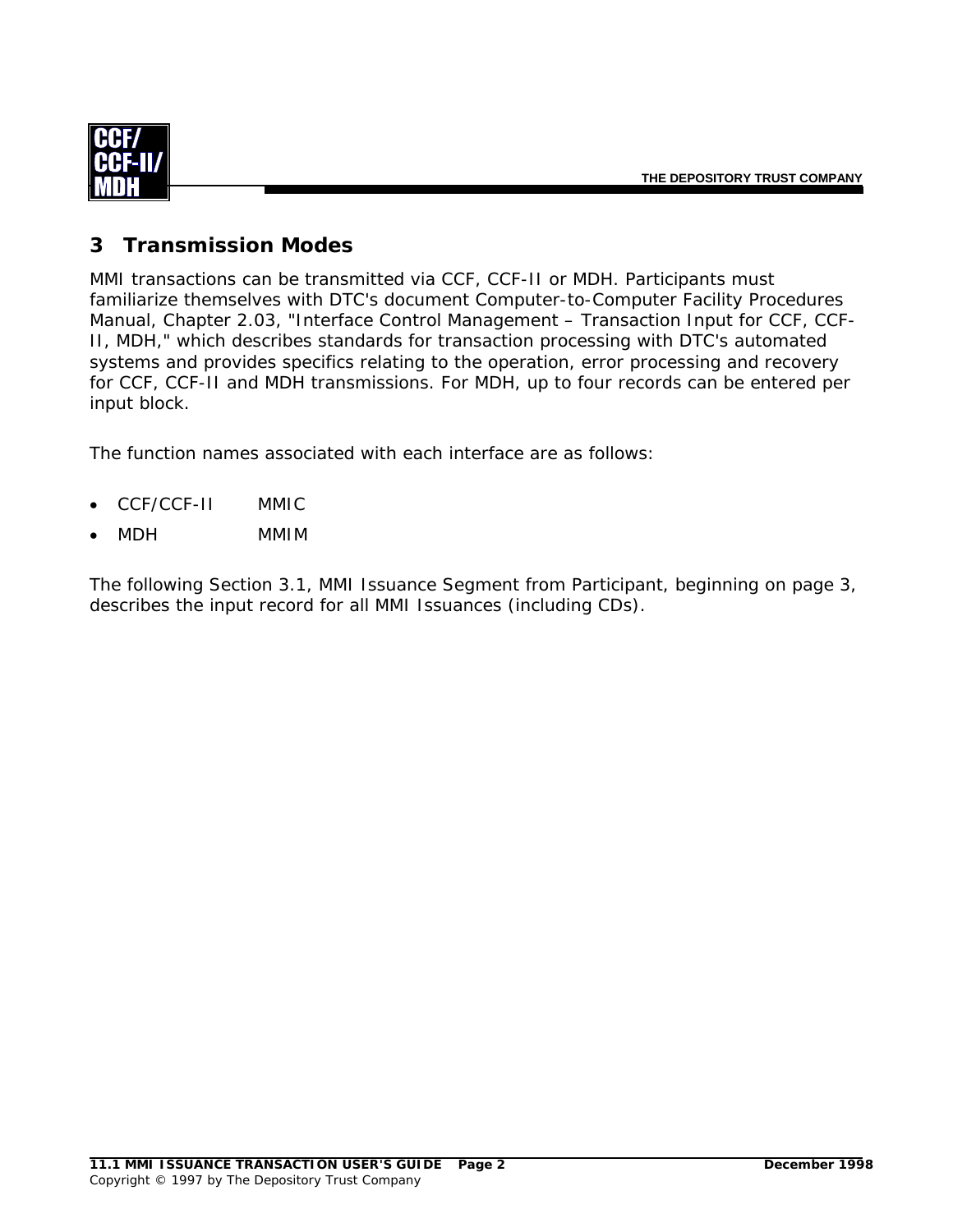<span id="page-4-0"></span>

#### **3 Transmission Modes**

MMI transactions can be transmitted via CCF, CCF-II or MDH. Participants must familiarize themselves with DTC's document *Computer-to-Computer Facility Procedures Manual,* Chapter 2.03, "Interface Control Management – Transaction Input for CCF, CCF-II, MDH," which describes standards for transaction processing with DTC's automated systems and provides specifics relating to the operation, error processing and recovery for CCF, CCF-II and MDH transmissions. For MDH, up to four records can be entered per input block.

The function names associated with each interface are as follows:

- CCF/CCF-II MMIC
- MDH MMIM

The following Section 3.1, MMI Issuance Segment from Participant, beginning on page [3,](#page-5-1) describes the input record for all MMI Issuances (including CDs).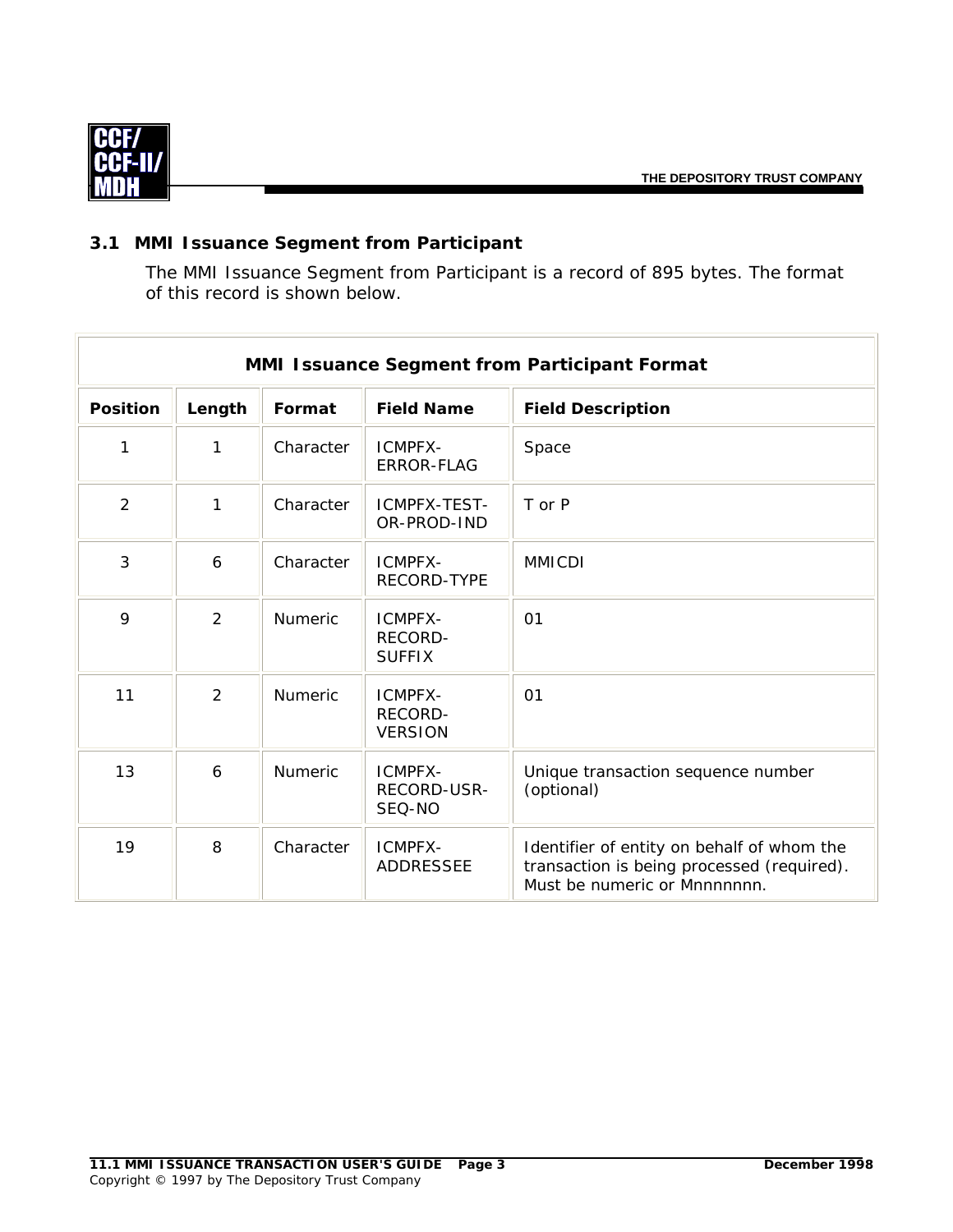<span id="page-5-0"></span>

#### <span id="page-5-1"></span>**3.1 MMI Issuance Segment from Participant**

The MMI Issuance Segment from Participant is a record of 895 bytes. The format of this record is shown below.

|                 | MMI Issuance Segment from Participant Format |                |                                      |                                                                                                                          |  |  |  |
|-----------------|----------------------------------------------|----------------|--------------------------------------|--------------------------------------------------------------------------------------------------------------------------|--|--|--|
| <b>Position</b> | Length                                       | Format         | <b>Field Name</b>                    | <b>Field Description</b>                                                                                                 |  |  |  |
| 1               | 1                                            | Character      | ICMPFX-<br><b>ERROR-FLAG</b>         | Space                                                                                                                    |  |  |  |
| $\overline{2}$  | 1                                            | Character      | ICMPFX-TEST-<br>OR-PROD-IND          | T or P                                                                                                                   |  |  |  |
| 3               | 6                                            | Character      | ICMPFX-<br>RECORD-TYPE               | <b>MMICDI</b>                                                                                                            |  |  |  |
| 9               | $\overline{2}$                               | Numeric        | ICMPFX-<br>RECORD-<br><b>SUFFIX</b>  | 01                                                                                                                       |  |  |  |
| 11              | $\overline{2}$                               | <b>Numeric</b> | ICMPFX-<br>RECORD-<br><b>VERSION</b> | 01                                                                                                                       |  |  |  |
| 13              | 6                                            | <b>Numeric</b> | ICMPFX-<br>RECORD-USR-<br>SEQ-NO     | Unique transaction sequence number<br>(optional)                                                                         |  |  |  |
| 19              | 8                                            | Character      | ICMPFX-<br><b>ADDRESSEE</b>          | Identifier of entity on behalf of whom the<br>transaction is being processed (required).<br>Must be numeric or Mnnnnnnn. |  |  |  |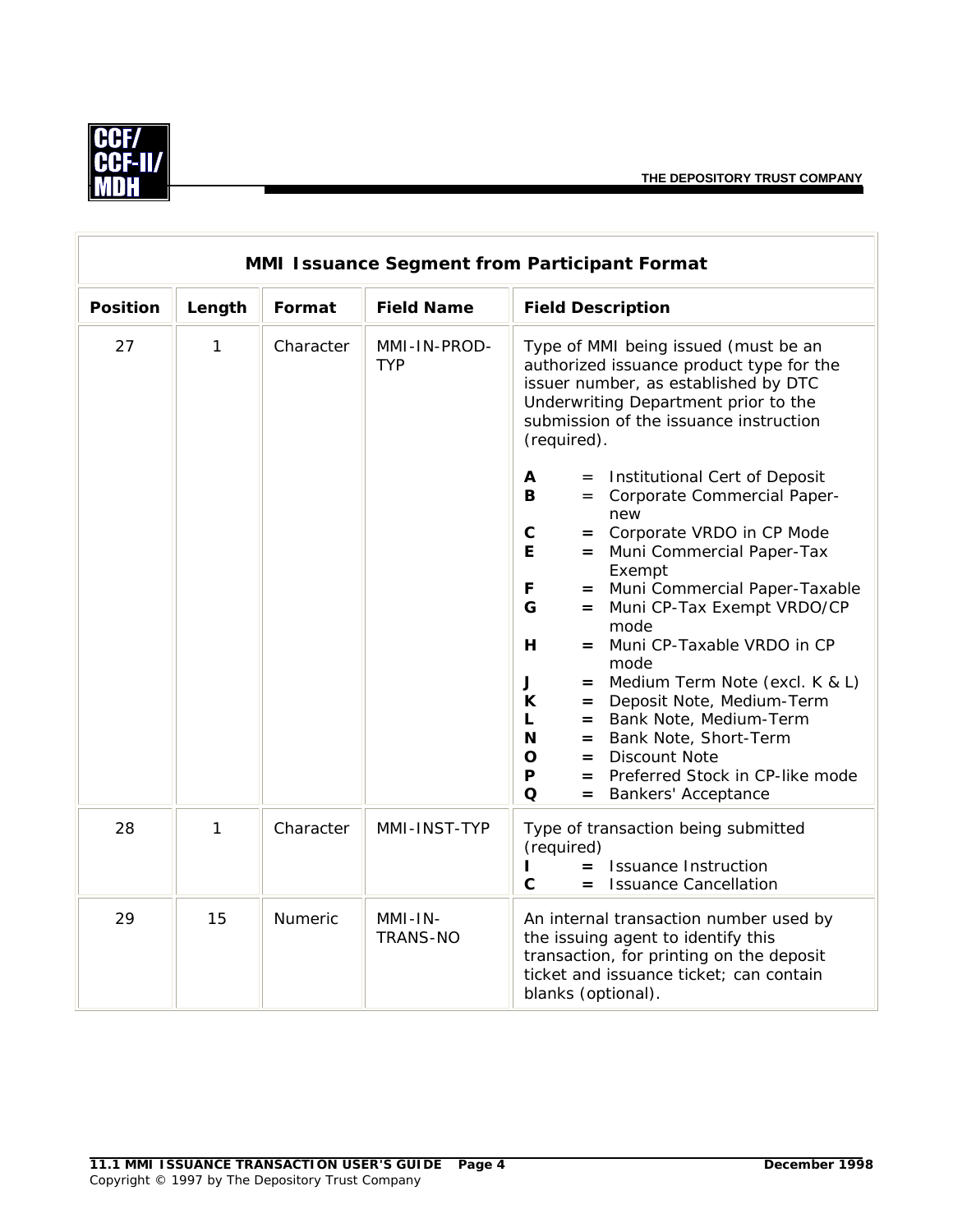$\overline{\mathbf{1}}$ 



|                 | <b>MMI Issuance Segment from Participant Format</b> |                |                              |                                                                                                                                                                                                                           |  |  |
|-----------------|-----------------------------------------------------|----------------|------------------------------|---------------------------------------------------------------------------------------------------------------------------------------------------------------------------------------------------------------------------|--|--|
| <b>Position</b> | Length                                              | Format         | <b>Field Name</b>            | <b>Field Description</b>                                                                                                                                                                                                  |  |  |
| 27              | 1                                                   | Character      | MMI-IN-PROD-<br><b>TYP</b>   | Type of MMI being issued (must be an<br>authorized issuance product type for the<br>issuer number, as established by DTC<br>Underwriting Department prior to the<br>submission of the issuance instruction<br>(required). |  |  |
|                 |                                                     |                |                              | A<br>= Institutional Cert of Deposit<br>= Corporate Commercial Paper-<br>В<br>new<br>$\mathbf C$<br>= Corporate VRDO in CP Mode                                                                                           |  |  |
|                 |                                                     |                |                              | E.<br>= Muni Commercial Paper-Tax<br>Exempt                                                                                                                                                                               |  |  |
|                 |                                                     |                |                              | = Muni Commercial Paper-Taxable<br>F<br>G<br>Muni CP-Tax Exempt VRDO/CP<br>$=$                                                                                                                                            |  |  |
|                 |                                                     |                |                              | mode<br>Muni CP-Taxable VRDO in CP<br>H<br>$=$<br>mode                                                                                                                                                                    |  |  |
|                 |                                                     |                |                              | Medium Term Note (excl. K & L)<br>J<br>$=$<br>K<br>Deposit Note, Medium-Term<br>$=$<br>= Bank Note, Medium-Term<br>L                                                                                                      |  |  |
|                 |                                                     |                |                              | N<br>= Bank Note, Short-Term<br><b>Discount Note</b><br>$\mathbf O$<br>$=$<br>Preferred Stock in CP-like mode<br>$\mathsf{P}$<br>$=$<br>$\Omega$<br><b>Bankers' Acceptance</b><br>$=$                                     |  |  |
| 28              | 1                                                   | Character      | MMI-INST-TYP                 | Type of transaction being submitted<br>(required)<br><b>Issuance Instruction</b><br>$=$<br>$\mathbf{C}$<br><b>Issuance Cancellation</b><br>$=$                                                                            |  |  |
| 29              | 15                                                  | <b>Numeric</b> | $MMI-IN-$<br><b>TRANS-NO</b> | An internal transaction number used by<br>the issuing agent to identify this<br>transaction, for printing on the deposit<br>ticket and issuance ticket; can contain<br>blanks (optional).                                 |  |  |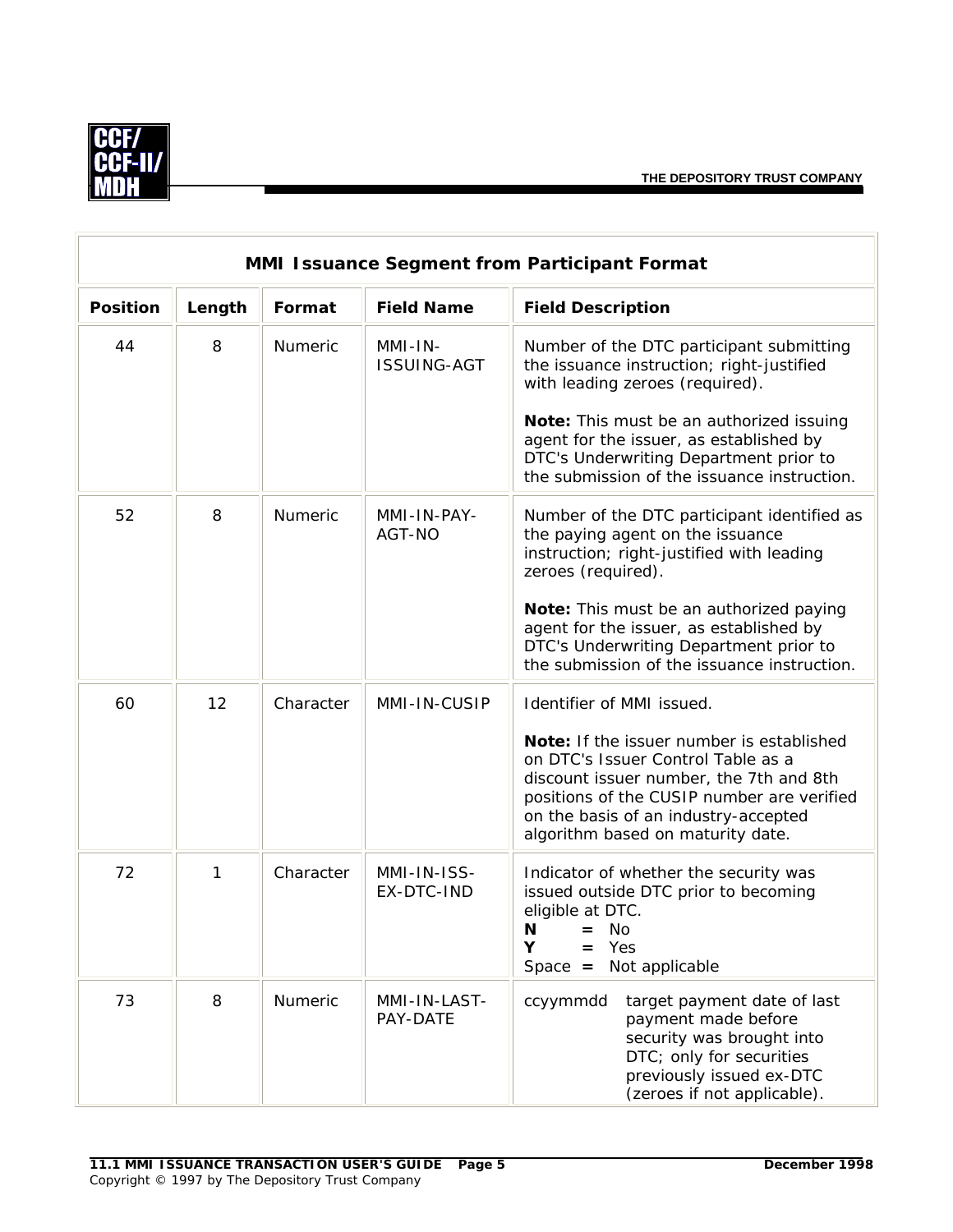

| MMI Issuance Segment from Participant Format |        |                |                               |                                                                                                                                                                                                                                                                                                                                   |  |  |
|----------------------------------------------|--------|----------------|-------------------------------|-----------------------------------------------------------------------------------------------------------------------------------------------------------------------------------------------------------------------------------------------------------------------------------------------------------------------------------|--|--|
| <b>Position</b>                              | Length | Format         | <b>Field Name</b>             | <b>Field Description</b>                                                                                                                                                                                                                                                                                                          |  |  |
| 44                                           | 8      | <b>Numeric</b> | MMI-IN-<br><b>ISSUING-AGT</b> | Number of the DTC participant submitting<br>the issuance instruction; right-justified<br>with leading zeroes (required).<br>Note: This must be an authorized issuing<br>agent for the issuer, as established by<br>DTC's Underwriting Department prior to<br>the submission of the issuance instruction.                          |  |  |
| 52                                           | 8      | Numeric        | MMI-IN-PAY-<br>AGT-NO         | Number of the DTC participant identified as<br>the paying agent on the issuance<br>instruction; right-justified with leading<br>zeroes (required).<br>Note: This must be an authorized paying<br>agent for the issuer, as established by<br>DTC's Underwriting Department prior to<br>the submission of the issuance instruction. |  |  |
| 60                                           | 12     | Character      | MMI-IN-CUSIP                  | Identifier of MMI issued.<br>Note: If the issuer number is established<br>on DTC's Issuer Control Table as a<br>discount issuer number, the 7th and 8th<br>positions of the CUSIP number are verified<br>on the basis of an industry-accepted<br>algorithm based on maturity date.                                                |  |  |
| 72                                           | 1      | Character      | MMI-IN-ISS-<br>EX-DTC-IND     | Indicator of whether the security was<br>issued outside DTC prior to becoming<br>eligible at DTC.<br>N<br>$=$ No<br>Yes<br>Υ<br>Not applicable<br>$Space =$                                                                                                                                                                       |  |  |
| 73                                           | 8      | Numeric        | MMI-IN-LAST-<br>PAY-DATE      | ccyymmdd<br>target payment date of last<br>payment made before<br>security was brought into<br>DTC; only for securities<br>previously issued ex-DTC<br>(zeroes if not applicable).                                                                                                                                                |  |  |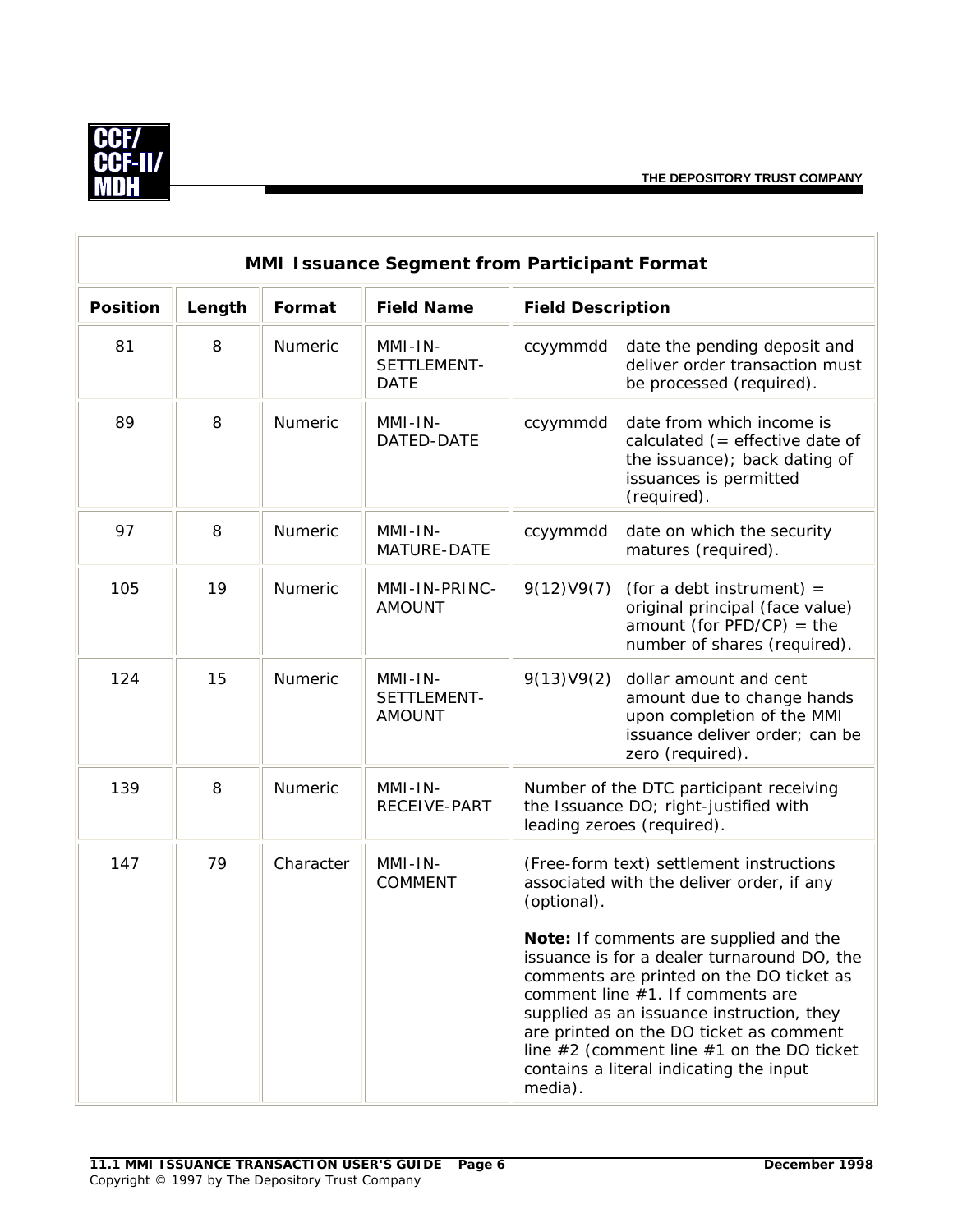

| MMI Issuance Segment from Participant Format |        |           |                                         |                          |                                                                                                                                                                                                                                                                                                                                                                                                                                                    |  |
|----------------------------------------------|--------|-----------|-----------------------------------------|--------------------------|----------------------------------------------------------------------------------------------------------------------------------------------------------------------------------------------------------------------------------------------------------------------------------------------------------------------------------------------------------------------------------------------------------------------------------------------------|--|
| <b>Position</b>                              | Length | Format    | <b>Field Name</b>                       | <b>Field Description</b> |                                                                                                                                                                                                                                                                                                                                                                                                                                                    |  |
| 81                                           | 8      | Numeric   | $MMI-IN-$<br>SETTLEMENT-<br><b>DATE</b> | ccyymmdd                 | date the pending deposit and<br>deliver order transaction must<br>be processed (required).                                                                                                                                                                                                                                                                                                                                                         |  |
| 89                                           | 8      | Numeric   | MMI-IN-<br>DATED-DATE                   | ccyymmdd                 | date from which income is<br>calculated $($ = effective date of<br>the issuance); back dating of<br>issuances is permitted<br>(required).                                                                                                                                                                                                                                                                                                          |  |
| 97                                           | 8      | Numeric   | MMI-IN-<br>MATURE-DATE                  | ccyymmdd                 | date on which the security<br>matures (required).                                                                                                                                                                                                                                                                                                                                                                                                  |  |
| 105                                          | 19     | Numeric   | MMI-IN-PRINC-<br><b>AMOUNT</b>          | 9(12)V9(7)               | (for a debt instrument) $=$<br>original principal (face value)<br>amount (for $PFD/CP$ ) = the<br>number of shares (required).                                                                                                                                                                                                                                                                                                                     |  |
| 124                                          | 15     | Numeric   | MMI-IN-<br>SETTLEMENT-<br><b>AMOUNT</b> | 9(13)V9(2)               | dollar amount and cent<br>amount due to change hands<br>upon completion of the MMI<br>issuance deliver order; can be<br>zero (required).                                                                                                                                                                                                                                                                                                           |  |
| 139                                          | 8      | Numeric   | MMI-IN-<br>RECEIVE-PART                 |                          | Number of the DTC participant receiving<br>the Issuance DO; right-justified with<br>leading zeroes (required).                                                                                                                                                                                                                                                                                                                                     |  |
| 147                                          | 79     | Character | $MMI-IN-$<br><b>COMMENT</b>             | (optional).<br>media).   | (Free-form text) settlement instructions<br>associated with the deliver order, if any<br>Note: If comments are supplied and the<br>issuance is for a dealer turnaround DO, the<br>comments are printed on the DO ticket as<br>comment line #1. If comments are<br>supplied as an issuance instruction, they<br>are printed on the DO ticket as comment<br>line $#2$ (comment line $#1$ on the DO ticket<br>contains a literal indicating the input |  |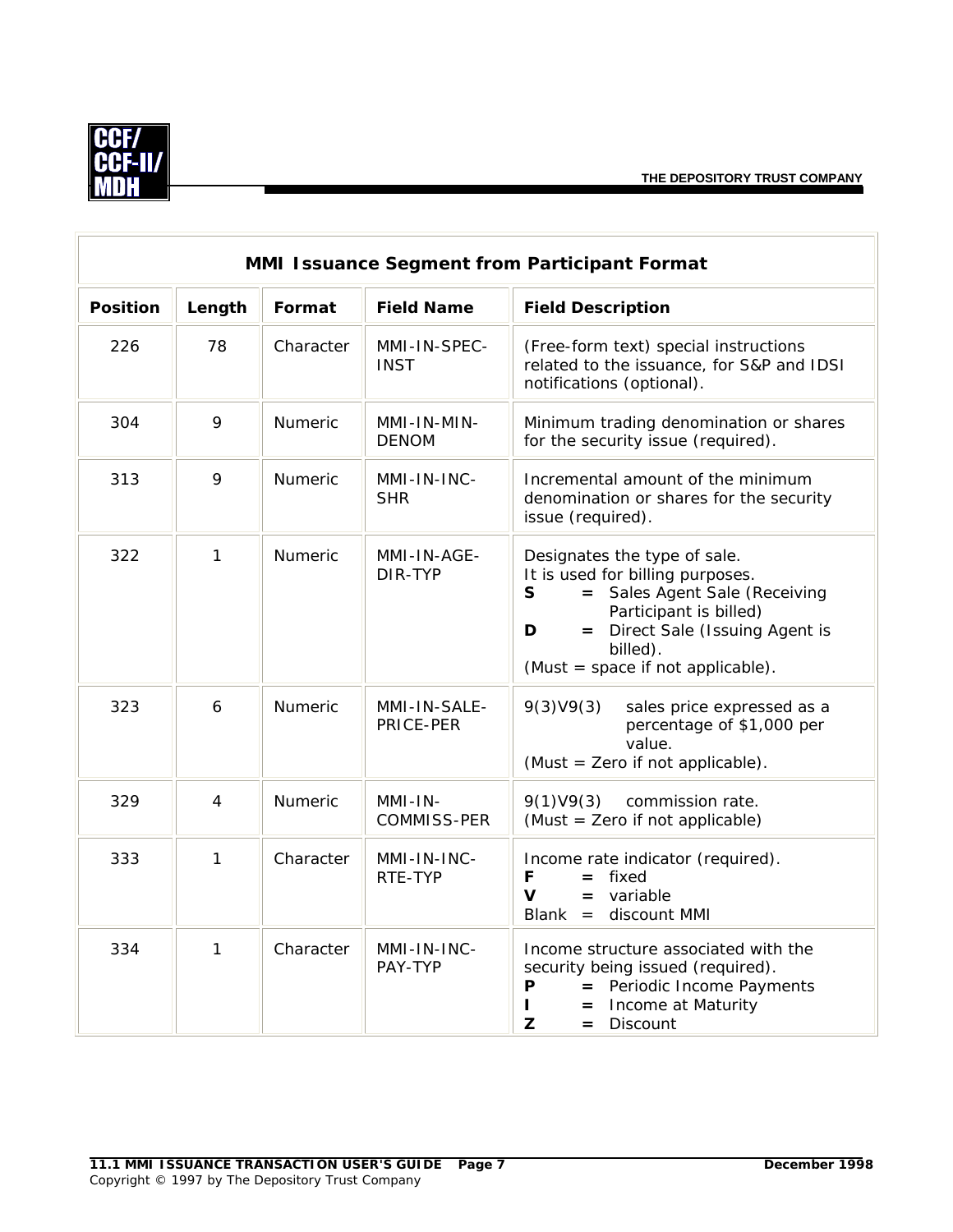$\overline{\mathbb{R}}$ 



 $\overline{r}$ 

|                 | MMI Issuance Segment from Participant Format |                |                               |                                                                                                                                                                                                                                      |  |  |  |
|-----------------|----------------------------------------------|----------------|-------------------------------|--------------------------------------------------------------------------------------------------------------------------------------------------------------------------------------------------------------------------------------|--|--|--|
| <b>Position</b> | Length                                       | Format         | <b>Field Name</b>             | <b>Field Description</b>                                                                                                                                                                                                             |  |  |  |
| 226             | 78                                           | Character      | MMI-IN-SPEC-<br><b>INST</b>   | (Free-form text) special instructions<br>related to the issuance, for S&P and IDSI<br>notifications (optional).                                                                                                                      |  |  |  |
| 304             | 9                                            | Numeric        | MMI-IN-MIN-<br><b>DENOM</b>   | Minimum trading denomination or shares<br>for the security issue (required).                                                                                                                                                         |  |  |  |
| 313             | 9                                            | <b>Numeric</b> | MMI-IN-INC-<br><b>SHR</b>     | Incremental amount of the minimum<br>denomination or shares for the security<br>issue (required).                                                                                                                                    |  |  |  |
| 322             | 1                                            | Numeric        | MMI-IN-AGE-<br>DIR-TYP        | Designates the type of sale.<br>It is used for billing purposes.<br>= Sales Agent Sale (Receiving<br>$\mathsf{s}$<br>Participant is billed)<br>= Direct Sale (Issuing Agent is<br>D<br>billed).<br>(Must = space if not applicable). |  |  |  |
| 323             | 6                                            | <b>Numeric</b> | MMI-IN-SALE-<br>PRICE-PER     | 9(3)V9(3)<br>sales price expressed as a<br>percentage of \$1,000 per<br>value.<br>(Must = Zero if not applicable).                                                                                                                   |  |  |  |
| 329             | 4                                            | Numeric        | MMI-IN-<br><b>COMMISS-PER</b> | 9(1)V9(3)<br>commission rate.<br>(Must = Zero if not applicable)                                                                                                                                                                     |  |  |  |
| 333             | 1                                            | Character      | MMI-IN-INC-<br>RTE-TYP        | Income rate indicator (required).<br>$=$ fixed<br>F<br>$\mathbf v$<br>$=$ variable<br>$Blank =$<br>discount MMI                                                                                                                      |  |  |  |
| 334             | $\mathbf{1}$                                 | Character      | MMI-IN-INC-<br>PAY-TYP        | Income structure associated with the<br>security being issued (required).<br>= Periodic Income Payments<br>P<br>Income at Maturity<br>L<br>$=$<br>Z<br>Discount<br>$=$                                                               |  |  |  |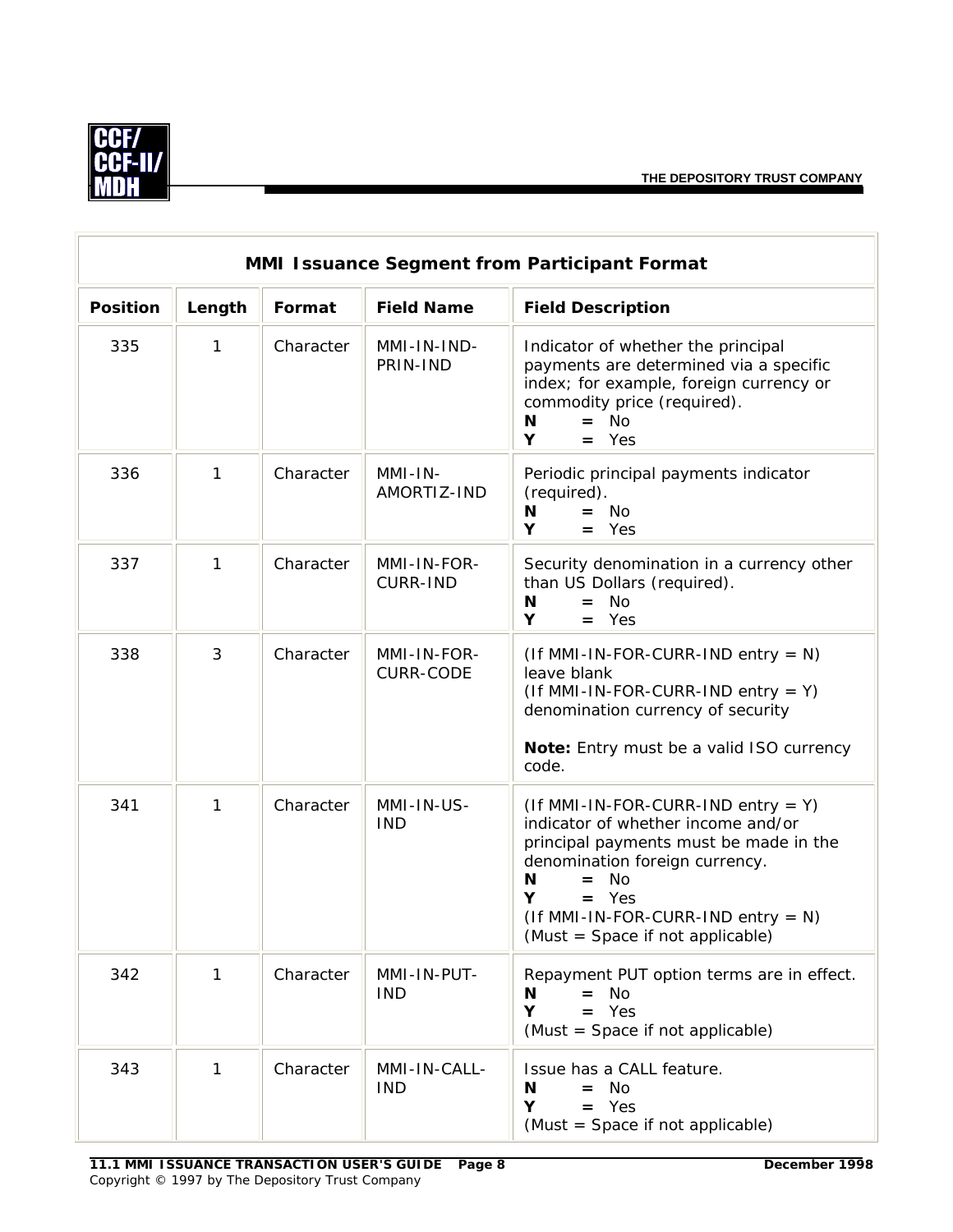

| MMI Issuance Segment from Participant Format |        |           |                                 |                                                                                                                                                                                                                                                                               |  |
|----------------------------------------------|--------|-----------|---------------------------------|-------------------------------------------------------------------------------------------------------------------------------------------------------------------------------------------------------------------------------------------------------------------------------|--|
| <b>Position</b>                              | Length | Format    | <b>Field Name</b>               | <b>Field Description</b>                                                                                                                                                                                                                                                      |  |
| 335                                          | 1      | Character | MMI-IN-IND-<br>PRIN-IND         | Indicator of whether the principal<br>payments are determined via a specific<br>index; for example, foreign currency or<br>commodity price (required).<br>N<br>$=$ No<br>Y<br>$=$ Yes                                                                                         |  |
| 336                                          | 1      | Character | MMI-IN-<br>AMORTIZ-IND          | Periodic principal payments indicator<br>(required).<br>N<br>$=$ No<br>Y<br>$=$ Yes                                                                                                                                                                                           |  |
| 337                                          | 1      | Character | MMI-IN-FOR-<br><b>CURR-IND</b>  | Security denomination in a currency other<br>than US Dollars (required).<br>$=$ No<br>N<br>Y<br>$=$ Yes                                                                                                                                                                       |  |
| 338                                          | 3      | Character | MMI-IN-FOR-<br><b>CURR-CODE</b> | $($ If MMI-IN-FOR-CURR-IND entry = N)<br>leave blank<br>$($ If MMI-IN-FOR-CURR-IND entry = Y)<br>denomination currency of security<br>Note: Entry must be a valid ISO currency<br>code.                                                                                       |  |
| 341                                          | 1      | Character | MMI-IN-US-<br><b>IND</b>        | $($ If MMI-IN-FOR-CURR-IND entry = Y)<br>indicator of whether income and/or<br>principal payments must be made in the<br>denomination foreign currency.<br><b>No</b><br>N<br>$=$<br>$=$ Yes<br>Y<br>$($ If MMI-IN-FOR-CURR-IND entry = N)<br>(Must = Space if not applicable) |  |
| 342                                          | 1      | Character | MMI-IN-PUT-<br><b>IND</b>       | Repayment PUT option terms are in effect.<br>$=$ No<br>N<br>Y<br>$=$ Yes<br>(Must = Space if not applicable)                                                                                                                                                                  |  |
| 343                                          | 1      | Character | MMI-IN-CALL-<br><b>IND</b>      | Issue has a CALL feature.<br>N<br>$=$ No<br>Υ<br>$=$ Yes<br>(Must = Space if not applicable)                                                                                                                                                                                  |  |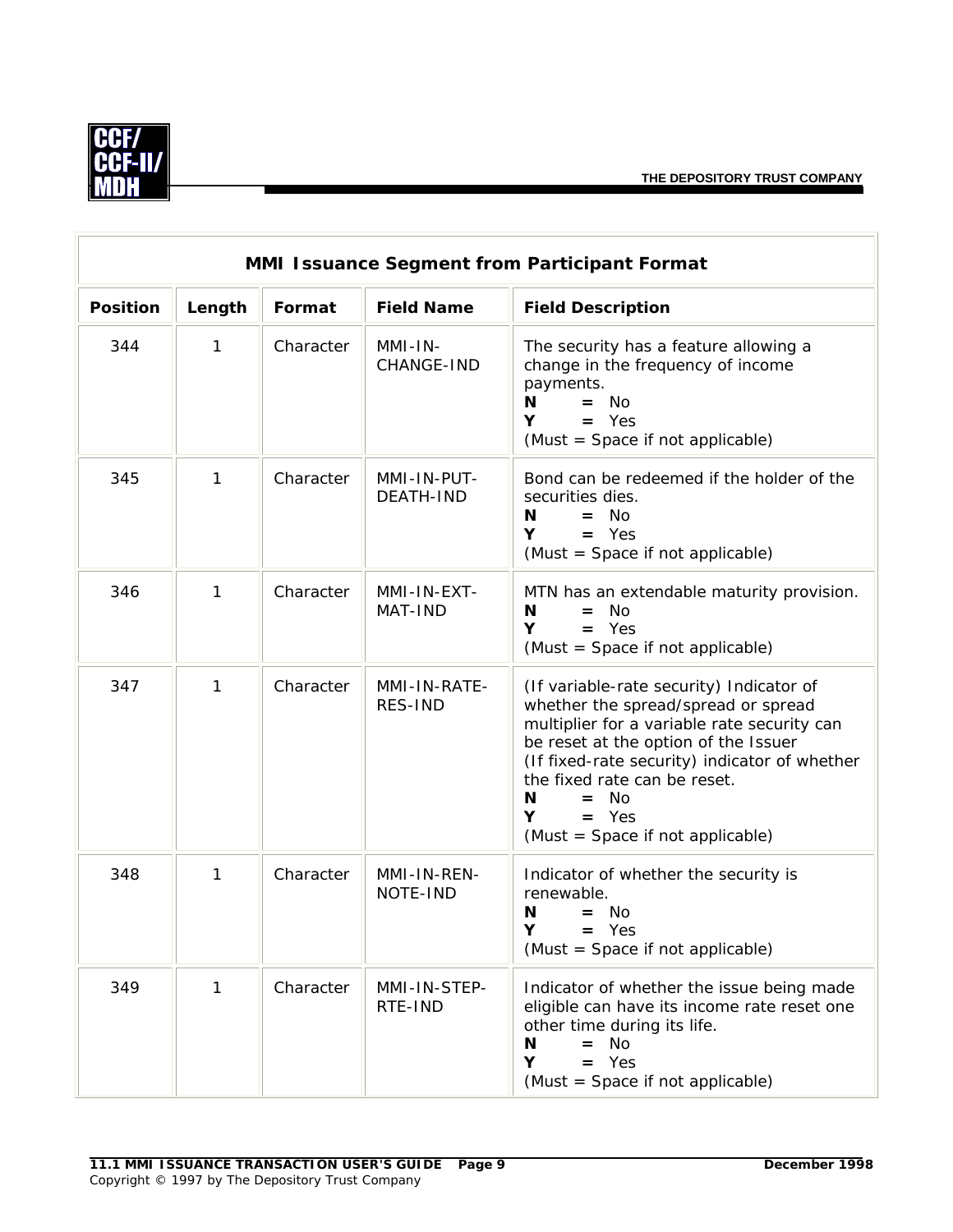

| <b>MMI Issuance Segment from Participant Format</b> |              |           |                                 |                                                                                                                                                                                                                                                                                                                            |  |  |
|-----------------------------------------------------|--------------|-----------|---------------------------------|----------------------------------------------------------------------------------------------------------------------------------------------------------------------------------------------------------------------------------------------------------------------------------------------------------------------------|--|--|
| <b>Position</b>                                     | Length       | Format    | <b>Field Name</b>               | <b>Field Description</b>                                                                                                                                                                                                                                                                                                   |  |  |
| 344                                                 | $\mathbf{1}$ | Character | MMI-IN-<br>CHANGE-IND           | The security has a feature allowing a<br>change in the frequency of income<br>payments.<br>N<br>$=$ No<br>Y<br>$=$ Yes<br>(Must = Space if not applicable)                                                                                                                                                                 |  |  |
| 345                                                 | 1            | Character | MMI-IN-PUT-<br><b>DEATH-IND</b> | Bond can be redeemed if the holder of the<br>securities dies.<br>N<br>$=$ No<br>$=$ Yes<br>Y<br>(Must = Space if not applicable)                                                                                                                                                                                           |  |  |
| 346                                                 | 1            | Character | MMI-IN-EXT-<br>MAT-IND          | MTN has an extendable maturity provision.<br>N<br>N <sub>o</sub><br>$=$<br>Y<br>$=$ Yes<br>(Must = Space if not applicable)                                                                                                                                                                                                |  |  |
| 347                                                 | $\mathbf{1}$ | Character | MMI-IN-RATE-<br>RES-IND         | (If variable-rate security) Indicator of<br>whether the spread/spread or spread<br>multiplier for a variable rate security can<br>be reset at the option of the Issuer<br>(If fixed-rate security) indicator of whether<br>the fixed rate can be reset.<br>N<br>$=$ No<br>Y<br>$=$ Yes<br>(Must = Space if not applicable) |  |  |
| 348                                                 | 1            | Character | MMI-IN-REN-<br>NOTE-IND         | Indicator of whether the security is<br>renewable.<br>N<br>$=$ No<br>Y<br>$=$ Yes<br>(Must = Space if not applicable)                                                                                                                                                                                                      |  |  |
| 349                                                 | 1            | Character | MMI-IN-STEP-<br>RTE-IND         | Indicator of whether the issue being made<br>eligible can have its income rate reset one<br>other time during its life.<br><b>No</b><br>N<br>$=$<br>Υ<br>Yes<br>$=$<br>(Must = Space if not applicable)                                                                                                                    |  |  |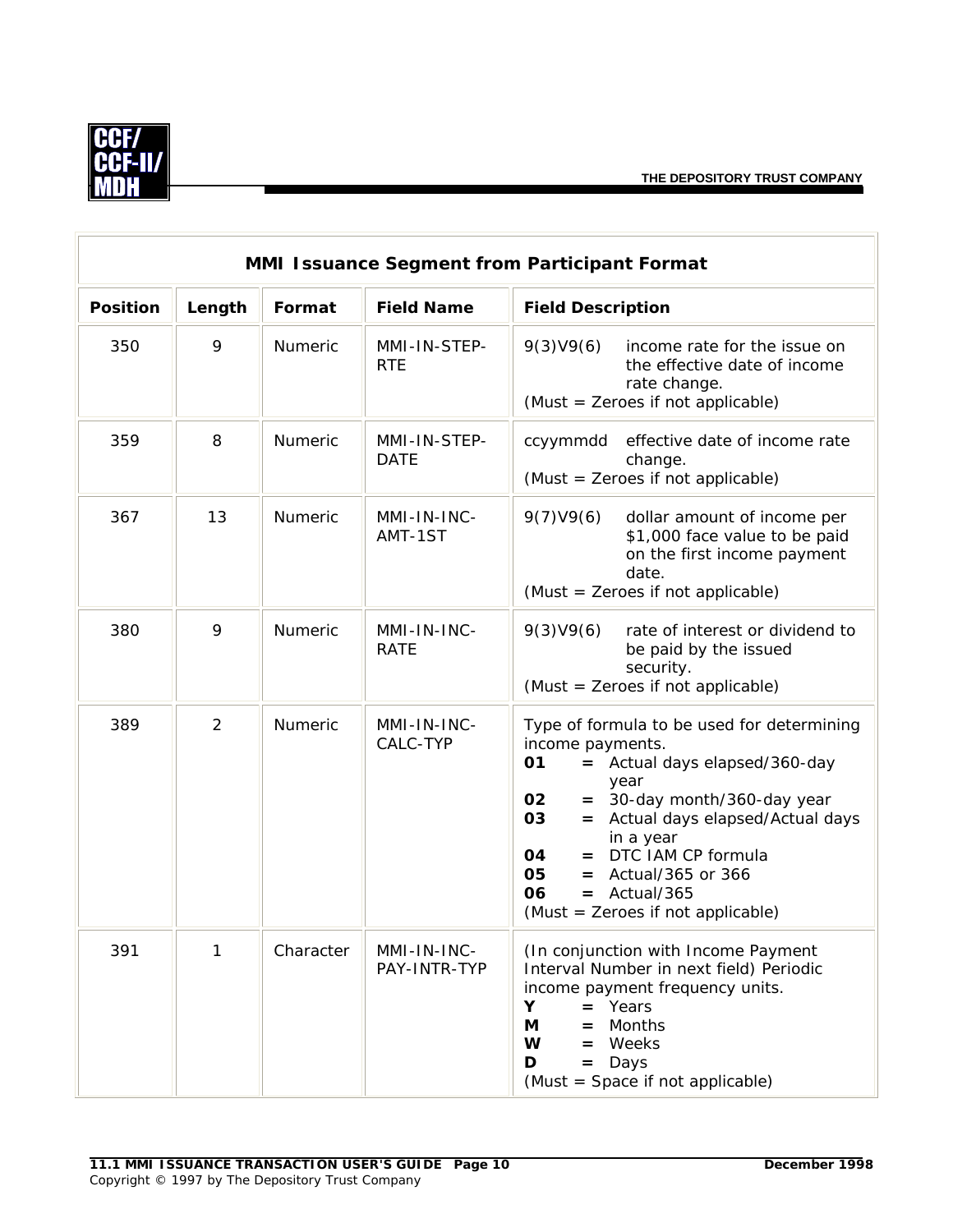

|                 | MMI Issuance Segment from Participant Format |           |                             |                                                                                                                                                                                                                                                                                                                                             |  |  |
|-----------------|----------------------------------------------|-----------|-----------------------------|---------------------------------------------------------------------------------------------------------------------------------------------------------------------------------------------------------------------------------------------------------------------------------------------------------------------------------------------|--|--|
| <b>Position</b> | Length                                       | Format    | <b>Field Name</b>           | <b>Field Description</b>                                                                                                                                                                                                                                                                                                                    |  |  |
| 350             | 9                                            | Numeric   | MMI-IN-STEP-<br><b>RTE</b>  | 9(3)V9(6)<br>income rate for the issue on<br>the effective date of income<br>rate change.<br>(Must = Zeroes if not applicable)                                                                                                                                                                                                              |  |  |
| 359             | 8                                            | Numeric   | MMI-IN-STEP-<br><b>DATE</b> | effective date of income rate<br>ccyymmdd<br>change.<br>(Must = Zeroes if not applicable)                                                                                                                                                                                                                                                   |  |  |
| 367             | 13                                           | Numeric   | MMI-IN-INC-<br>AMT-1ST      | 9(7)V9(6)<br>dollar amount of income per<br>\$1,000 face value to be paid<br>on the first income payment<br>date.<br>(Must = Zeroes if not applicable)                                                                                                                                                                                      |  |  |
| 380             | 9                                            | Numeric   | MMI-IN-INC-<br><b>RATE</b>  | 9(3)V9(6)<br>rate of interest or dividend to<br>be paid by the issued<br>security.<br>(Must = Zeroes if not applicable)                                                                                                                                                                                                                     |  |  |
| 389             | $\overline{2}$                               | Numeric   | MMI-IN-INC-<br>CALC-TYP     | Type of formula to be used for determining<br>income payments.<br>01<br>= Actual days elapsed/360-day<br>year<br>$=$ 30-day month/360-day year<br>02<br>Actual days elapsed/Actual days<br>03<br>$=$<br>in a year<br>= DTC IAM CP formula<br>04<br>05<br>$=$ Actual/365 or 366<br>06<br>$=$ Actual/365<br>(Must = Zeroes if not applicable) |  |  |
| 391             | 1                                            | Character | MMI-IN-INC-<br>PAY-INTR-TYP | (In conjunction with Income Payment<br>Interval Number in next field) Periodic<br>income payment frequency units.<br>Υ<br>= Years<br>Months<br>Μ<br>$=$<br>= Weeks<br>W<br>D<br>$=$ Days<br>(Must = Space if not applicable)                                                                                                                |  |  |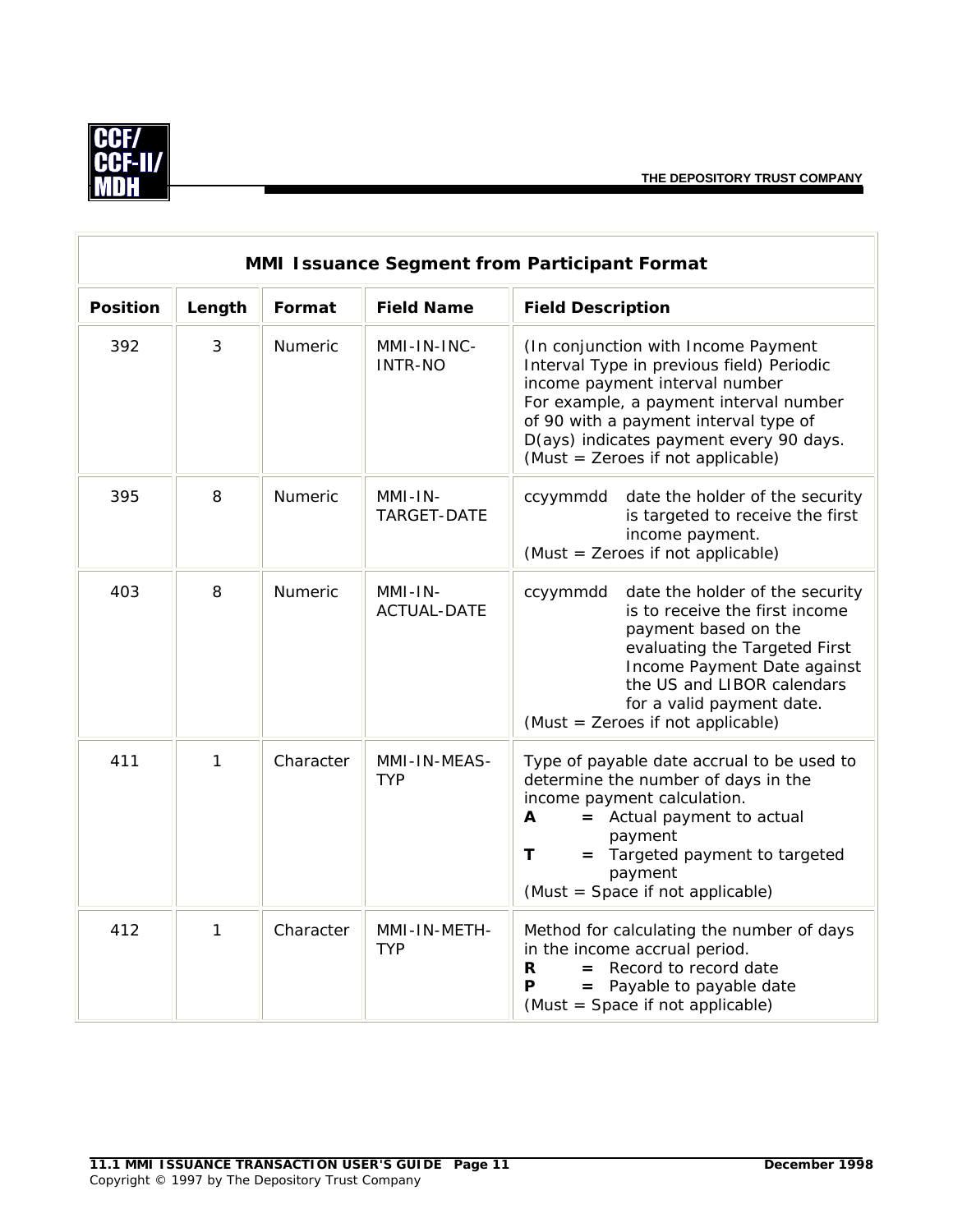

| MMI Issuance Segment from Participant Format |                |           |                                 |                                                                                                                                                                                                                                                                                       |  |
|----------------------------------------------|----------------|-----------|---------------------------------|---------------------------------------------------------------------------------------------------------------------------------------------------------------------------------------------------------------------------------------------------------------------------------------|--|
| <b>Position</b>                              | Length         | Format    | <b>Field Name</b>               | <b>Field Description</b>                                                                                                                                                                                                                                                              |  |
| 392                                          | $\mathfrak{Z}$ | Numeric   | MMI-IN-INC-<br><b>INTR-NO</b>   | (In conjunction with Income Payment<br>Interval Type in previous field) Periodic<br>income payment interval number<br>For example, a payment interval number<br>of 90 with a payment interval type of<br>D(ays) indicates payment every 90 days.<br>(Must = Zeroes if not applicable) |  |
| 395                                          | 8              | Numeric   | MMI-IN-<br>TARGET-DATE          | ccyymmdd<br>date the holder of the security<br>is targeted to receive the first<br>income payment.<br>(Must = Zeroes if not applicable)                                                                                                                                               |  |
| 403                                          | 8              | Numeric   | $MMI-IN-$<br><b>ACTUAL-DATE</b> | date the holder of the security<br>ccyymmdd<br>is to receive the first income<br>payment based on the<br>evaluating the Targeted First<br>Income Payment Date against<br>the US and LIBOR calendars<br>for a valid payment date.<br>(Must = Zeroes if not applicable)                 |  |
| 411                                          | 1              | Character | MMI-IN-MEAS-<br><b>TYP</b>      | Type of payable date accrual to be used to<br>determine the number of days in the<br>income payment calculation.<br>A<br>= Actual payment to actual<br>payment<br>Targeted payment to targeted<br>Т<br>$=$<br>payment<br>(Must = Space if not applicable)                             |  |
| 412                                          | 1              | Character | MMI-IN-METH-<br><b>TYP</b>      | Method for calculating the number of days<br>in the income accrual period.<br>$=$ Record to record date<br>R<br>Р<br>Payable to payable date<br>(Must = Space if not applicable)                                                                                                      |  |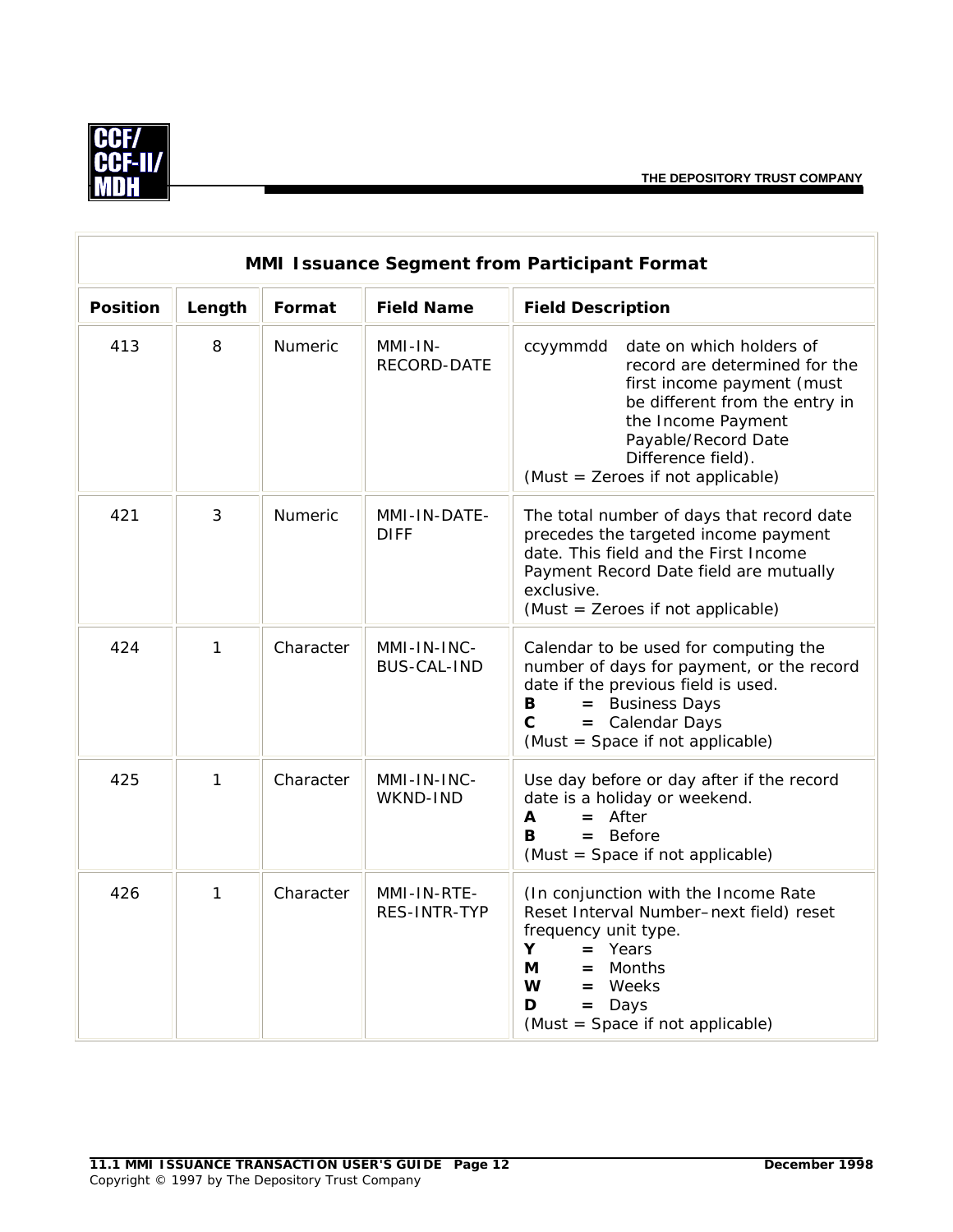

| <b>MMI Issuance Segment from Participant Format</b> |              |           |                                   |                                                                                                                                                                                                                                               |  |
|-----------------------------------------------------|--------------|-----------|-----------------------------------|-----------------------------------------------------------------------------------------------------------------------------------------------------------------------------------------------------------------------------------------------|--|
| <b>Position</b>                                     | Length       | Format    | <b>Field Name</b>                 | <b>Field Description</b>                                                                                                                                                                                                                      |  |
| 413                                                 | 8            | Numeric   | $MMI-IN-$<br>RECORD-DATE          | date on which holders of<br>ccyymmdd<br>record are determined for the<br>first income payment (must<br>be different from the entry in<br>the Income Payment<br>Payable/Record Date<br>Difference field).<br>(Must = Zeroes if not applicable) |  |
| 421                                                 | 3            | Numeric   | MMI-IN-DATE-<br><b>DIFF</b>       | The total number of days that record date<br>precedes the targeted income payment<br>date. This field and the First Income<br>Payment Record Date field are mutually<br>exclusive.<br>(Must = Zeroes if not applicable)                       |  |
| 424                                                 | $\mathbf{1}$ | Character | MMI-IN-INC-<br><b>BUS-CAL-IND</b> | Calendar to be used for computing the<br>number of days for payment, or the record<br>date if the previous field is used.<br>= Business Days<br>B<br>= Calendar Days<br>$\mathbf C$<br>(Must = Space if not applicable)                       |  |
| 425                                                 | $\mathbf{1}$ | Character | MMI-IN-INC-<br>WKND-IND           | Use day before or day after if the record<br>date is a holiday or weekend.<br>$=$ After<br>A<br>в<br>$=$ Before<br>(Must = Space if not applicable)                                                                                           |  |
| 426                                                 | $\mathbf{1}$ | Character | MMI-IN-RTE-<br>RES-INTR-TYP       | (In conjunction with the Income Rate<br>Reset Interval Number-next field) reset<br>frequency unit type.<br>Y<br>$=$ Years<br>Months<br>М<br>$=$<br>W<br>$=$ Weeks<br>Days<br>D<br>$=$<br>(Must = Space if not applicable)                     |  |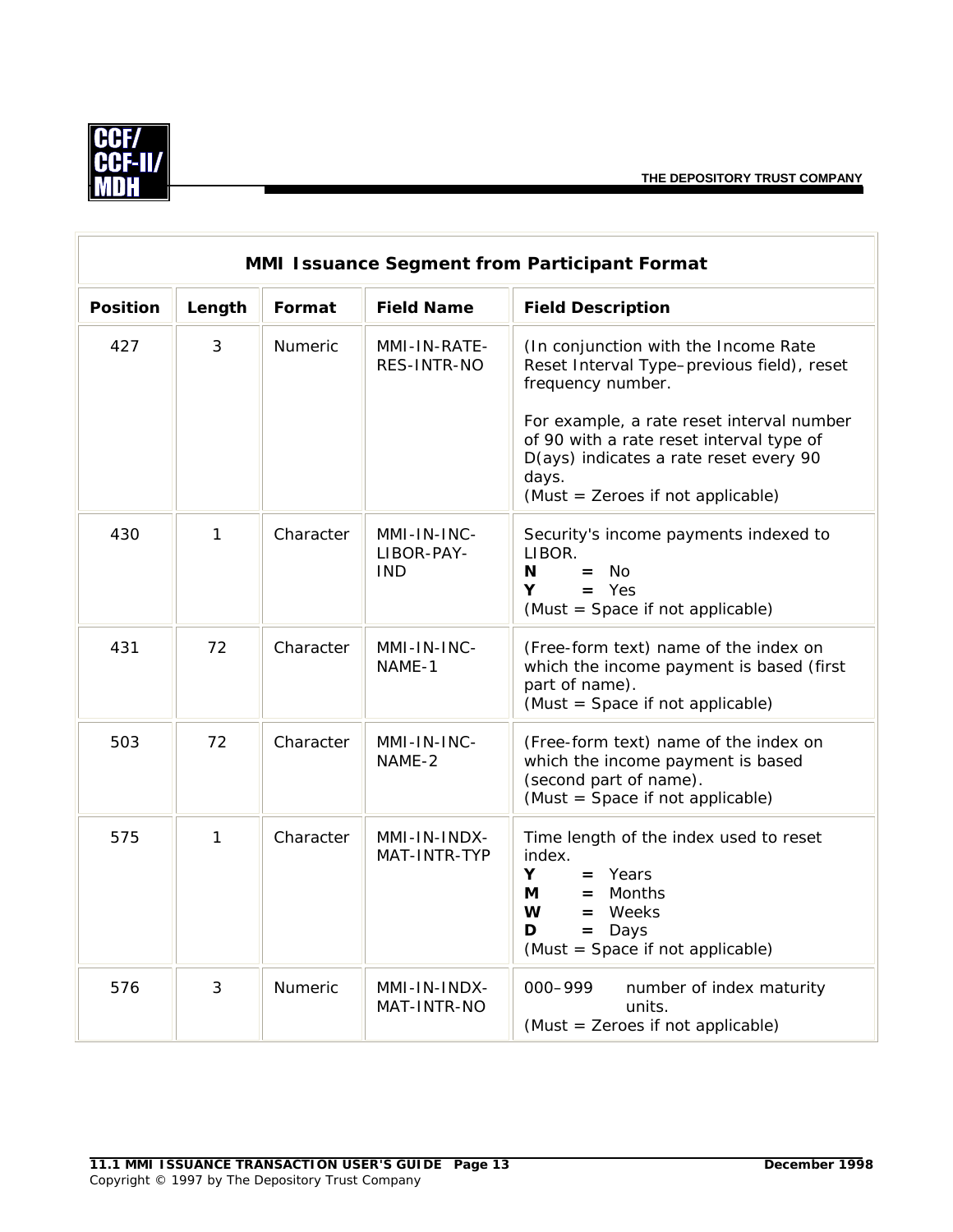

| <b>MMI Issuance Segment from Participant Format</b> |                |                |                                         |                                                                                                                                                                                                                                                                                          |  |
|-----------------------------------------------------|----------------|----------------|-----------------------------------------|------------------------------------------------------------------------------------------------------------------------------------------------------------------------------------------------------------------------------------------------------------------------------------------|--|
| <b>Position</b>                                     | Length         | Format         | <b>Field Name</b>                       | <b>Field Description</b>                                                                                                                                                                                                                                                                 |  |
| 427                                                 | $\mathfrak{Z}$ | <b>Numeric</b> | MMI-IN-RATE-<br>RES-INTR-NO             | (In conjunction with the Income Rate<br>Reset Interval Type-previous field), reset<br>frequency number.<br>For example, a rate reset interval number<br>of 90 with a rate reset interval type of<br>D(ays) indicates a rate reset every 90<br>days.<br>(Must = Zeroes if not applicable) |  |
| 430                                                 | $\mathbf{1}$   | Character      | MMI-IN-INC-<br>LIBOR-PAY-<br><b>IND</b> | Security's income payments indexed to<br>LIBOR.<br>$=$ No<br>N<br>Y<br>$=$ Yes<br>(Must = Space if not applicable)                                                                                                                                                                       |  |
| 431                                                 | 72             | Character      | MMI-IN-INC-<br>NAME-1                   | (Free-form text) name of the index on<br>which the income payment is based (first<br>part of name).<br>(Must = Space if not applicable)                                                                                                                                                  |  |
| 503                                                 | 72             | Character      | MMI-IN-INC-<br>NAME-2                   | (Free-form text) name of the index on<br>which the income payment is based<br>(second part of name).<br>(Must = Space if not applicable)                                                                                                                                                 |  |
| 575                                                 | $\mathbf{1}$   | Character      | MMI-IN-INDX-<br>MAT-INTR-TYP            | Time length of the index used to reset<br>index.<br>Y.<br>$=$ Years<br>Months<br>М<br>$=$<br>W<br>Weeks<br>$=$<br>D<br>$=$ Days<br>(Must = Space if not applicable)                                                                                                                      |  |
| 576                                                 | 3              | Numeric        | MMI-IN-INDX-<br>MAT-INTR-NO             | 000-999<br>number of index maturity<br>units.<br>(Must = Zeroes if not applicable)                                                                                                                                                                                                       |  |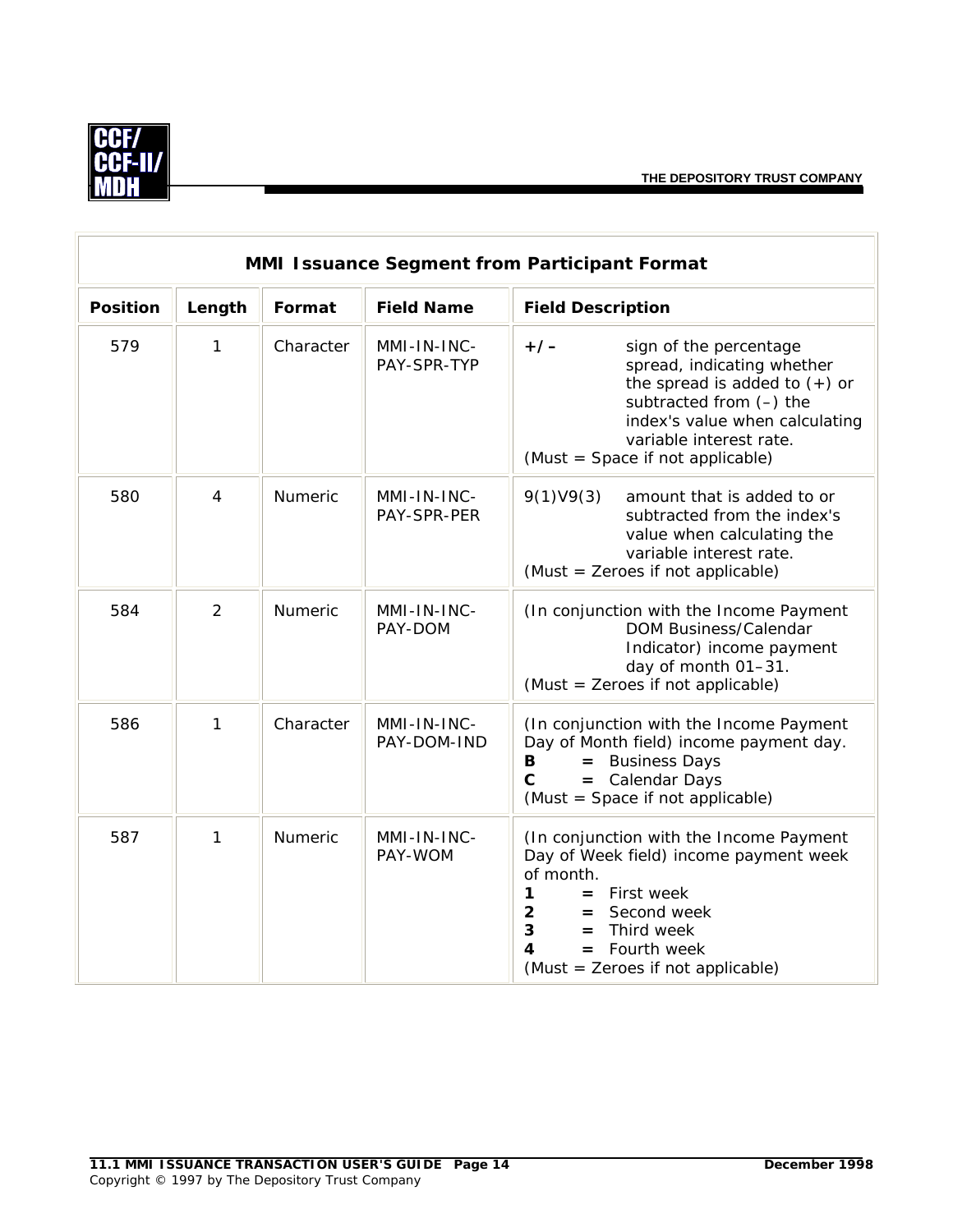

| MMI Issuance Segment from Participant Format |                |                |                            |                                                                                                                                                                                                                                                        |  |
|----------------------------------------------|----------------|----------------|----------------------------|--------------------------------------------------------------------------------------------------------------------------------------------------------------------------------------------------------------------------------------------------------|--|
| <b>Position</b>                              | Length         | Format         | <b>Field Name</b>          | <b>Field Description</b>                                                                                                                                                                                                                               |  |
| 579                                          | 1              | Character      | MMI-IN-INC-<br>PAY-SPR-TYP | $+/-$<br>sign of the percentage<br>spread, indicating whether<br>the spread is added to $(+)$ or<br>subtracted from (-) the<br>index's value when calculating<br>variable interest rate.<br>(Must = Space if not applicable)                           |  |
| 580                                          | $\overline{4}$ | Numeric        | MMI-IN-INC-<br>PAY-SPR-PER | 9(1)V9(3)<br>amount that is added to or<br>subtracted from the index's<br>value when calculating the<br>variable interest rate.<br>(Must = Zeroes if not applicable)                                                                                   |  |
| 584                                          | $\overline{2}$ | <b>Numeric</b> | MMI-IN-INC-<br>PAY-DOM     | (In conjunction with the Income Payment<br>DOM Business/Calendar<br>Indicator) income payment<br>day of month 01-31.<br>(Must = Zeroes if not applicable)                                                                                              |  |
| 586                                          | 1              | Character      | MMI-IN-INC-<br>PAY-DOM-IND | (In conjunction with the Income Payment<br>Day of Month field) income payment day.<br>= Business Days<br>B<br>= Calendar Days<br>$\mathbf{C}$<br>(Must = Space if not applicable)                                                                      |  |
| 587                                          | 1              | <b>Numeric</b> | MMI-IN-INC-<br>PAY-WOM     | (In conjunction with the Income Payment<br>Day of Week field) income payment week<br>of month.<br>$\mathbf 1$<br>$=$ First week<br>$\overline{2}$<br>= Second week<br>3<br>$=$ Third week<br>4<br>$=$ Fourth week<br>(Must = Zeroes if not applicable) |  |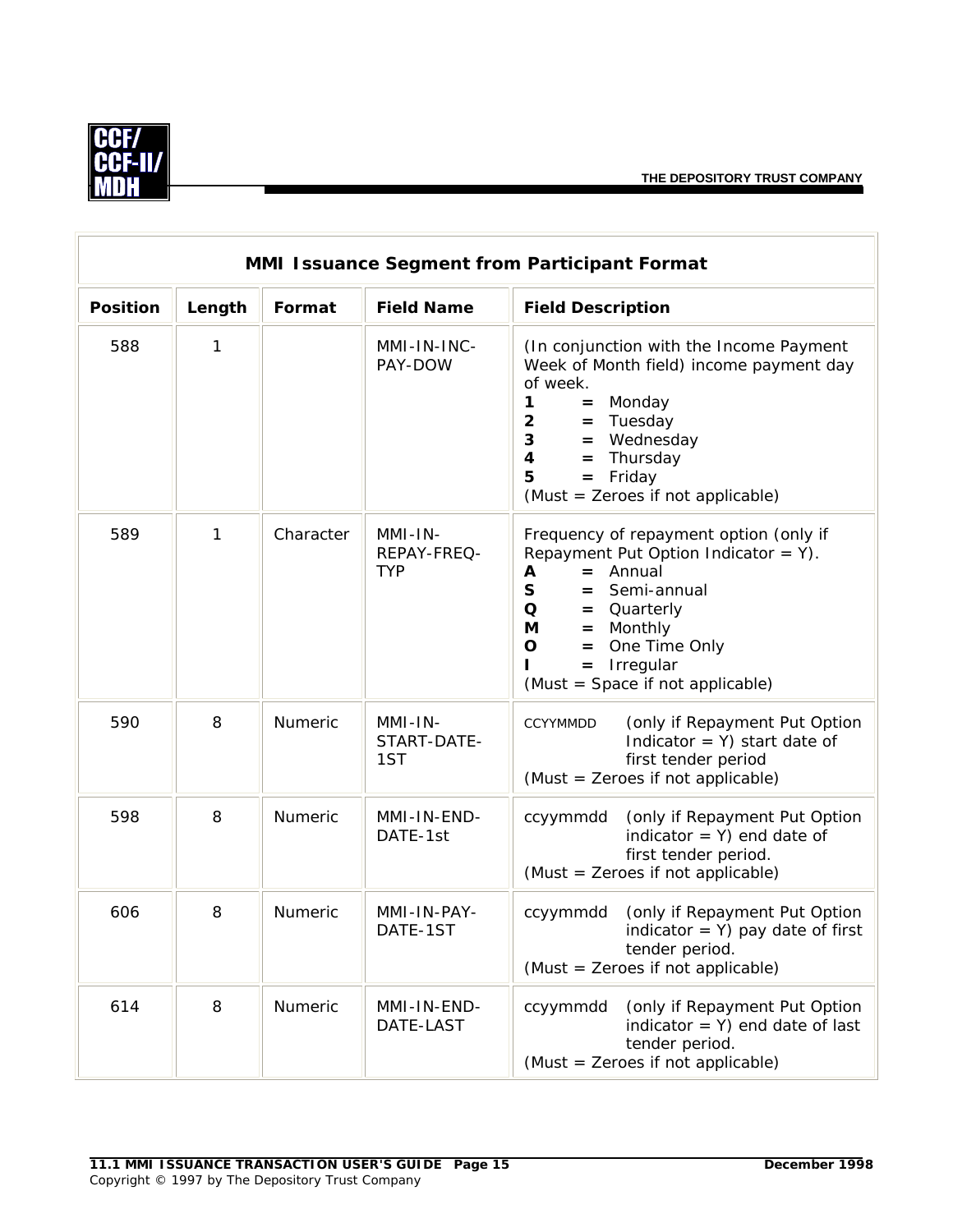

| MMI Issuance Segment from Participant Format |        |                |                                      |                                                                                                                                                                                                                                                                                               |  |  |  |  |
|----------------------------------------------|--------|----------------|--------------------------------------|-----------------------------------------------------------------------------------------------------------------------------------------------------------------------------------------------------------------------------------------------------------------------------------------------|--|--|--|--|
| <b>Position</b>                              | Length | Format         | <b>Field Name</b>                    | <b>Field Description</b>                                                                                                                                                                                                                                                                      |  |  |  |  |
| 588                                          | 1      |                | MMI-IN-INC-<br>PAY-DOW               | (In conjunction with the Income Payment<br>Week of Month field) income payment day<br>of week.<br>1<br>Monday<br>$=$<br>$\overline{2}$<br>$=$ Tuesday<br>$\mathbf{3}$<br>= Wednesday<br>$\overline{\mathbf{4}}$<br>Thursday<br>$=$<br>Friday<br>5<br>$=$<br>(Must = Zeroes if not applicable) |  |  |  |  |
| 589                                          | 1      | Character      | MMI-IN-<br>REPAY-FREQ-<br><b>TYP</b> | Frequency of repayment option (only if<br>Repayment Put Option Indicator = $Y$ ).<br>$=$ Annual<br>A<br>S<br>Semi-annual<br>$=$<br>$\mathbf Q$<br>= Quarterly<br><b>M</b><br>Monthly<br>$=$<br>$\mathbf O$<br>One Time Only<br>$=$<br>$=$ Irregular<br>(Must = Space if not applicable)       |  |  |  |  |
| 590                                          | 8      | Numeric        | MMI-IN-<br>START-DATE-<br>1ST        | (only if Repayment Put Option<br><b>CCYYMMDD</b><br>Indicator = $Y$ ) start date of<br>first tender period<br>(Must = Zeroes if not applicable)                                                                                                                                               |  |  |  |  |
| 598                                          | 8      | Numeric        | MMI-IN-END-<br>DATE-1st              | (only if Repayment Put Option<br>ccyymmdd<br>indicator = $Y$ ) end date of<br>first tender period.<br>(Must = Zeroes if not applicable)                                                                                                                                                       |  |  |  |  |
| 606                                          | 8      | <b>Numeric</b> | MMI-IN-PAY-<br>DATE-1ST              | (only if Repayment Put Option<br>ccyymmdd<br>indicator = $Y$ ) pay date of first<br>tender period.<br>(Must = Zeroes if not applicable)                                                                                                                                                       |  |  |  |  |
| 614                                          | 8      | Numeric        | MMI-IN-END-<br>DATE-LAST             | (only if Repayment Put Option<br>ccyymmdd<br>indicator = $Y$ ) end date of last<br>tender period.<br>(Must = Zeroes if not applicable)                                                                                                                                                        |  |  |  |  |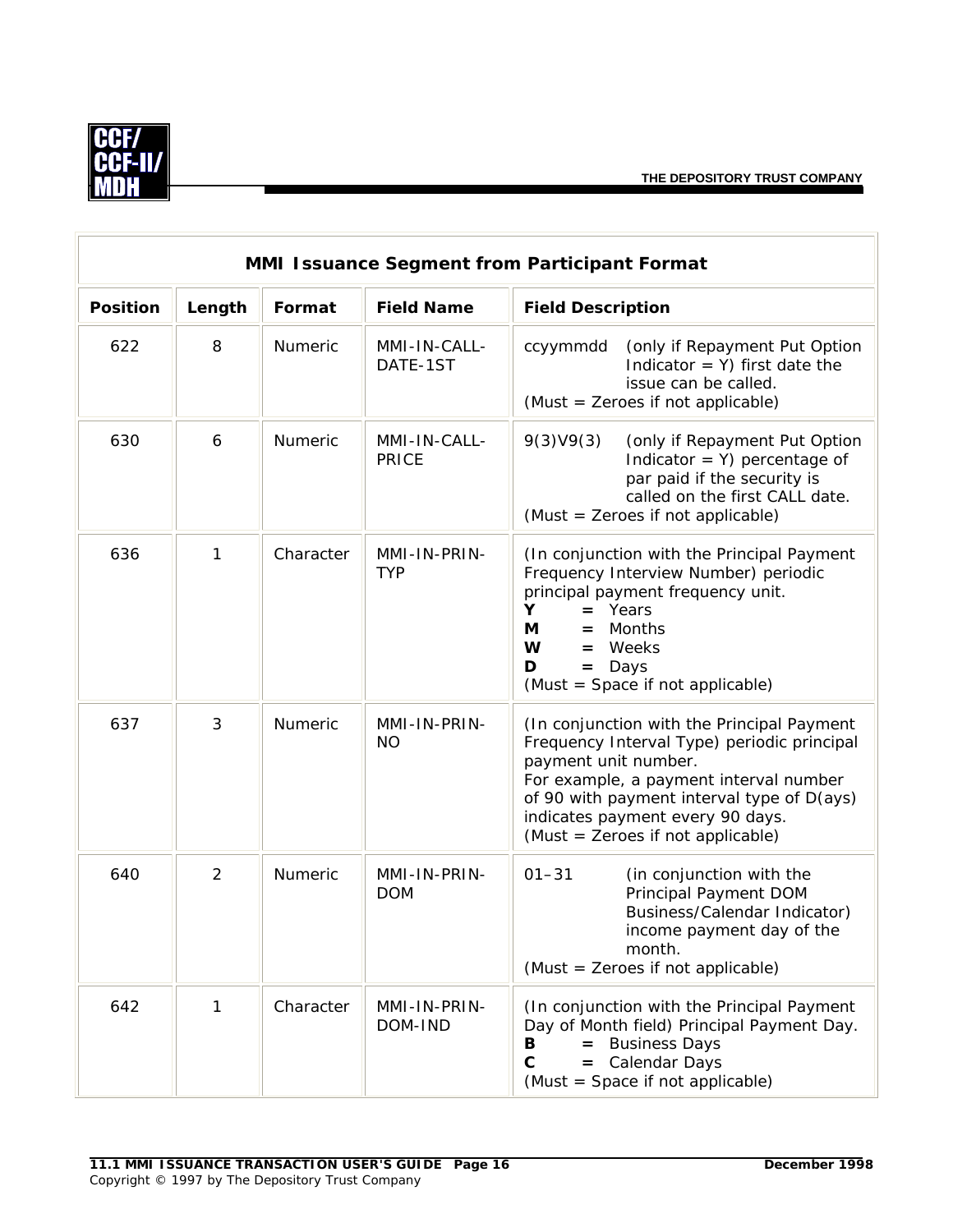

| MMI Issuance Segment from Participant Format |        |                |                            |                                                                                                                                                                                                                                                                                    |  |  |
|----------------------------------------------|--------|----------------|----------------------------|------------------------------------------------------------------------------------------------------------------------------------------------------------------------------------------------------------------------------------------------------------------------------------|--|--|
| <b>Position</b>                              | Length | Format         | <b>Field Name</b>          | <b>Field Description</b>                                                                                                                                                                                                                                                           |  |  |
| 622                                          | 8      | Numeric        | MMI-IN-CALL-<br>DATE-1ST   | (only if Repayment Put Option<br>ccyymmdd<br>Indicator = $Y$ ) first date the<br>issue can be called.<br>(Must = Zeroes if not applicable)                                                                                                                                         |  |  |
| 630                                          | 6      | <b>Numeric</b> | MMI-IN-CALL-<br>PRICE      | 9(3)V9(3)<br>(only if Repayment Put Option<br>Indicator = $Y$ ) percentage of<br>par paid if the security is<br>called on the first CALL date.<br>(Must = Zeroes if not applicable)                                                                                                |  |  |
| 636                                          | 1      | Character      | MMI-IN-PRIN-<br><b>TYP</b> | (In conjunction with the Principal Payment<br>Frequency Interview Number) periodic<br>principal payment frequency unit.<br>Y<br>$=$ Years<br>Months<br>М<br>$=$<br>W<br>$=$ Weeks<br>D<br>$=$ Days<br>(Must = Space if not applicable)                                             |  |  |
| 637                                          | 3      | Numeric        | MMI-IN-PRIN-<br><b>NO</b>  | (In conjunction with the Principal Payment<br>Frequency Interval Type) periodic principal<br>payment unit number.<br>For example, a payment interval number<br>of 90 with payment interval type of D(ays)<br>indicates payment every 90 days.<br>(Must = Zeroes if not applicable) |  |  |
| 640                                          | 2      | Numeric        | MMI-IN-PRIN-<br><b>DOM</b> | $01 - 31$<br>(in conjunction with the<br>Principal Payment DOM<br>Business/Calendar Indicator)<br>income payment day of the<br>month.<br>(Must = Zeroes if not applicable)                                                                                                         |  |  |
| 642                                          | 1      | Character      | MMI-IN-PRIN-<br>DOM-IND    | (In conjunction with the Principal Payment<br>Day of Month field) Principal Payment Day.<br>= Business Days<br>В<br>C<br>= Calendar Days<br>(Must = Space if not applicable)                                                                                                       |  |  |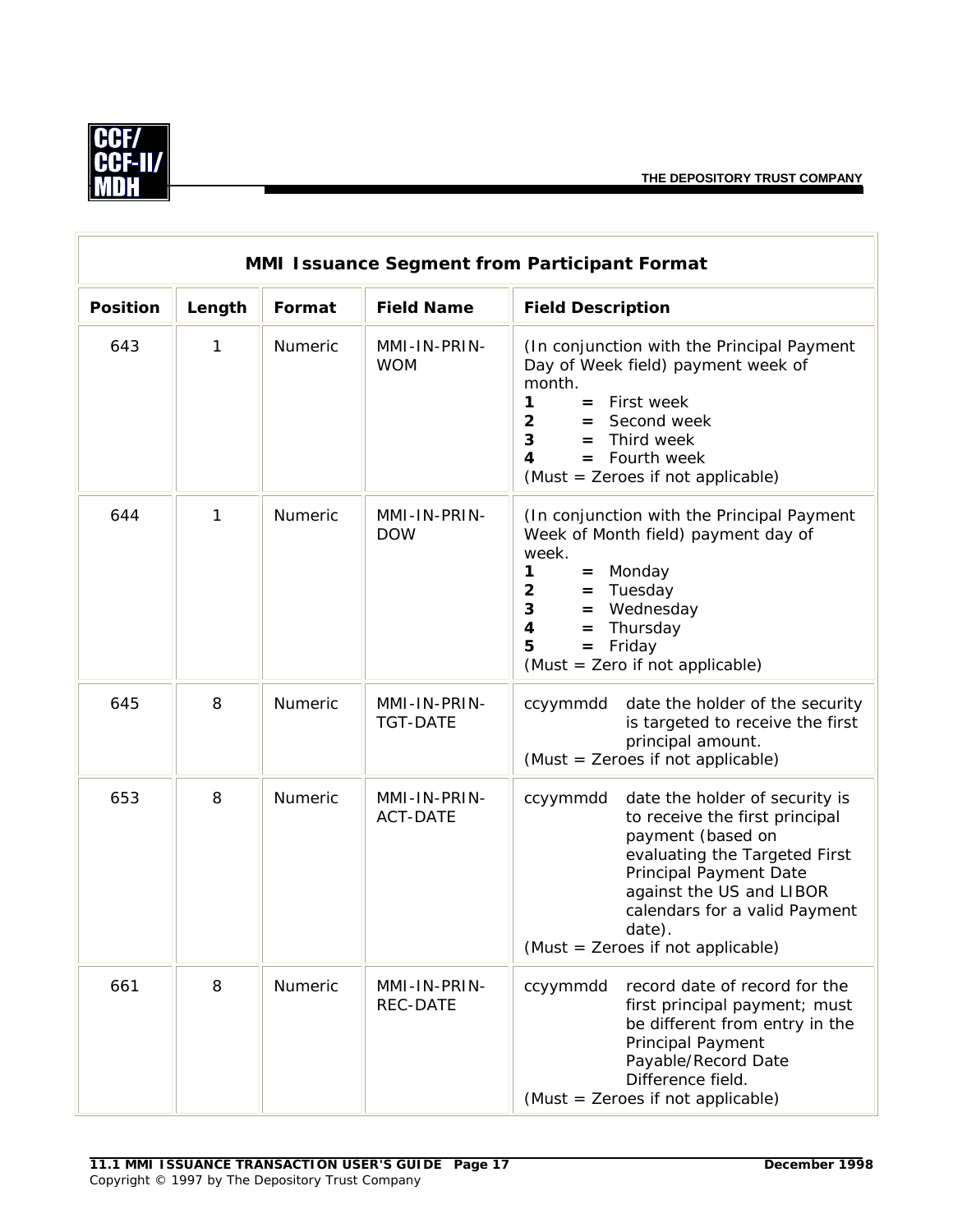

| <b>MMI Issuance Segment from Participant Format</b> |        |                |                                 |                                                                                                                                                                                                                                                                                        |  |  |
|-----------------------------------------------------|--------|----------------|---------------------------------|----------------------------------------------------------------------------------------------------------------------------------------------------------------------------------------------------------------------------------------------------------------------------------------|--|--|
| <b>Position</b>                                     | Length | Format         | <b>Field Name</b>               | <b>Field Description</b>                                                                                                                                                                                                                                                               |  |  |
| 643                                                 | 1      | Numeric        | MMI-IN-PRIN-<br><b>WOM</b>      | (In conjunction with the Principal Payment<br>Day of Week field) payment week of<br>month.<br>1<br>$=$ First week<br>$\overline{2}$<br>Second week<br>$=$<br>3<br>Third week<br>$=$<br>$=$ Fourth week<br>4<br>(Must = Zeroes if not applicable)                                       |  |  |
| 644                                                 | 1      | <b>Numeric</b> | MMI-IN-PRIN-<br><b>DOW</b>      | (In conjunction with the Principal Payment<br>Week of Month field) payment day of<br>week.<br>= Monday<br>1<br>$\overline{2}$<br>Tuesday<br>$=$<br>$3^{\circ}$<br>Wednesday<br>$=$<br>$\overline{\mathbf{4}}$<br>Thursday<br>$=$<br>$=$ Friday<br>5<br>(Must = Zero if not applicable) |  |  |
| 645                                                 | 8      | Numeric        | MMI-IN-PRIN-<br><b>TGT-DATE</b> | date the holder of the security<br>ccyymmdd<br>is targeted to receive the first<br>principal amount.<br>(Must = Zeroes if not applicable)                                                                                                                                              |  |  |
| 653                                                 | 8      | Numeric        | MMI-IN-PRIN-<br><b>ACT-DATE</b> | date the holder of security is<br>ccyymmdd<br>to receive the first principal<br>payment (based on<br>evaluating the Targeted First<br>Principal Payment Date<br>against the US and LIBOR<br>calendars for a valid Payment<br>date).<br>(Must = Zeroes if not applicable)               |  |  |
| 661                                                 | 8      | Numeric        | MMI-IN-PRIN-<br><b>REC-DATE</b> | ccyymmdd<br>record date of record for the<br>first principal payment; must<br>be different from entry in the<br>Principal Payment<br>Payable/Record Date<br>Difference field.<br>(Must = Zeroes if not applicable)                                                                     |  |  |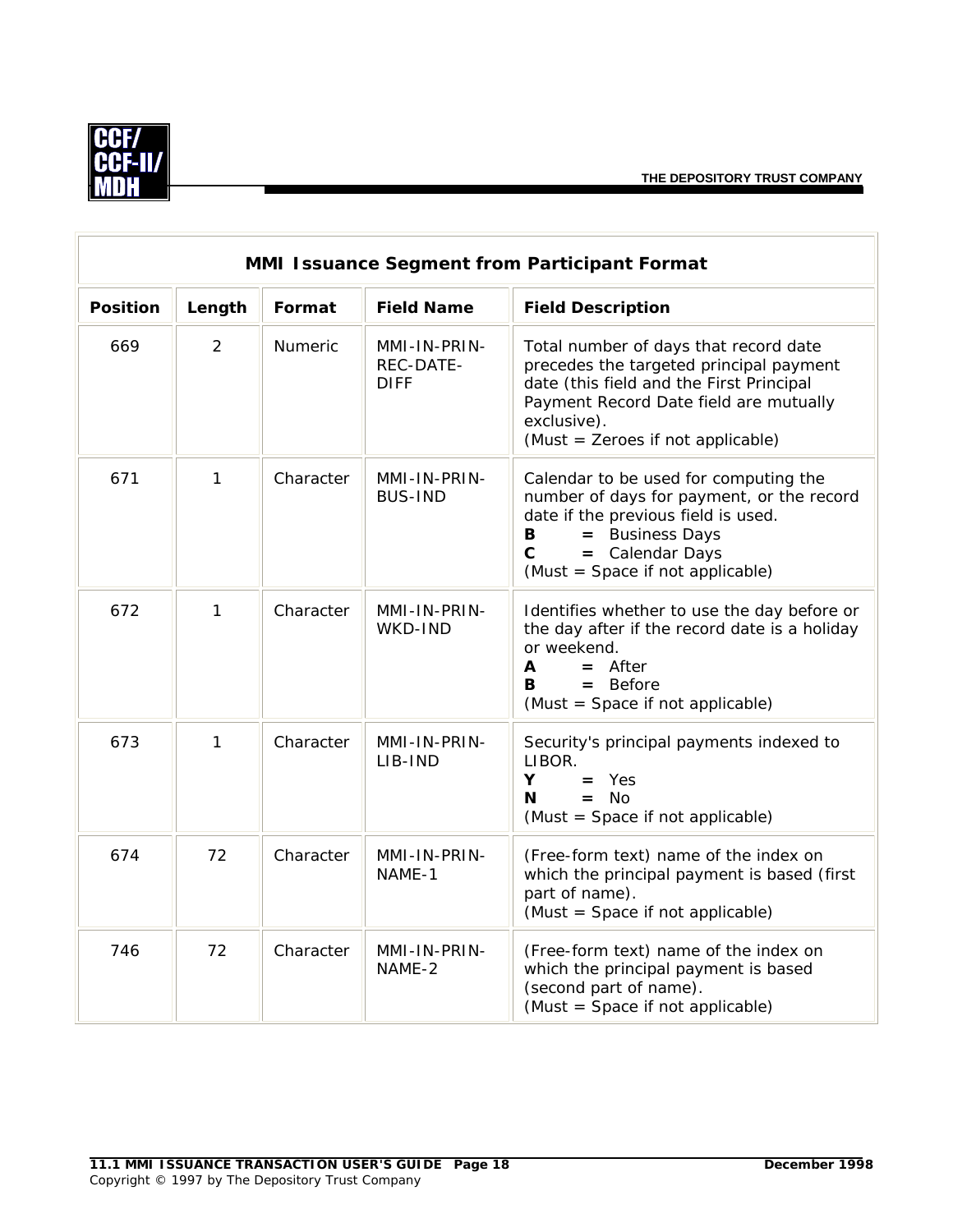

| MMI Issuance Segment from Participant Format |        |           |                                          |                                                                                                                                                                                                                            |  |  |
|----------------------------------------------|--------|-----------|------------------------------------------|----------------------------------------------------------------------------------------------------------------------------------------------------------------------------------------------------------------------------|--|--|
| <b>Position</b>                              | Length | Format    | <b>Field Name</b>                        | <b>Field Description</b>                                                                                                                                                                                                   |  |  |
| 669                                          | 2      | Numeric   | MMI-IN-PRIN-<br>REC-DATE-<br><b>DIFF</b> | Total number of days that record date<br>precedes the targeted principal payment<br>date (this field and the First Principal<br>Payment Record Date field are mutually<br>exclusive).<br>(Must = Zeroes if not applicable) |  |  |
| 671                                          | 1      | Character | MMI-IN-PRIN-<br><b>BUS-IND</b>           | Calendar to be used for computing the<br>number of days for payment, or the record<br>date if the previous field is used.<br>= Business Days<br>В<br>$\mathbf c$<br>= Calendar Days<br>(Must = Space if not applicable)    |  |  |
| 672                                          | 1      | Character | MMI-IN-PRIN-<br>WKD-IND                  | Identifies whether to use the day before or<br>the day after if the record date is a holiday<br>or weekend.<br>$=$ After<br>A<br>$=$ Before<br>R<br>(Must = Space if not applicable)                                       |  |  |
| 673                                          | 1      | Character | MMI-IN-PRIN-<br>LIB-IND                  | Security's principal payments indexed to<br>LIBOR.<br>Y<br>$=$ Yes<br>$=$ No<br>N<br>(Must = Space if not applicable)                                                                                                      |  |  |
| 674                                          | 72     | Character | MMI-IN-PRIN-<br>NAME-1                   | (Free-form text) name of the index on<br>which the principal payment is based (first<br>part of name).<br>(Must = Space if not applicable)                                                                                 |  |  |
| 746                                          | 72     | Character | MMI-IN-PRIN-<br>NAME-2                   | (Free-form text) name of the index on<br>which the principal payment is based<br>(second part of name).<br>(Must = Space if not applicable)                                                                                |  |  |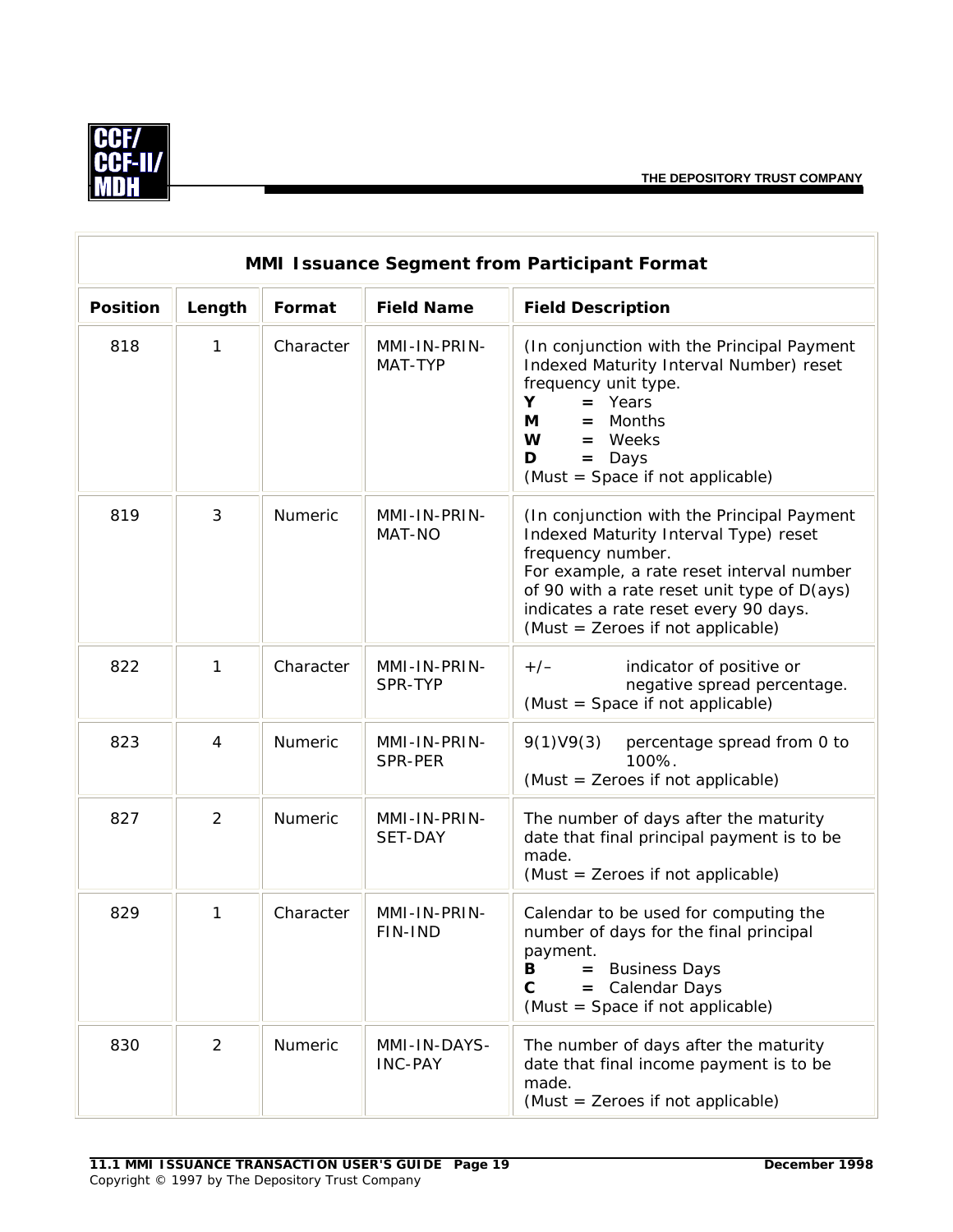

| <b>MMI Issuance Segment from Participant Format</b> |                |                |                                |                                                                                                                                                                                                                                                                                    |  |  |
|-----------------------------------------------------|----------------|----------------|--------------------------------|------------------------------------------------------------------------------------------------------------------------------------------------------------------------------------------------------------------------------------------------------------------------------------|--|--|
| <b>Position</b>                                     | Length         | Format         | <b>Field Name</b>              | <b>Field Description</b>                                                                                                                                                                                                                                                           |  |  |
| 818                                                 | 1              | Character      | MMI-IN-PRIN-<br>MAT-TYP        | (In conjunction with the Principal Payment<br>Indexed Maturity Interval Number) reset<br>frequency unit type.<br>$=$ Years<br>Y<br>Months<br>М<br>$=$<br>$=$ Weeks<br>W<br>D<br>$=$ Days<br>(Must = Space if not applicable)                                                       |  |  |
| 819                                                 | 3              | <b>Numeric</b> | MMI-IN-PRIN-<br>MAT-NO         | (In conjunction with the Principal Payment<br>Indexed Maturity Interval Type) reset<br>frequency number.<br>For example, a rate reset interval number<br>of 90 with a rate reset unit type of D(ays)<br>indicates a rate reset every 90 days.<br>(Must = Zeroes if not applicable) |  |  |
| 822                                                 | 1              | Character      | MMI-IN-PRIN-<br>SPR-TYP        | indicator of positive or<br>$+/-$<br>negative spread percentage.<br>(Must = Space if not applicable)                                                                                                                                                                               |  |  |
| 823                                                 | $\overline{4}$ | Numeric        | MMI-IN-PRIN-<br>SPR-PER        | 9(1)V9(3)<br>percentage spread from 0 to<br>100%.<br>(Must = Zeroes if not applicable)                                                                                                                                                                                             |  |  |
| 827                                                 | $\overline{2}$ | Numeric        | MMI-IN-PRIN-<br>SET-DAY        | The number of days after the maturity<br>date that final principal payment is to be<br>made.<br>(Must = Zeroes if not applicable)                                                                                                                                                  |  |  |
| 829                                                 | 1              | Character      | MMI-IN-PRIN-<br>FIN-IND        | Calendar to be used for computing the<br>number of days for the final principal<br>payment.<br><b>Business Days</b><br>в<br>$\mathbf{C}$<br>= Calendar Days<br>(Must = Space if not applicable)                                                                                    |  |  |
| 830                                                 | $\overline{2}$ | Numeric        | MMI-IN-DAYS-<br><b>INC-PAY</b> | The number of days after the maturity<br>date that final income payment is to be<br>made.<br>(Must = Zeroes if not applicable)                                                                                                                                                     |  |  |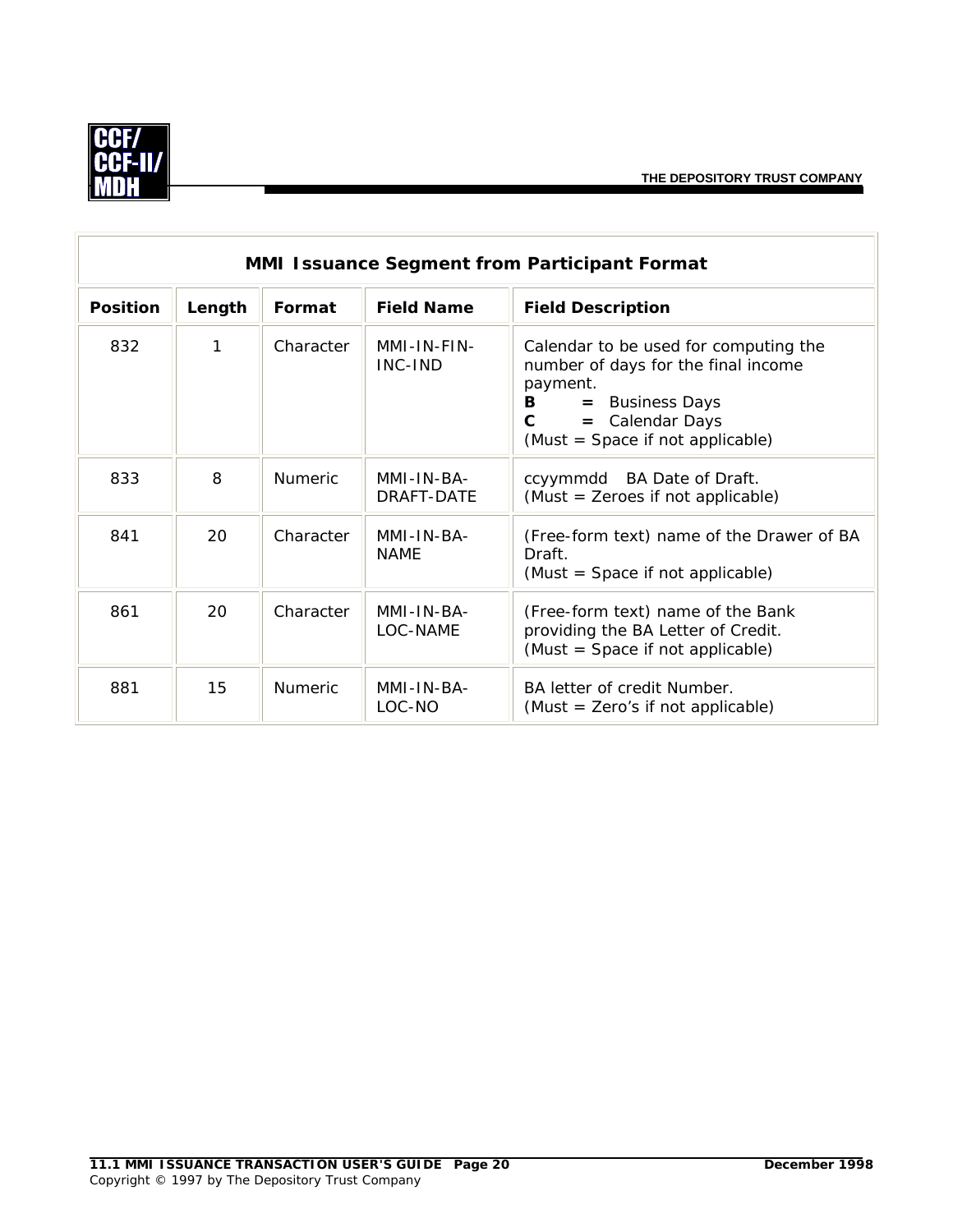

|                 | MMI Issuance Segment from Participant Format |                |                                                                                                                                               |                                                                                                             |  |  |
|-----------------|----------------------------------------------|----------------|-----------------------------------------------------------------------------------------------------------------------------------------------|-------------------------------------------------------------------------------------------------------------|--|--|
| <b>Position</b> | Length                                       | Format         | <b>Field Name</b>                                                                                                                             | <b>Field Description</b>                                                                                    |  |  |
| 832             | 1                                            | Character      | MMI-IN-FIN-<br>INC-IND<br>payment.<br><b>Business Days</b><br>В<br>$=$<br>= Calendar Days<br>$\mathbf{C}$<br>(Must = Space if not applicable) | Calendar to be used for computing the<br>number of days for the final income                                |  |  |
| 833             | 8                                            | <b>Numeric</b> | MMI-IN-BA-<br>DRAFT-DATE                                                                                                                      | ccyymmdd BA Date of Draft.<br>(Must = Zeroes if not applicable)                                             |  |  |
| 841             | 20                                           | Character      | MMI-IN-BA-<br><b>NAME</b>                                                                                                                     | (Free-form text) name of the Drawer of BA<br>Draft.<br>(Must = Space if not applicable)                     |  |  |
| 861             | 20                                           | Character      | MMI-IN-BA-<br>LOC-NAME                                                                                                                        | (Free-form text) name of the Bank<br>providing the BA Letter of Credit.<br>(Must = Space if not applicable) |  |  |
| 881             | 15                                           | Numeric        | MMI-IN-BA-<br>LOC-NO                                                                                                                          | BA letter of credit Number.<br>(Must = Zero's if not applicable)                                            |  |  |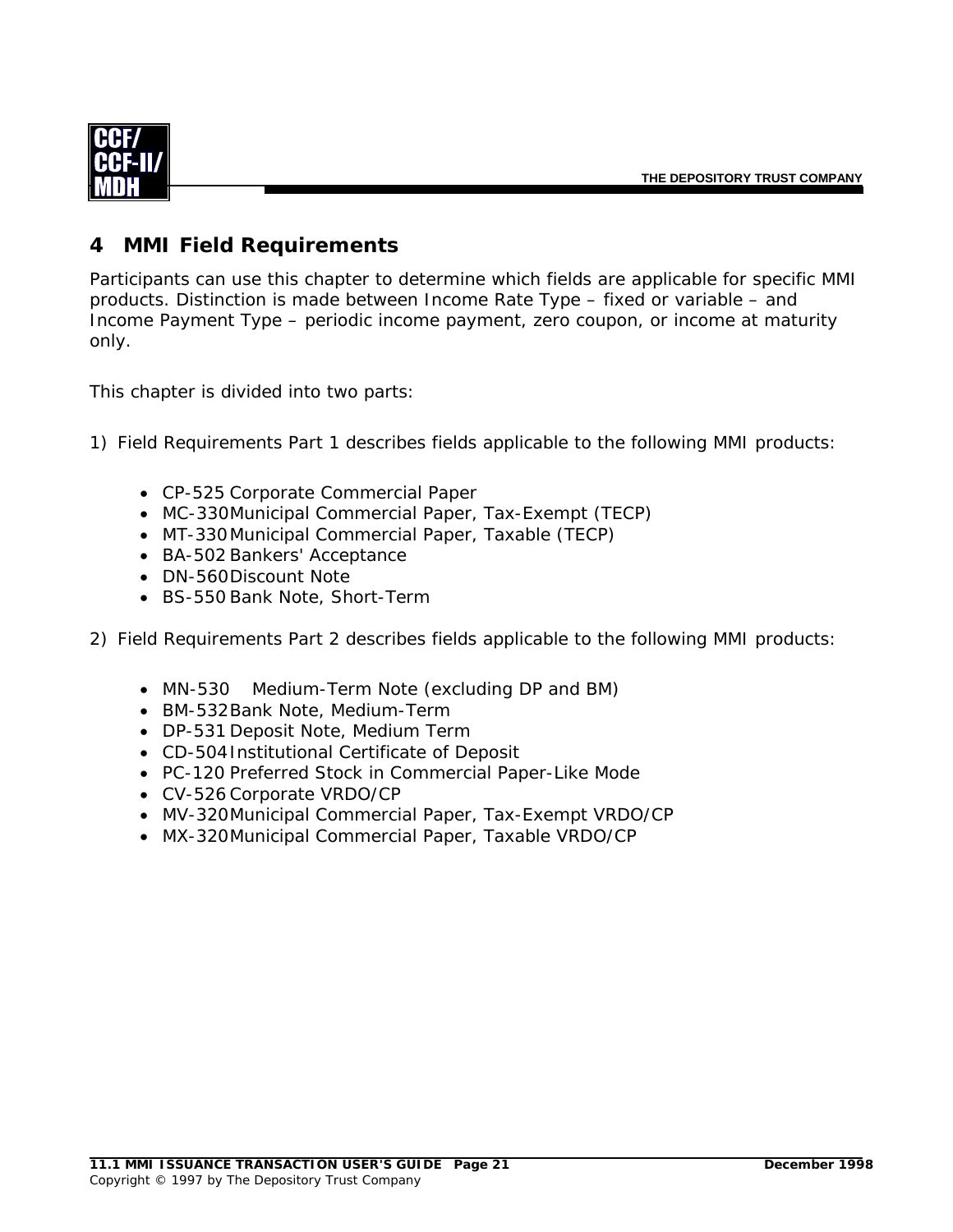<span id="page-23-0"></span>

#### **4 MMI Field Requirements**

Participants can use this chapter to determine which fields are applicable for specific MMI products. Distinction is made between Income Rate Type – fixed or variable – and Income Payment Type – periodic income payment, zero coupon, or income at maturity only.

This chapter is divided into two parts:

1) Field Requirements Part 1 describes fields applicable to the following MMI products:

- CP-525 Corporate Commercial Paper
- MC-330 Municipal Commercial Paper, Tax-Exempt (TECP)
- MT-330 Municipal Commercial Paper, Taxable (TECP)
- BA-502 Bankers' Acceptance
- DN-560 Discount Note
- BS-550 Bank Note, Short-Term
- 2) Field Requirements Part 2 describes fields applicable to the following MMI products:
	- MN-530 Medium-Term Note (excluding DP and BM)
	- BM-532 Bank Note, Medium-Term
	- DP-531 Deposit Note, Medium Term
	- CD-504 Institutional Certificate of Deposit
	- PC-120 Preferred Stock in Commercial Paper-Like Mode
	- CV-526 Corporate VRDO/CP
	- MV-320 Municipal Commercial Paper, Tax-Exempt VRDO/CP
	- MX-320 Municipal Commercial Paper, Taxable VRDO/CP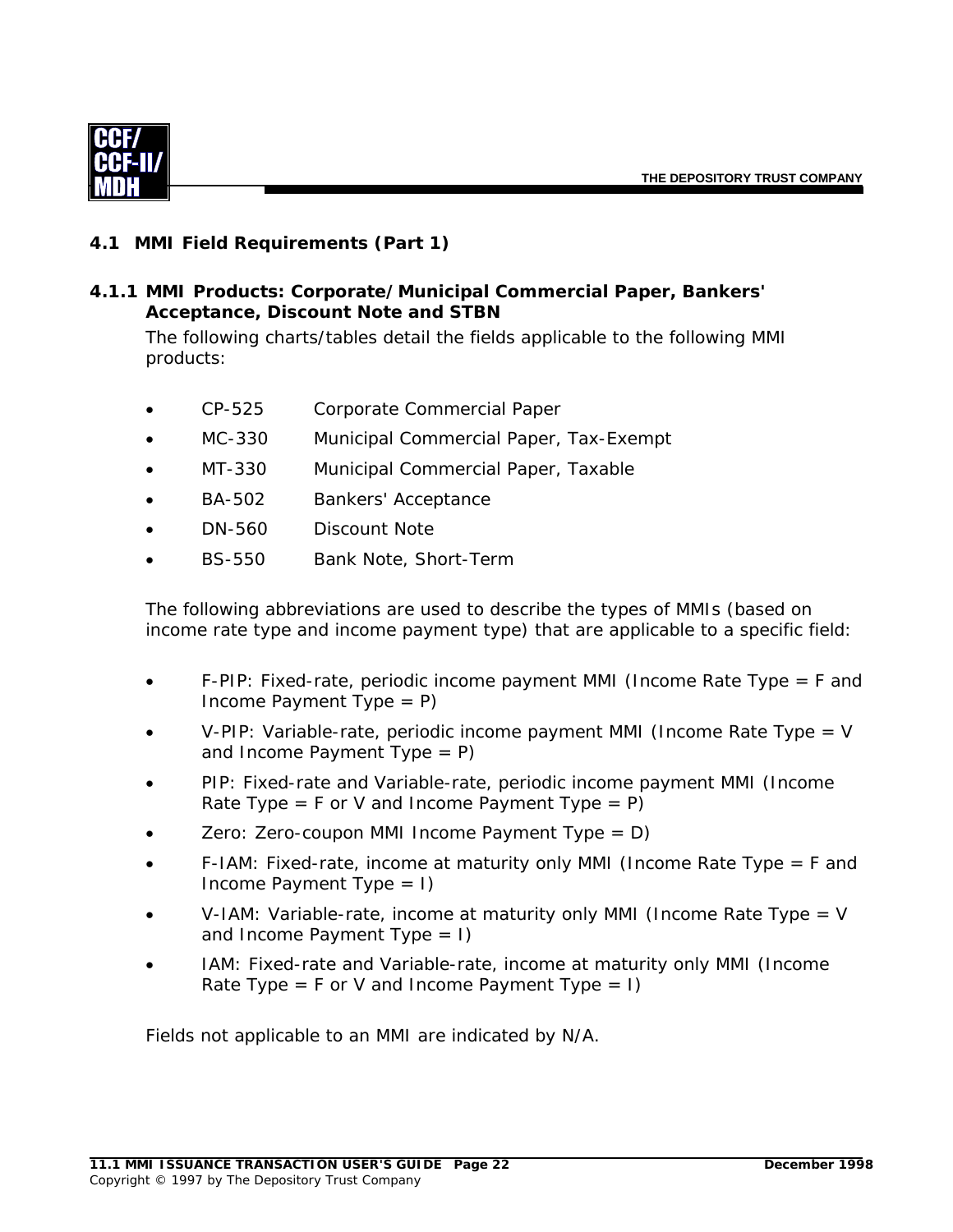<span id="page-24-0"></span>

#### **4.1 MMI Field Requirements (Part 1)**

#### *4.1.1 MMI Products: Corporate/Municipal Commercial Paper, Bankers' Acceptance, Discount Note and STBN*

The following charts/tables detail the fields applicable to the following MMI products:

- CP-525 Corporate Commercial Paper
- MC-330 Municipal Commercial Paper, Tax-Exempt
- MT-330 Municipal Commercial Paper, Taxable
- BA-502 Bankers' Acceptance
- DN-560 Discount Note
- BS-550 Bank Note, Short-Term

The following abbreviations are used to describe the types of MMIs (based on income rate type and income payment type) that are applicable to a specific field:

- F-PIP: Fixed-rate, periodic income payment MMI (Income Rate Type = F and Income Payment Type  $= P$ )
- V-PIP: Variable-rate, periodic income payment MMI (Income Rate Type = V and Income Payment Type  $= P$ )
- PIP: Fixed-rate and Variable-rate, periodic income payment MMI (Income Rate Type =  $F$  or V and Income Payment Type =  $P$ )
- Zero: Zero-coupon MMI Income Payment Type =  $D$ )
- F-IAM: Fixed-rate, income at maturity only MMI (Income Rate Type = F and Income Payment Type  $= 1$ )
- V-IAM: Variable-rate, income at maturity only MMI (Income Rate Type = V and Income Payment Type  $= 1$ )
- IAM: Fixed-rate and Variable-rate, income at maturity only MMI (Income Rate Type = F or V and Income Payment Type = I)

Fields not applicable to an MMI are indicated by N/A.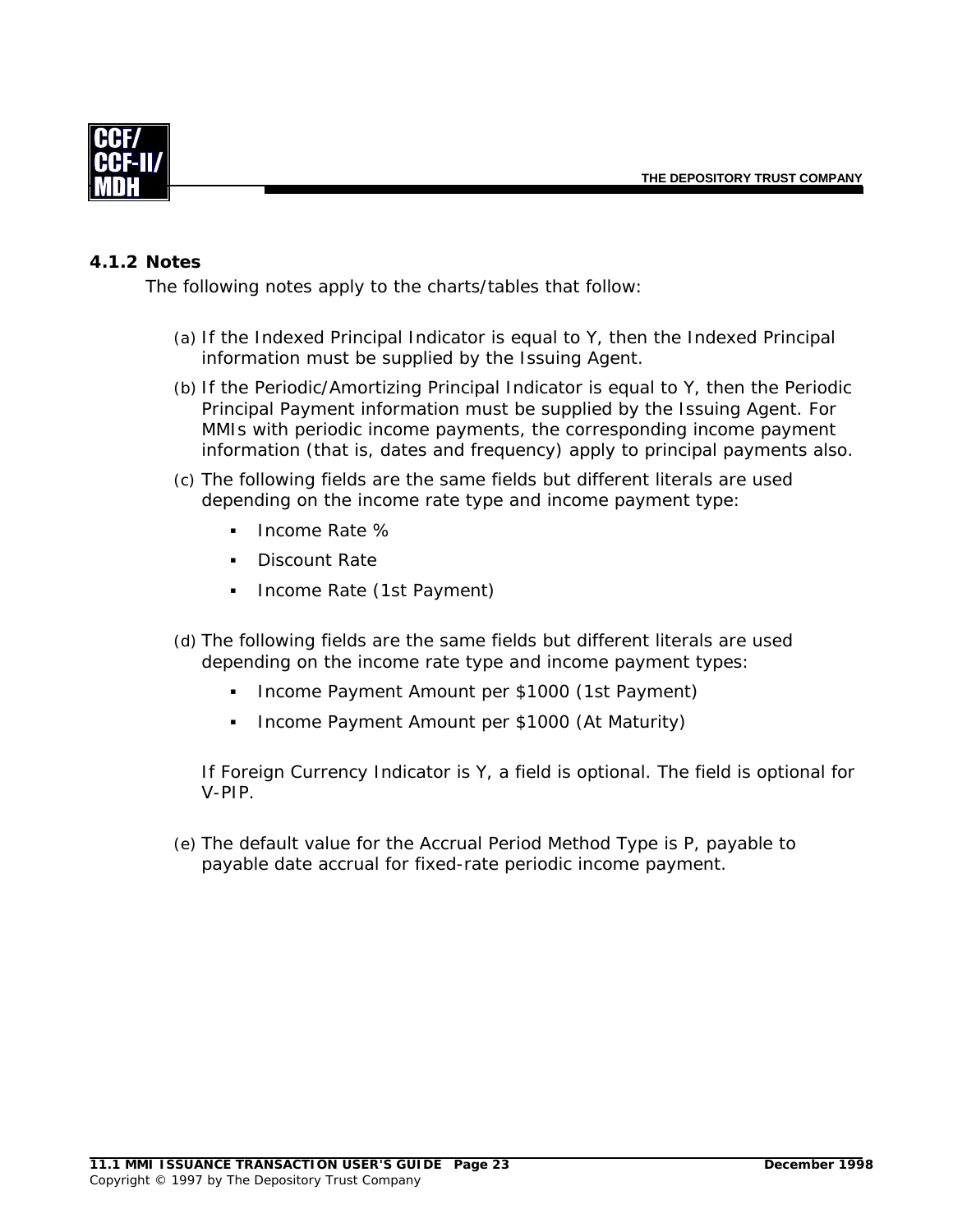<span id="page-25-0"></span>

#### *4.1.2 Notes*

The following notes apply to the charts/tables that follow:

- (a) If the Indexed Principal Indicator is equal to Y, then the Indexed Principal information must be supplied by the Issuing Agent.
- (b) If the Periodic/Amortizing Principal Indicator is equal to Y, then the Periodic Principal Payment information must be supplied by the Issuing Agent. For MMIs with periodic income payments, the corresponding income payment information (that is, dates and frequency) apply to principal payments also.
- (c) The following fields are the same fields but different literals are used depending on the income rate type and income payment type:
	- Income Rate %
	- Discount Rate
	- Income Rate (1st Payment)
- (d) The following fields are the same fields but different literals are used depending on the income rate type and income payment types:
	- Income Payment Amount per \$1000 (1st Payment)
	- **Income Payment Amount per \$1000 (At Maturity)**

If Foreign Currency Indicator is Y, a field is optional. The field is optional for V-PIP.

(e) The default value for the Accrual Period Method Type is P, payable to payable date accrual for fixed-rate periodic income payment.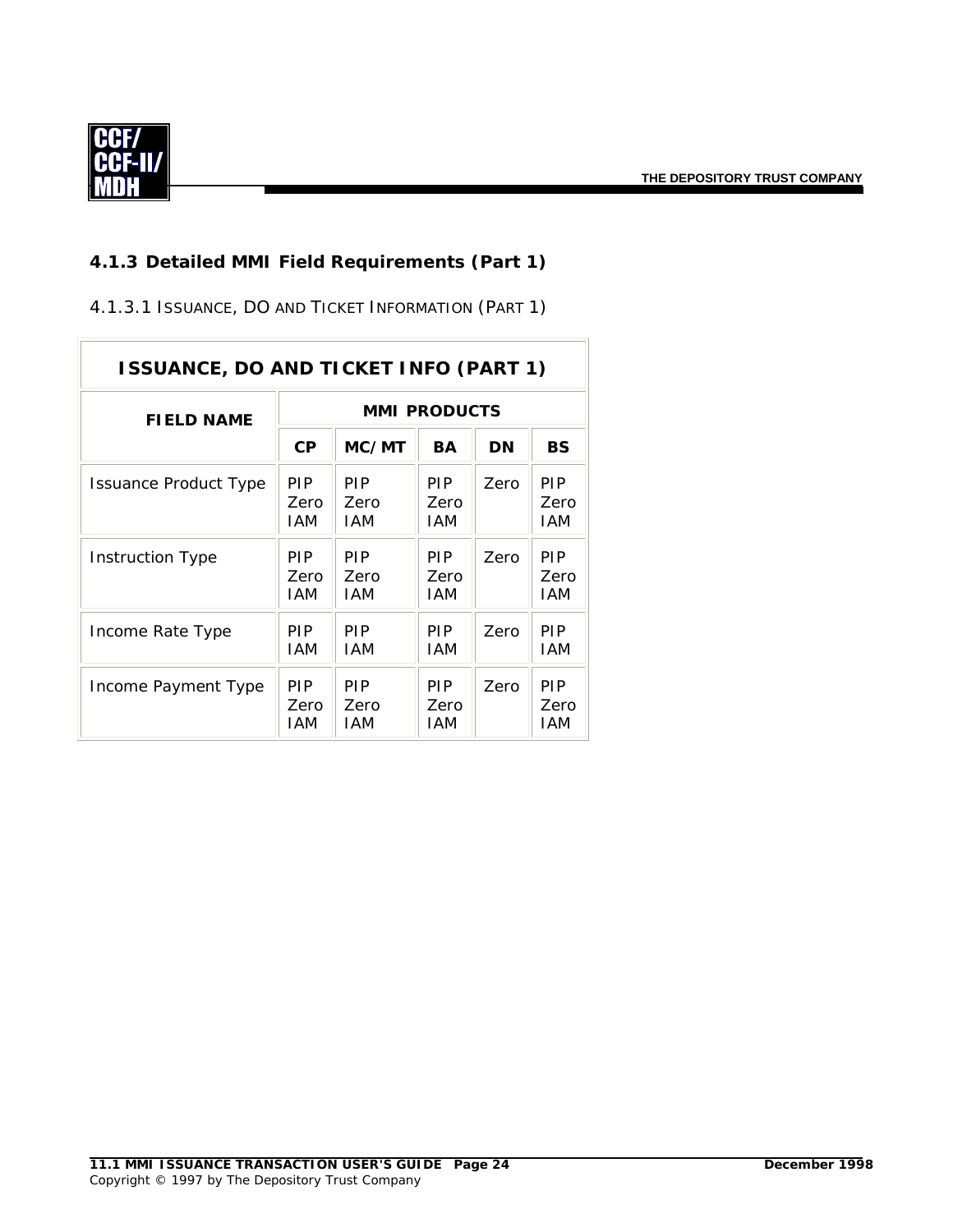$\overline{\phantom{a}}$ 

<span id="page-26-0"></span>

#### *4.1.3 Detailed MMI Field Requirements (Part 1)*

4.1.3.1 ISSUANCE, DO AND TICKET INFORMATION (PART 1)

| <b>ISSUANCE, DO AND TICKET INFO (PART 1)</b> |                           |                                  |                                  |      |                                  |  |  |  |
|----------------------------------------------|---------------------------|----------------------------------|----------------------------------|------|----------------------------------|--|--|--|
| <b>FIELD NAME</b>                            | <b>MMI PRODUCTS</b>       |                                  |                                  |      |                                  |  |  |  |
|                                              | <b>CP</b>                 | MC/MT                            | BA                               | DN   | <b>BS</b>                        |  |  |  |
| Issuance Product Type                        | <b>PIP</b><br>Zero<br>IAM | <b>PIP</b><br>Zero<br><b>IAM</b> | <b>PIP</b><br>Zero<br>IAM        | Zero | <b>PIP</b><br>Zero<br>IAM        |  |  |  |
| Instruction Type                             | <b>PIP</b><br>Zero<br>IAM | <b>PIP</b><br>Zero<br><b>IAM</b> | <b>PIP</b><br>Zero<br>IAM        | Zero | <b>PIP</b><br>Zero<br><b>IAM</b> |  |  |  |
| Income Rate Type                             | <b>PIP</b><br>IAM         | <b>PIP</b><br><b>IAM</b>         | <b>PIP</b><br>IAM                | Zero | <b>PIP</b><br>IAM                |  |  |  |
| Income Payment Type                          | <b>PIP</b><br>Zero<br>IAM | <b>PIP</b><br>Zero<br><b>IAM</b> | <b>PIP</b><br>Zero<br><b>IAM</b> | Zero | <b>PIP</b><br>Zero<br>IAM        |  |  |  |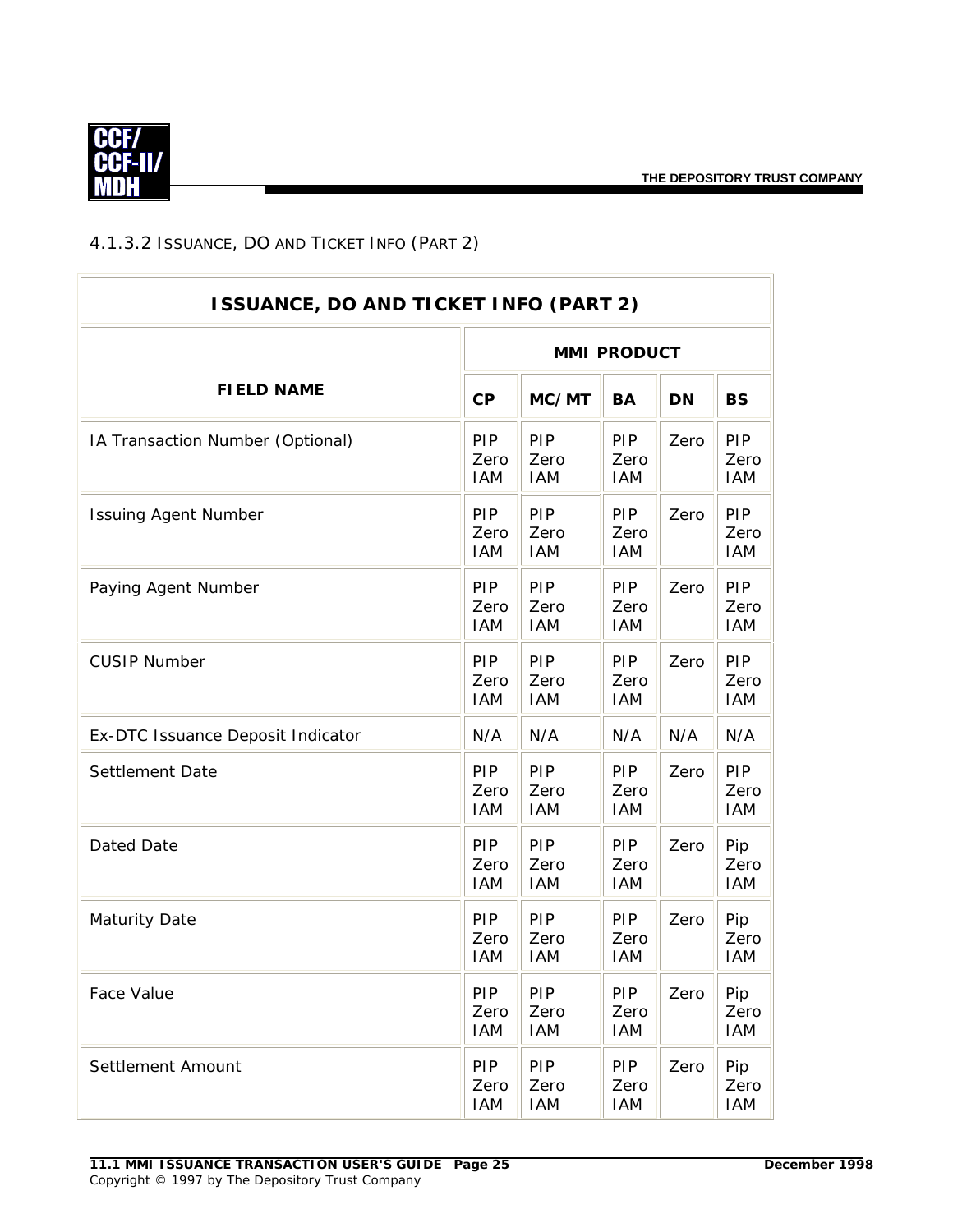÷.

<span id="page-27-0"></span>

## 4.1.3.2 ISSUANCE, DO AND TICKET INFO (PART 2)

| <b>ISSUANCE, DO AND TICKET INFO (PART 2)</b> |                                  |                                  |                                  |           |                                  |  |  |
|----------------------------------------------|----------------------------------|----------------------------------|----------------------------------|-----------|----------------------------------|--|--|
|                                              | <b>MMI PRODUCT</b>               |                                  |                                  |           |                                  |  |  |
| <b>FIELD NAME</b>                            | CP                               | MC/MT                            | <b>BA</b>                        | <b>DN</b> | <b>BS</b>                        |  |  |
| IA Transaction Number (Optional)             | PIP<br>Zero<br><b>IAM</b>        | PIP<br>Zero<br><b>IAM</b>        | <b>PIP</b><br>Zero<br><b>IAM</b> | Zero      | <b>PIP</b><br>Zero<br><b>IAM</b> |  |  |
| <b>Issuing Agent Number</b>                  | PIP<br>Zero<br><b>IAM</b>        | PIP<br>Zero<br><b>IAM</b>        | <b>PIP</b><br>Zero<br><b>IAM</b> | Zero      | <b>PIP</b><br>Zero<br><b>IAM</b> |  |  |
| Paying Agent Number                          | <b>PIP</b><br>Zero<br><b>IAM</b> | <b>PIP</b><br>Zero<br><b>IAM</b> | <b>PIP</b><br>Zero<br><b>IAM</b> | Zero      | <b>PIP</b><br>Zero<br><b>IAM</b> |  |  |
| <b>CUSIP Number</b>                          | <b>PIP</b><br>Zero<br><b>IAM</b> | <b>PIP</b><br>Zero<br><b>IAM</b> | <b>PIP</b><br>Zero<br><b>IAM</b> | Zero      | <b>PIP</b><br>Zero<br><b>IAM</b> |  |  |
| Ex-DTC Issuance Deposit Indicator            | N/A                              | N/A                              | N/A                              | N/A       | N/A                              |  |  |
| Settlement Date                              | PIP<br>Zero<br><b>IAM</b>        | PIP<br>Zero<br><b>IAM</b>        | PIP<br>Zero<br><b>IAM</b>        | Zero      | <b>PIP</b><br>Zero<br>IAM        |  |  |
| Dated Date                                   | PIP<br>Zero<br><b>IAM</b>        | PIP<br>Zero<br><b>IAM</b>        | <b>PIP</b><br>Zero<br><b>IAM</b> | Zero      | Pip<br>Zero<br><b>IAM</b>        |  |  |
| <b>Maturity Date</b>                         | <b>PIP</b><br>Zero<br><b>IAM</b> | <b>PIP</b><br>Zero<br><b>IAM</b> | <b>PIP</b><br>Zero<br><b>IAM</b> | Zero      | Pip<br>Zero<br><b>IAM</b>        |  |  |
| Face Value                                   | PIP<br>Zero<br><b>IAM</b>        | PIP<br>Zero<br>IAM               | <b>PIP</b><br>Zero<br><b>IAM</b> | Zero      | Pip<br>Zero<br><b>IAM</b>        |  |  |
| Settlement Amount                            | PIP<br>Zero<br><b>IAM</b>        | <b>PIP</b><br>Zero<br>IAM        | <b>PIP</b><br>Zero<br><b>IAM</b> | Zero      | Pip<br>Zero<br><b>IAM</b>        |  |  |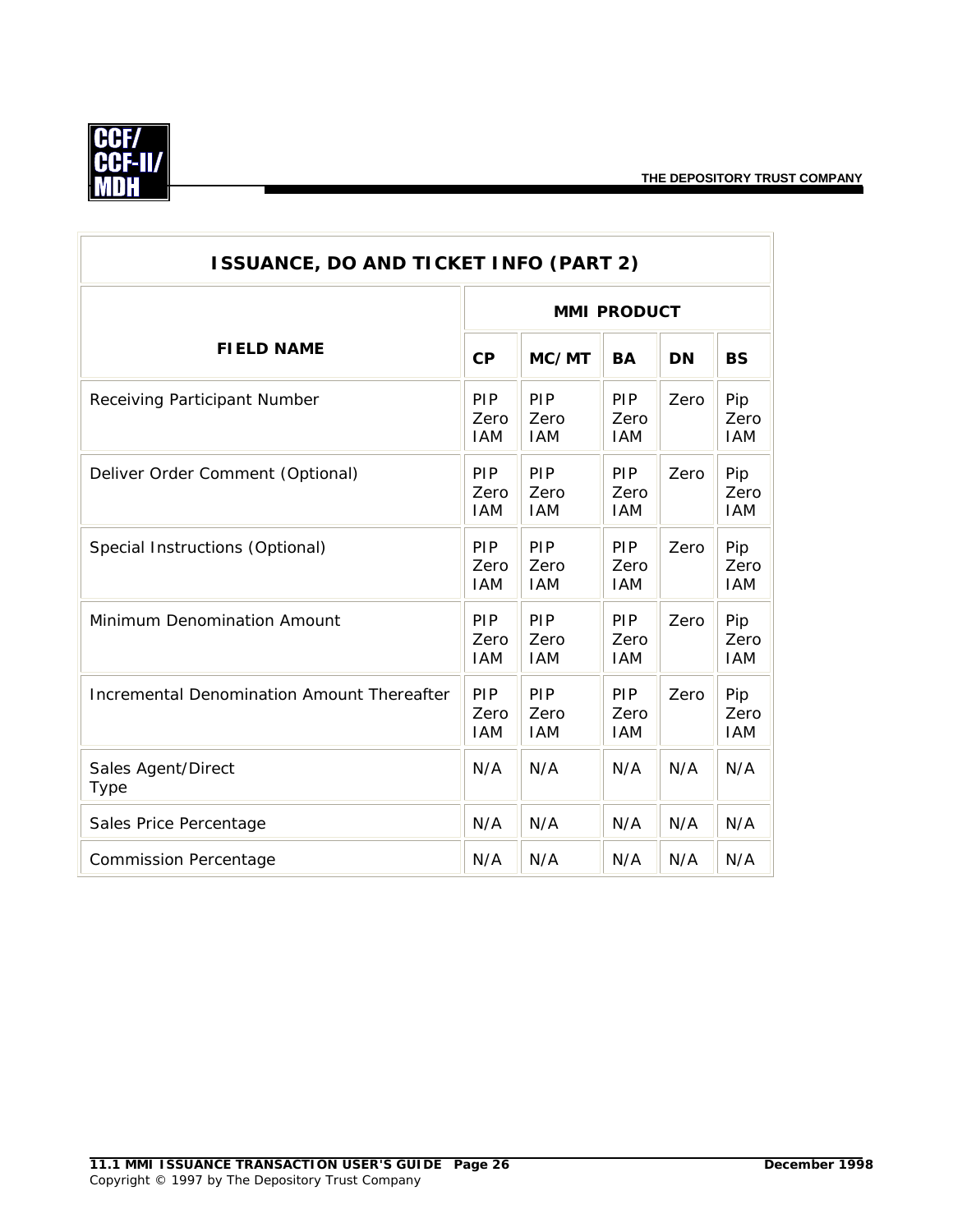$\overline{\phantom{0}}$ 



| <b>ISSUANCE, DO AND TICKET INFO (PART 2)</b><br><b>MMI PRODUCT</b><br><b>FIELD NAME</b><br>CP<br>MC/MT<br><b>BA</b><br><b>DN</b><br><b>BS</b><br>PIP<br>PIP<br>PIP<br>Pip<br>Zero<br>Receiving Participant Number<br>Zero<br>Zero<br>Zero<br>Zero<br><b>IAM</b><br><b>IAM</b><br><b>IAM</b><br><b>IAM</b><br>PIP<br>PIP<br><b>PIP</b><br>Deliver Order Comment (Optional)<br>Zero<br>Pip<br>Zero<br>Zero<br>Zero<br>Zero<br><b>IAM</b><br><b>IAM</b><br><b>IAM</b><br><b>IAM</b><br>PIP<br>PIP<br><b>PIP</b><br>Special Instructions (Optional)<br>Zero<br>Pip<br>Zero<br>Zero<br>Zero<br>Zero<br><b>IAM</b><br><b>IAM</b><br><b>IAM</b><br><b>IAM</b> |                                  |                           |                                  |      |                           |  |  |  |
|--------------------------------------------------------------------------------------------------------------------------------------------------------------------------------------------------------------------------------------------------------------------------------------------------------------------------------------------------------------------------------------------------------------------------------------------------------------------------------------------------------------------------------------------------------------------------------------------------------------------------------------------------------|----------------------------------|---------------------------|----------------------------------|------|---------------------------|--|--|--|
|                                                                                                                                                                                                                                                                                                                                                                                                                                                                                                                                                                                                                                                        |                                  |                           |                                  |      |                           |  |  |  |
|                                                                                                                                                                                                                                                                                                                                                                                                                                                                                                                                                                                                                                                        |                                  |                           |                                  |      |                           |  |  |  |
|                                                                                                                                                                                                                                                                                                                                                                                                                                                                                                                                                                                                                                                        |                                  |                           |                                  |      |                           |  |  |  |
|                                                                                                                                                                                                                                                                                                                                                                                                                                                                                                                                                                                                                                                        |                                  |                           |                                  |      |                           |  |  |  |
|                                                                                                                                                                                                                                                                                                                                                                                                                                                                                                                                                                                                                                                        |                                  |                           |                                  |      |                           |  |  |  |
| <b>Minimum Denomination Amount</b>                                                                                                                                                                                                                                                                                                                                                                                                                                                                                                                                                                                                                     | PIP<br>Zero<br><b>IAM</b>        | PIP<br>Zero<br><b>IAM</b> | PIP<br>Zero<br><b>IAM</b>        | Zero | Pip<br>Zero<br><b>IAM</b> |  |  |  |
| Incremental Denomination Amount Thereafter                                                                                                                                                                                                                                                                                                                                                                                                                                                                                                                                                                                                             | <b>PIP</b><br>Zero<br><b>IAM</b> | PIP<br>Zero<br><b>IAM</b> | <b>PIP</b><br>Zero<br><b>IAM</b> | Zero | Pip<br>Zero<br><b>IAM</b> |  |  |  |
| Sales Agent/Direct<br><b>Type</b>                                                                                                                                                                                                                                                                                                                                                                                                                                                                                                                                                                                                                      | N/A                              | N/A                       | N/A                              | N/A  | N/A                       |  |  |  |
| Sales Price Percentage                                                                                                                                                                                                                                                                                                                                                                                                                                                                                                                                                                                                                                 | N/A                              | N/A                       | N/A                              | N/A  | N/A                       |  |  |  |
| <b>Commission Percentage</b>                                                                                                                                                                                                                                                                                                                                                                                                                                                                                                                                                                                                                           | N/A                              | N/A                       | N/A                              | N/A  | N/A                       |  |  |  |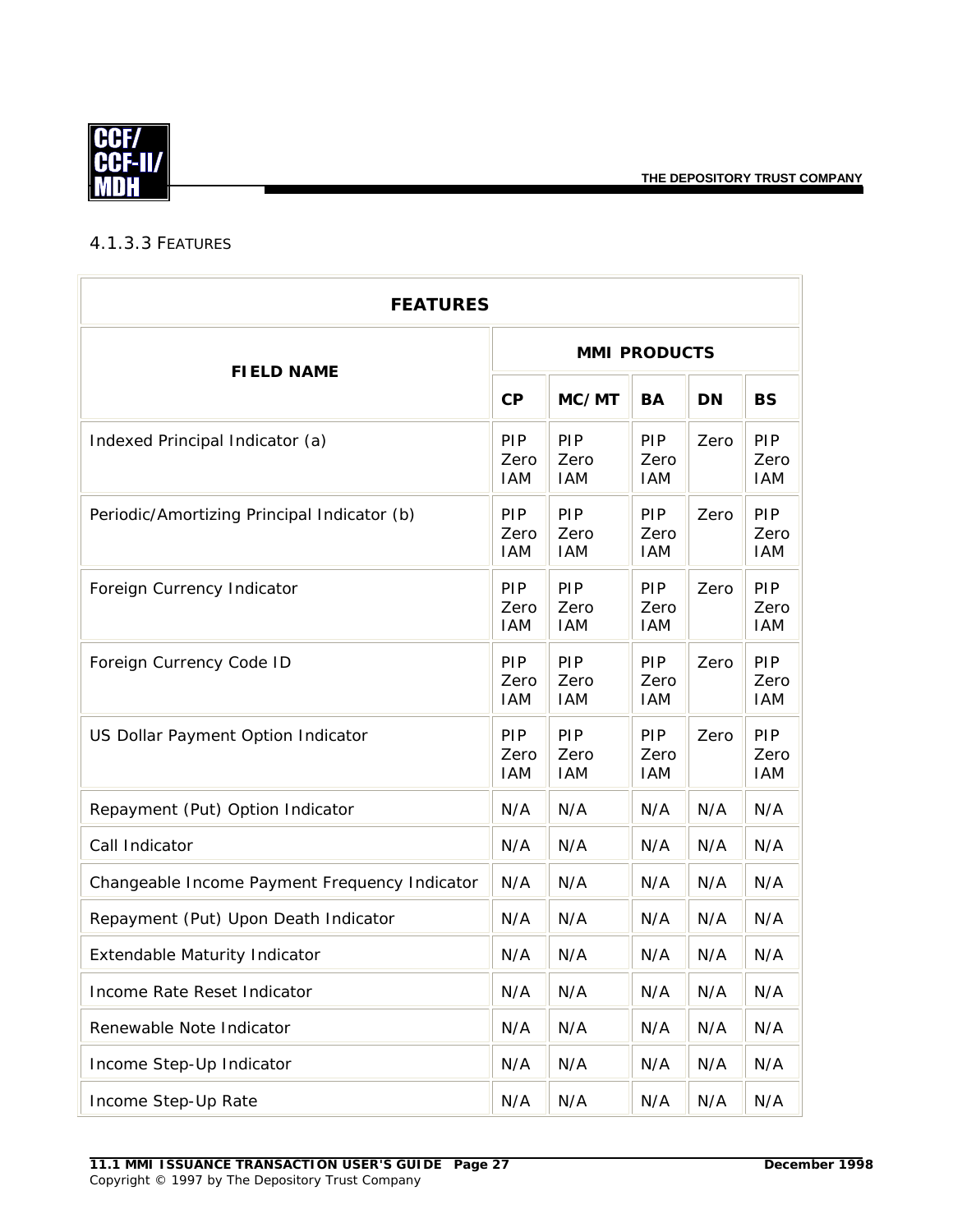<span id="page-29-0"></span>

#### 4.1.3.3 FEATURES

| <b>FEATURES</b>                               |                                  |                           |                                  |           |                                  |  |  |
|-----------------------------------------------|----------------------------------|---------------------------|----------------------------------|-----------|----------------------------------|--|--|
| <b>FIELD NAME</b>                             | <b>MMI PRODUCTS</b>              |                           |                                  |           |                                  |  |  |
|                                               | CP                               | MC/MT                     | <b>BA</b>                        | <b>DN</b> | <b>BS</b>                        |  |  |
| Indexed Principal Indicator (a)               | PIP<br>Zero<br><b>IAM</b>        | PIP<br>Zero<br><b>IAM</b> | PIP<br>Zero<br><b>IAM</b>        | Zero      | PIP<br>Zero<br><b>IAM</b>        |  |  |
| Periodic/Amortizing Principal Indicator (b)   | <b>PIP</b><br>Zero<br><b>IAM</b> | PIP<br>Zero<br><b>IAM</b> | <b>PIP</b><br>Zero<br><b>IAM</b> | Zero      | PIP<br>Zero<br><b>IAM</b>        |  |  |
| Foreign Currency Indicator                    | <b>PIP</b><br>Zero<br><b>IAM</b> | PIP<br>Zero<br><b>IAM</b> | <b>PIP</b><br>Zero<br><b>IAM</b> | Zero      | <b>PIP</b><br>Zero<br><b>IAM</b> |  |  |
| Foreign Currency Code ID                      | <b>PIP</b><br>Zero<br><b>IAM</b> | PIP<br>Zero<br><b>IAM</b> | <b>PIP</b><br>Zero<br><b>IAM</b> | Zero      | <b>PIP</b><br>Zero<br><b>IAM</b> |  |  |
| US Dollar Payment Option Indicator            | PIP<br>Zero<br><b>IAM</b>        | PIP<br>Zero<br><b>IAM</b> | PIP<br>Zero<br><b>IAM</b>        | Zero      | PIP<br>Zero<br><b>IAM</b>        |  |  |
| Repayment (Put) Option Indicator              | N/A                              | N/A                       | N/A                              | N/A       | N/A                              |  |  |
| Call Indicator                                | N/A                              | N/A                       | N/A                              | N/A       | N/A                              |  |  |
| Changeable Income Payment Frequency Indicator | N/A                              | N/A                       | N/A                              | N/A       | N/A                              |  |  |
| Repayment (Put) Upon Death Indicator          | N/A                              | N/A                       | N/A                              | N/A       | N/A                              |  |  |
| Extendable Maturity Indicator                 | N/A                              | N/A                       | N/A                              | N/A       | N/A                              |  |  |
| Income Rate Reset Indicator                   | N/A                              | N/A                       | N/A                              | N/A       | N/A                              |  |  |
| Renewable Note Indicator                      | N/A                              | N/A                       | N/A                              | N/A       | N/A                              |  |  |
| Income Step-Up Indicator                      | N/A                              | N/A                       | N/A                              | N/A       | N/A                              |  |  |
| Income Step-Up Rate                           | N/A                              | N/A                       | N/A                              | N/A       | N/A                              |  |  |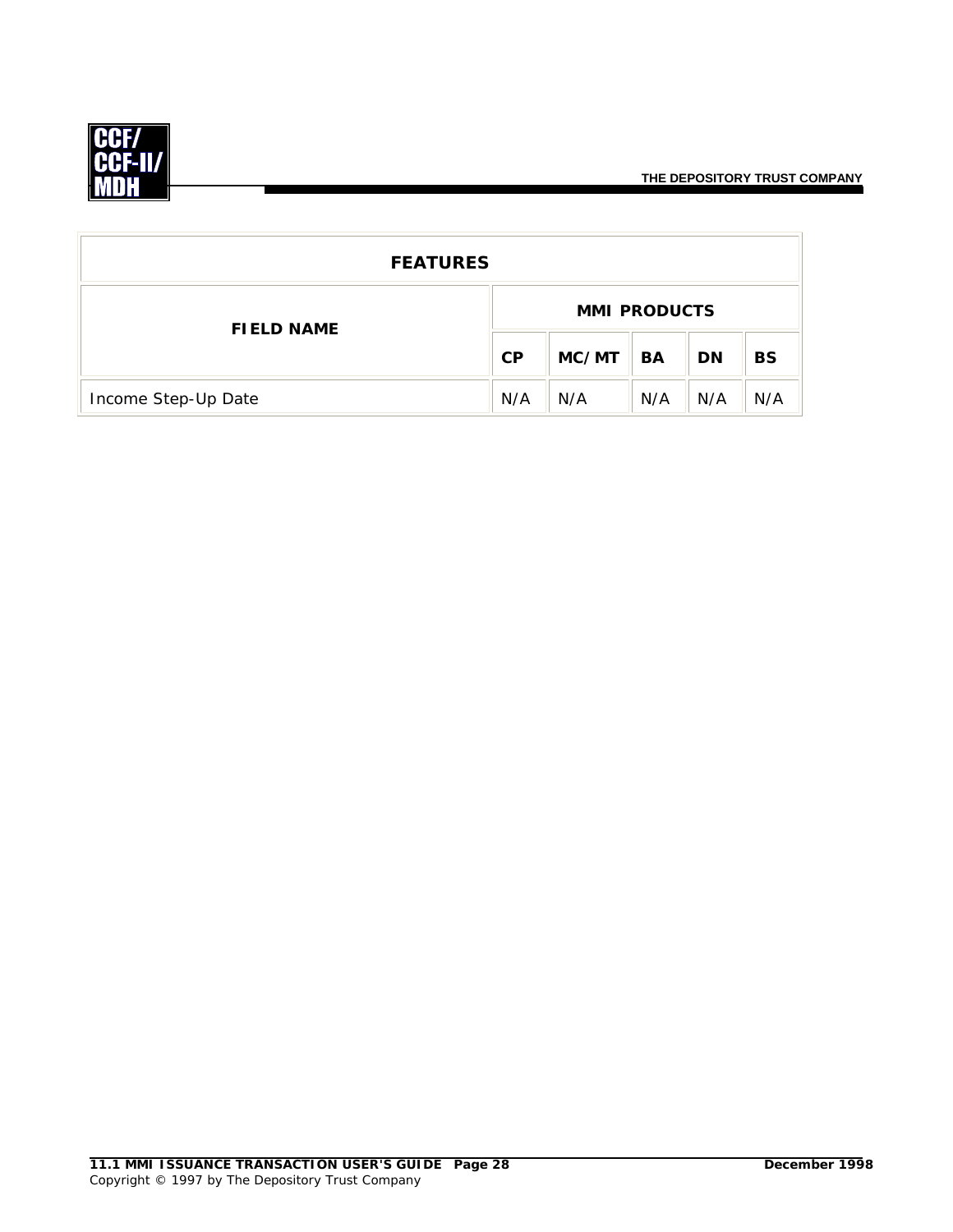

| <b>FEATURES</b>     |                     |       |     |           |           |  |
|---------------------|---------------------|-------|-----|-----------|-----------|--|
| <b>FIELD NAME</b>   | <b>MMI PRODUCTS</b> |       |     |           |           |  |
|                     | CP                  | MC/MT | BA  | <b>DN</b> | <b>BS</b> |  |
| Income Step-Up Date | N/A                 | N/A   | N/A | N/A       | N/A       |  |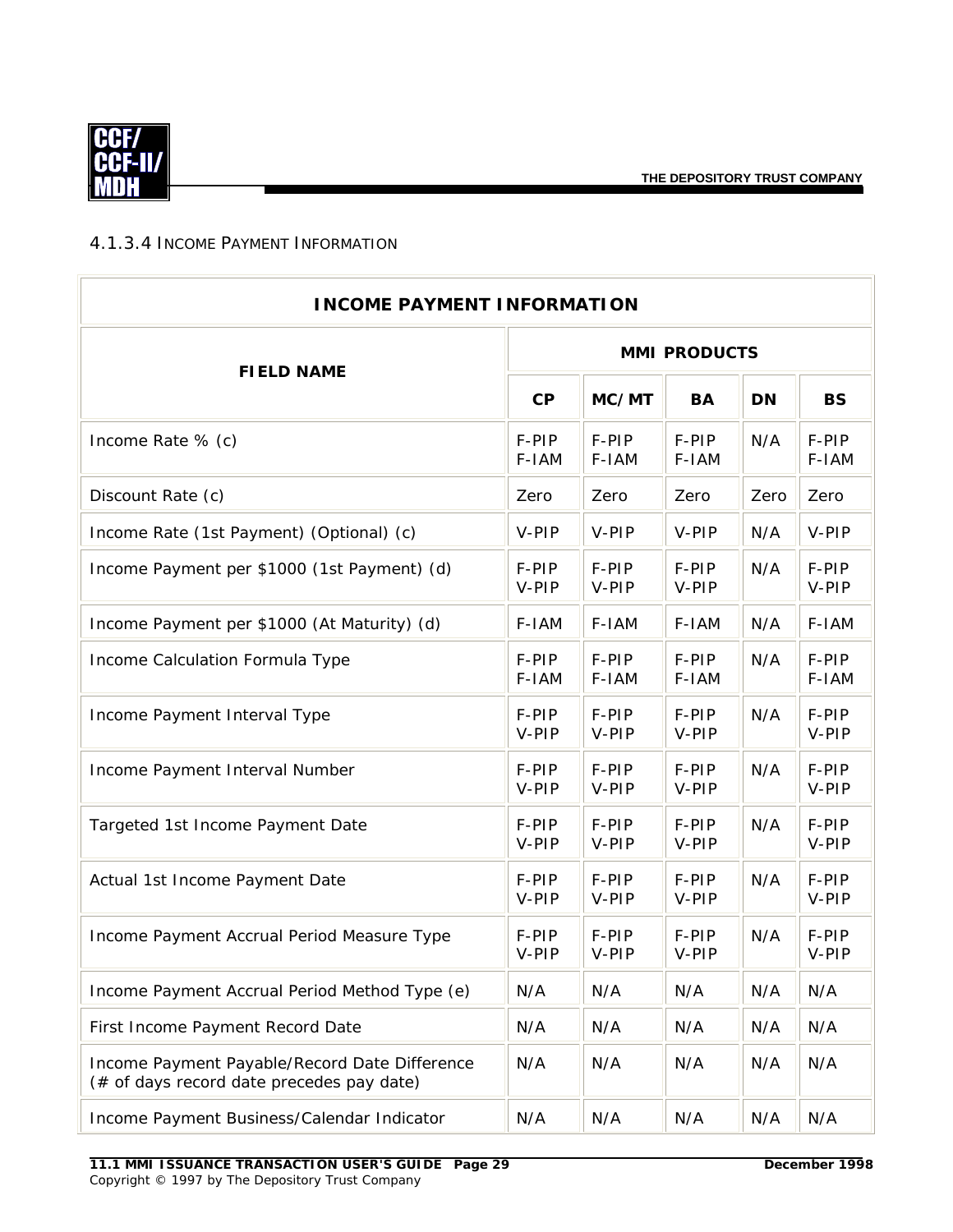<span id="page-31-0"></span>

#### 4.1.3.4 INCOME PAYMENT INFORMATION

| <b>INCOME PAYMENT INFORMATION</b>                                                          |                     |                |                |           |                |  |  |
|--------------------------------------------------------------------------------------------|---------------------|----------------|----------------|-----------|----------------|--|--|
| <b>FIELD NAME</b>                                                                          | <b>MMI PRODUCTS</b> |                |                |           |                |  |  |
|                                                                                            | CP                  | MC/MT          | <b>BA</b>      | <b>DN</b> | <b>BS</b>      |  |  |
| Income Rate % (c)                                                                          | F-PIP<br>F-IAM      | F-PIP<br>F-IAM | F-PIP<br>F-IAM | N/A       | F-PIP<br>F-IAM |  |  |
| Discount Rate (c)                                                                          | Zero                | Zero           | Zero           | Zero      | Zero           |  |  |
| Income Rate (1st Payment) (Optional) (c)                                                   | V-PIP               | V-PIP          | V-PIP          | N/A       | V-PIP          |  |  |
| Income Payment per \$1000 (1st Payment) (d)                                                | F-PIP<br>V-PIP      | F-PIP<br>V-PIP | F-PIP<br>V-PIP | N/A       | F-PIP<br>V-PIP |  |  |
| Income Payment per \$1000 (At Maturity) (d)                                                | F-IAM               | F-IAM          | F-IAM          | N/A       | F-IAM          |  |  |
| Income Calculation Formula Type                                                            | F-PIP<br>F-IAM      | F-PIP<br>F-IAM | F-PIP<br>F-IAM | N/A       | F-PIP<br>F-IAM |  |  |
| Income Payment Interval Type                                                               | F-PIP<br>V-PIP      | F-PIP<br>V-PIP | F-PIP<br>V-PIP | N/A       | F-PIP<br>V-PIP |  |  |
| Income Payment Interval Number                                                             | F-PIP<br>V-PIP      | F-PIP<br>V-PIP | F-PIP<br>V-PIP | N/A       | F-PIP<br>V-PIP |  |  |
| Targeted 1st Income Payment Date                                                           | F-PIP<br>V-PIP      | F-PIP<br>V-PIP | F-PIP<br>V-PIP | N/A       | F-PIP<br>V-PIP |  |  |
| Actual 1st Income Payment Date                                                             | F-PIP<br>V-PIP      | F-PIP<br>V-PIP | F-PIP<br>V-PIP | N/A       | F-PIP<br>V-PIP |  |  |
| Income Payment Accrual Period Measure Type                                                 | F-PIP<br>V-PIP      | F-PIP<br>V-PIP | F-PIP<br>V-PIP | N/A       | F-PIP<br>V-PIP |  |  |
| Income Payment Accrual Period Method Type (e)                                              | N/A                 | N/A            | N/A            | N/A       | N/A            |  |  |
| First Income Payment Record Date                                                           | N/A                 | N/A            | N/A            | N/A       | N/A            |  |  |
| Income Payment Payable/Record Date Difference<br>(# of days record date precedes pay date) | N/A                 | N/A            | N/A            | N/A       | N/A            |  |  |
| Income Payment Business/Calendar Indicator                                                 | N/A                 | N/A            | N/A            | N/A       | N/A            |  |  |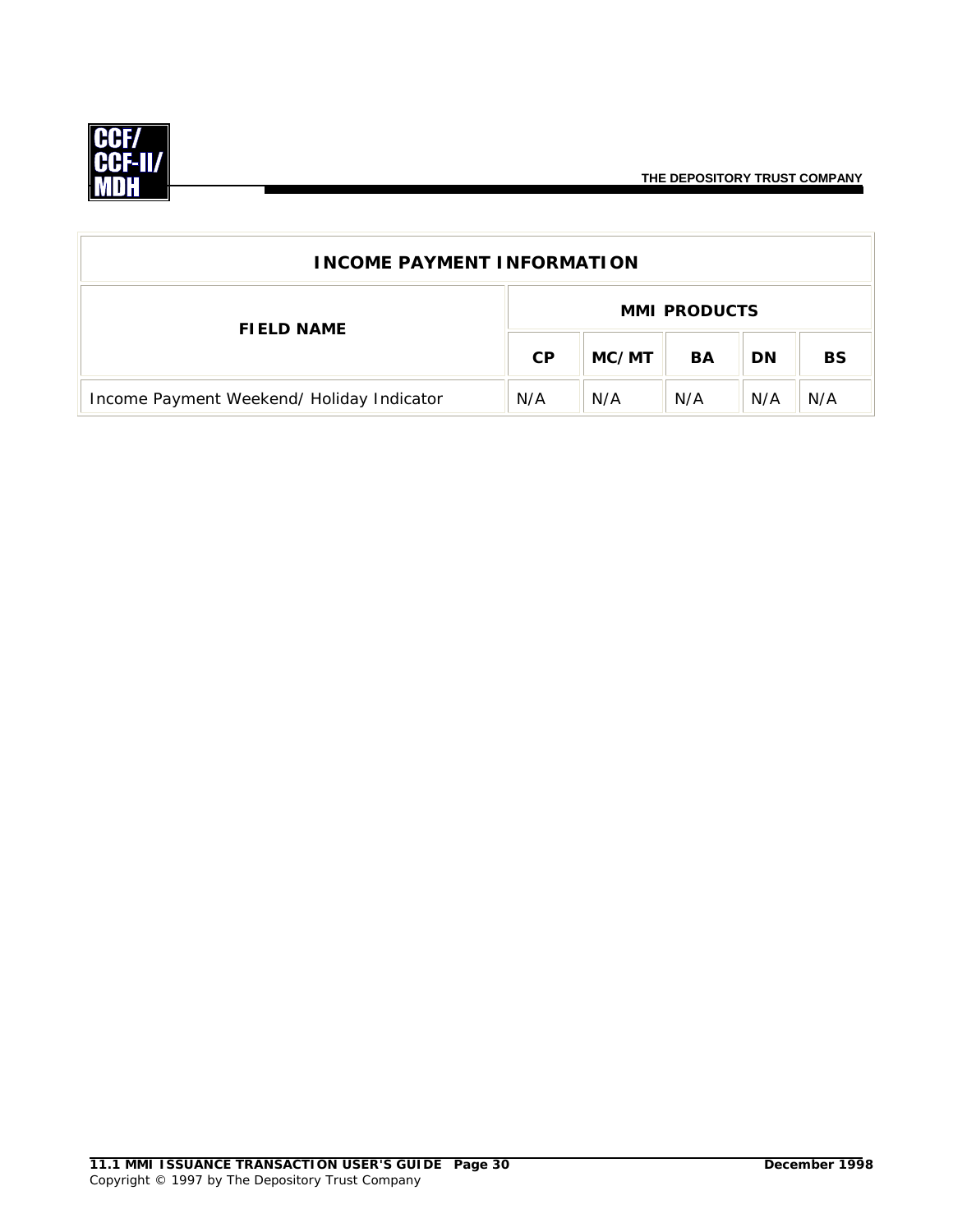

**THE DEPOSITORY TRUST COMPANY**

| <b>INCOME PAYMENT INFORMATION</b>         |           |                     |     |           |           |  |  |
|-------------------------------------------|-----------|---------------------|-----|-----------|-----------|--|--|
| <b>FIELD NAME</b>                         |           | <b>MMI PRODUCTS</b> |     |           |           |  |  |
|                                           | <b>CP</b> | MC/MT               | BA  | <b>DN</b> | <b>BS</b> |  |  |
| Income Payment Weekend/ Holiday Indicator | N/A       | N/A                 | N/A | N/A       | N/A       |  |  |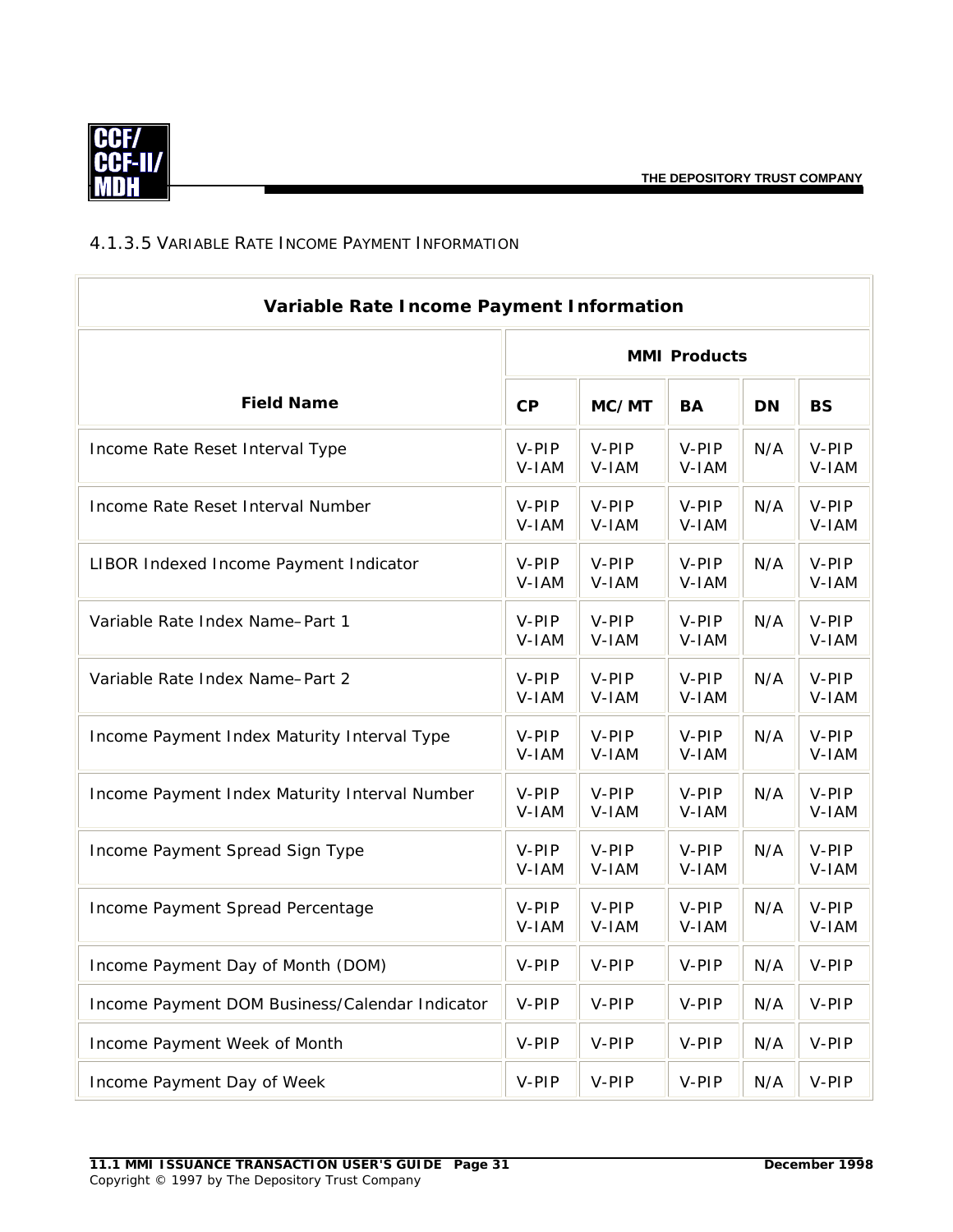<span id="page-33-0"></span>

#### 4.1.3.5 VARIABLE RATE INCOME PAYMENT INFORMATION

| Variable Rate Income Payment Information       |                     |                |                |           |                |
|------------------------------------------------|---------------------|----------------|----------------|-----------|----------------|
|                                                | <b>MMI Products</b> |                |                |           |                |
| <b>Field Name</b>                              | CP                  | MC/MT          | <b>BA</b>      | <b>DN</b> | <b>BS</b>      |
| Income Rate Reset Interval Type                | V-PIP<br>V-IAM      | V-PIP<br>V-IAM | V-PIP<br>V-IAM | N/A       | V-PIP<br>V-IAM |
| Income Rate Reset Interval Number              | V-PIP<br>V-IAM      | V-PIP<br>V-IAM | V-PIP<br>V-IAM | N/A       | V-PIP<br>V-IAM |
| LIBOR Indexed Income Payment Indicator         | V-PIP<br>V-IAM      | V-PIP<br>V-IAM | V-PIP<br>V-IAM | N/A       | V-PIP<br>V-IAM |
| Variable Rate Index Name-Part 1                | V-PIP<br>V-IAM      | V-PIP<br>V-IAM | V-PIP<br>V-IAM | N/A       | V-PIP<br>V-IAM |
| Variable Rate Index Name-Part 2                | V-PIP<br>V-IAM      | V-PIP<br>V-IAM | V-PIP<br>V-IAM | N/A       | V-PIP<br>V-IAM |
| Income Payment Index Maturity Interval Type    | V-PIP<br>V-IAM      | V-PIP<br>V-IAM | V-PIP<br>V-IAM | N/A       | V-PIP<br>V-IAM |
| Income Payment Index Maturity Interval Number  | V-PIP<br>V-IAM      | V-PIP<br>V-IAM | V-PIP<br>V-IAM | N/A       | V-PIP<br>V-IAM |
| Income Payment Spread Sign Type                | V-PIP<br>V-IAM      | V-PIP<br>V-IAM | V-PIP<br>V-IAM | N/A       | V-PIP<br>V-IAM |
| Income Payment Spread Percentage               | V-PIP<br>V-IAM      | V-PIP<br>V-IAM | V-PIP<br>V-IAM | N/A       | V-PIP<br>V-IAM |
| Income Payment Day of Month (DOM)              | V-PIP               | V-PIP          | V-PIP          | N/A       | V-PIP          |
| Income Payment DOM Business/Calendar Indicator | V-PIP               | V-PIP          | V-PIP          | N/A       | V-PIP          |
| Income Payment Week of Month                   | V-PIP               | V-PIP          | V-PIP          | N/A       | V-PIP          |
| Income Payment Day of Week                     | V-PIP               | V-PIP          | V-PIP          | N/A       | V-PIP          |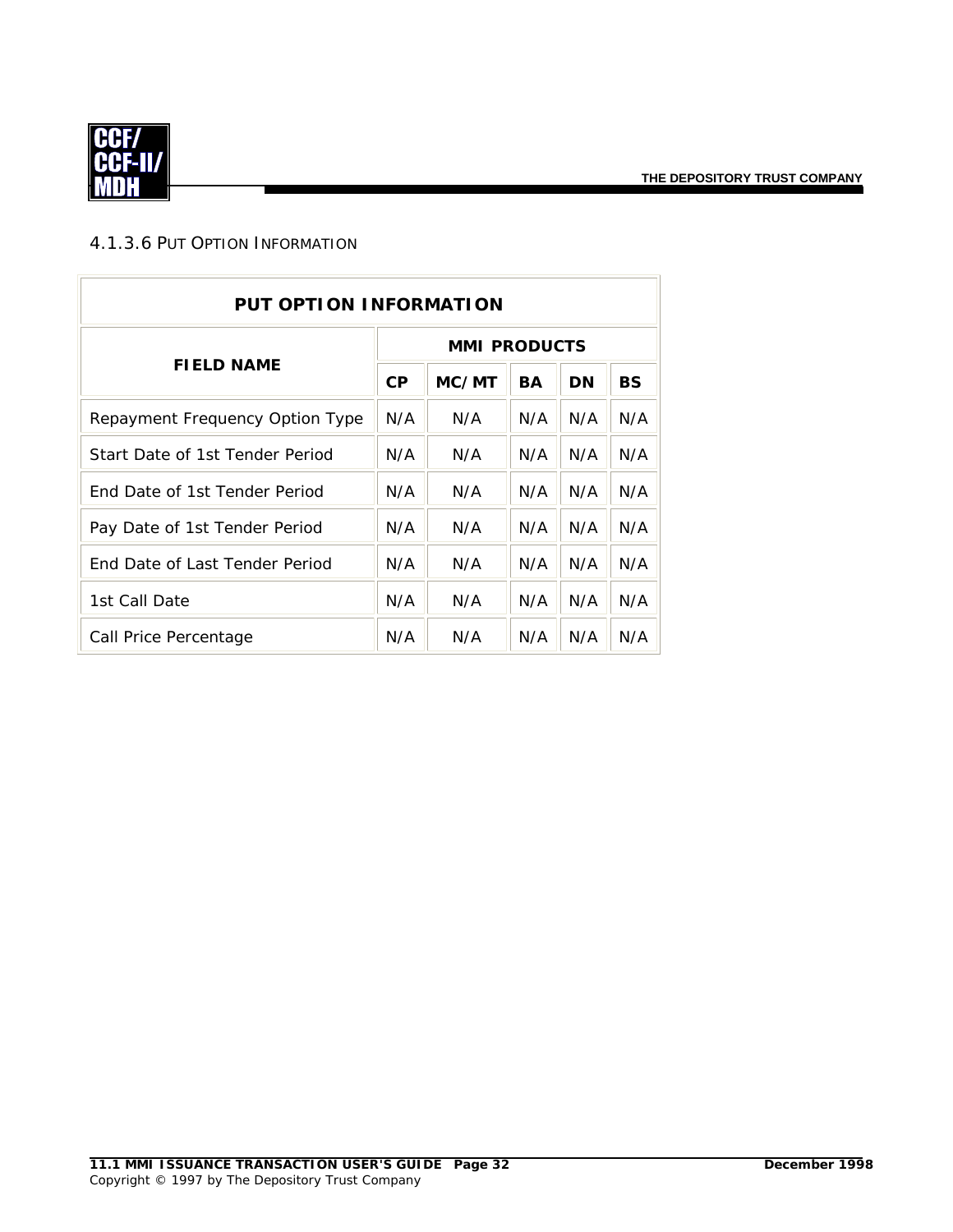<span id="page-34-0"></span>

#### 4.1.3.6 PUT OPTION INFORMATION

| <b>PUT OPTION INFORMATION</b>        |                     |       |           |     |           |  |  |
|--------------------------------------|---------------------|-------|-----------|-----|-----------|--|--|
| <b>FIELD NAME</b>                    | <b>MMI PRODUCTS</b> |       |           |     |           |  |  |
|                                      | CP                  | MC/MT | <b>BA</b> | DN  | <b>BS</b> |  |  |
| Repayment Frequency Option Type      | N/A                 | N/A   | N/A       | N/A | N/A       |  |  |
| Start Date of 1st Tender Period      | N/A                 | N/A   | N/A       | N/A | N/A       |  |  |
| <b>Fnd Date of 1st Tender Period</b> | N/A                 | N/A   | N/A       | N/A | N/A       |  |  |
| Pay Date of 1st Tender Period        | N/A                 | N/A   | N/A       | N/A | N/A       |  |  |
| End Date of Last Tender Period       | N/A                 | N/A   | N/A       | N/A | N/A       |  |  |
| 1st Call Date                        | N/A                 | N/A   | N/A       | N/A | N/A       |  |  |
| Call Price Percentage                | N/A                 | N/A   | N/A       | N/A | N/A       |  |  |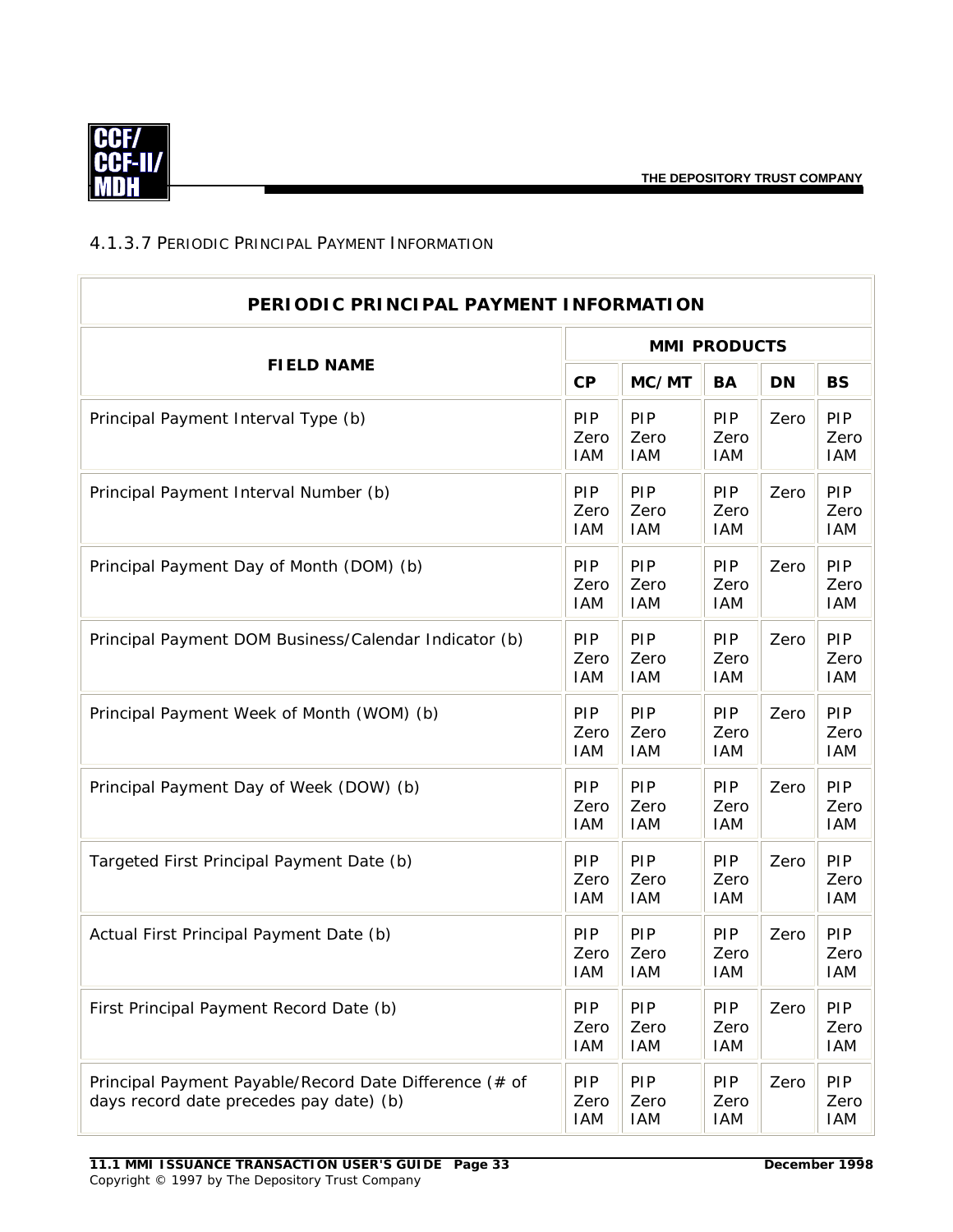<span id="page-35-0"></span>

#### 4.1.3.7 PERIODIC PRINCIPAL PAYMENT INFORMATION

| PERIODIC PRINCIPAL PAYMENT INFORMATION                                                            |                                  |                           |                                  |           |                                  |  |
|---------------------------------------------------------------------------------------------------|----------------------------------|---------------------------|----------------------------------|-----------|----------------------------------|--|
| <b>FIELD NAME</b>                                                                                 | <b>MMI PRODUCTS</b>              |                           |                                  |           |                                  |  |
|                                                                                                   | CP                               | MC/MT                     | <b>BA</b>                        | <b>DN</b> | <b>BS</b>                        |  |
| Principal Payment Interval Type (b)                                                               | PIP<br>Zero<br><b>IAM</b>        | PIP<br>Zero<br><b>IAM</b> | <b>PIP</b><br>Zero<br><b>IAM</b> | Zero      | PIP<br>Zero<br><b>IAM</b>        |  |
| Principal Payment Interval Number (b)                                                             | PIP<br>Zero<br><b>IAM</b>        | PIP<br>Zero<br><b>IAM</b> | PIP<br>Zero<br><b>IAM</b>        | Zero      | PIP<br>Zero<br><b>IAM</b>        |  |
| Principal Payment Day of Month (DOM) (b)                                                          | PIP<br>Zero<br><b>IAM</b>        | PIP<br>Zero<br><b>IAM</b> | PIP<br>Zero<br><b>IAM</b>        | Zero      | PIP<br>Zero<br><b>IAM</b>        |  |
| Principal Payment DOM Business/Calendar Indicator (b)                                             | PIP<br>Zero<br><b>IAM</b>        | PIP<br>Zero<br><b>IAM</b> | PIP<br>Zero<br><b>IAM</b>        | Zero      | PIP<br>Zero<br><b>IAM</b>        |  |
| Principal Payment Week of Month (WOM) (b)                                                         | PIP<br>Zero<br><b>IAM</b>        | PIP<br>Zero<br><b>IAM</b> | PIP<br>Zero<br><b>IAM</b>        | Zero      | PIP<br>Zero<br><b>IAM</b>        |  |
| Principal Payment Day of Week (DOW) (b)                                                           | PIP<br>Zero<br><b>IAM</b>        | PIP<br>Zero<br><b>IAM</b> | PIP<br>Zero<br><b>IAM</b>        | Zero      | PIP<br>Zero<br><b>IAM</b>        |  |
| Targeted First Principal Payment Date (b)                                                         | PIP<br>Zero<br><b>IAM</b>        | PIP<br>Zero<br><b>IAM</b> | PIP<br>Zero<br><b>IAM</b>        | Zero      | PIP<br>Zero<br><b>IAM</b>        |  |
| Actual First Principal Payment Date (b)                                                           | PIP<br>Zero<br><b>IAM</b>        | PIP<br>Zero<br>IAM        | PIP<br>Zero<br><b>IAM</b>        | Zero      | PIP<br>Zero<br><b>IAM</b>        |  |
| First Principal Payment Record Date (b)                                                           | <b>PIP</b><br>Zero<br><b>IAM</b> | PIP<br>Zero<br>IAM        | <b>PIP</b><br>Zero<br><b>IAM</b> | Zero      | <b>PIP</b><br>Zero<br>IAM        |  |
| Principal Payment Payable/Record Date Difference (# of<br>days record date precedes pay date) (b) | <b>PIP</b><br>Zero<br><b>IAM</b> | PIP<br>Zero<br><b>IAM</b> | <b>PIP</b><br>Zero<br><b>IAM</b> | Zero      | <b>PIP</b><br>Zero<br><b>IAM</b> |  |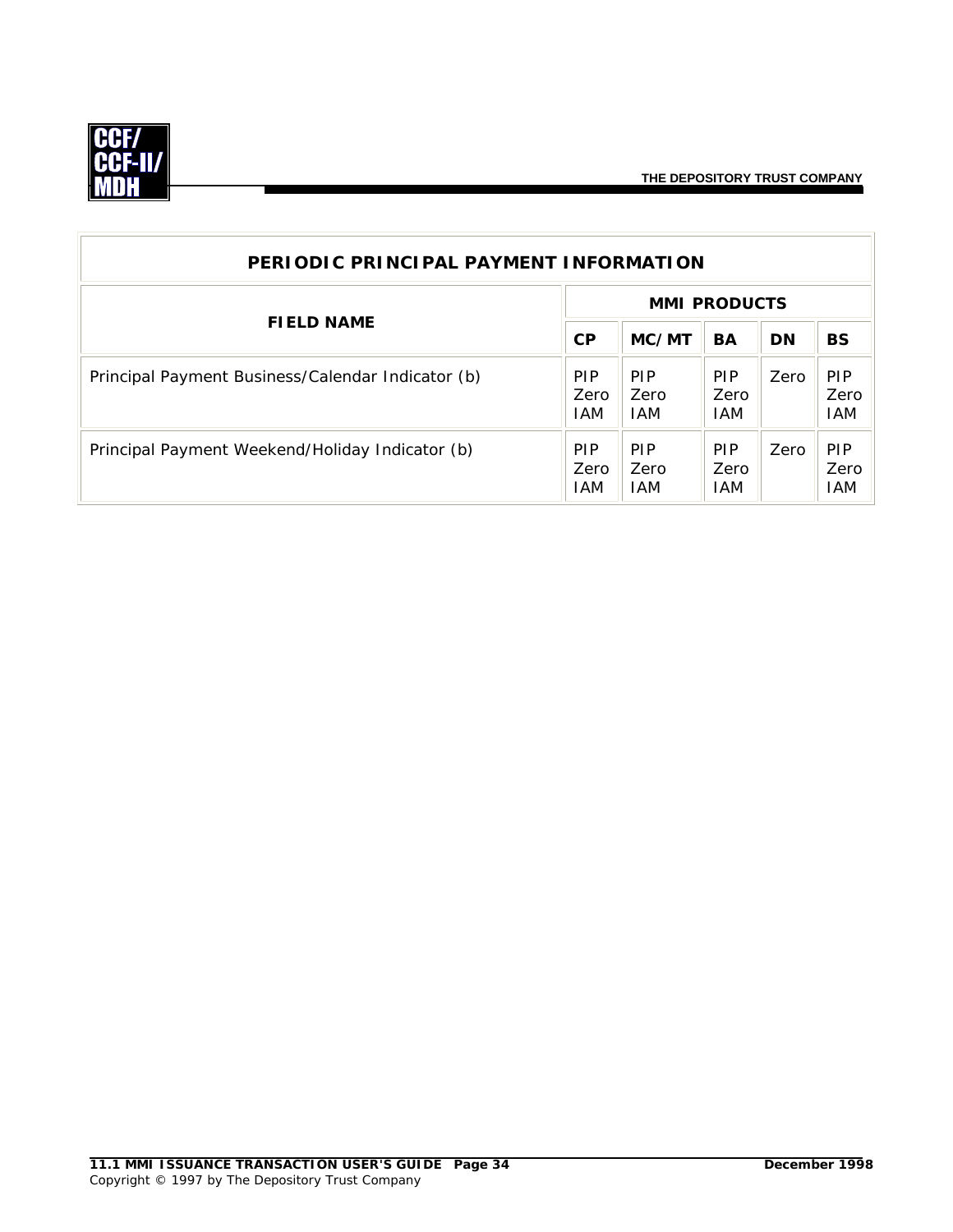

| PERIODIC PRINCIPAL PAYMENT INFORMATION            |                                  |                                   |                                  |           |                                  |  |  |
|---------------------------------------------------|----------------------------------|-----------------------------------|----------------------------------|-----------|----------------------------------|--|--|
| <b>FIELD NAME</b>                                 | <b>MMI PRODUCTS</b>              |                                   |                                  |           |                                  |  |  |
|                                                   | CP                               | MC/MT                             | <b>BA</b>                        | <b>DN</b> | <b>BS</b>                        |  |  |
| Principal Payment Business/Calendar Indicator (b) | <b>PIP</b><br>Zero<br><b>IAM</b> | <b>PIP</b><br><b>Zero</b><br>I AM | <b>PIP</b><br>Zero<br><b>IAM</b> | Zero      | <b>PIP</b><br>Zero<br><b>IAM</b> |  |  |
| Principal Payment Weekend/Holiday Indicator (b)   | <b>PIP</b><br>Zero<br>IAM.       | <b>PIP</b><br>Zero<br><b>IAM</b>  | <b>PIP</b><br>Zero<br><b>IAM</b> | Zero      | <b>PIP</b><br>Zero<br>IAM        |  |  |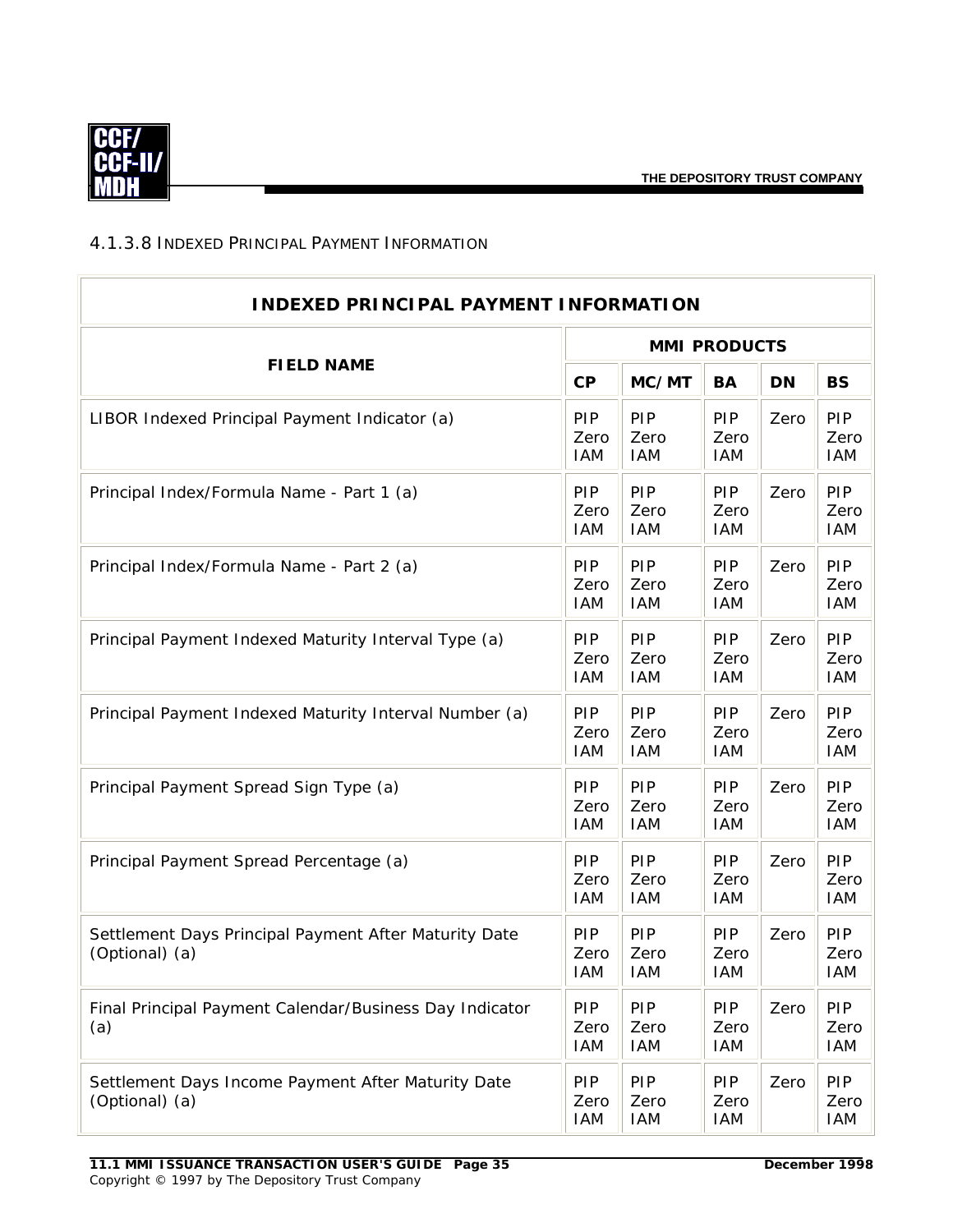

#### <span id="page-37-0"></span>4.1.3.8 INDEXED PRINCIPAL PAYMENT INFORMATION

| <b>INDEXED PRINCIPAL PAYMENT INFORMATION</b>                            |                                  |                                  |                                  |           |                           |  |  |
|-------------------------------------------------------------------------|----------------------------------|----------------------------------|----------------------------------|-----------|---------------------------|--|--|
|                                                                         | <b>MMI PRODUCTS</b>              |                                  |                                  |           |                           |  |  |
| <b>FIELD NAME</b>                                                       | CP                               | MC/MT                            | <b>BA</b>                        | <b>DN</b> | <b>BS</b>                 |  |  |
| LIBOR Indexed Principal Payment Indicator (a)                           | PIP<br>Zero<br><b>IAM</b>        | PIP<br>Zero<br><b>IAM</b>        | PIP<br>Zero<br><b>IAM</b>        | Zero      | PIP<br>Zero<br><b>IAM</b> |  |  |
| Principal Index/Formula Name - Part 1 (a)                               | <b>PIP</b><br>Zero<br><b>IAM</b> | PIP<br>Zero<br><b>IAM</b>        | <b>PIP</b><br>Zero<br><b>IAM</b> | Zero      | PIP<br>Zero<br><b>IAM</b> |  |  |
| Principal Index/Formula Name - Part 2 (a)                               | <b>PIP</b><br>Zero<br><b>IAM</b> | PIP<br>Zero<br><b>IAM</b>        | <b>PIP</b><br>Zero<br><b>IAM</b> | Zero      | PIP<br>Zero<br><b>IAM</b> |  |  |
| Principal Payment Indexed Maturity Interval Type (a)                    | <b>PIP</b><br>Zero<br><b>IAM</b> | PIP<br>Zero<br><b>IAM</b>        | PIP<br>Zero<br><b>IAM</b>        | Zero      | PIP<br>Zero<br><b>IAM</b> |  |  |
| Principal Payment Indexed Maturity Interval Number (a)                  | PIP<br>Zero<br><b>IAM</b>        | PIP<br>Zero<br><b>IAM</b>        | <b>PIP</b><br>Zero<br><b>IAM</b> | Zero      | PIP<br>Zero<br><b>IAM</b> |  |  |
| Principal Payment Spread Sign Type (a)                                  | PIP<br>Zero<br><b>IAM</b>        | PIP<br>Zero<br><b>IAM</b>        | PIP<br>Zero<br><b>IAM</b>        | Zero      | PIP<br>Zero<br><b>IAM</b> |  |  |
| Principal Payment Spread Percentage (a)                                 | PIP<br>Zero<br><b>IAM</b>        | PIP<br>Zero<br><b>IAM</b>        | PIP<br>Zero<br><b>IAM</b>        | Zero      | PIP<br>Zero<br><b>IAM</b> |  |  |
| Settlement Days Principal Payment After Maturity Date<br>(Optional) (a) | <b>PIP</b><br>Zero<br><b>IAM</b> | PIP<br>Zero<br><b>IAM</b>        | <b>PIP</b><br>Zero<br><b>IAM</b> | Zero      | PIP<br>Zero<br>IAM        |  |  |
| Final Principal Payment Calendar/Business Day Indicator<br>(a)          | <b>PIP</b><br>Zero<br>IAM        | <b>PIP</b><br>Zero<br><b>IAM</b> | <b>PIP</b><br>Zero<br><b>IAM</b> | Zero      | PIP<br>Zero<br>IAM        |  |  |
| Settlement Days Income Payment After Maturity Date<br>(Optional) (a)    | <b>PIP</b><br>Zero<br>IAM        | PIP<br>Zero<br>IAM               | <b>PIP</b><br>Zero<br><b>IAM</b> | Zero      | <b>PIP</b><br>Zero<br>IAM |  |  |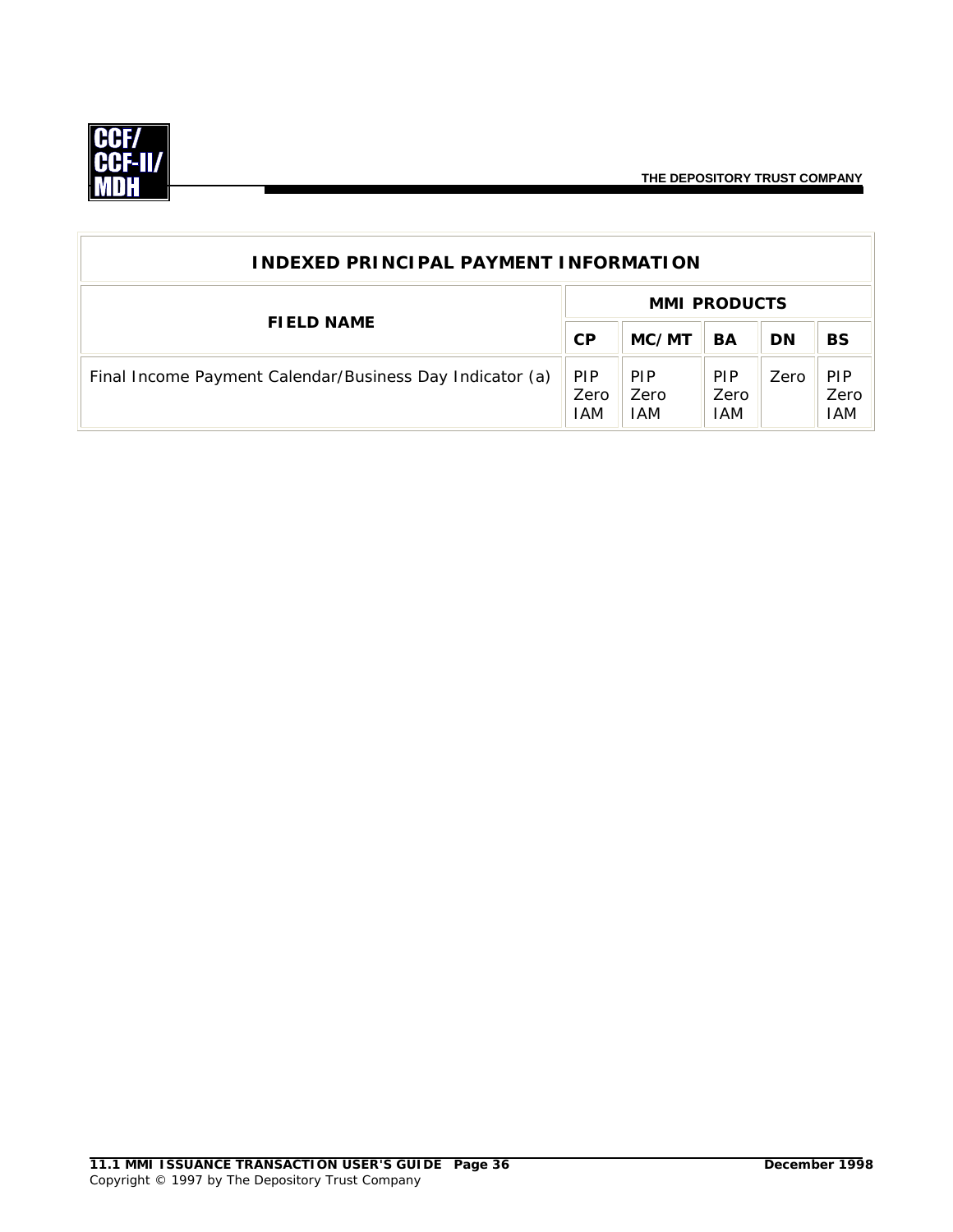

| <b>INDEXED PRINCIPAL PAYMENT INFORMATION</b>             |                           |                                  |                                  |           |                                  |  |
|----------------------------------------------------------|---------------------------|----------------------------------|----------------------------------|-----------|----------------------------------|--|
|                                                          |                           |                                  | <b>MMI PRODUCTS</b>              |           |                                  |  |
| <b>FIELD NAME</b>                                        |                           | MC/MT                            | BA                               | <b>DN</b> | <b>BS</b>                        |  |
| Final Income Payment Calendar/Business Day Indicator (a) | <b>PIP</b><br>Zero<br>IAM | <b>PIP</b><br>Zero<br><b>IAM</b> | <b>PIP</b><br>Zero<br><b>IAM</b> | Zero      | <b>PIP</b><br>Zero<br><b>IAM</b> |  |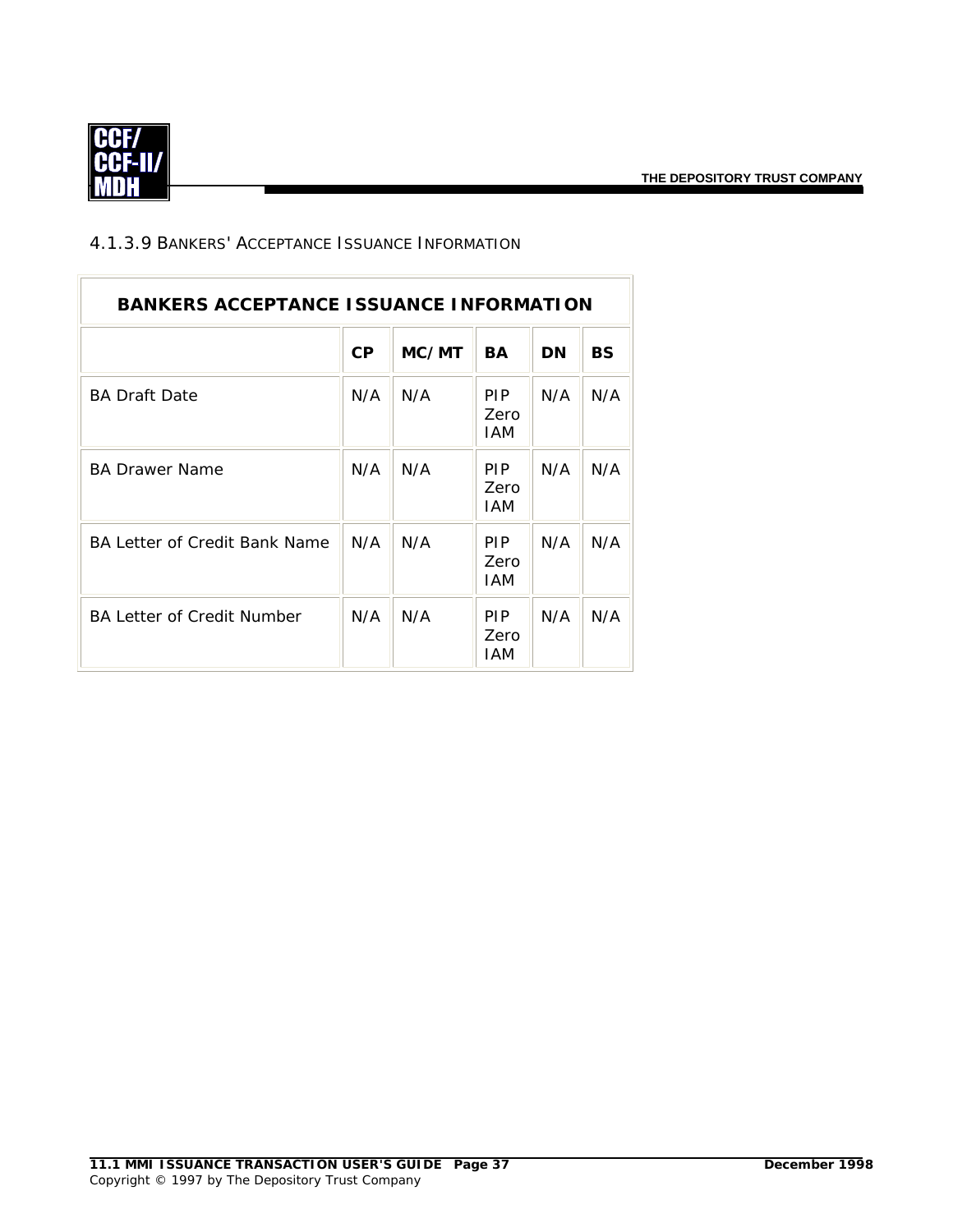$\overline{\mathbb{L}}$ 



 $\overline{\Gamma}$ 

## 4.1.3.9 BANKERS' ACCEPTANCE ISSUANCE INFORMATION

| <b>BANKERS ACCEPTANCE ISSUANCE INFORMATION</b> |     |       |                                  |     |           |  |  |
|------------------------------------------------|-----|-------|----------------------------------|-----|-----------|--|--|
|                                                | CP  | MC/MT | <b>BA</b>                        | DN  | <b>BS</b> |  |  |
| <b>BA Draft Date</b>                           | N/A | N/A   | <b>PIP</b><br>Zero<br>IAM        | N/A | N/A       |  |  |
| <b>BA Drawer Name</b>                          | N/A | N/A   | <b>PIP</b><br>Zero<br>IAM        | N/A | N/A       |  |  |
| BA Letter of Credit Bank Name                  | N/A | N/A   | <b>PIP</b><br><b>Zero</b><br>IAM | N/A | N/A       |  |  |
| <b>BA Letter of Credit Number</b>              | N/A | N/A   | <b>PIP</b><br><b>Zero</b><br>IAM | N/A | N/A       |  |  |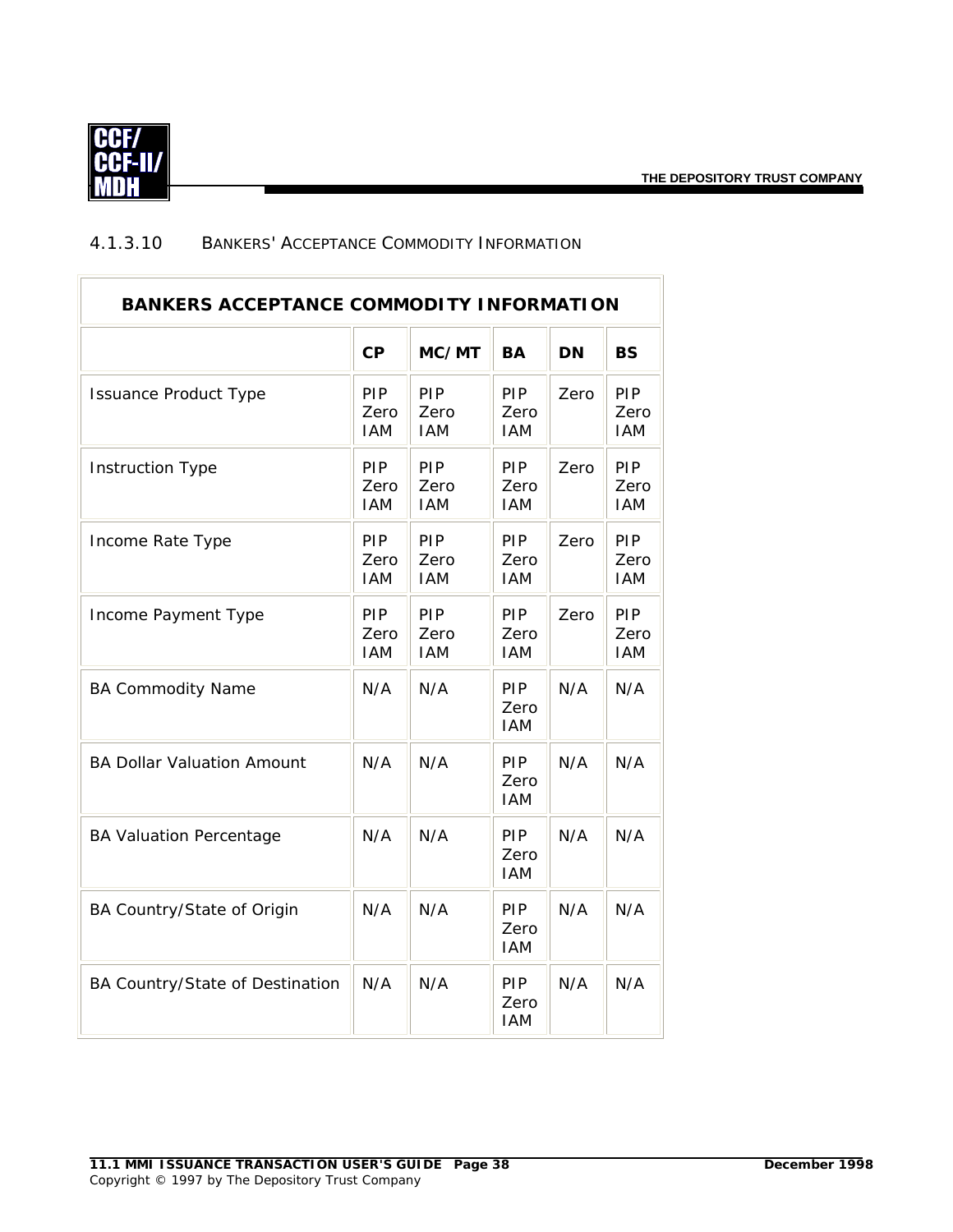

#### 4.1.3.10 BANKERS' ACCEPTANCE COMMODITY INFORMATION

| <b>BANKERS ACCEPTANCE COMMODITY INFORMATION</b> |                           |                           |                           |           |                           |
|-------------------------------------------------|---------------------------|---------------------------|---------------------------|-----------|---------------------------|
|                                                 | CP                        | MC/MT                     | <b>BA</b>                 | <b>DN</b> | <b>BS</b>                 |
| <b>Issuance Product Type</b>                    | PIP<br>Zero<br><b>IAM</b> | PIP<br>Zero<br><b>IAM</b> | PIP<br>Zero<br><b>IAM</b> | Zero      | PIP<br>Zero<br><b>IAM</b> |
| <b>Instruction Type</b>                         | PIP<br>Zero<br><b>IAM</b> | PIP<br>Zero<br><b>IAM</b> | PIP<br>Zero<br><b>IAM</b> | Zero      | PIP<br>Zero<br><b>IAM</b> |
| Income Rate Type                                | PIP<br>Zero<br><b>IAM</b> | PIP<br>Zero<br><b>IAM</b> | PIP<br>Zero<br><b>IAM</b> | Zero      | PIP<br>Zero<br><b>IAM</b> |
| Income Payment Type                             | PIP<br>Zero<br><b>IAM</b> | PIP<br>Zero<br><b>IAM</b> | PIP<br>Zero<br><b>IAM</b> | Zero      | PIP<br>Zero<br><b>IAM</b> |
| <b>BA Commodity Name</b>                        | N/A                       | N/A                       | PIP<br>Zero<br><b>IAM</b> | N/A       | N/A                       |
| <b>BA Dollar Valuation Amount</b>               | N/A                       | N/A                       | PIP<br>Zero<br><b>IAM</b> | N/A       | N/A                       |
| <b>BA Valuation Percentage</b>                  | N/A                       | N/A                       | PIP<br>Zero<br><b>IAM</b> | N/A       | N/A                       |
| BA Country/State of Origin                      | N/A                       | N/A                       | PIP<br>Zero<br><b>IAM</b> | N/A       | N/A                       |
| BA Country/State of Destination                 | N/A                       | N/A                       | PIP<br>Zero<br><b>IAM</b> | N/A       | N/A                       |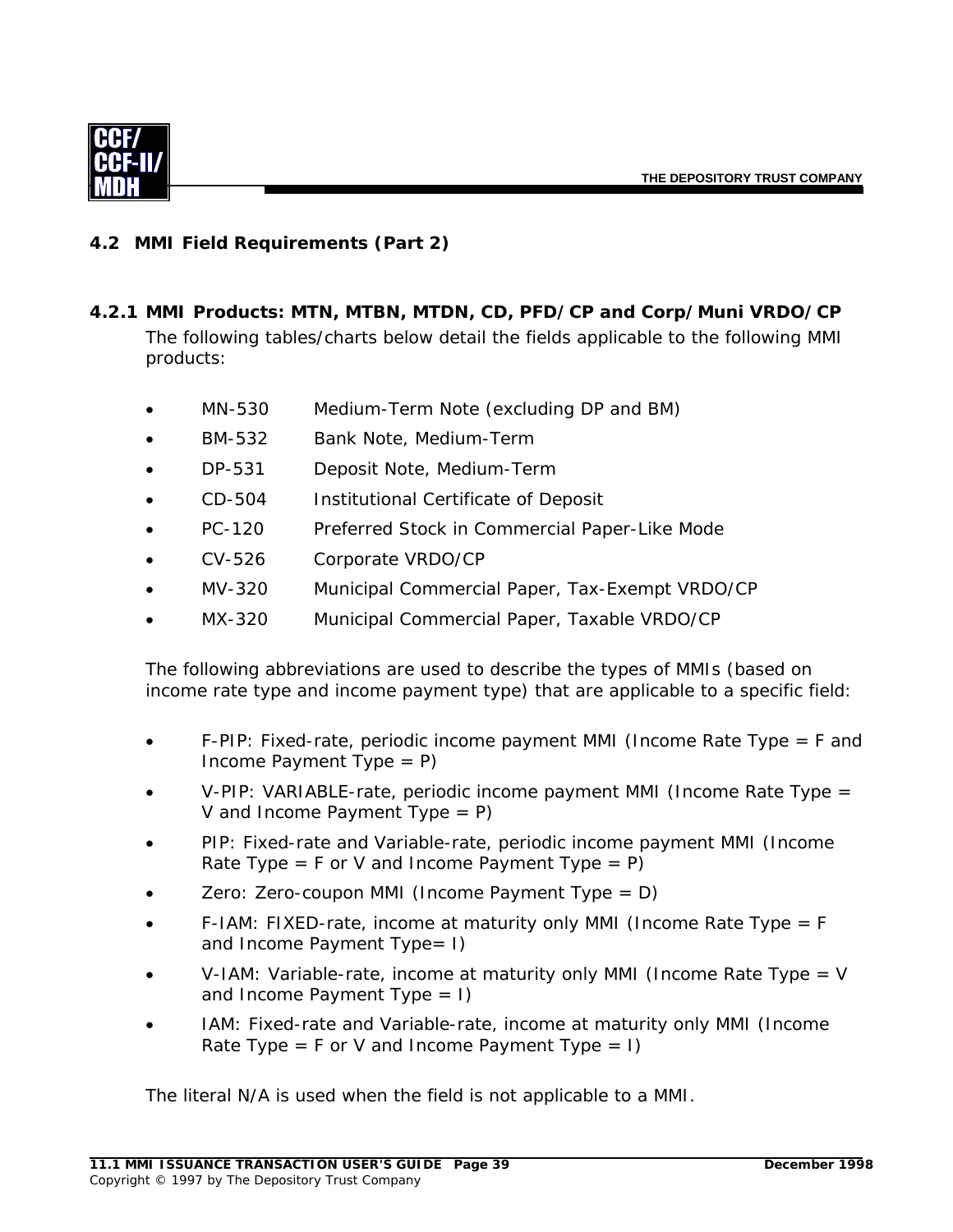

# **4.2 MMI Field Requirements (Part 2)**

- *4.2.1 MMI Products: MTN, MTBN, MTDN, CD, PFD/CP and Corp/Muni VRDO/CP*  The following tables/charts below detail the fields applicable to the following MMI products:
	- MN-530 Medium-Term Note (excluding DP and BM)
	- BM-532 Bank Note, Medium-Term
	- DP-531 Deposit Note, Medium-Term
	- CD-504 Institutional Certificate of Deposit
	- PC-120 Preferred Stock in Commercial Paper-Like Mode
	- CV-526 Corporate VRDO/CP
	- MV-320 Municipal Commercial Paper, Tax-Exempt VRDO/CP
	- MX-320 Municipal Commercial Paper, Taxable VRDO/CP

The following abbreviations are used to describe the types of MMIs (based on income rate type and income payment type) that are applicable to a specific field:

- F-PIP: Fixed-rate, periodic income payment MMI (Income Rate Type = F and Income Payment Type  $= P$ )
- V-PIP: VARIABLE-rate, periodic income payment MMI (Income Rate Type = V and Income Payment Type = P)
- PIP: Fixed-rate and Variable-rate, periodic income payment MMI (Income Rate Type = F or V and Income Payment Type =  $P$ )
- Zero: Zero-coupon MMI (Income Payment Type =  $D$ )
- F-IAM: FIXED-rate, income at maturity only MMI (Income Rate Type = F and Income Payment Type= I)
- V-IAM: Variable-rate, income at maturity only MMI (Income Rate Type = V and Income Payment Type  $= 1$ )
- IAM: Fixed-rate and Variable-rate, income at maturity only MMI (Income Rate Type = F or V and Income Payment Type = I)

The literal N/A is used when the field is not applicable to a MMI.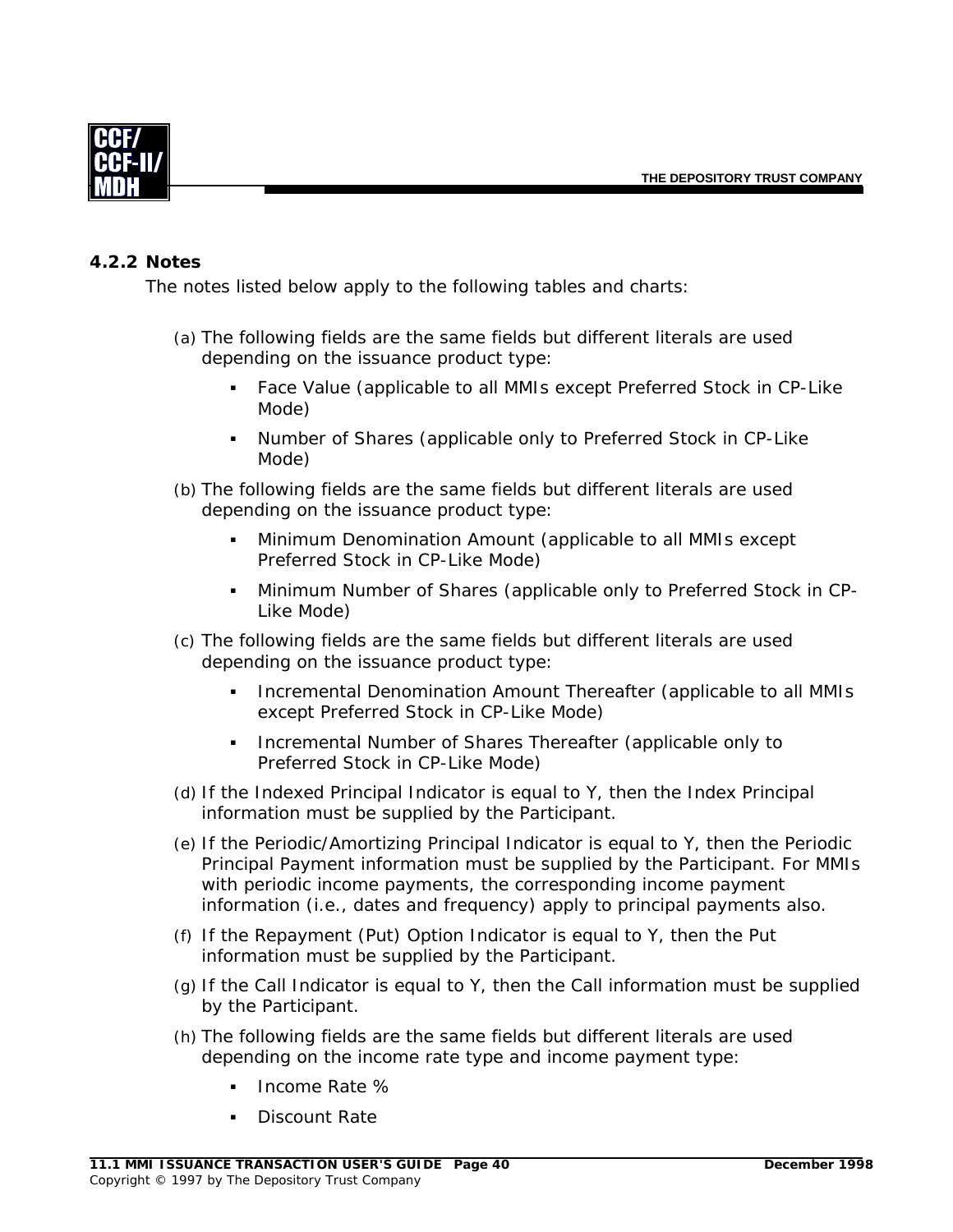

#### *4.2.2 Notes*

The notes listed below apply to the following tables and charts:

- (a) The following fields are the same fields but different literals are used depending on the issuance product type:
	- Face Value (applicable to all MMIs except Preferred Stock in CP-Like Mode)
	- Number of Shares (applicable only to Preferred Stock in CP-Like Mode)
- (b) The following fields are the same fields but different literals are used depending on the issuance product type:
	- Minimum Denomination Amount (applicable to all MMIs except Preferred Stock in CP-Like Mode)
	- Minimum Number of Shares (applicable only to Preferred Stock in CP-Like Mode)
- (c) The following fields are the same fields but different literals are used depending on the issuance product type:
	- **Incremental Denomination Amount Thereafter (applicable to all MMIs** except Preferred Stock in CP-Like Mode)
	- Incremental Number of Shares Thereafter (applicable only to Preferred Stock in CP-Like Mode)
- (d) If the Indexed Principal Indicator is equal to Y, then the Index Principal information must be supplied by the Participant.
- (e) If the Periodic/Amortizing Principal Indicator is equal to Y, then the Periodic Principal Payment information must be supplied by the Participant. For MMIs with periodic income payments, the corresponding income payment information (i.e., dates and frequency) apply to principal payments also.
- (f) If the Repayment (Put) Option Indicator is equal to Y, then the Put information must be supplied by the Participant.
- (g) If the Call Indicator is equal to Y, then the Call information must be supplied by the Participant.
- (h) The following fields are the same fields but different literals are used depending on the income rate type and income payment type:
	- Income Rate %
	- Discount Rate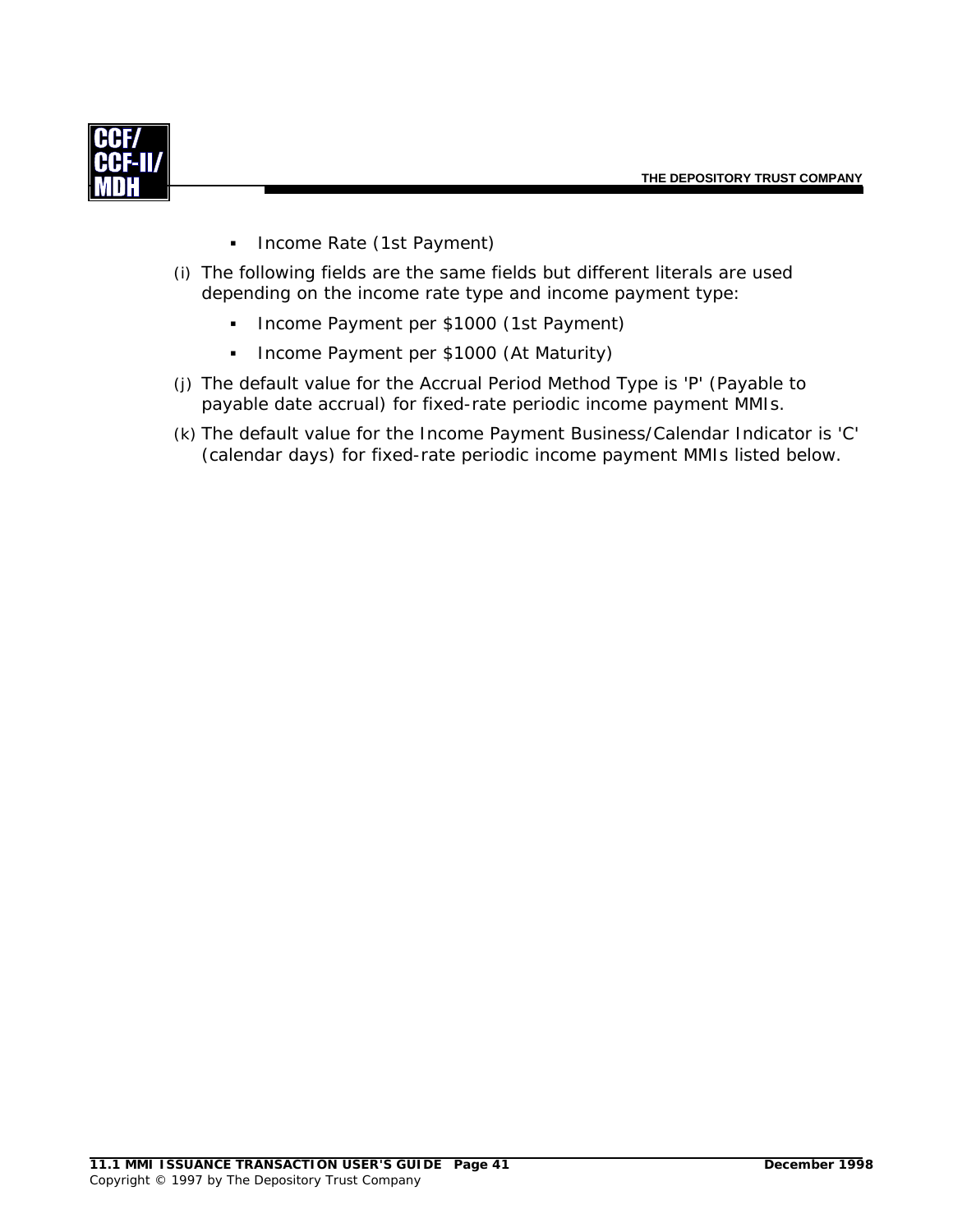

- **Income Rate (1st Payment)**
- (i) The following fields are the same fields but different literals are used depending on the income rate type and income payment type:
	- **Income Payment per \$1000 (1st Payment)**
	- **Income Payment per \$1000 (At Maturity)**
- (j) The default value for the Accrual Period Method Type is 'P' (Payable to payable date accrual) for fixed-rate periodic income payment MMIs.
- (k) The default value for the Income Payment Business/Calendar Indicator is 'C' (calendar days) for fixed-rate periodic income payment MMIs listed below.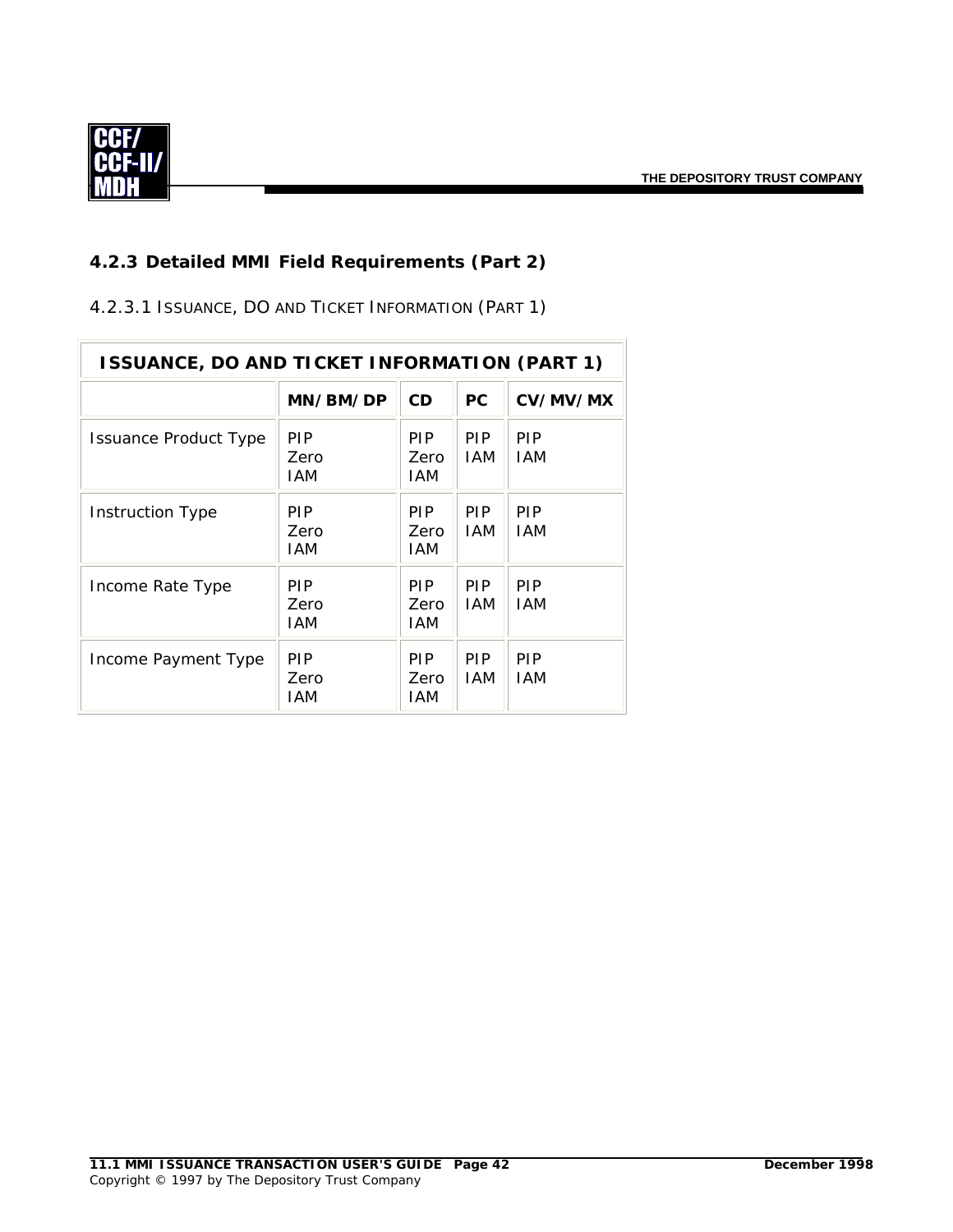

# *4.2.3 Detailed MMI Field Requirements (Part 2)*

4.2.3.1 ISSUANCE, DO AND TICKET INFORMATION (PART 1)

| <b>ISSUANCE, DO AND TICKET INFORMATION (PART 1)</b> |                           |                           |                          |                          |  |  |
|-----------------------------------------------------|---------------------------|---------------------------|--------------------------|--------------------------|--|--|
|                                                     | MN/BM/DP                  | <b>CD</b>                 | <b>PC</b>                | CV/MV/MX                 |  |  |
| Issuance Product Type                               | PIP<br>Zero<br>IAM        | PIP.<br>Zero<br>IAM       | <b>PIP</b><br><b>IAM</b> | <b>PIP</b><br><b>IAM</b> |  |  |
| Instruction Type                                    | <b>PIP</b><br>Zero<br>IAM | <b>PIP</b><br>Zero<br>IAM | <b>PIP</b><br><b>IAM</b> | <b>PIP</b><br><b>IAM</b> |  |  |
| Income Rate Type                                    | <b>PIP</b><br>Zero<br>IAM | <b>PIP</b><br>Zero<br>IAM | <b>PIP</b><br><b>IAM</b> | <b>PIP</b><br><b>IAM</b> |  |  |
| Income Payment Type                                 | <b>PIP</b><br>Zero<br>IAM | PIP.<br>Zero<br>IAM       | <b>PIP</b><br><b>IAM</b> | <b>PIP</b><br><b>IAM</b> |  |  |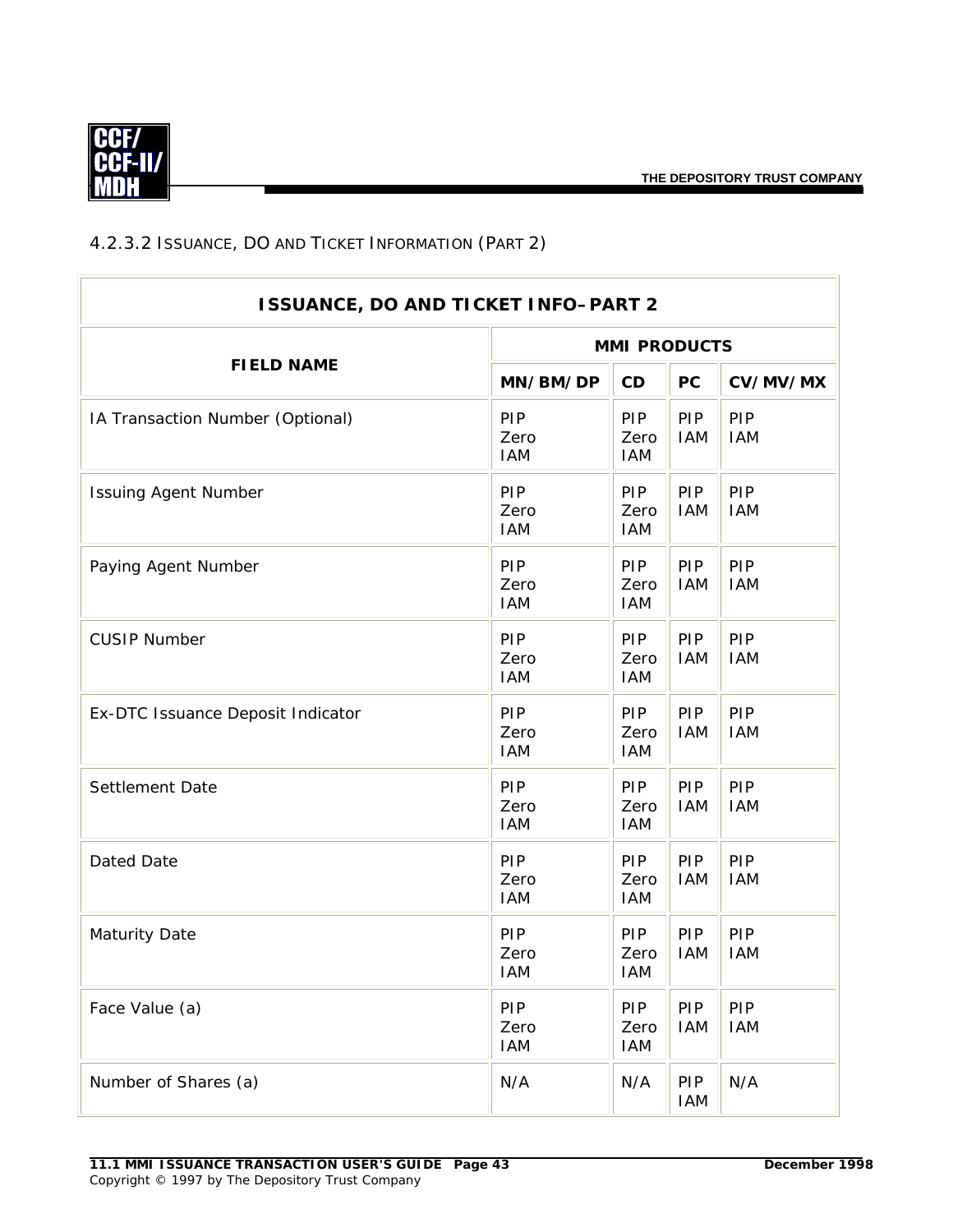

# 4.2.3.2 ISSUANCE, DO AND TICKET INFORMATION (PART 2)

|                                   | <b>ISSUANCE, DO AND TICKET INFO-PART 2</b> |                                  |                          |                          |  |  |
|-----------------------------------|--------------------------------------------|----------------------------------|--------------------------|--------------------------|--|--|
| <b>FIELD NAME</b>                 |                                            | <b>MMI PRODUCTS</b>              |                          |                          |  |  |
|                                   | MN/BM/DP                                   | CD                               | <b>PC</b>                | CV/MV/MX                 |  |  |
| IA Transaction Number (Optional)  | PIP<br>Zero<br><b>IAM</b>                  | <b>PIP</b><br>Zero<br><b>IAM</b> | <b>PIP</b><br><b>IAM</b> | PIP<br><b>IAM</b>        |  |  |
| <b>Issuing Agent Number</b>       | PIP<br>Zero<br><b>IAM</b>                  | PIP<br>Zero<br><b>IAM</b>        | <b>PIP</b><br><b>IAM</b> | PIP<br><b>IAM</b>        |  |  |
| Paying Agent Number               | PIP<br>Zero<br><b>IAM</b>                  | PIP<br>Zero<br><b>IAM</b>        | PIP<br><b>IAM</b>        | PIP<br><b>IAM</b>        |  |  |
| <b>CUSIP Number</b>               | PIP<br>Zero<br><b>IAM</b>                  | PIP<br>Zero<br><b>IAM</b>        | <b>PIP</b><br><b>IAM</b> | PIP<br><b>IAM</b>        |  |  |
| Ex-DTC Issuance Deposit Indicator | PIP<br>Zero<br><b>IAM</b>                  | PIP<br>Zero<br><b>IAM</b>        | PIP<br><b>IAM</b>        | PIP<br><b>IAM</b>        |  |  |
| Settlement Date                   | PIP<br>Zero<br><b>IAM</b>                  | PIP<br>Zero<br><b>IAM</b>        | <b>PIP</b><br><b>IAM</b> | PIP<br><b>IAM</b>        |  |  |
| Dated Date                        | PIP<br>Zero<br><b>IAM</b>                  | PIP<br>Zero<br><b>IAM</b>        | <b>PIP</b><br><b>IAM</b> | PIP<br><b>IAM</b>        |  |  |
| <b>Maturity Date</b>              | PIP<br>Zero<br><b>IAM</b>                  | <b>PIP</b><br>Zero<br><b>IAM</b> | <b>PIP</b><br><b>IAM</b> | <b>PIP</b><br><b>IAM</b> |  |  |
| Face Value (a)                    | <b>PIP</b><br>Zero<br><b>IAM</b>           | <b>PIP</b><br>Zero<br><b>IAM</b> | <b>PIP</b><br><b>IAM</b> | PIP<br><b>IAM</b>        |  |  |
| Number of Shares (a)              | N/A                                        | N/A                              | <b>PIP</b><br><b>IAM</b> | N/A                      |  |  |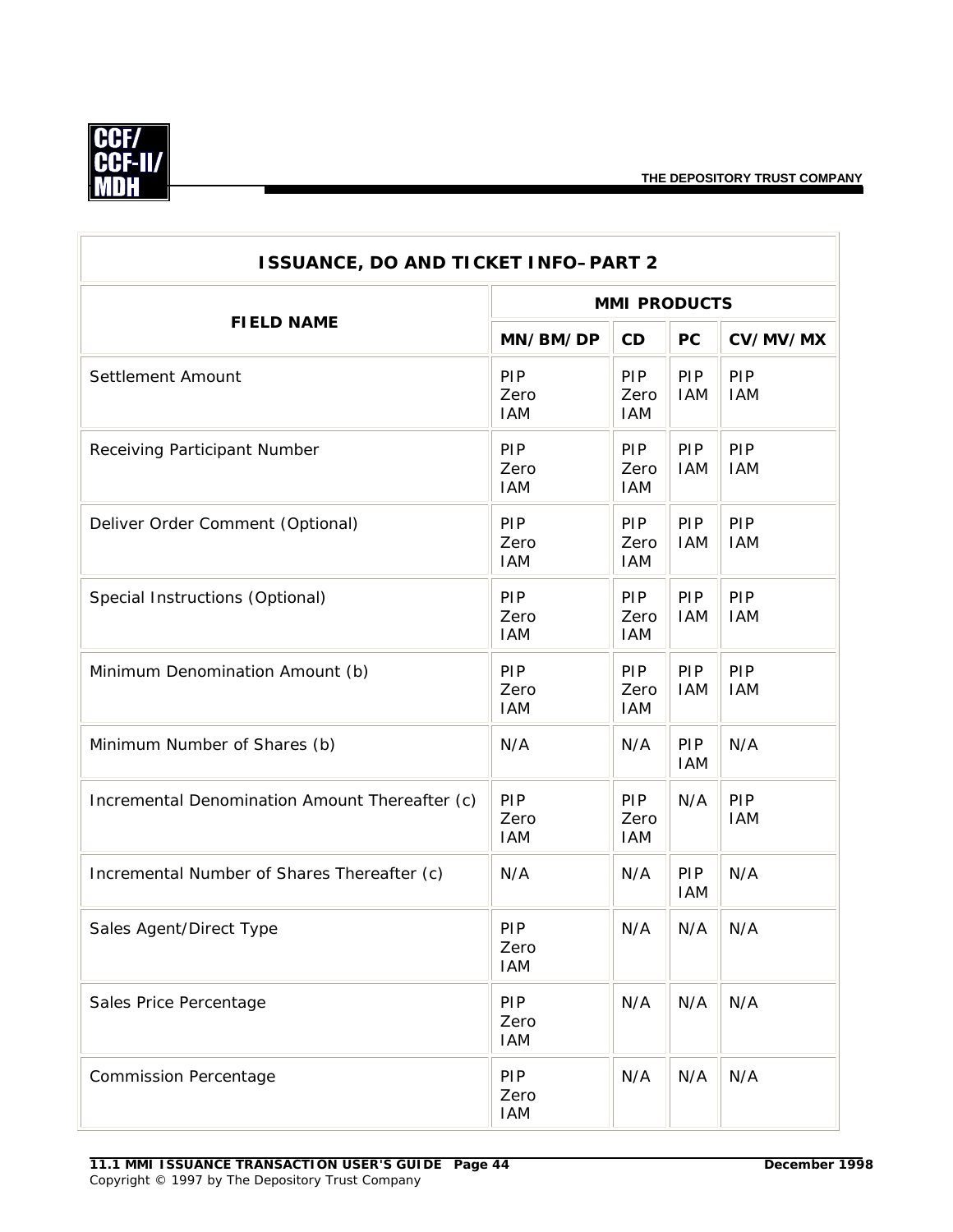

| <b>ISSUANCE, DO AND TICKET INFO-PART 2</b>     |                                  |                                  |                   |                   |  |  |
|------------------------------------------------|----------------------------------|----------------------------------|-------------------|-------------------|--|--|
|                                                | <b>MMI PRODUCTS</b>              |                                  |                   |                   |  |  |
| <b>FIELD NAME</b>                              | MN/BM/DP                         | CD                               | <b>PC</b>         | CV/MV/MX          |  |  |
| Settlement Amount                              | PIP<br>Zero<br><b>IAM</b>        | PIP<br>Zero<br><b>IAM</b>        | PIP<br><b>IAM</b> | PIP<br><b>IAM</b> |  |  |
| Receiving Participant Number                   | PIP<br>Zero<br><b>IAM</b>        | PIP<br>Zero<br><b>IAM</b>        | PIP<br><b>IAM</b> | PIP<br><b>IAM</b> |  |  |
| Deliver Order Comment (Optional)               | PIP<br>Zero<br><b>IAM</b>        | <b>PIP</b><br>Zero<br><b>IAM</b> | PIP<br><b>IAM</b> | PIP<br><b>IAM</b> |  |  |
| Special Instructions (Optional)                | PIP<br>Zero<br><b>IAM</b>        | PIP<br>Zero<br><b>IAM</b>        | PIP<br><b>IAM</b> | PIP<br><b>IAM</b> |  |  |
| Minimum Denomination Amount (b)                | PIP<br>Zero<br><b>IAM</b>        | <b>PIP</b><br>Zero<br><b>IAM</b> | PIP<br><b>IAM</b> | PIP<br><b>IAM</b> |  |  |
| Minimum Number of Shares (b)                   | N/A                              | N/A                              | PIP<br><b>IAM</b> | N/A               |  |  |
| Incremental Denomination Amount Thereafter (c) | PIP<br>Zero<br><b>IAM</b>        | PIP<br>Zero<br><b>IAM</b>        | N/A               | PIP<br><b>IAM</b> |  |  |
| Incremental Number of Shares Thereafter (c)    | N/A                              | N/A                              | PIP<br><b>IAM</b> | N/A               |  |  |
| Sales Agent/Direct Type                        | PIP<br>Zero<br><b>IAM</b>        | N/A                              | N/A               | N/A               |  |  |
| Sales Price Percentage                         | <b>PIP</b><br>Zero<br><b>IAM</b> | N/A                              | N/A               | N/A               |  |  |
| <b>Commission Percentage</b>                   | PIP<br>Zero<br><b>IAM</b>        | N/A                              | N/A               | N/A               |  |  |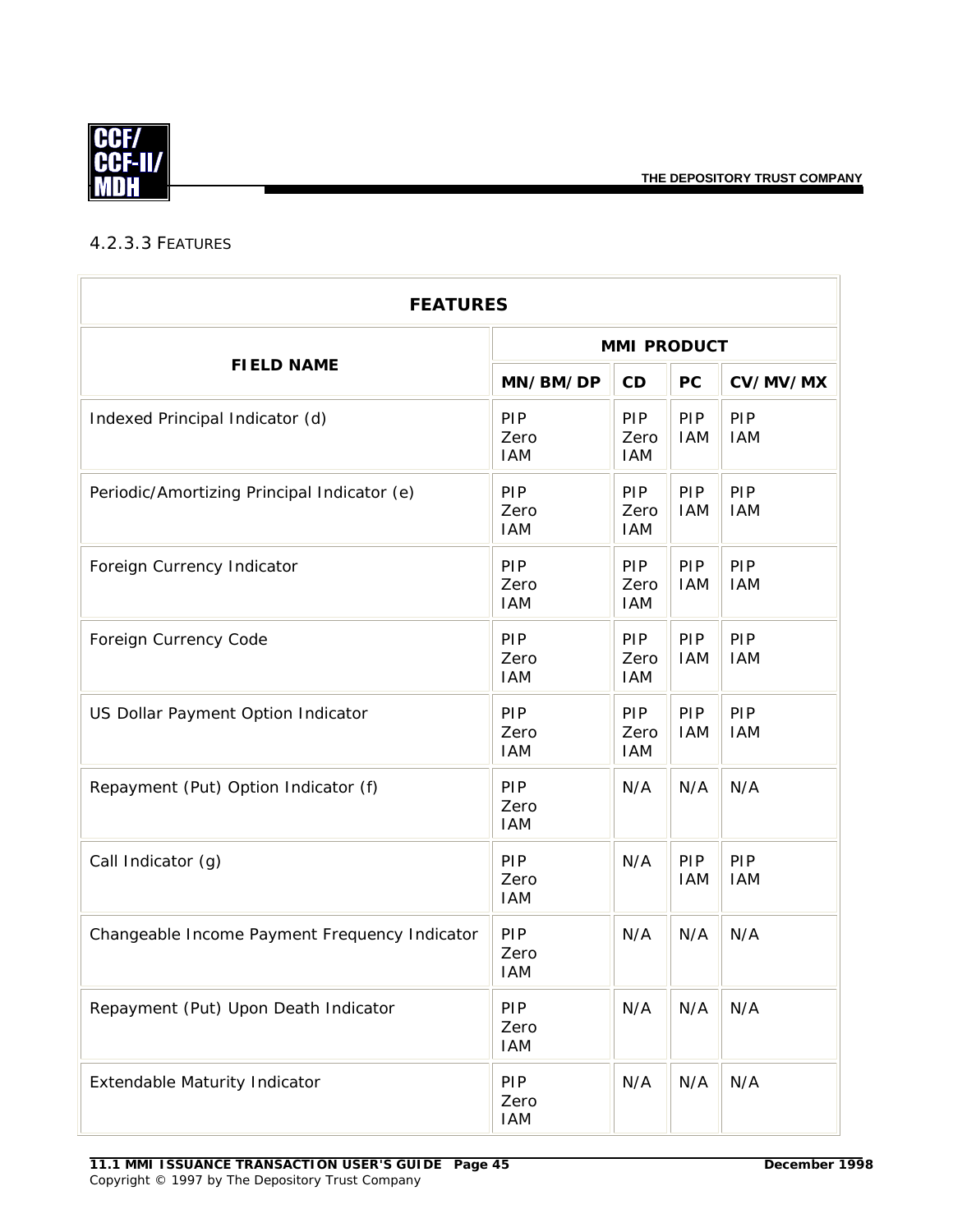

# <span id="page-47-0"></span>4.2.3.3 FEATURES

| <b>FEATURES</b>                               |                                  |                                  |                   |                   |  |  |
|-----------------------------------------------|----------------------------------|----------------------------------|-------------------|-------------------|--|--|
|                                               | <b>MMI PRODUCT</b>               |                                  |                   |                   |  |  |
| <b>FIELD NAME</b>                             | MN/BM/DP                         | CD                               | PC                | CV/MV/MX          |  |  |
| Indexed Principal Indicator (d)               | PIP<br>Zero<br><b>IAM</b>        | PIP<br>Zero<br><b>IAM</b>        | PIP<br><b>IAM</b> | PIP<br><b>IAM</b> |  |  |
| Periodic/Amortizing Principal Indicator (e)   | PIP<br>Zero<br><b>IAM</b>        | PIP<br>Zero<br><b>IAM</b>        | PIP<br><b>IAM</b> | PIP<br><b>IAM</b> |  |  |
| Foreign Currency Indicator                    | PIP<br>Zero<br><b>IAM</b>        | PIP<br>Zero<br><b>IAM</b>        | PIP<br><b>IAM</b> | PIP<br><b>IAM</b> |  |  |
| Foreign Currency Code                         | PIP<br>Zero<br><b>IAM</b>        | PIP<br>Zero<br><b>IAM</b>        | PIP<br><b>IAM</b> | PIP<br><b>IAM</b> |  |  |
| US Dollar Payment Option Indicator            | PIP<br>Zero<br><b>IAM</b>        | <b>PIP</b><br>Zero<br><b>IAM</b> | PIP<br><b>IAM</b> | PIP<br><b>IAM</b> |  |  |
| Repayment (Put) Option Indicator (f)          | PIP<br>Zero<br><b>IAM</b>        | N/A                              | N/A               | N/A               |  |  |
| Call Indicator (g)                            | PIP<br>Zero<br><b>IAM</b>        | N/A                              | PIP<br><b>IAM</b> | PIP<br><b>IAM</b> |  |  |
| Changeable Income Payment Frequency Indicator | PIP<br>Zero<br><b>IAM</b>        | N/A                              | N/A               | N/A               |  |  |
| Repayment (Put) Upon Death Indicator          | PIP<br>Zero<br><b>IAM</b>        | N/A                              | N/A               | N/A               |  |  |
| <b>Extendable Maturity Indicator</b>          | <b>PIP</b><br>Zero<br><b>IAM</b> | N/A                              | N/A               | N/A               |  |  |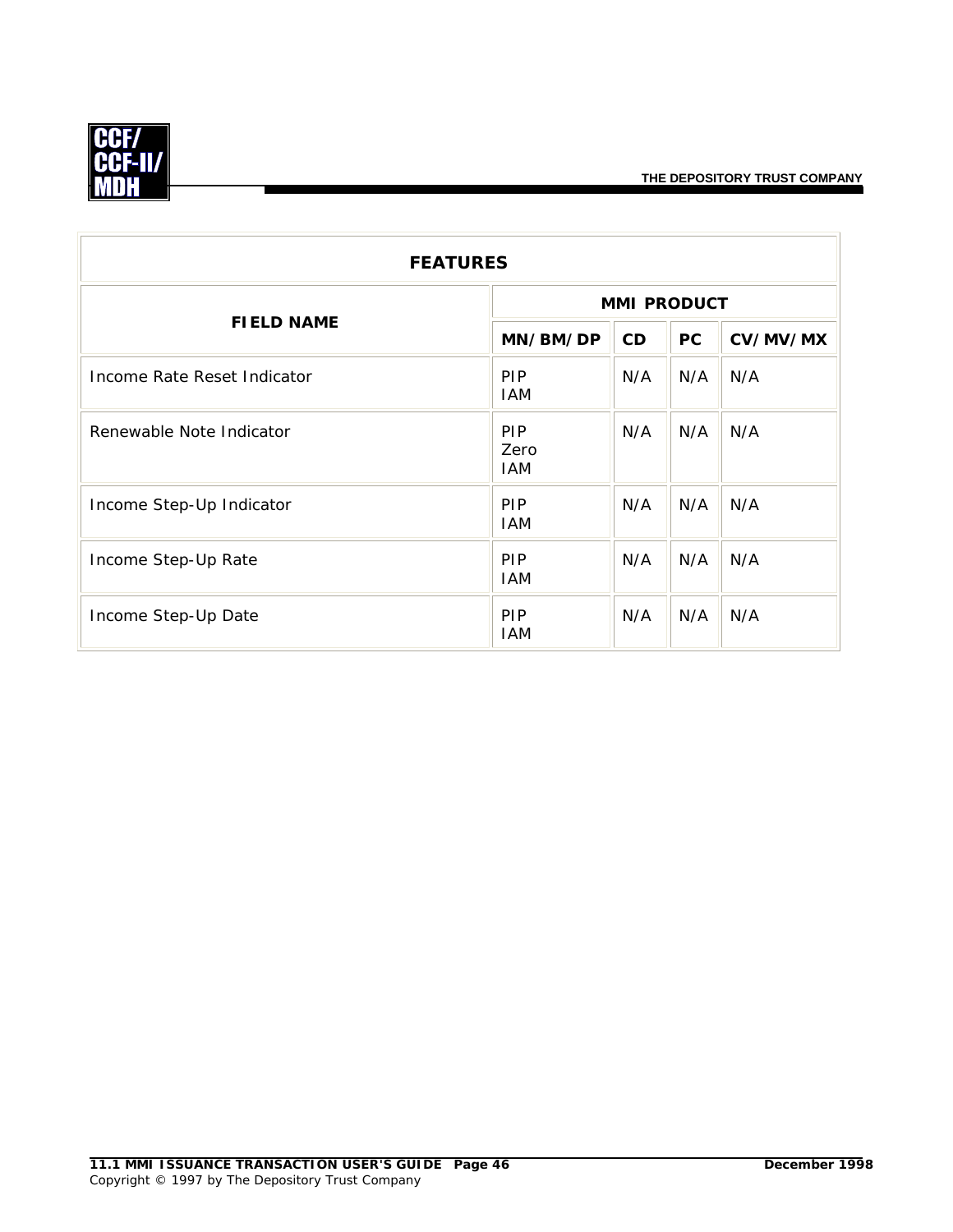

| <b>FEATURES</b>             |                                  |     |           |          |  |
|-----------------------------|----------------------------------|-----|-----------|----------|--|
| <b>FIELD NAME</b>           | <b>MMI PRODUCT</b>               |     |           |          |  |
|                             | MN/BM/DP                         | CD  | <b>PC</b> | CV/MV/MX |  |
| Income Rate Reset Indicator | <b>PIP</b><br><b>IAM</b>         | N/A | N/A       | N/A      |  |
| Renewable Note Indicator    | <b>PIP</b><br>Zero<br><b>IAM</b> | N/A | N/A       | N/A      |  |
| Income Step-Up Indicator    | <b>PIP</b><br><b>IAM</b>         | N/A | N/A       | N/A      |  |
| Income Step-Up Rate         | <b>PIP</b><br><b>IAM</b>         | N/A | N/A       | N/A      |  |
| Income Step-Up Date         | <b>PIP</b><br><b>IAM</b>         | N/A | N/A       | N/A      |  |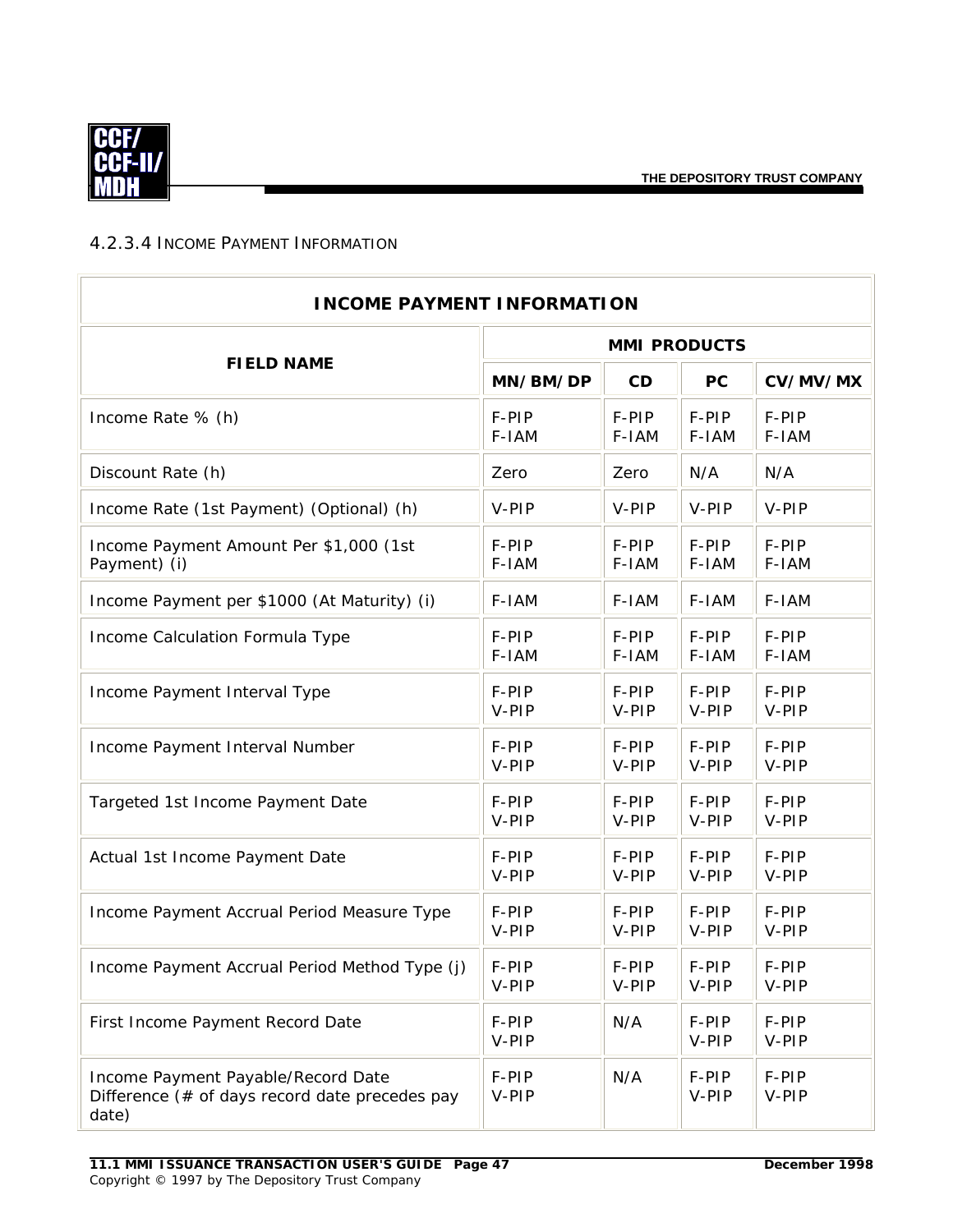$\overline{\mathbf{u}}$ 



Ге

# <span id="page-49-0"></span>4.2.3.4 INCOME PAYMENT INFORMATION

| <b>INCOME PAYMENT INFORMATION</b>                                                                  |                     |       |                |                |  |  |
|----------------------------------------------------------------------------------------------------|---------------------|-------|----------------|----------------|--|--|
|                                                                                                    | <b>MMI PRODUCTS</b> |       |                |                |  |  |
| <b>FIELD NAME</b>                                                                                  | MN/BM/DP            | CD    | PC             | CV/MV/MX       |  |  |
| Income Rate % (h)                                                                                  | F-PIP               | F-PIP | F-PIP          | F-PIP          |  |  |
|                                                                                                    | F-IAM               | F-IAM | F-IAM          | F-IAM          |  |  |
| Discount Rate (h)                                                                                  | Zero                | Zero  | N/A            | N/A            |  |  |
| Income Rate (1st Payment) (Optional) (h)                                                           | V-PIP               | V-PIP | V-PIP          | V-PIP          |  |  |
| Income Payment Amount Per \$1,000 (1st                                                             | F-PIP               | F-PIP | F-PIP          | F-PIP          |  |  |
| Payment) (i)                                                                                       | F-IAM               | F-IAM | F-IAM          | F-IAM          |  |  |
| Income Payment per \$1000 (At Maturity) (i)                                                        | F-IAM               | F-IAM | F-IAM          | F-IAM          |  |  |
| Income Calculation Formula Type                                                                    | F-PIP               | F-PIP | F-PIP          | F-PIP          |  |  |
|                                                                                                    | F-IAM               | F-IAM | F-IAM          | F-IAM          |  |  |
| Income Payment Interval Type                                                                       | F-PIP               | F-PIP | F-PIP          | F-PIP          |  |  |
|                                                                                                    | V-PIP               | V-PIP | V-PIP          | V-PIP          |  |  |
| Income Payment Interval Number                                                                     | F-PIP               | F-PIP | F-PIP          | F-PIP          |  |  |
|                                                                                                    | V-PIP               | V-PIP | V-PIP          | V-PIP          |  |  |
| Targeted 1st Income Payment Date                                                                   | F-PIP               | F-PIP | F-PIP          | F-PIP          |  |  |
|                                                                                                    | V-PIP               | V-PIP | V-PIP          | V-PIP          |  |  |
| Actual 1st Income Payment Date                                                                     | F-PIP               | F-PIP | F-PIP          | F-PIP          |  |  |
|                                                                                                    | V-PIP               | V-PIP | V-PIP          | V-PIP          |  |  |
| Income Payment Accrual Period Measure Type                                                         | F-PIP               | F-PIP | F-PIP          | F-PIP          |  |  |
|                                                                                                    | V-PIP               | V-PIP | V-PIP          | V-PIP          |  |  |
| Income Payment Accrual Period Method Type (j)                                                      | F-PIP               | F-PIP | F-PIP          | F-PIP          |  |  |
|                                                                                                    | V-PIP               | V-PIP | V-PIP          | V-PIP          |  |  |
| First Income Payment Record Date                                                                   | F-PIP<br>V-PIP      | N/A   | F-PIP<br>V-PIP | F-PIP<br>V-PIP |  |  |
| Income Payment Payable/Record Date<br>Difference $($ $#$ of days record date precedes pay<br>date) | F-PIP<br>V-PIP      | N/A   | F-PIP<br>V-PIP | F-PIP<br>V-PIP |  |  |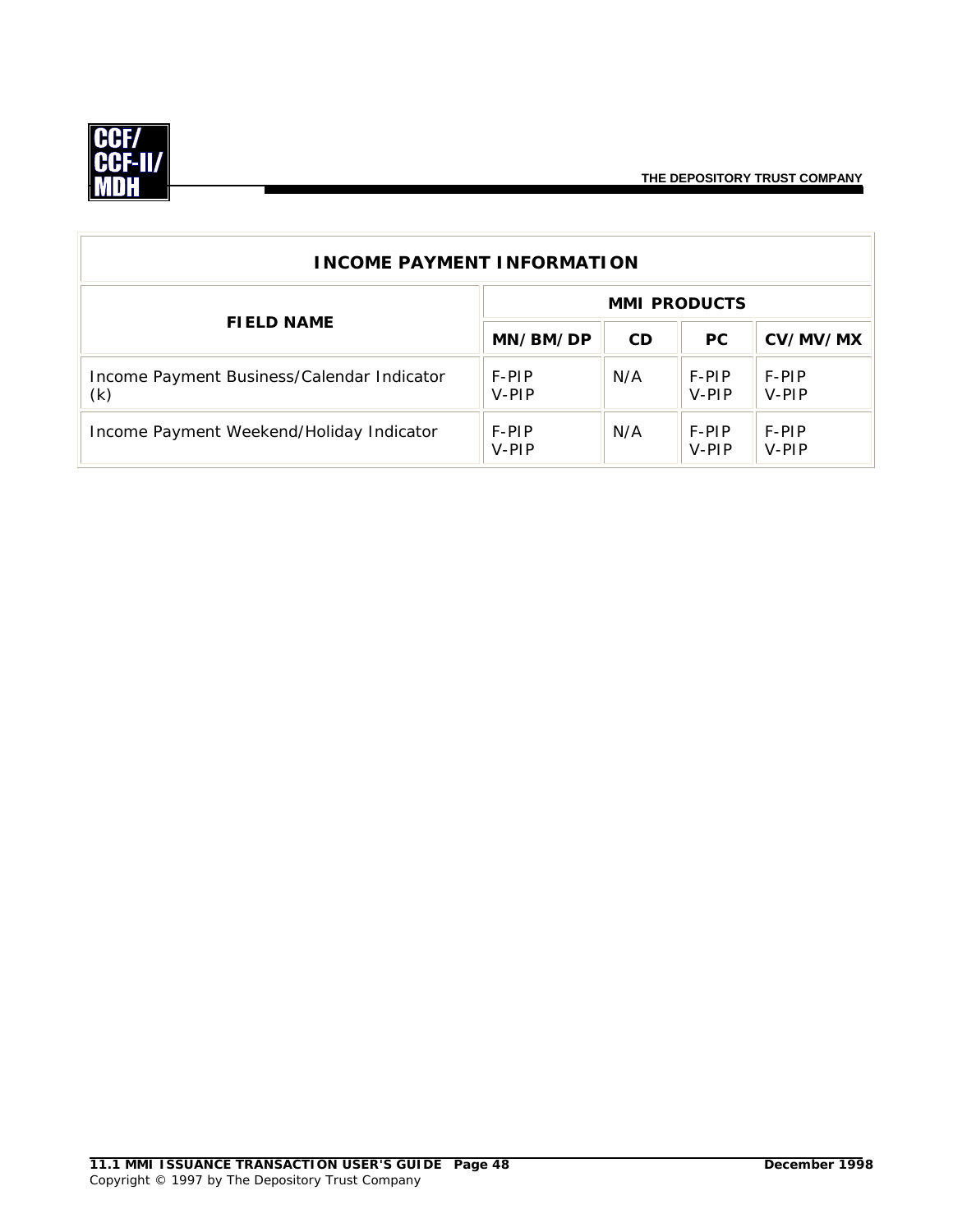

| <b>INCOME PAYMENT INFORMATION</b>                 |                     |           |                  |                |  |  |
|---------------------------------------------------|---------------------|-----------|------------------|----------------|--|--|
| <b>FIELD NAME</b>                                 | <b>MMI PRODUCTS</b> |           |                  |                |  |  |
|                                                   | MN/BM/DP            | <b>CD</b> | <b>PC</b>        | CV/MV/MX       |  |  |
| Income Payment Business/Calendar Indicator<br>(k) | F-PIP<br>V-PIP      | N/A       | F-PIP<br>$V-PIP$ | F-PIP<br>V-PIP |  |  |
| Income Payment Weekend/Holiday Indicator          | F-PIP<br>V-PIP      | N/A       | F-PIP<br>V-PIP   | F-PIP<br>V-PIP |  |  |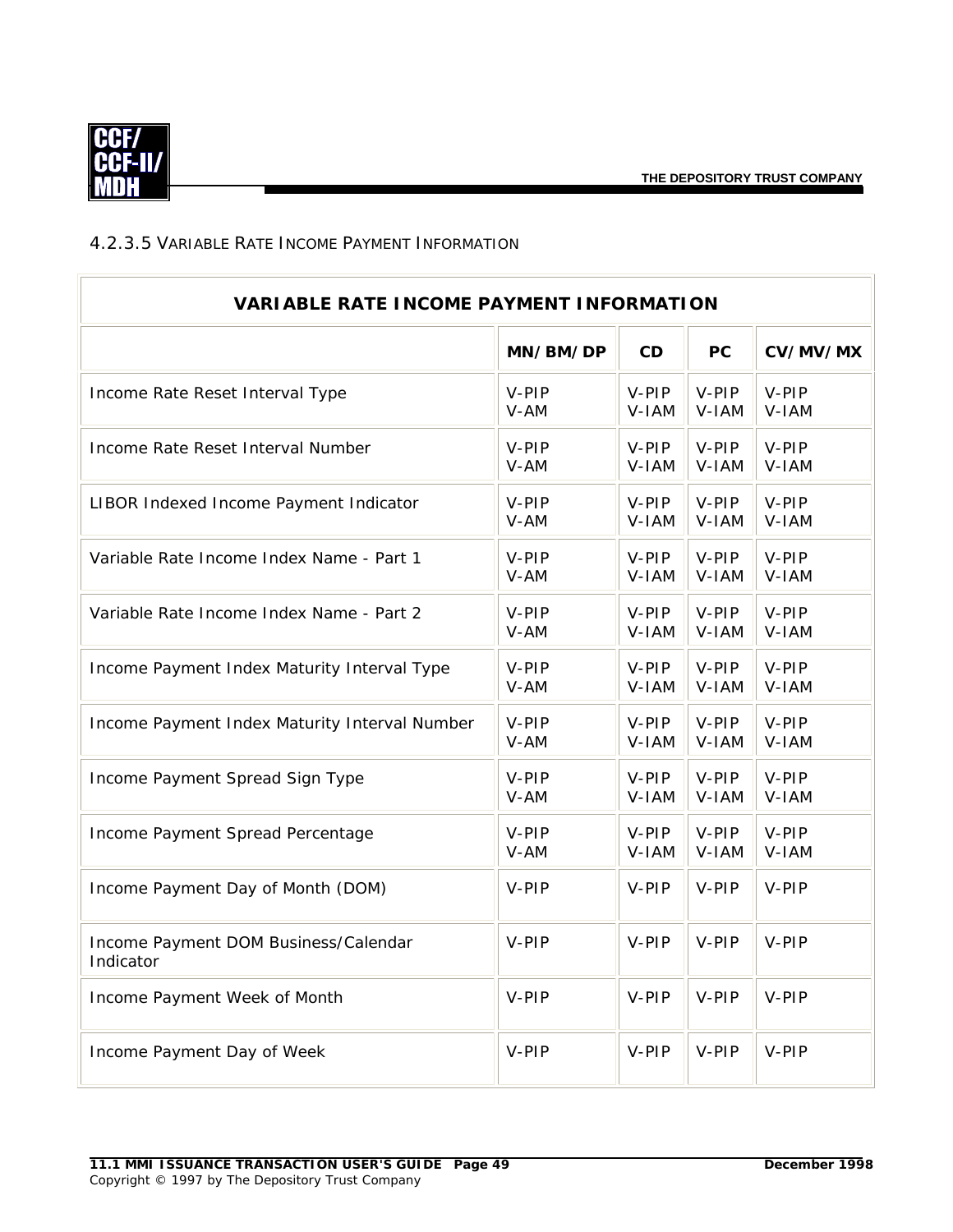

## <span id="page-51-0"></span>4.2.3.5 VARIABLE RATE INCOME PAYMENT INFORMATION

| <b>VARIABLE RATE INCOME PAYMENT INFORMATION</b>   |          |           |           |          |  |
|---------------------------------------------------|----------|-----------|-----------|----------|--|
|                                                   | MN/BM/DP | <b>CD</b> | <b>PC</b> | CV/MV/MX |  |
| Income Rate Reset Interval Type                   | V-PIP    | V-PIP     | $V-PIP$   | V-PIP    |  |
|                                                   | V-AM     | V-IAM     | V-IAM     | V-IAM    |  |
| Income Rate Reset Interval Number                 | V-PIP    | $V-PIP$   | $V-PIP$   | V-PIP    |  |
|                                                   | V-AM     | V-IAM     | V-IAM     | V-IAM    |  |
| LIBOR Indexed Income Payment Indicator            | V-PIP    | V-PIP     | $V-PIP$   | V-PIP    |  |
|                                                   | V-AM     | V-IAM     | V-IAM     | V-IAM    |  |
| Variable Rate Income Index Name - Part 1          | V-PIP    | V-PIP     | V-PIP     | V-PIP    |  |
|                                                   | V-AM     | V-IAM     | V-IAM     | V-IAM    |  |
| Variable Rate Income Index Name - Part 2          | V-PIP    | V-PIP     | V-PIP     | V-PIP    |  |
|                                                   | V-AM     | V-IAM     | V-IAM     | V-IAM    |  |
| Income Payment Index Maturity Interval Type       | V-PIP    | V-PIP     | V-PIP     | V-PIP    |  |
|                                                   | V-AM     | V-IAM     | V-IAM     | V-IAM    |  |
| Income Payment Index Maturity Interval Number     | V-PIP    | V-PIP     | V-PIP     | V-PIP    |  |
|                                                   | V-AM     | V-IAM     | V-IAM     | V-IAM    |  |
| Income Payment Spread Sign Type                   | V-PIP    | V-PIP     | V-PIP     | V-PIP    |  |
|                                                   | V-AM     | V-IAM     | V-IAM     | V-IAM    |  |
| Income Payment Spread Percentage                  | V-PIP    | V-PIP     | V-PIP     | V-PIP    |  |
|                                                   | V-AM     | V-IAM     | V-IAM     | V-IAM    |  |
| Income Payment Day of Month (DOM)                 | V-PIP    | V-PIP     | V-PIP     | V-PIP    |  |
| Income Payment DOM Business/Calendar<br>Indicator | V-PIP    | V-PIP     | V-PIP     | V-PIP    |  |
| Income Payment Week of Month                      | V-PIP    | V-PIP     | V-PIP     | V-PIP    |  |
| Income Payment Day of Week                        | V-PIP    | V-PIP     | V-PIP     | V-PIP    |  |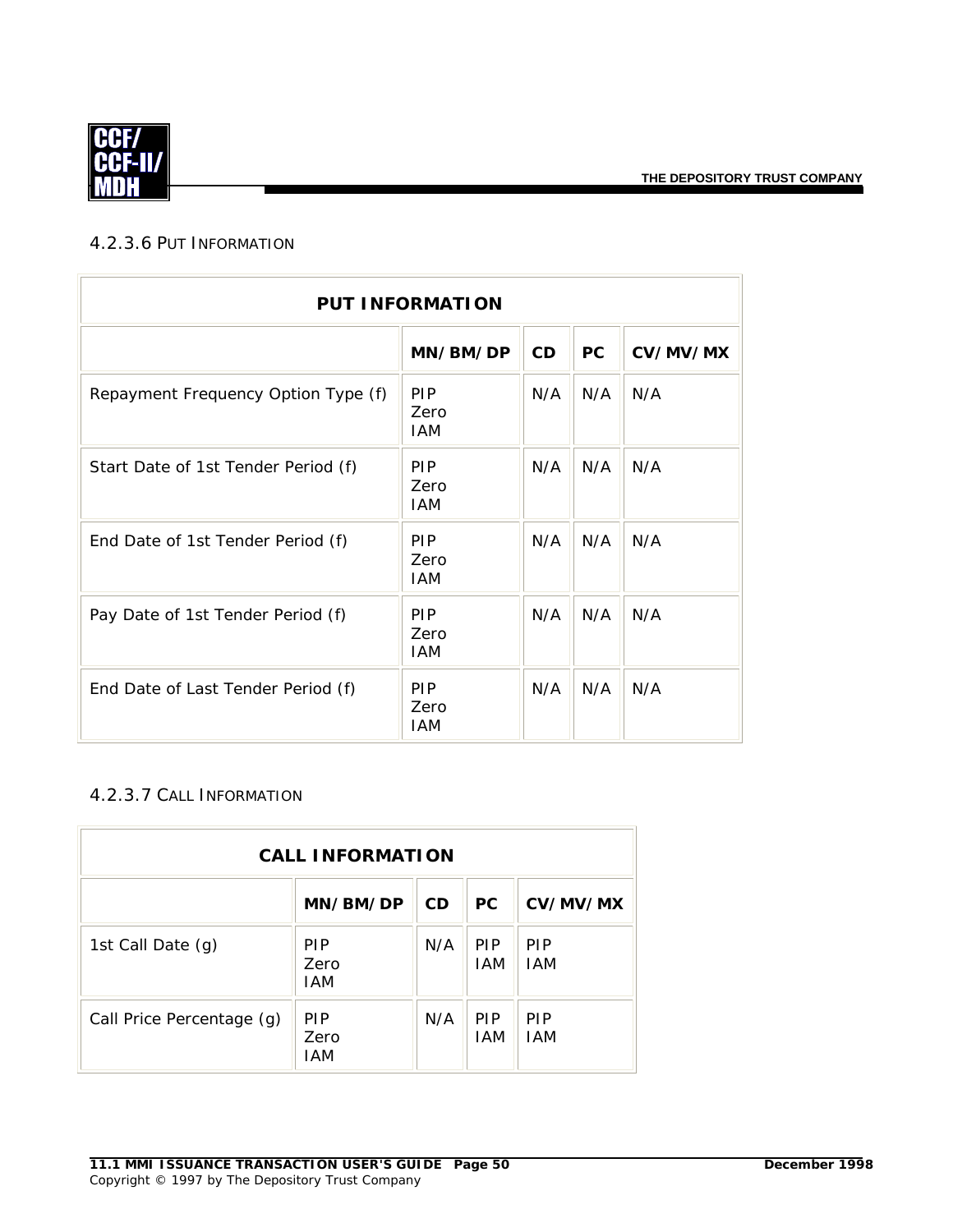

#### <span id="page-52-0"></span>4.2.3.6 PUT INFORMATION

| <b>PUT INFORMATION</b>              |                                  |     |           |          |
|-------------------------------------|----------------------------------|-----|-----------|----------|
|                                     | MN/BM/DP                         | CD  | <b>PC</b> | CV/MV/MX |
| Repayment Frequency Option Type (f) | <b>PIP</b><br>Zero<br><b>IAM</b> | N/A | N/A       | N/A      |
| Start Date of 1st Tender Period (f) | <b>PIP</b><br>Zero<br><b>IAM</b> | N/A | N/A       | N/A      |
| End Date of 1st Tender Period (f)   | <b>PIP</b><br>Zero<br>IAM        | N/A | N/A       | N/A      |
| Pay Date of 1st Tender Period (f)   | <b>PIP</b><br>Zero<br>IAM        | N/A | N/A       | N/A      |
| End Date of Last Tender Period (f)  | <b>PIP</b><br>Zero<br><b>IAM</b> | N/A | N/A       | N/A      |

#### <span id="page-52-1"></span>4.2.3.7 CALL INFORMATION

| <b>CALL INFORMATION</b>   |                                  |           |                          |                          |
|---------------------------|----------------------------------|-----------|--------------------------|--------------------------|
|                           | MN/BM/DP                         | <b>CD</b> | <b>PC</b>                | CV/MV/MX                 |
| 1st Call Date (g)         | <b>PIP</b><br>Zero<br><b>IAM</b> | N/A       | <b>PIP</b><br><b>IAM</b> | <b>PIP</b><br><b>IAM</b> |
| Call Price Percentage (g) | <b>PIP</b><br>Zero<br><b>IAM</b> | N/A       | <b>PIP</b><br><b>IAM</b> | <b>PIP</b><br><b>IAM</b> |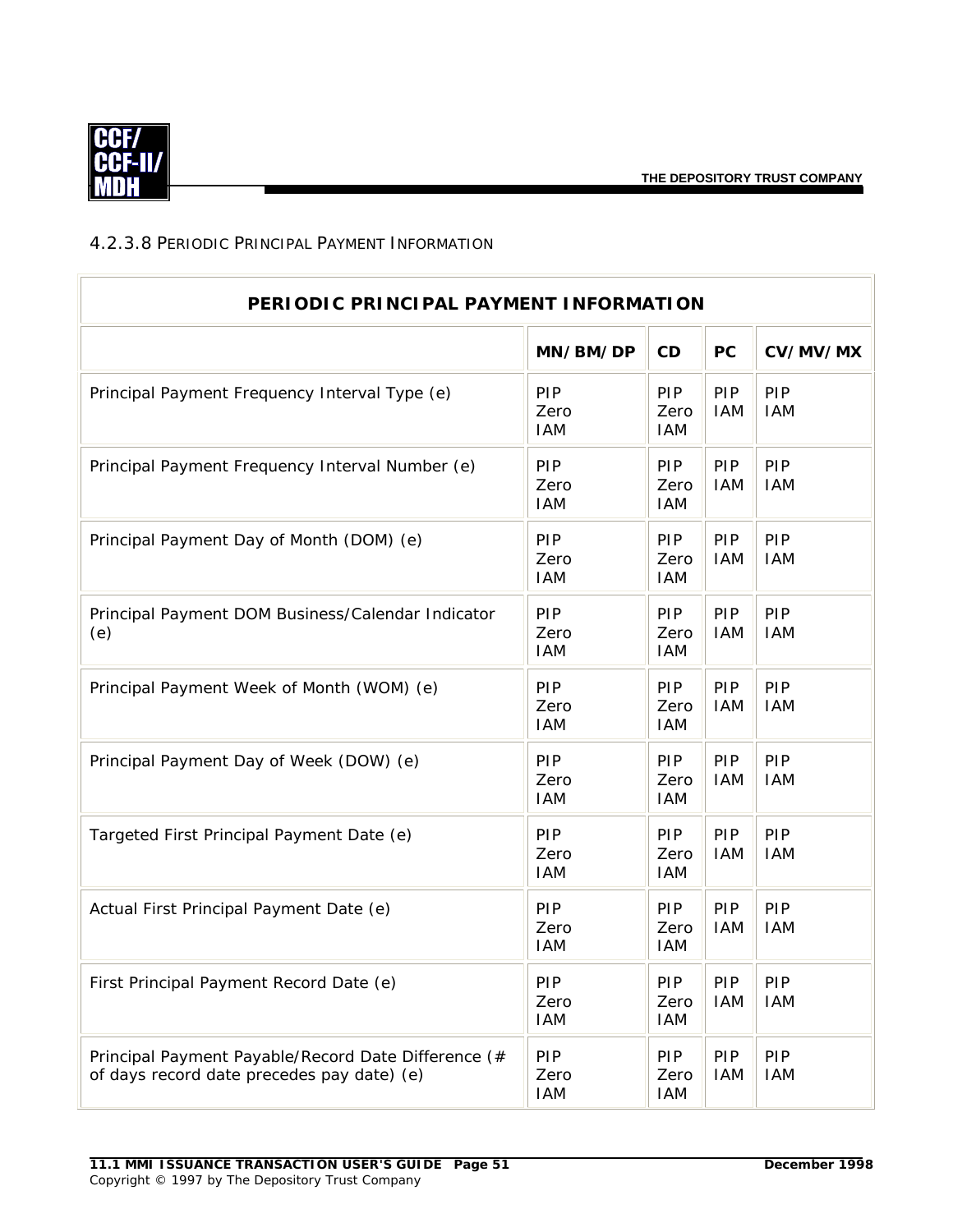

## <span id="page-53-0"></span>4.2.3.8 PERIODIC PRINCIPAL PAYMENT INFORMATION

| PERIODIC PRINCIPAL PAYMENT INFORMATION                                                            |                                  |                                  |                   |                   |  |
|---------------------------------------------------------------------------------------------------|----------------------------------|----------------------------------|-------------------|-------------------|--|
|                                                                                                   | MN/BM/DP                         | CD                               | <b>PC</b>         | CV/MV/MX          |  |
| Principal Payment Frequency Interval Type (e)                                                     | <b>PIP</b><br>Zero<br><b>IAM</b> | PIP<br>Zero<br><b>IAM</b>        | PIP<br><b>IAM</b> | PIP<br><b>IAM</b> |  |
| Principal Payment Frequency Interval Number (e)                                                   | PIP<br>Zero<br><b>IAM</b>        | PIP<br>Zero<br><b>IAM</b>        | PIP<br><b>IAM</b> | PIP<br><b>IAM</b> |  |
| Principal Payment Day of Month (DOM) (e)                                                          | PIP<br>Zero<br><b>IAM</b>        | PIP<br>Zero<br><b>IAM</b>        | PIP<br><b>IAM</b> | PIP<br><b>IAM</b> |  |
| Principal Payment DOM Business/Calendar Indicator<br>(e)                                          | PIP<br>Zero<br><b>IAM</b>        | PIP<br>Zero<br><b>IAM</b>        | PIP<br><b>IAM</b> | PIP<br><b>IAM</b> |  |
| Principal Payment Week of Month (WOM) (e)                                                         | PIP<br>Zero<br><b>IAM</b>        | PIP<br>Zero<br><b>IAM</b>        | PIP<br><b>IAM</b> | PIP<br><b>IAM</b> |  |
| Principal Payment Day of Week (DOW) (e)                                                           | <b>PIP</b><br>Zero<br><b>IAM</b> | PIP<br>Zero<br><b>IAM</b>        | PIP<br><b>IAM</b> | PIP<br><b>IAM</b> |  |
| Targeted First Principal Payment Date (e)                                                         | PIP<br>Zero<br><b>IAM</b>        | PIP<br>Zero<br><b>IAM</b>        | PIP<br><b>IAM</b> | PIP<br><b>IAM</b> |  |
| Actual First Principal Payment Date (e)                                                           | PIP<br>Zero<br><b>IAM</b>        | PIP<br>Zero<br><b>IAM</b>        | PIP<br><b>IAM</b> | PIP<br><b>IAM</b> |  |
| First Principal Payment Record Date (e)                                                           | PIP<br>Zero<br><b>IAM</b>        | PIP<br>Zero<br><b>IAM</b>        | PIP<br><b>IAM</b> | PIP<br><b>IAM</b> |  |
| Principal Payment Payable/Record Date Difference (#<br>of days record date precedes pay date) (e) | <b>PIP</b><br>Zero<br>IAM        | <b>PIP</b><br>Zero<br><b>IAM</b> | PIP<br><b>IAM</b> | PIP<br><b>IAM</b> |  |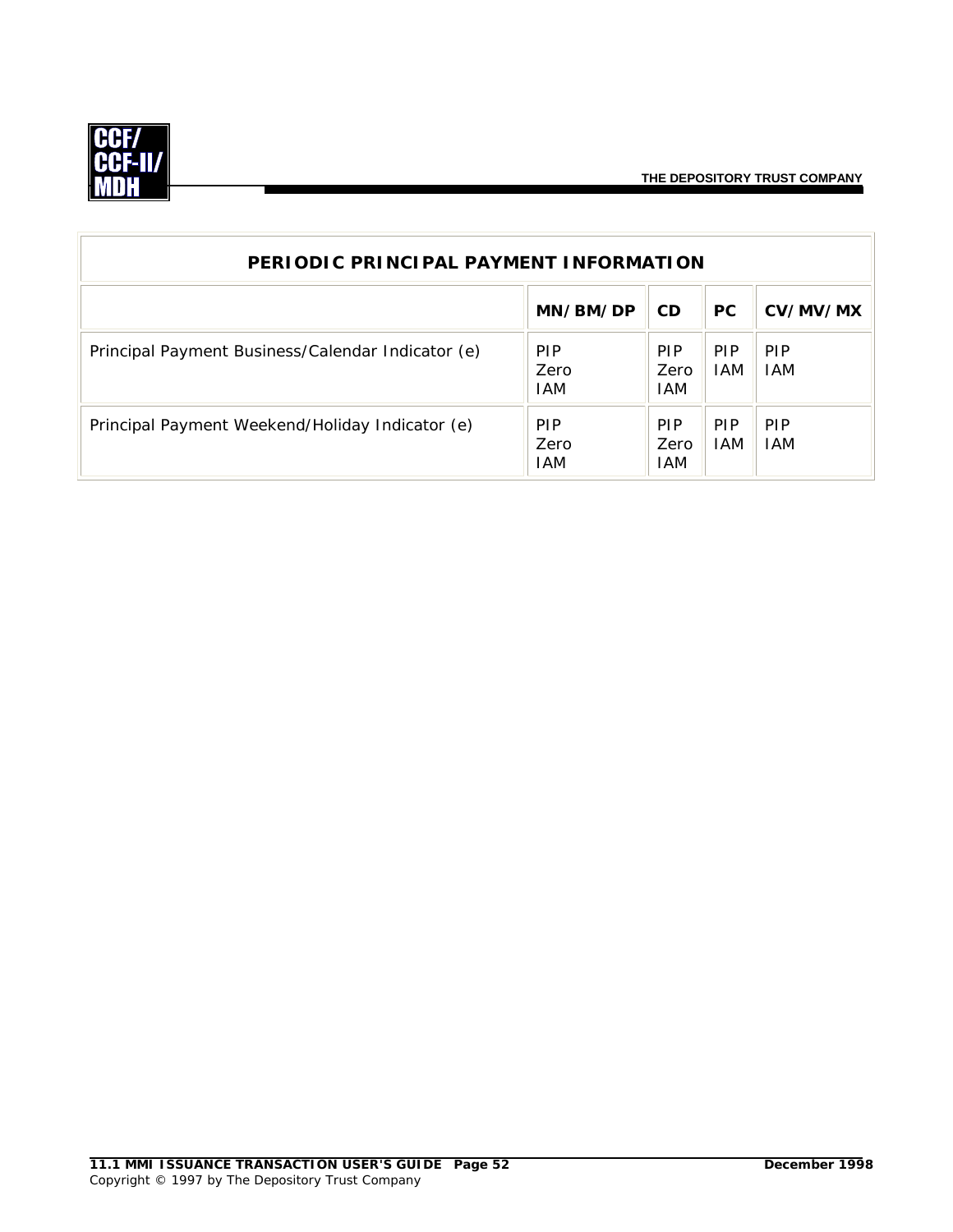

| PERIODIC PRINCIPAL PAYMENT INFORMATION            |                                  |                                  |                    |                          |
|---------------------------------------------------|----------------------------------|----------------------------------|--------------------|--------------------------|
|                                                   | MN/BM/DP                         | <b>CD</b>                        | <b>PC</b>          | CV/MV/MX                 |
| Principal Payment Business/Calendar Indicator (e) | <b>PIP</b><br>Zero<br>IAM        | <b>PIP</b><br>Zero<br><b>IAM</b> | <b>PIP</b><br>IAM. | <b>PIP</b><br><b>IAM</b> |
| Principal Payment Weekend/Holiday Indicator (e)   | <b>PIP</b><br>Zero<br><b>IAM</b> | <b>PIP</b><br>Zero<br>IAM        | <b>PIP</b><br>IAM. | <b>PIP</b><br><b>IAM</b> |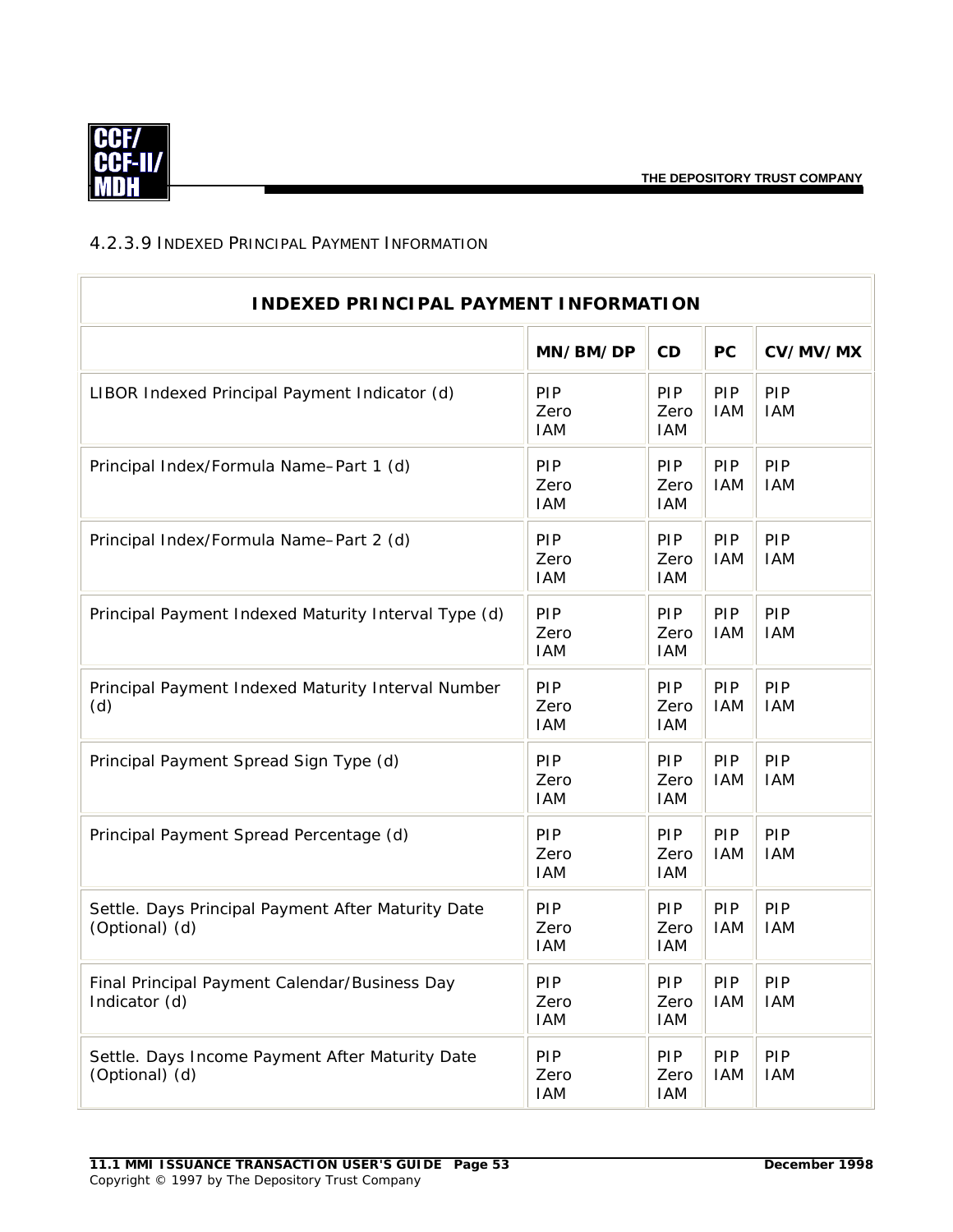

#### <span id="page-55-0"></span>4.2.3.9 INDEXED PRINCIPAL PAYMENT INFORMATION

| <b>INDEXED PRINCIPAL PAYMENT INFORMATION</b>                         |                                  |                           |                   |                   |  |
|----------------------------------------------------------------------|----------------------------------|---------------------------|-------------------|-------------------|--|
|                                                                      | MN/BM/DP                         | CD                        | <b>PC</b>         | CV/MV/MX          |  |
| LIBOR Indexed Principal Payment Indicator (d)                        | PIP<br>Zero<br><b>IAM</b>        | PIP<br>Zero<br><b>IAM</b> | PIP<br><b>IAM</b> | PIP<br><b>IAM</b> |  |
| Principal Index/Formula Name-Part 1 (d)                              | PIP<br>Zero<br><b>IAM</b>        | PIP<br>Zero<br><b>IAM</b> | PIP<br><b>IAM</b> | PIP<br><b>IAM</b> |  |
| Principal Index/Formula Name-Part 2 (d)                              | PIP<br>Zero<br><b>IAM</b>        | PIP<br>Zero<br><b>IAM</b> | PIP<br><b>IAM</b> | PIP<br><b>IAM</b> |  |
| Principal Payment Indexed Maturity Interval Type (d)                 | PIP<br>Zero<br><b>IAM</b>        | PIP<br>Zero<br><b>IAM</b> | PIP<br><b>IAM</b> | PIP<br><b>IAM</b> |  |
| Principal Payment Indexed Maturity Interval Number<br>(d)            | PIP<br>Zero<br><b>IAM</b>        | PIP<br>Zero<br><b>IAM</b> | PIP<br><b>IAM</b> | PIP<br><b>IAM</b> |  |
| Principal Payment Spread Sign Type (d)                               | PIP<br>Zero<br><b>IAM</b>        | PIP<br>Zero<br><b>IAM</b> | PIP<br><b>IAM</b> | PIP<br><b>IAM</b> |  |
| Principal Payment Spread Percentage (d)                              | <b>PIP</b><br>Zero<br><b>IAM</b> | PIP<br>Zero<br><b>IAM</b> | PIP<br><b>IAM</b> | PIP<br><b>IAM</b> |  |
| Settle. Days Principal Payment After Maturity Date<br>(Optional) (d) | <b>PIP</b><br>Zero<br><b>IAM</b> | PIP<br>Zero<br><b>IAM</b> | PIP<br><b>IAM</b> | PIP<br><b>IAM</b> |  |
| Final Principal Payment Calendar/Business Day<br>Indicator (d)       | PIP<br>Zero<br>IAM               | PIP<br>Zero<br><b>IAM</b> | PIP<br><b>IAM</b> | PIP<br><b>IAM</b> |  |
| Settle. Days Income Payment After Maturity Date<br>(Optional) (d)    | <b>PIP</b><br>Zero<br><b>IAM</b> | PIP<br>Zero<br><b>IAM</b> | PIP<br><b>IAM</b> | PIP<br><b>IAM</b> |  |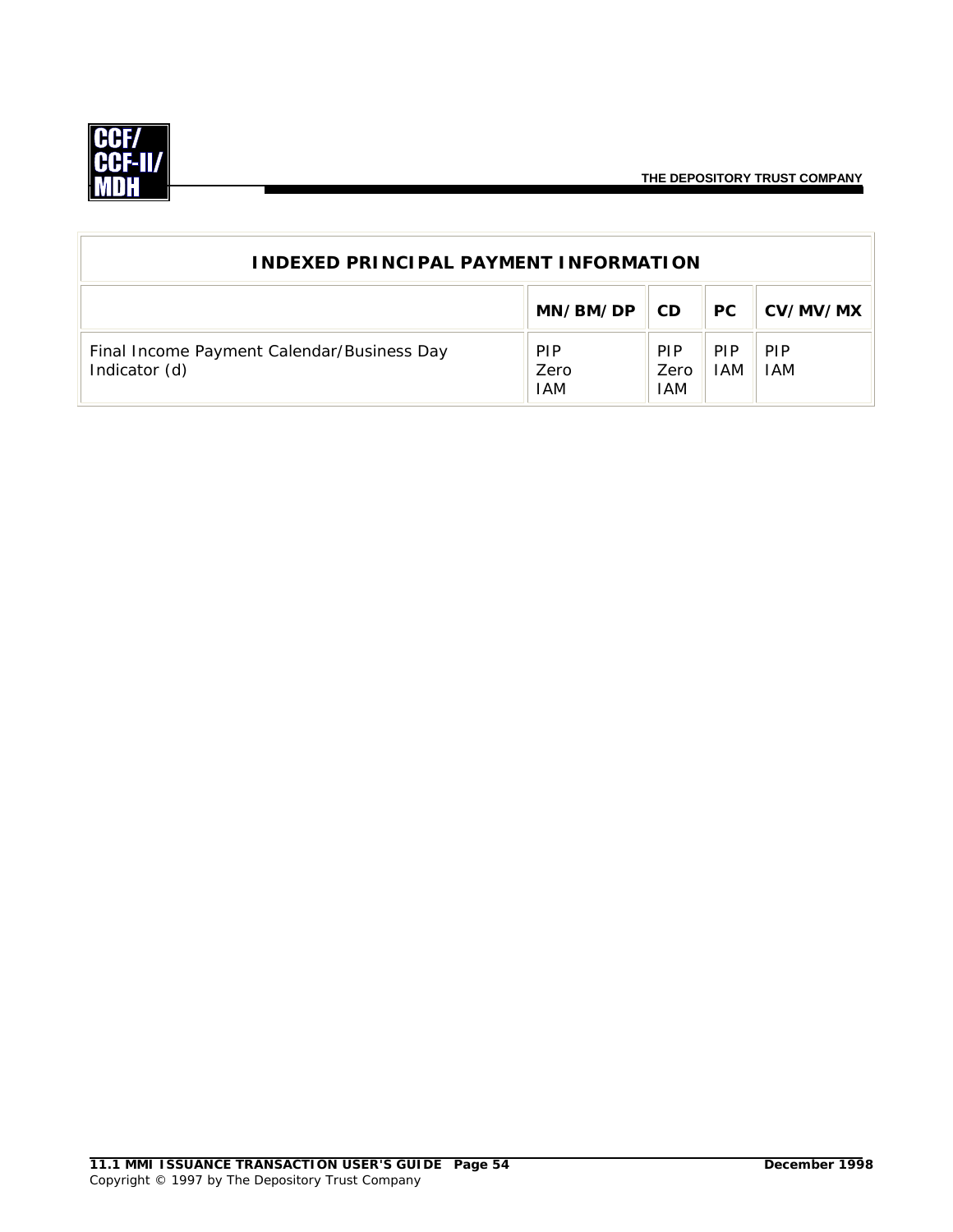

| <b>INDEXED PRINCIPAL PAYMENT INFORMATION</b>                |                                  |                           |                          |                          |
|-------------------------------------------------------------|----------------------------------|---------------------------|--------------------------|--------------------------|
|                                                             | MN/BM/DP                         | CD.                       | PC.                      | CV/MV/MX                 |
| Final Income Payment Calendar/Business Day<br>Indicator (d) | <b>PIP</b><br>Zero<br><b>IAM</b> | <b>PIP</b><br>Zero<br>IAM | <b>PIP</b><br><b>IAM</b> | <b>PIP</b><br><b>IAM</b> |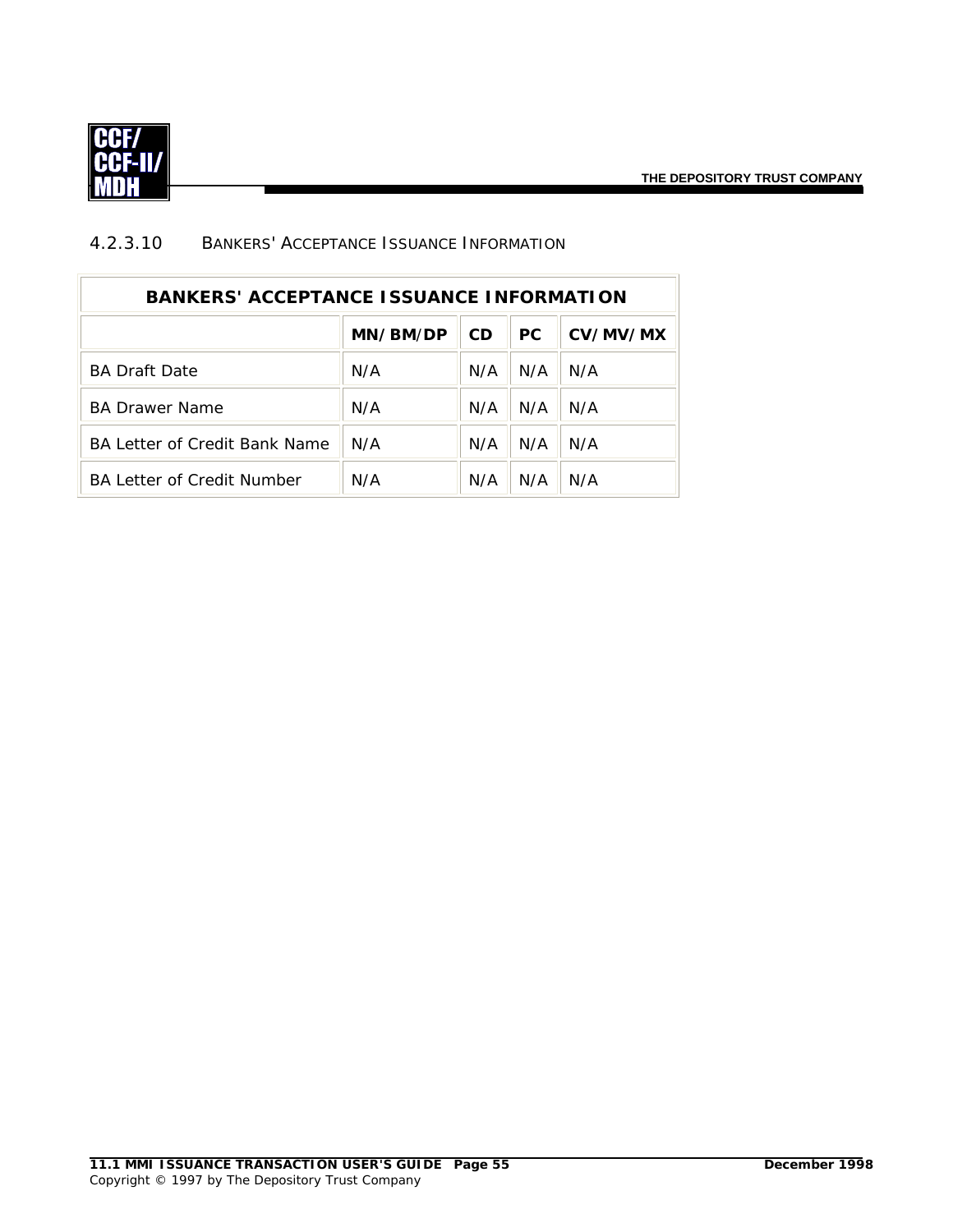

#### 4.2.3.10 BANKERS' ACCEPTANCE ISSUANCE INFORMATION

| <b>BANKERS' ACCEPTANCE ISSUANCE INFORMATION</b> |          |           |     |          |  |
|-------------------------------------------------|----------|-----------|-----|----------|--|
|                                                 | MN/BM/DP | <b>CD</b> | PC. | CV/MV/MX |  |
| <b>BA Draft Date</b>                            | N/A      | N/A       | N/A | N/A      |  |
| <b>BA Drawer Name</b>                           | N/A      | N/A       | N/A | N/A      |  |
| BA Letter of Credit Bank Name                   | N/A      | N/A       | N/A | N/A      |  |
| <b>BA Letter of Credit Number</b>               | N/A      | N/A       | N/A | N/A      |  |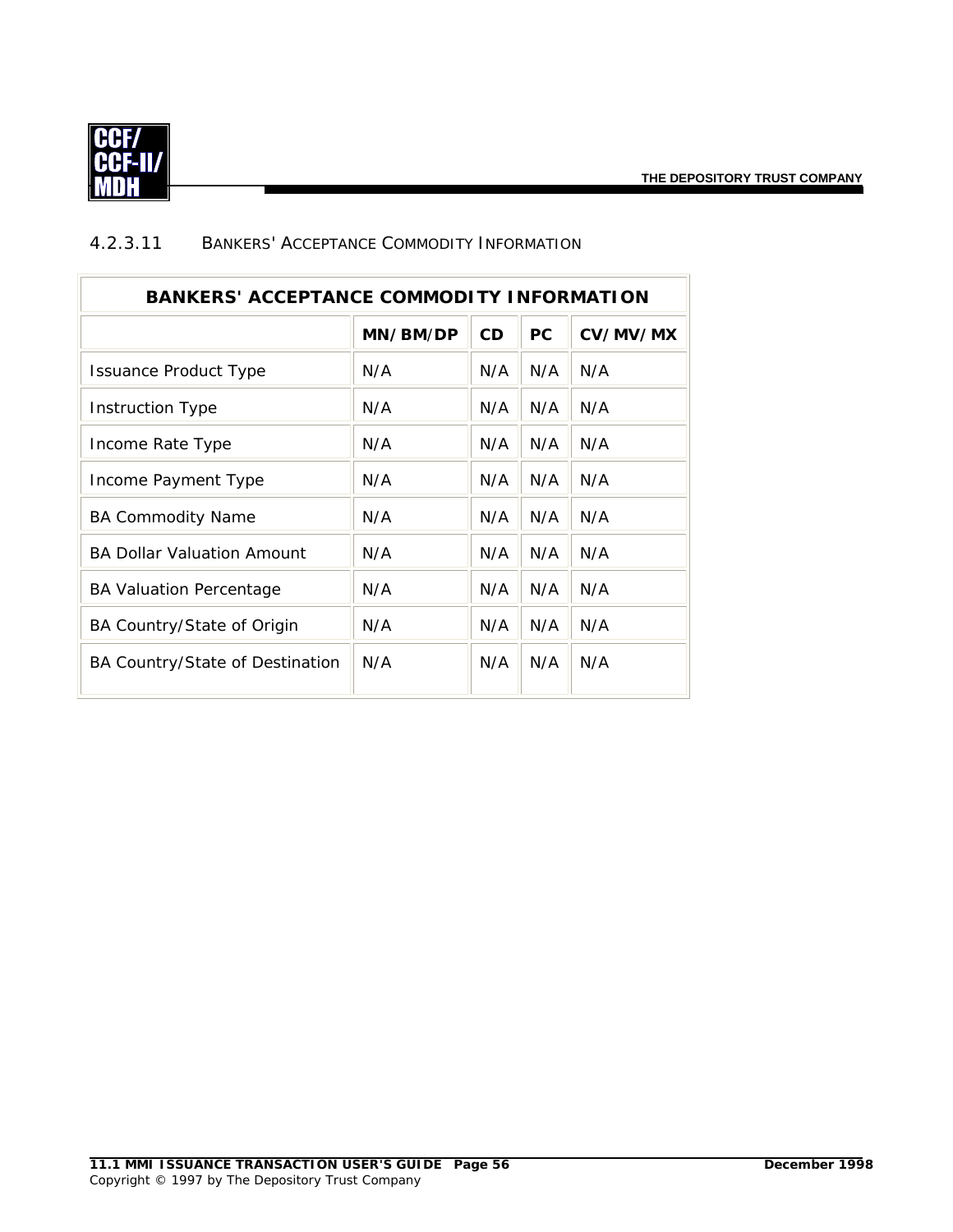

| <b>BANKERS' ACCEPTANCE COMMODITY INFORMATION</b> |          |           |           |          |  |
|--------------------------------------------------|----------|-----------|-----------|----------|--|
|                                                  | MN/BM/DP | <b>CD</b> | <b>PC</b> | CV/MV/MX |  |
| <b>Issuance Product Type</b>                     | N/A      | N/A       | N/A       | N/A      |  |
| <b>Instruction Type</b>                          | N/A      | N/A       | N/A       | N/A      |  |
| Income Rate Type                                 | N/A      | N/A       | N/A       | N/A      |  |
| Income Payment Type                              | N/A      | N/A       | N/A       | N/A      |  |
| <b>BA Commodity Name</b>                         | N/A      | N/A       | N/A       | N/A      |  |
| <b>BA Dollar Valuation Amount</b>                | N/A      | N/A       | N/A       | N/A      |  |
| <b>BA Valuation Percentage</b>                   | N/A      | N/A       | N/A       | N/A      |  |
| BA Country/State of Origin                       | N/A      | N/A       | N/A       | N/A      |  |
| BA Country/State of Destination                  | N/A      | N/A       | N/A       | N/A      |  |

#### 4.2.3.11 BANKERS' ACCEPTANCE COMMODITY INFORMATION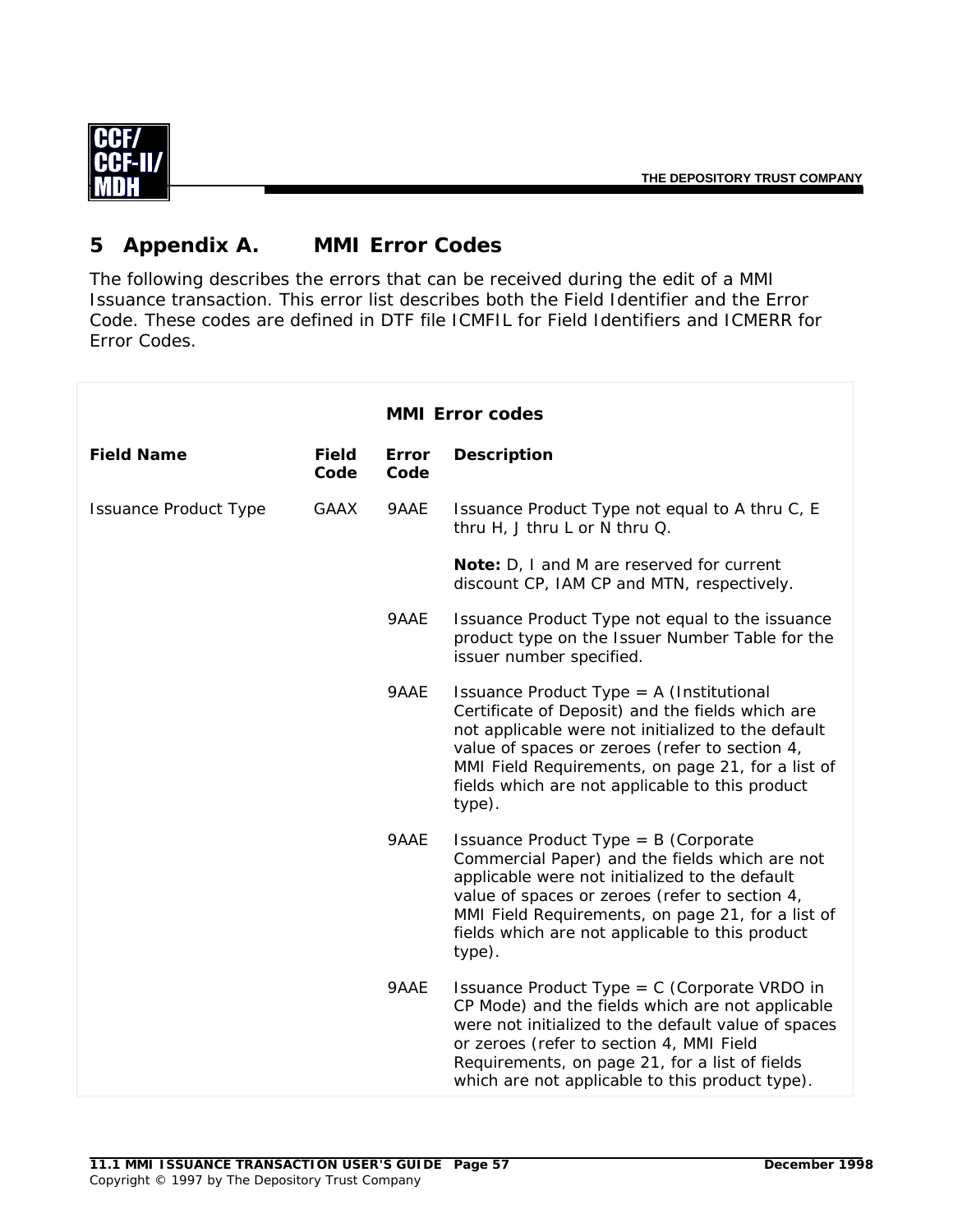

# **5 Appendix A. MMI Error Codes**

The following describes the errors that can be received during the edit of a MMI Issuance transaction. This error list describes both the Field Identifier and the Error Code. These codes are defined in DTF file ICMFIL for Field Identifiers and ICMERR for Error Codes.

|                              |                      |               | <b>MMI Error codes</b>                                                                                                                                                                                                                                                                                                 |
|------------------------------|----------------------|---------------|------------------------------------------------------------------------------------------------------------------------------------------------------------------------------------------------------------------------------------------------------------------------------------------------------------------------|
| <b>Field Name</b>            | <b>Field</b><br>Code | Error<br>Code | <b>Description</b>                                                                                                                                                                                                                                                                                                     |
| <b>Issuance Product Type</b> | <b>GAAX</b>          | 9AAE          | Issuance Product Type not equal to A thru C, E<br>thru H, J thru L or N thru Q.                                                                                                                                                                                                                                        |
|                              |                      |               | Note: D, I and M are reserved for current<br>discount CP, IAM CP and MTN, respectively.                                                                                                                                                                                                                                |
|                              |                      | 9AAE          | Issuance Product Type not equal to the issuance<br>product type on the Issuer Number Table for the<br>issuer number specified.                                                                                                                                                                                         |
|                              |                      | 9AAE          | Issuance Product Type = A (Institutional<br>Certificate of Deposit) and the fields which are<br>not applicable were not initialized to the default<br>value of spaces or zeroes (refer to section 4,<br>MMI Field Requirements, on page 21, for a list of<br>fields which are not applicable to this product<br>type). |
|                              |                      | 9AAE          | Issuance Product Type = $B$ (Corporate<br>Commercial Paper) and the fields which are not<br>applicable were not initialized to the default<br>value of spaces or zeroes (refer to section 4,<br>MMI Field Requirements, on page 21, for a list of<br>fields which are not applicable to this product<br>type).         |
|                              |                      | 9AAE          | Issuance Product Type = $C$ (Corporate VRDO in<br>CP Mode) and the fields which are not applicable<br>were not initialized to the default value of spaces<br>or zeroes (refer to section 4, MMI Field<br>Requirements, on page 21, for a list of fields<br>which are not applicable to this product type).             |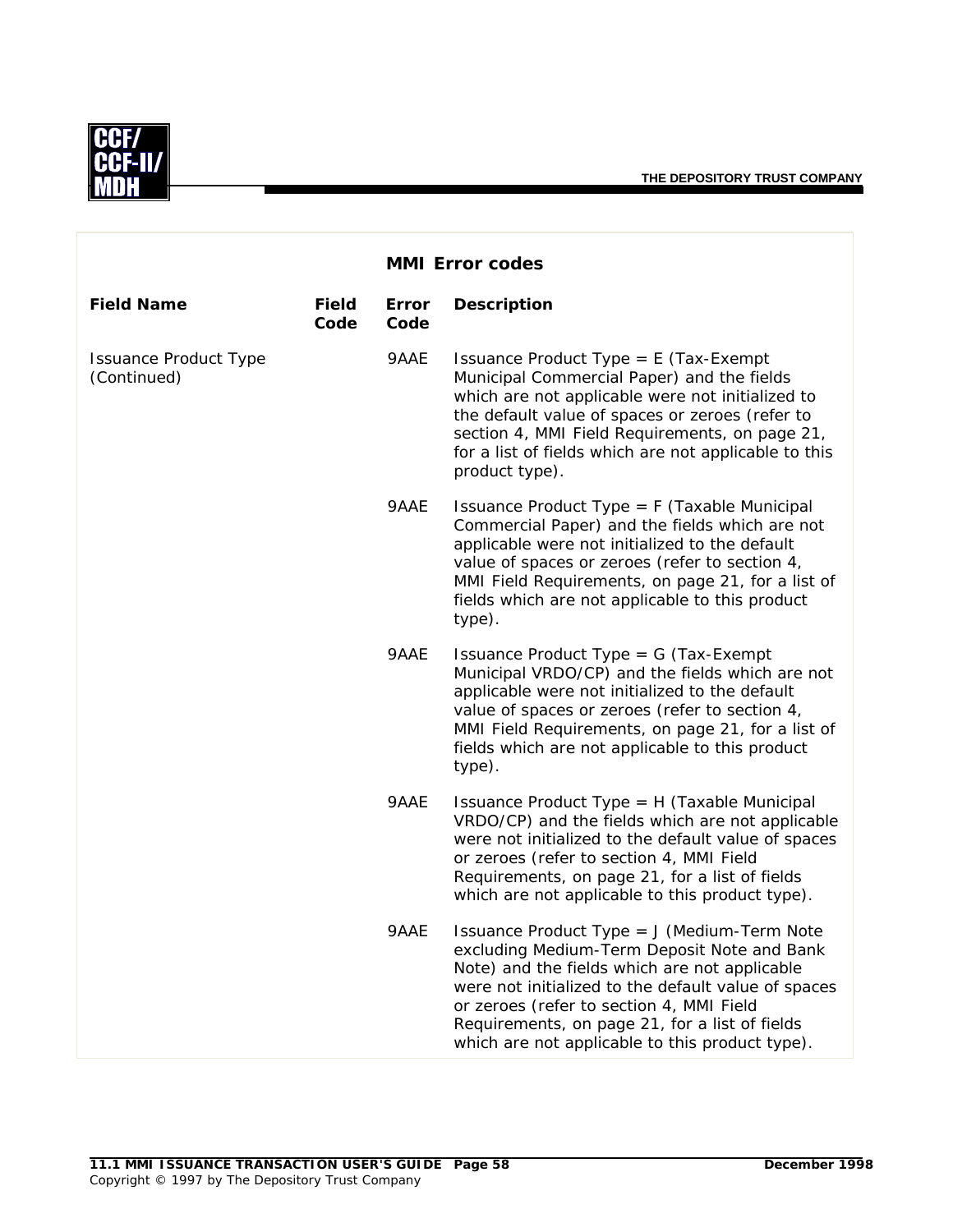

|                                             |                      |               | <b>MMI Error codes</b>                                                                                                                                                                                                                                                                                                                              |
|---------------------------------------------|----------------------|---------------|-----------------------------------------------------------------------------------------------------------------------------------------------------------------------------------------------------------------------------------------------------------------------------------------------------------------------------------------------------|
| <b>Field Name</b>                           | <b>Field</b><br>Code | Error<br>Code | <b>Description</b>                                                                                                                                                                                                                                                                                                                                  |
| <b>Issuance Product Type</b><br>(Continued) |                      | 9AAE          | Issuance Product Type = $E$ (Tax-Exempt<br>Municipal Commercial Paper) and the fields<br>which are not applicable were not initialized to<br>the default value of spaces or zeroes (refer to<br>section 4, MMI Field Requirements, on page 21,<br>for a list of fields which are not applicable to this<br>product type).                           |
|                                             |                      | 9AAE          | Issuance Product Type = F (Taxable Municipal<br>Commercial Paper) and the fields which are not<br>applicable were not initialized to the default<br>value of spaces or zeroes (refer to section 4,<br>MMI Field Requirements, on page 21, for a list of<br>fields which are not applicable to this product<br>type).                                |
|                                             |                      | 9AAE          | Issuance Product Type = $G$ (Tax-Exempt<br>Municipal VRDO/CP) and the fields which are not<br>applicable were not initialized to the default<br>value of spaces or zeroes (refer to section 4,<br>MMI Field Requirements, on page 21, for a list of<br>fields which are not applicable to this product<br>type).                                    |
|                                             |                      | 9AAE          | Issuance Product Type = H (Taxable Municipal<br>VRDO/CP) and the fields which are not applicable<br>were not initialized to the default value of spaces<br>or zeroes (refer to section 4, MMI Field<br>Requirements, on page 21, for a list of fields<br>which are not applicable to this product type).                                            |
|                                             |                      | 9AAE          | Issuance Product Type = J (Medium-Term Note<br>excluding Medium-Term Deposit Note and Bank<br>Note) and the fields which are not applicable<br>were not initialized to the default value of spaces<br>or zeroes (refer to section 4, MMI Field<br>Requirements, on page 21, for a list of fields<br>which are not applicable to this product type). |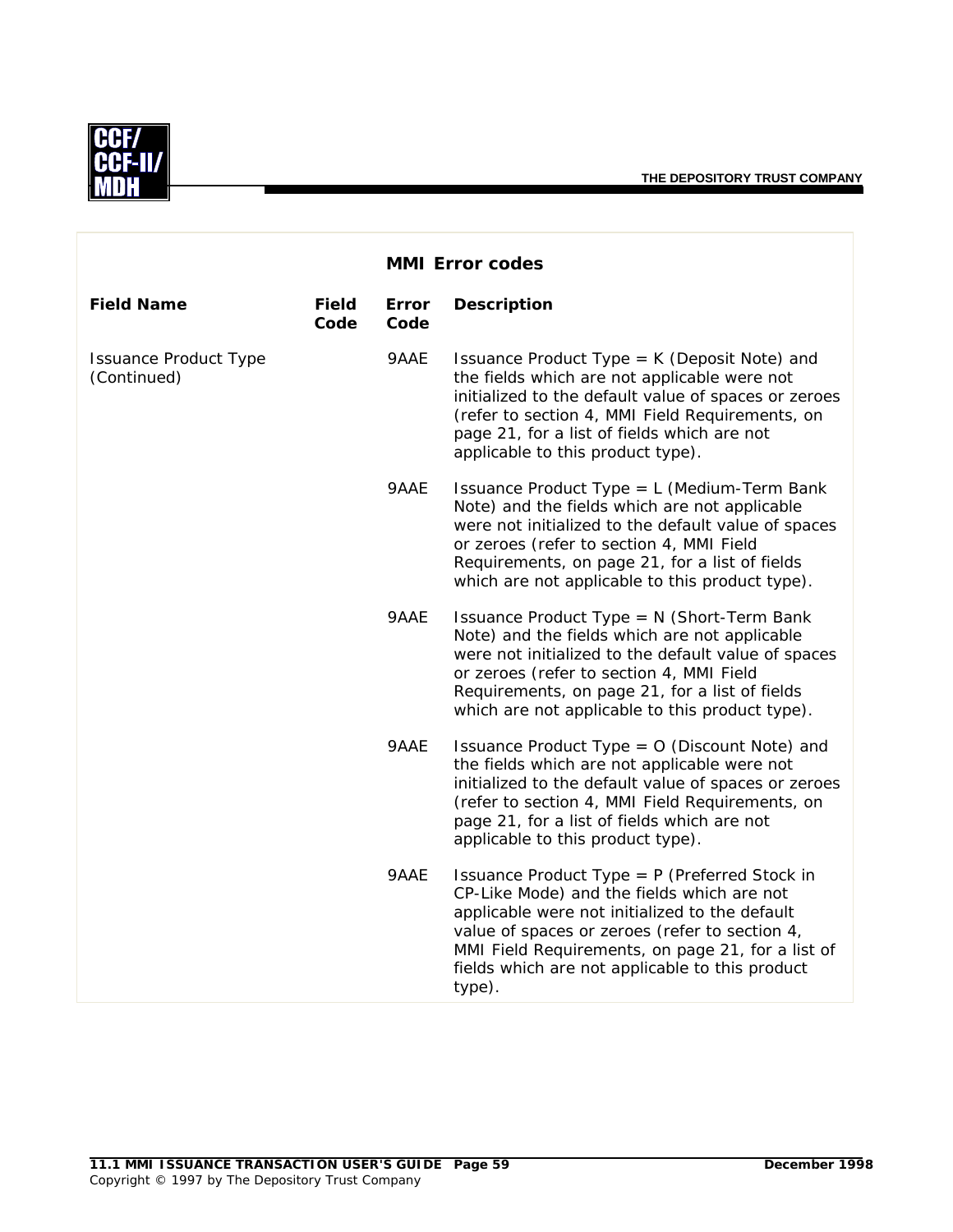

|                                             |                      |               | <b>MMI Error codes</b>                                                                                                                                                                                                                                                                                            |
|---------------------------------------------|----------------------|---------------|-------------------------------------------------------------------------------------------------------------------------------------------------------------------------------------------------------------------------------------------------------------------------------------------------------------------|
| <b>Field Name</b>                           | <b>Field</b><br>Code | Error<br>Code | <b>Description</b>                                                                                                                                                                                                                                                                                                |
| <b>Issuance Product Type</b><br>(Continued) |                      | 9AAE          | Issuance Product Type = K (Deposit Note) and<br>the fields which are not applicable were not<br>initialized to the default value of spaces or zeroes<br>(refer to section 4, MMI Field Requirements, on<br>page 21, for a list of fields which are not<br>applicable to this product type).                       |
|                                             |                      | 9AAE          | Issuance Product Type = L (Medium-Term Bank<br>Note) and the fields which are not applicable<br>were not initialized to the default value of spaces<br>or zeroes (refer to section 4, MMI Field<br>Requirements, on page 21, for a list of fields<br>which are not applicable to this product type).              |
|                                             |                      | 9AAE          | Issuance Product Type = N (Short-Term Bank<br>Note) and the fields which are not applicable<br>were not initialized to the default value of spaces<br>or zeroes (refer to section 4, MMI Field<br>Requirements, on page 21, for a list of fields<br>which are not applicable to this product type).               |
|                                             |                      | 9AAE          | Issuance Product Type = O (Discount Note) and<br>the fields which are not applicable were not<br>initialized to the default value of spaces or zeroes<br>(refer to section 4, MMI Field Requirements, on<br>page 21, for a list of fields which are not<br>applicable to this product type).                      |
|                                             |                      | 9AAE          | Issuance Product Type = P (Preferred Stock in<br>CP-Like Mode) and the fields which are not<br>applicable were not initialized to the default<br>value of spaces or zeroes (refer to section 4,<br>MMI Field Requirements, on page 21, for a list of<br>fields which are not applicable to this product<br>type). |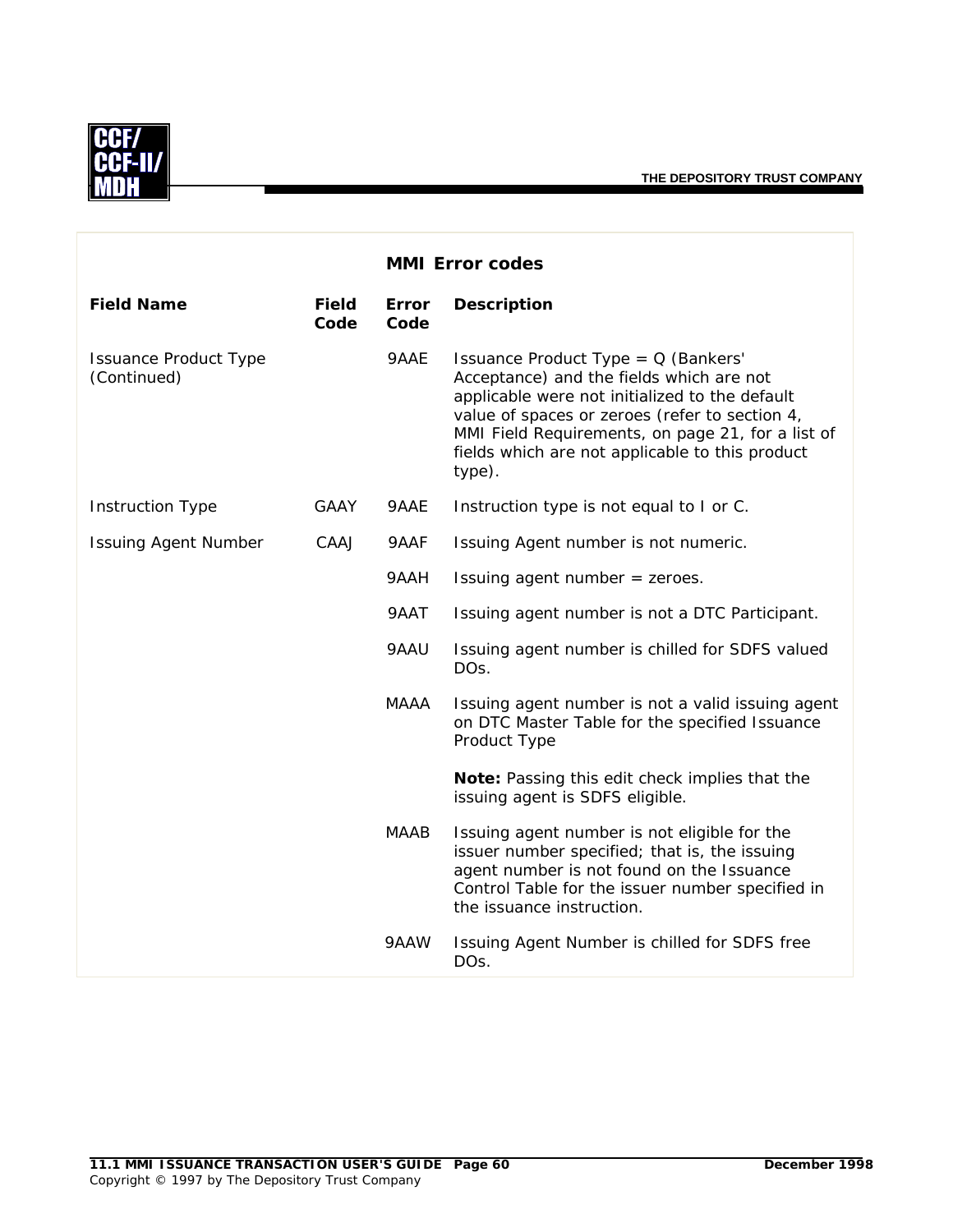

|                                             |                      |                      | <b>MMI Error codes</b>                                                                                                                                                                                                                                                                                |
|---------------------------------------------|----------------------|----------------------|-------------------------------------------------------------------------------------------------------------------------------------------------------------------------------------------------------------------------------------------------------------------------------------------------------|
| <b>Field Name</b>                           | <b>Field</b><br>Code | <b>Error</b><br>Code | <b>Description</b>                                                                                                                                                                                                                                                                                    |
| <b>Issuance Product Type</b><br>(Continued) |                      | 9AAE                 | Issuance Product Type = Q (Bankers'<br>Acceptance) and the fields which are not<br>applicable were not initialized to the default<br>value of spaces or zeroes (refer to section 4,<br>MMI Field Requirements, on page 21, for a list of<br>fields which are not applicable to this product<br>type). |
| <b>Instruction Type</b>                     | <b>GAAY</b>          | 9AAE                 | Instruction type is not equal to I or C.                                                                                                                                                                                                                                                              |
| <b>Issuing Agent Number</b>                 | CAAJ                 | 9AAF                 | Issuing Agent number is not numeric.                                                                                                                                                                                                                                                                  |
|                                             |                      | 9AAH                 | Issuing agent number = zeroes.                                                                                                                                                                                                                                                                        |
|                                             |                      | 9AAT                 | Issuing agent number is not a DTC Participant.                                                                                                                                                                                                                                                        |
|                                             |                      | 9AAU                 | Issuing agent number is chilled for SDFS valued<br>DO <sub>S</sub> .                                                                                                                                                                                                                                  |
|                                             |                      | <b>MAAA</b>          | Issuing agent number is not a valid issuing agent<br>on DTC Master Table for the specified Issuance<br>Product Type                                                                                                                                                                                   |
|                                             |                      |                      | Note: Passing this edit check implies that the<br>issuing agent is SDFS eligible.                                                                                                                                                                                                                     |
|                                             |                      | <b>MAAB</b>          | Issuing agent number is not eligible for the<br>issuer number specified; that is, the issuing<br>agent number is not found on the Issuance<br>Control Table for the issuer number specified in<br>the issuance instruction.                                                                           |
|                                             |                      | 9AAW                 | Issuing Agent Number is chilled for SDFS free<br>DO <sub>S</sub> .                                                                                                                                                                                                                                    |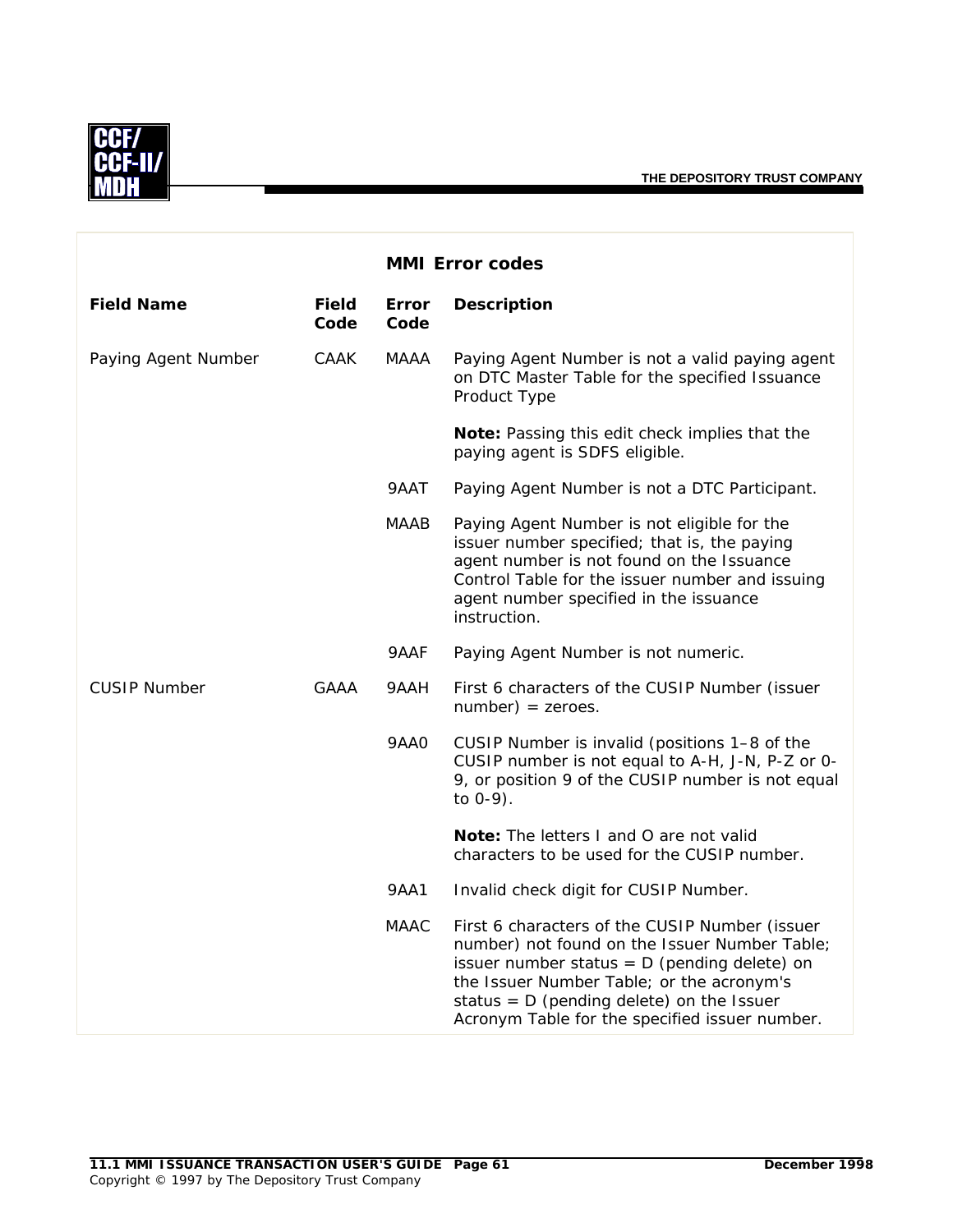

|                     |                      |                      | <b>MMI Error codes</b>                                                                                                                                                                                                                                                                          |
|---------------------|----------------------|----------------------|-------------------------------------------------------------------------------------------------------------------------------------------------------------------------------------------------------------------------------------------------------------------------------------------------|
| <b>Field Name</b>   | <b>Field</b><br>Code | <b>Error</b><br>Code | <b>Description</b>                                                                                                                                                                                                                                                                              |
| Paying Agent Number | CAAK                 | MAAA                 | Paying Agent Number is not a valid paying agent<br>on DTC Master Table for the specified Issuance<br>Product Type                                                                                                                                                                               |
|                     |                      |                      | Note: Passing this edit check implies that the<br>paying agent is SDFS eligible.                                                                                                                                                                                                                |
|                     |                      | 9AAT                 | Paying Agent Number is not a DTC Participant.                                                                                                                                                                                                                                                   |
|                     |                      | <b>MAAB</b>          | Paying Agent Number is not eligible for the<br>issuer number specified; that is, the paying<br>agent number is not found on the Issuance<br>Control Table for the issuer number and issuing<br>agent number specified in the issuance<br>instruction.                                           |
|                     |                      | 9AAF                 | Paying Agent Number is not numeric.                                                                                                                                                                                                                                                             |
| <b>CUSIP Number</b> | GAAA                 | 9AAH                 | First 6 characters of the CUSIP Number (issuer<br>$number$ ) = zeroes.                                                                                                                                                                                                                          |
|                     |                      | <b>9AA0</b>          | CUSIP Number is invalid (positions 1-8 of the<br>CUSIP number is not equal to A-H, J-N, P-Z or 0-<br>9, or position 9 of the CUSIP number is not equal<br>to $0-9$ ).                                                                                                                           |
|                     |                      |                      | Note: The letters I and O are not valid<br>characters to be used for the CUSIP number.                                                                                                                                                                                                          |
|                     |                      | 9AA1                 | Invalid check digit for CUSIP Number.                                                                                                                                                                                                                                                           |
|                     |                      | <b>MAAC</b>          | First 6 characters of the CUSIP Number (issuer<br>number) not found on the Issuer Number Table;<br>issuer number status = $D$ (pending delete) on<br>the Issuer Number Table; or the acronym's<br>status = $D$ (pending delete) on the Issuer<br>Acronym Table for the specified issuer number. |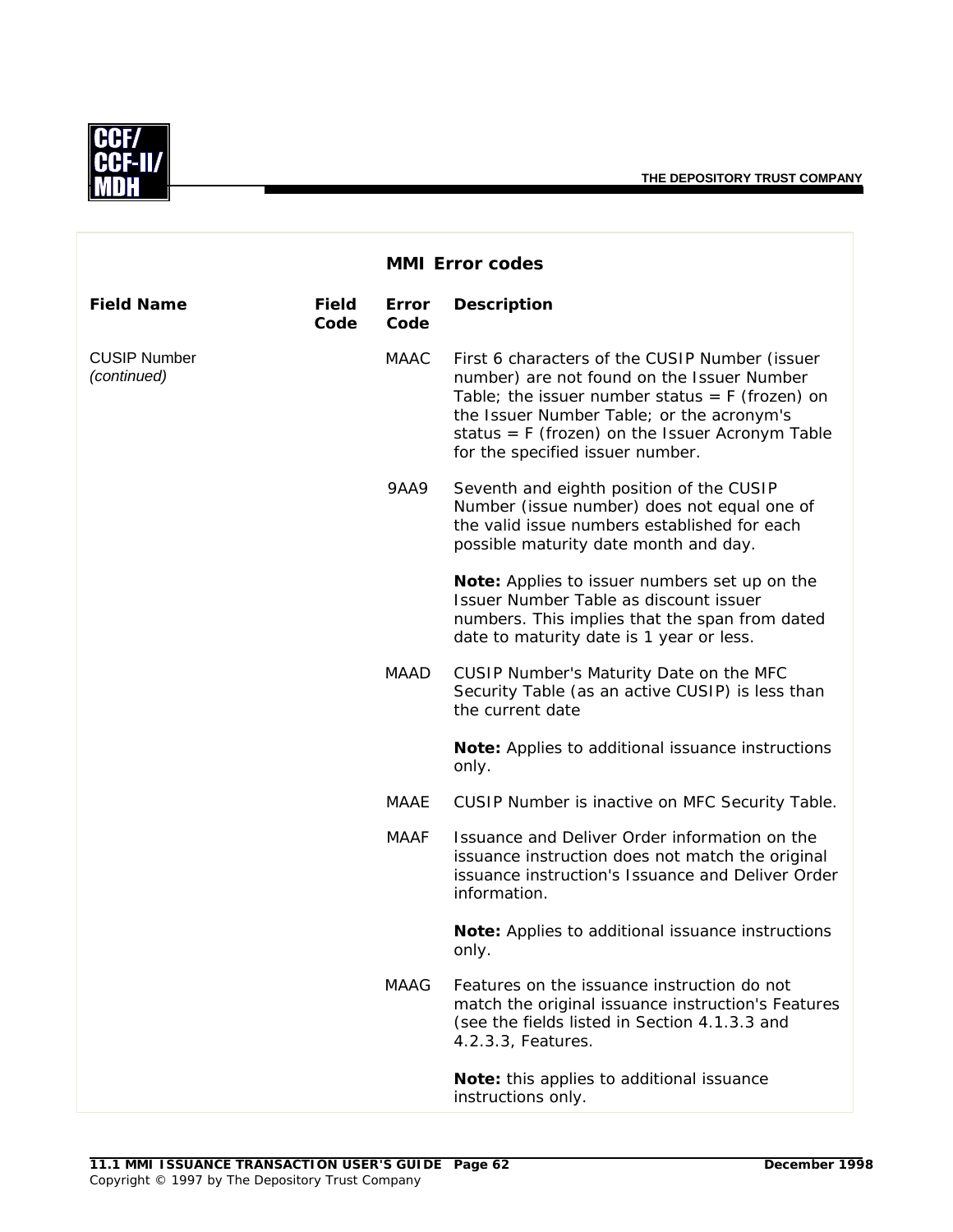

|                                    |                      |               | <b>MMI Error codes</b>                                                                                                                                                                                                                                                                  |
|------------------------------------|----------------------|---------------|-----------------------------------------------------------------------------------------------------------------------------------------------------------------------------------------------------------------------------------------------------------------------------------------|
| <b>Field Name</b>                  | <b>Field</b><br>Code | Error<br>Code | <b>Description</b>                                                                                                                                                                                                                                                                      |
| <b>CUSIP Number</b><br>(continued) |                      | <b>MAAC</b>   | First 6 characters of the CUSIP Number (issuer<br>number) are not found on the Issuer Number<br>Table; the issuer number status = $F$ (frozen) on<br>the Issuer Number Table; or the acronym's<br>status = $F$ (frozen) on the Issuer Acronym Table<br>for the specified issuer number. |
|                                    |                      | <b>9AA9</b>   | Seventh and eighth position of the CUSIP<br>Number (issue number) does not equal one of<br>the valid issue numbers established for each<br>possible maturity date month and day.                                                                                                        |
|                                    |                      |               | Note: Applies to issuer numbers set up on the<br>Issuer Number Table as discount issuer<br>numbers. This implies that the span from dated<br>date to maturity date is 1 year or less.                                                                                                   |
|                                    |                      | MAAD          | CUSIP Number's Maturity Date on the MFC<br>Security Table (as an active CUSIP) is less than<br>the current date                                                                                                                                                                         |
|                                    |                      |               | Note: Applies to additional issuance instructions<br>only.                                                                                                                                                                                                                              |
|                                    |                      | MAAE          | CUSIP Number is inactive on MFC Security Table.                                                                                                                                                                                                                                         |
|                                    |                      | <b>MAAF</b>   | Issuance and Deliver Order information on the<br>issuance instruction does not match the original<br>issuance instruction's Issuance and Deliver Order<br>information.                                                                                                                  |
|                                    |                      |               | Note: Applies to additional issuance instructions<br>only.                                                                                                                                                                                                                              |
|                                    |                      | <b>MAAG</b>   | Features on the issuance instruction do not<br>match the original issuance instruction's Features<br>(see the fields listed in Section 4.1.3.3 and<br>4.2.3.3, Features.                                                                                                                |
|                                    |                      |               | Note: this applies to additional issuance<br>instructions only.                                                                                                                                                                                                                         |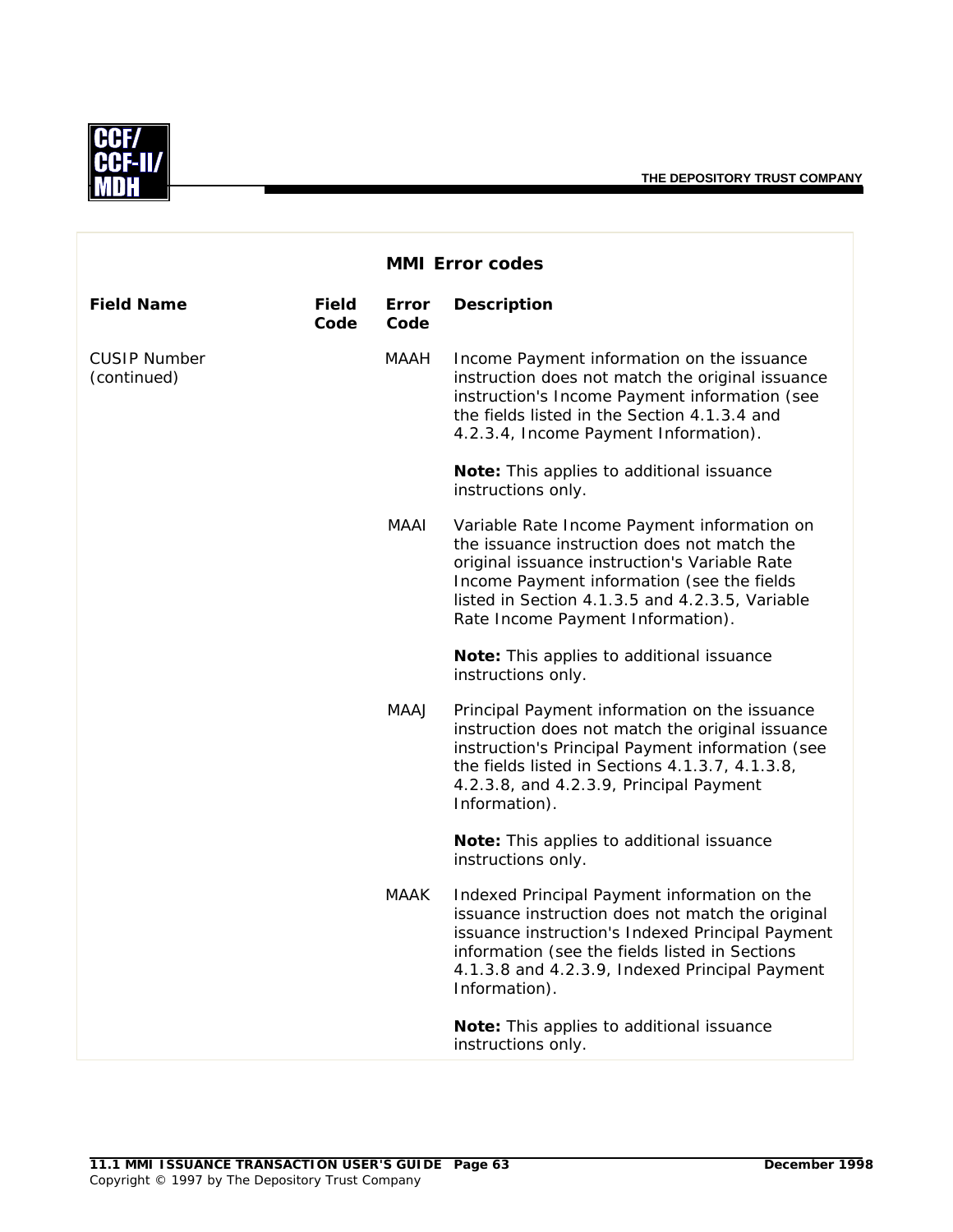**THE DEPOSITORY TRUST COMPANY**



|                                    |                      | <b>MMI Error codes</b> |                                                                                                                                                                                                                                                                                   |
|------------------------------------|----------------------|------------------------|-----------------------------------------------------------------------------------------------------------------------------------------------------------------------------------------------------------------------------------------------------------------------------------|
| <b>Field Name</b>                  | <b>Field</b><br>Code | Error<br>Code          | <b>Description</b>                                                                                                                                                                                                                                                                |
| <b>CUSIP Number</b><br>(continued) |                      | <b>MAAH</b>            | Income Payment information on the issuance<br>instruction does not match the original issuance<br>instruction's Income Payment information (see<br>the fields listed in the Section 4.1.3.4 and<br>4.2.3.4, Income Payment Information).                                          |
|                                    |                      |                        | Note: This applies to additional issuance<br>instructions only.                                                                                                                                                                                                                   |
|                                    |                      | MAAI                   | Variable Rate Income Payment information on<br>the issuance instruction does not match the<br>original issuance instruction's Variable Rate<br>Income Payment information (see the fields<br>listed in Section 4.1.3.5 and 4.2.3.5, Variable<br>Rate Income Payment Information). |
|                                    |                      |                        | Note: This applies to additional issuance<br>instructions only.                                                                                                                                                                                                                   |
|                                    |                      | MAAJ                   | Principal Payment information on the issuance<br>instruction does not match the original issuance<br>instruction's Principal Payment information (see<br>the fields listed in Sections 4.1.3.7, 4.1.3.8,<br>4.2.3.8, and 4.2.3.9, Principal Payment<br>Information).              |
|                                    |                      |                        | Note: This applies to additional issuance<br>instructions only.                                                                                                                                                                                                                   |
|                                    |                      | <b>MAAK</b>            | Indexed Principal Payment information on the<br>issuance instruction does not match the original<br>issuance instruction's Indexed Principal Payment<br>information (see the fields listed in Sections<br>4.1.3.8 and 4.2.3.9, Indexed Principal Payment<br>Information).         |
|                                    |                      |                        | Note: This applies to additional issuance<br>instructions only.                                                                                                                                                                                                                   |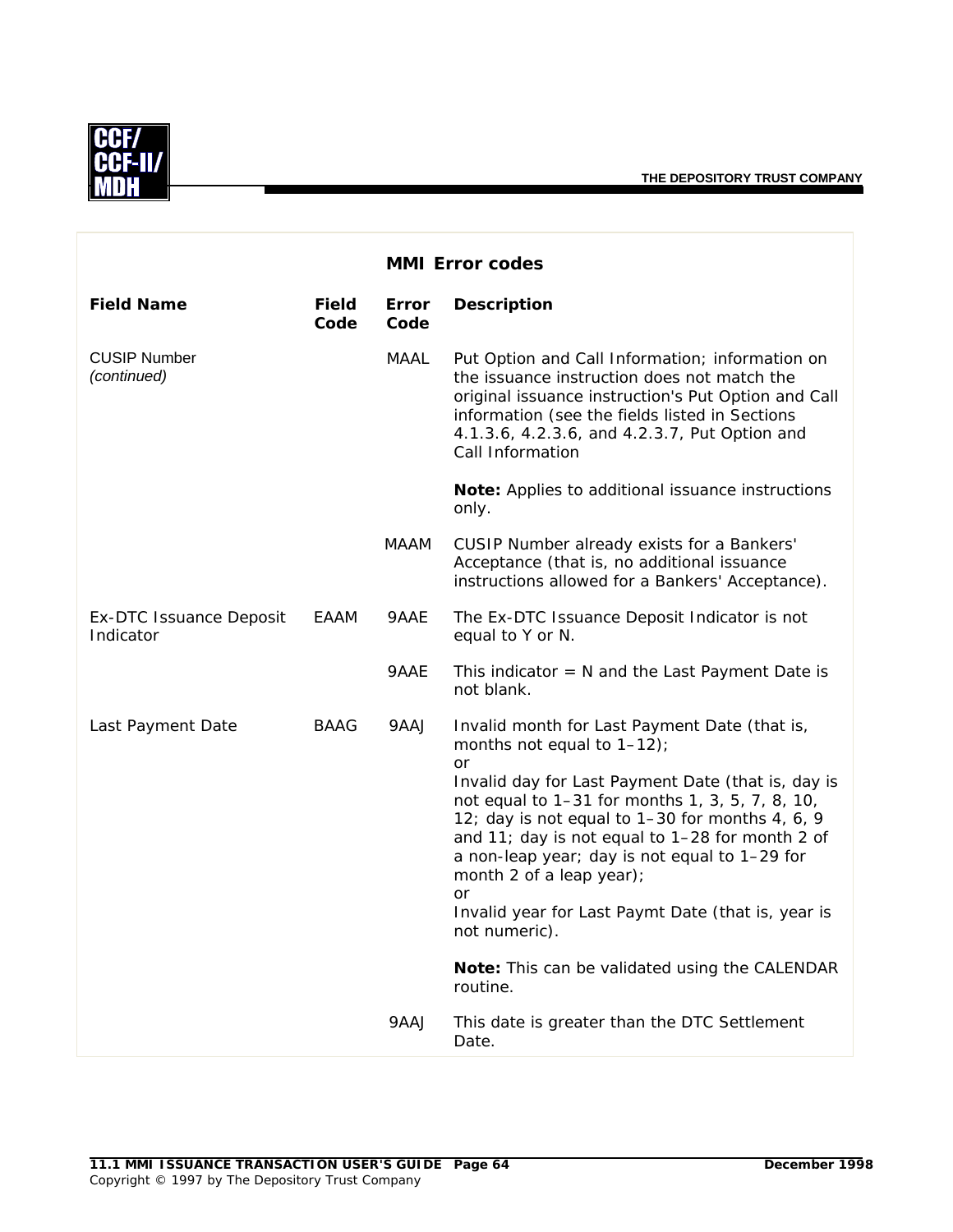

|                                             |                      |               | <b>MMI Error codes</b>                                                                                                                                                                                                                                                                                                                                                                                                                                                                                                            |
|---------------------------------------------|----------------------|---------------|-----------------------------------------------------------------------------------------------------------------------------------------------------------------------------------------------------------------------------------------------------------------------------------------------------------------------------------------------------------------------------------------------------------------------------------------------------------------------------------------------------------------------------------|
| <b>Field Name</b>                           | <b>Field</b><br>Code | Error<br>Code | <b>Description</b>                                                                                                                                                                                                                                                                                                                                                                                                                                                                                                                |
| <b>CUSIP Number</b><br>(continued)          |                      | <b>MAAL</b>   | Put Option and Call Information; information on<br>the issuance instruction does not match the<br>original issuance instruction's Put Option and Call<br>information (see the fields listed in Sections<br>4.1.3.6, 4.2.3.6, and 4.2.3.7, Put Option and<br>Call Information                                                                                                                                                                                                                                                      |
|                                             |                      |               | Note: Applies to additional issuance instructions<br>only.                                                                                                                                                                                                                                                                                                                                                                                                                                                                        |
|                                             |                      | MAAM          | CUSIP Number already exists for a Bankers'<br>Acceptance (that is, no additional issuance<br>instructions allowed for a Bankers' Acceptance).                                                                                                                                                                                                                                                                                                                                                                                     |
| <b>Ex-DTC Issuance Deposit</b><br>Indicator | EAAM                 | 9AAE          | The Ex-DTC Issuance Deposit Indicator is not<br>equal to Y or N.                                                                                                                                                                                                                                                                                                                                                                                                                                                                  |
|                                             |                      | 9AAE          | This indicator $= N$ and the Last Payment Date is<br>not blank.                                                                                                                                                                                                                                                                                                                                                                                                                                                                   |
| Last Payment Date                           | <b>BAAG</b>          | 9AAJ          | Invalid month for Last Payment Date (that is,<br>months not equal to $1-12$ ;<br><b>or</b><br>Invalid day for Last Payment Date (that is, day is<br>not equal to 1-31 for months 1, 3, 5, 7, 8, 10,<br>12; day is not equal to 1-30 for months 4, 6, 9<br>and 11; day is not equal to 1-28 for month 2 of<br>a non-leap year; day is not equal to 1-29 for<br>month 2 of a leap year);<br>or<br>Invalid year for Last Paymt Date (that is, year is<br>not numeric).<br>Note: This can be validated using the CALENDAR<br>routine. |
|                                             |                      | 9AAJ          | This date is greater than the DTC Settlement<br>Date.                                                                                                                                                                                                                                                                                                                                                                                                                                                                             |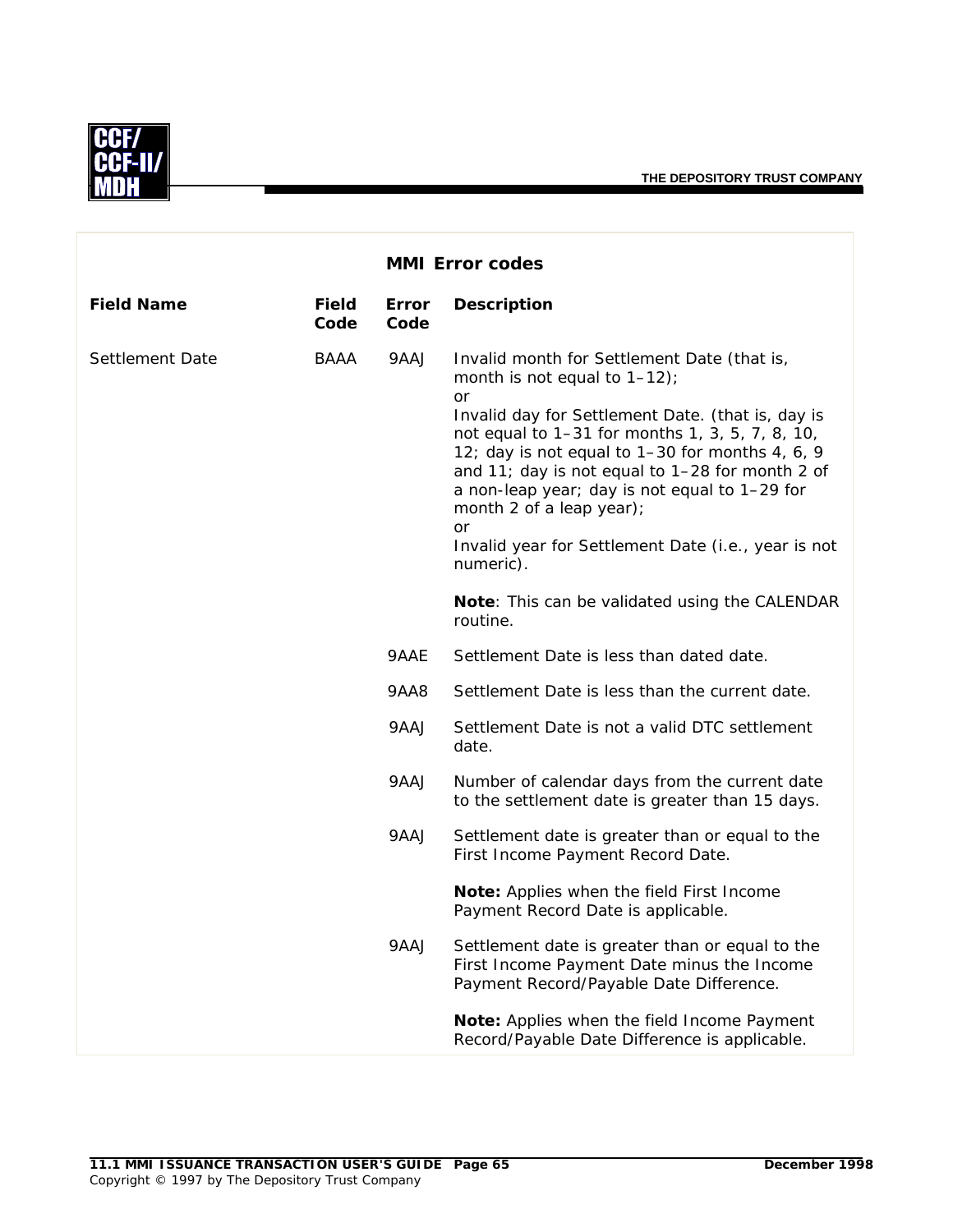

|                   |                      | <b>MMI Error codes</b> |                                                                                                                                                                                                                                                                                                                                                                                                                                                          |
|-------------------|----------------------|------------------------|----------------------------------------------------------------------------------------------------------------------------------------------------------------------------------------------------------------------------------------------------------------------------------------------------------------------------------------------------------------------------------------------------------------------------------------------------------|
| <b>Field Name</b> | <b>Field</b><br>Code | <b>Error</b><br>Code   | <b>Description</b>                                                                                                                                                                                                                                                                                                                                                                                                                                       |
| Settlement Date   | BAAA                 | 9AAJ                   | Invalid month for Settlement Date (that is,<br>month is not equal to $1-12$ ;<br>or<br>Invalid day for Settlement Date. (that is, day is<br>not equal to 1-31 for months 1, 3, 5, 7, 8, 10,<br>12; day is not equal to 1-30 for months 4, 6, 9<br>and 11; day is not equal to 1-28 for month 2 of<br>a non-leap year; day is not equal to 1-29 for<br>month 2 of a leap year);<br>or<br>Invalid year for Settlement Date (i.e., year is not<br>numeric). |
|                   |                      |                        | Note: This can be validated using the CALENDAR<br>routine.                                                                                                                                                                                                                                                                                                                                                                                               |
|                   |                      | 9AAE                   | Settlement Date is less than dated date.                                                                                                                                                                                                                                                                                                                                                                                                                 |
|                   |                      | 9AA8                   | Settlement Date is less than the current date.                                                                                                                                                                                                                                                                                                                                                                                                           |
|                   |                      | 9AAJ                   | Settlement Date is not a valid DTC settlement<br>date.                                                                                                                                                                                                                                                                                                                                                                                                   |
|                   |                      | 9AAJ                   | Number of calendar days from the current date<br>to the settlement date is greater than 15 days.                                                                                                                                                                                                                                                                                                                                                         |
|                   |                      | 9AAJ                   | Settlement date is greater than or equal to the<br>First Income Payment Record Date.                                                                                                                                                                                                                                                                                                                                                                     |
|                   |                      |                        | Note: Applies when the field First Income<br>Payment Record Date is applicable.                                                                                                                                                                                                                                                                                                                                                                          |
|                   |                      | 9AAJ                   | Settlement date is greater than or equal to the<br>First Income Payment Date minus the Income<br>Payment Record/Payable Date Difference.                                                                                                                                                                                                                                                                                                                 |
|                   |                      |                        | Note: Applies when the field Income Payment<br>Record/Payable Date Difference is applicable.                                                                                                                                                                                                                                                                                                                                                             |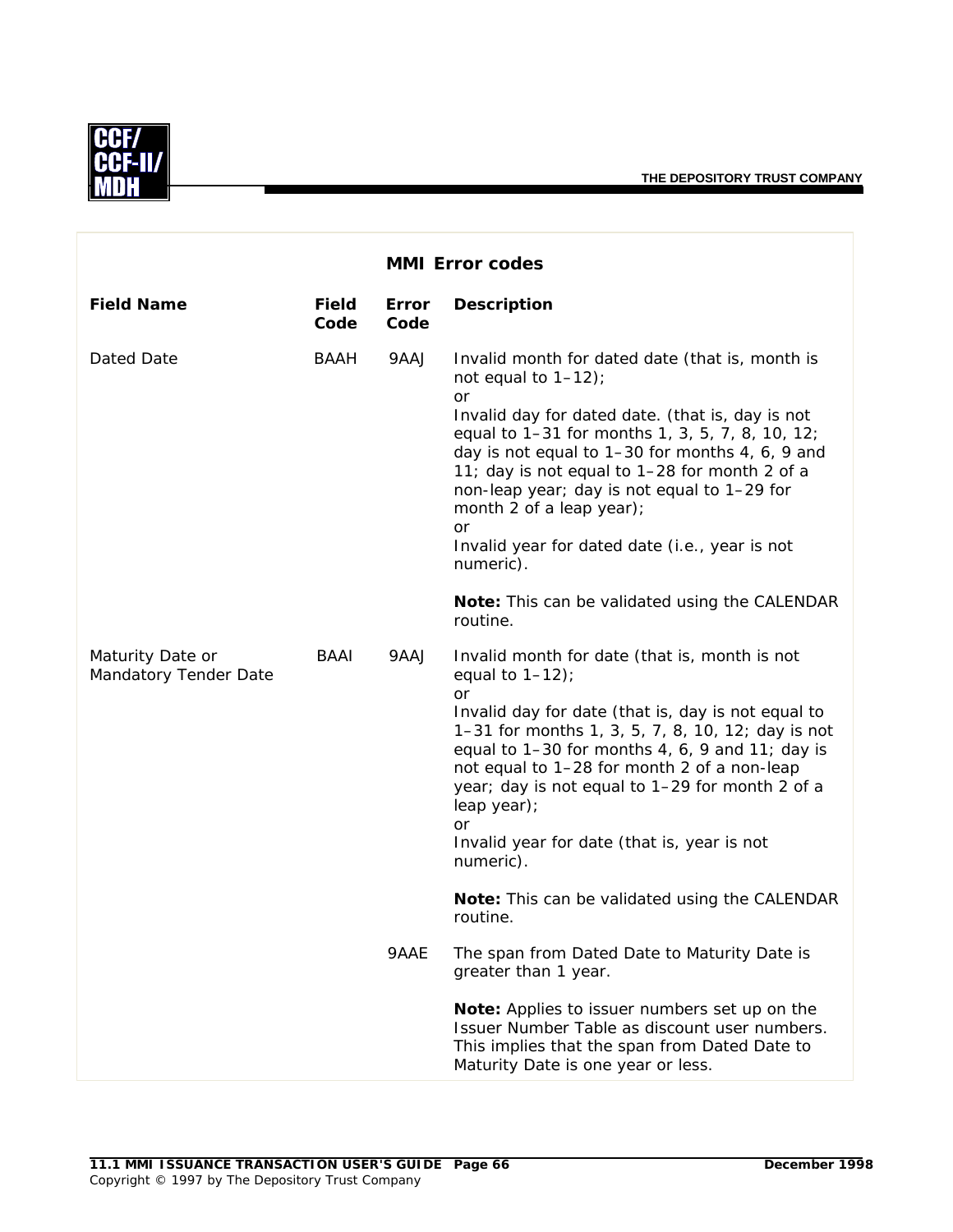

|                                           |                      |               | <b>MMI Error codes</b>                                                                                                                                                                                                                                                                                                                                                                                                                     |
|-------------------------------------------|----------------------|---------------|--------------------------------------------------------------------------------------------------------------------------------------------------------------------------------------------------------------------------------------------------------------------------------------------------------------------------------------------------------------------------------------------------------------------------------------------|
| <b>Field Name</b>                         | <b>Field</b><br>Code | Error<br>Code | <b>Description</b>                                                                                                                                                                                                                                                                                                                                                                                                                         |
| Dated Date                                | <b>BAAH</b>          | 9AAJ          | Invalid month for dated date (that is, month is<br>not equal to $1-12$ );<br>or<br>Invalid day for dated date. (that is, day is not<br>equal to 1-31 for months 1, 3, 5, 7, 8, 10, 12;<br>day is not equal to 1-30 for months 4, 6, 9 and<br>11; day is not equal to 1-28 for month 2 of a<br>non-leap year; day is not equal to 1-29 for<br>month 2 of a leap year);<br>or<br>Invalid year for dated date (i.e., year is not<br>numeric). |
|                                           |                      |               | <b>Note:</b> This can be validated using the CALENDAR<br>routine.                                                                                                                                                                                                                                                                                                                                                                          |
| Maturity Date or<br>Mandatory Tender Date | BAAI                 | 9AAJ          | Invalid month for date (that is, month is not<br>equal to $1-12$ );<br><b>or</b><br>Invalid day for date (that is, day is not equal to<br>1-31 for months 1, 3, 5, 7, 8, 10, 12; day is not<br>equal to $1-30$ for months 4, 6, 9 and 11; day is<br>not equal to 1-28 for month 2 of a non-leap<br>year; day is not equal to 1-29 for month 2 of a<br>leap year);<br><b>or</b><br>Invalid year for date (that is, year is not<br>numeric). |
|                                           |                      |               | Note: This can be validated using the CALENDAR<br>routine.                                                                                                                                                                                                                                                                                                                                                                                 |
|                                           |                      | 9AAE          | The span from Dated Date to Maturity Date is<br>greater than 1 year.                                                                                                                                                                                                                                                                                                                                                                       |
|                                           |                      |               | Note: Applies to issuer numbers set up on the<br>Issuer Number Table as discount user numbers.<br>This implies that the span from Dated Date to<br>Maturity Date is one year or less.                                                                                                                                                                                                                                                      |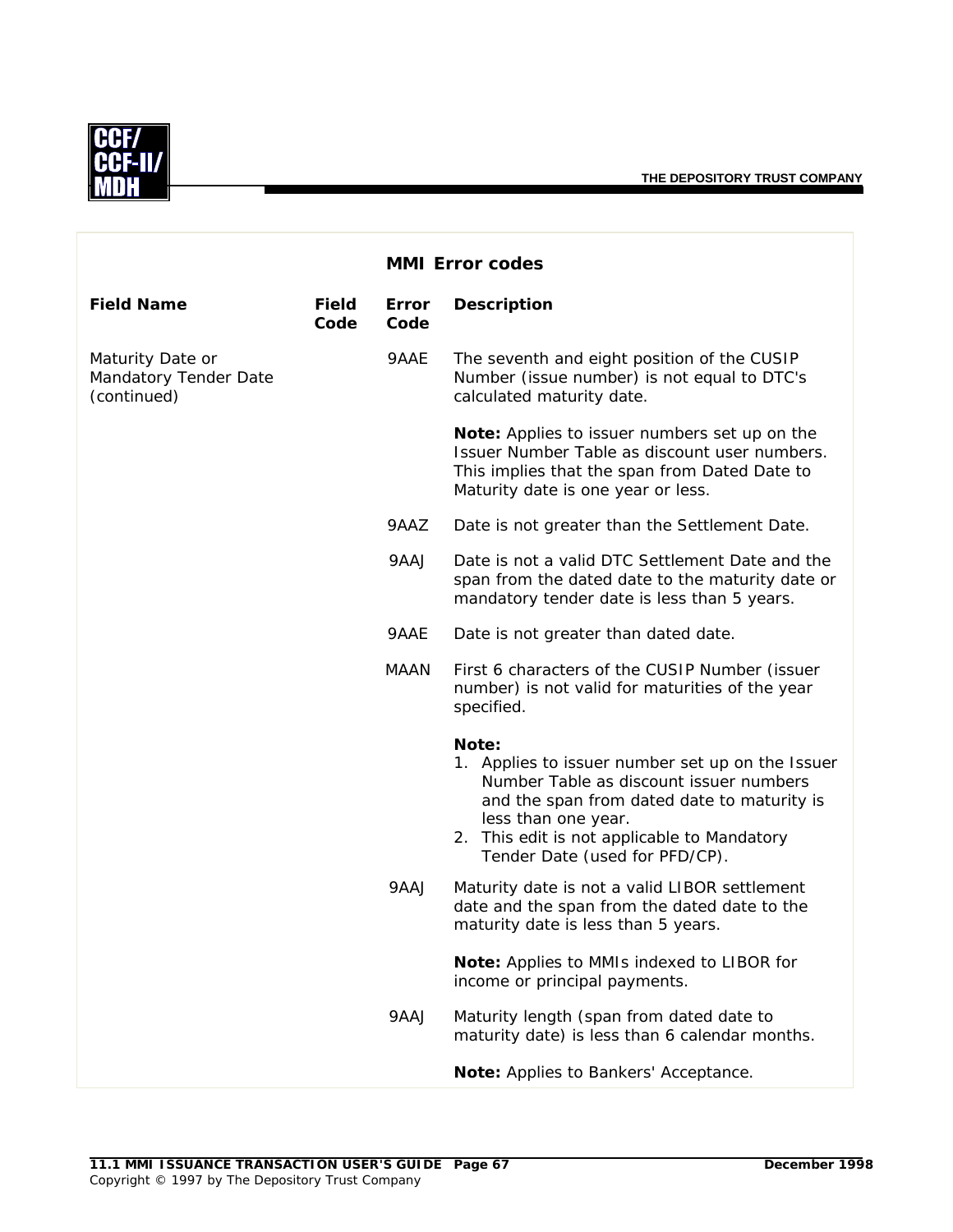

|                                                          |                      |                      | <b>MMI Error codes</b>                                                                                                                                                                                                                                      |
|----------------------------------------------------------|----------------------|----------------------|-------------------------------------------------------------------------------------------------------------------------------------------------------------------------------------------------------------------------------------------------------------|
| <b>Field Name</b>                                        | <b>Field</b><br>Code | <b>Error</b><br>Code | <b>Description</b>                                                                                                                                                                                                                                          |
| Maturity Date or<br>Mandatory Tender Date<br>(continued) |                      | 9AAE                 | The seventh and eight position of the CUSIP<br>Number (issue number) is not equal to DTC's<br>calculated maturity date.                                                                                                                                     |
|                                                          |                      |                      | Note: Applies to issuer numbers set up on the<br>Issuer Number Table as discount user numbers.<br>This implies that the span from Dated Date to<br>Maturity date is one year or less.                                                                       |
|                                                          |                      | 9AAZ                 | Date is not greater than the Settlement Date.                                                                                                                                                                                                               |
|                                                          |                      | 9AAJ                 | Date is not a valid DTC Settlement Date and the<br>span from the dated date to the maturity date or<br>mandatory tender date is less than 5 years.                                                                                                          |
|                                                          |                      | 9AAE                 | Date is not greater than dated date.                                                                                                                                                                                                                        |
|                                                          |                      | <b>MAAN</b>          | First 6 characters of the CUSIP Number (issuer<br>number) is not valid for maturities of the year<br>specified.                                                                                                                                             |
|                                                          |                      |                      | Note:<br>1. Applies to issuer number set up on the Issuer<br>Number Table as discount issuer numbers<br>and the span from dated date to maturity is<br>less than one year.<br>2. This edit is not applicable to Mandatory<br>Tender Date (used for PFD/CP). |
|                                                          |                      | 9AAJ                 | Maturity date is not a valid LIBOR settlement<br>date and the span from the dated date to the<br>maturity date is less than 5 years.                                                                                                                        |
|                                                          |                      |                      | <b>Note:</b> Applies to MMIs indexed to LIBOR for<br>income or principal payments.                                                                                                                                                                          |
|                                                          |                      | 9AAJ                 | Maturity length (span from dated date to<br>maturity date) is less than 6 calendar months.                                                                                                                                                                  |
|                                                          |                      |                      | Note: Applies to Bankers' Acceptance.                                                                                                                                                                                                                       |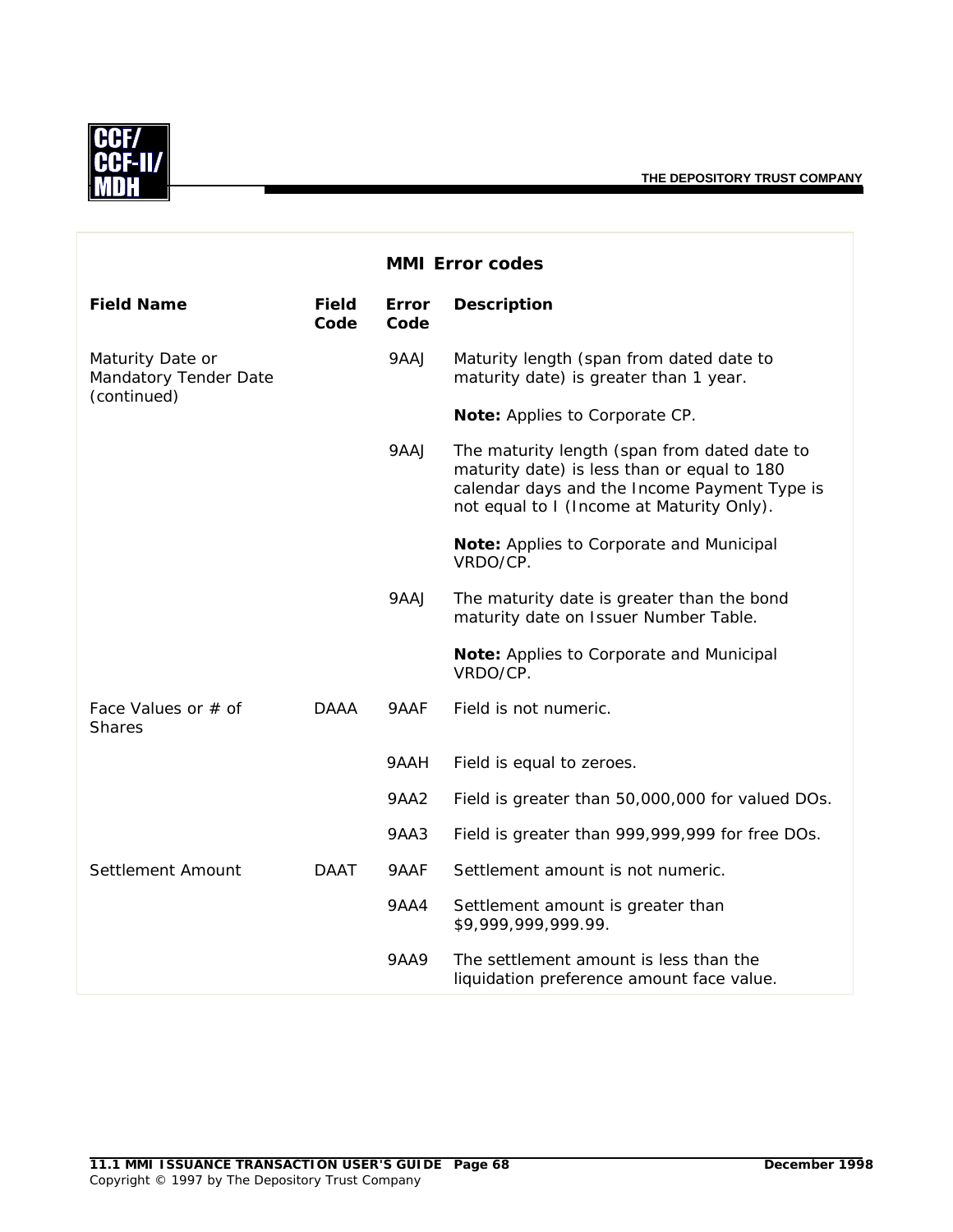

|                                                          |                      |                      | <b>MMI Error codes</b>                                                                                                                                                                   |
|----------------------------------------------------------|----------------------|----------------------|------------------------------------------------------------------------------------------------------------------------------------------------------------------------------------------|
| <b>Field Name</b>                                        | <b>Field</b><br>Code | <b>Error</b><br>Code | <b>Description</b>                                                                                                                                                                       |
| Maturity Date or<br>Mandatory Tender Date<br>(continued) |                      | 9AAJ                 | Maturity length (span from dated date to<br>maturity date) is greater than 1 year.                                                                                                       |
|                                                          |                      |                      | Note: Applies to Corporate CP.                                                                                                                                                           |
|                                                          |                      | 9AAJ                 | The maturity length (span from dated date to<br>maturity date) is less than or equal to 180<br>calendar days and the Income Payment Type is<br>not equal to I (Income at Maturity Only). |
|                                                          |                      |                      | Note: Applies to Corporate and Municipal<br>VRDO/CP.                                                                                                                                     |
|                                                          |                      | 9AAJ                 | The maturity date is greater than the bond<br>maturity date on Issuer Number Table.                                                                                                      |
|                                                          |                      |                      | Note: Applies to Corporate and Municipal<br>VRDO/CP.                                                                                                                                     |
| Face Values or # of<br><b>Shares</b>                     | <b>DAAA</b>          | 9AAF                 | Field is not numeric.                                                                                                                                                                    |
|                                                          |                      | 9AAH                 | Field is equal to zeroes.                                                                                                                                                                |
|                                                          |                      | 9AA2                 | Field is greater than 50,000,000 for valued DOs.                                                                                                                                         |
|                                                          |                      | 9AA3                 | Field is greater than 999,999,999 for free DOs.                                                                                                                                          |
| Settlement Amount                                        | <b>DAAT</b>          | 9AAF                 | Settlement amount is not numeric.                                                                                                                                                        |
|                                                          |                      | <b>9AA4</b>          | Settlement amount is greater than<br>\$9,999,999,999.99.                                                                                                                                 |
|                                                          |                      | <b>9AA9</b>          | The settlement amount is less than the<br>liquidation preference amount face value.                                                                                                      |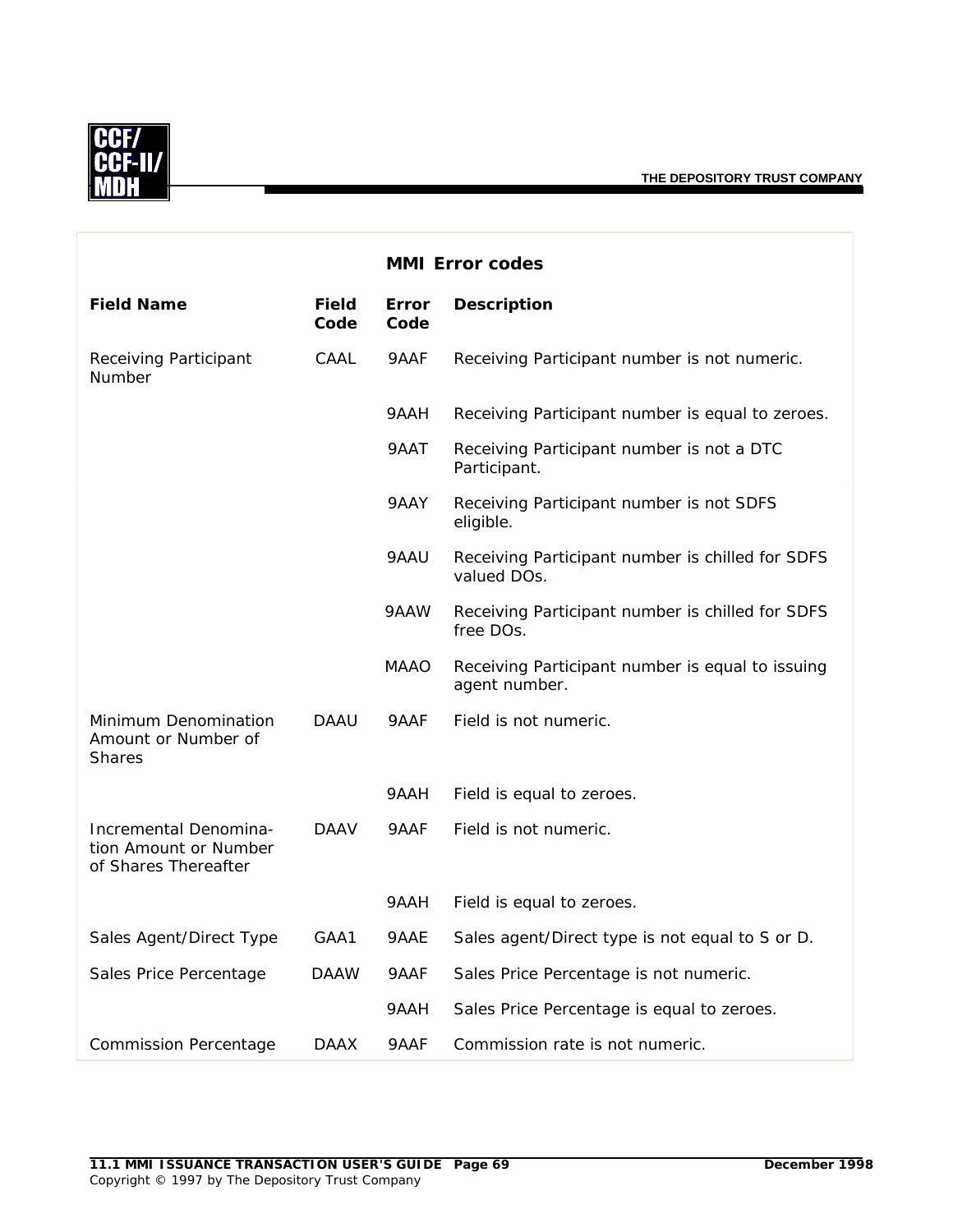

|                                                                        |               |               | <b>MMI Error codes</b>                                            |
|------------------------------------------------------------------------|---------------|---------------|-------------------------------------------------------------------|
| <b>Field Name</b>                                                      | Field<br>Code | Error<br>Code | <b>Description</b>                                                |
| Receiving Participant<br>Number                                        | CAAL          | 9AAF          | Receiving Participant number is not numeric.                      |
|                                                                        |               | 9AAH          | Receiving Participant number is equal to zeroes.                  |
|                                                                        |               | 9AAT          | Receiving Participant number is not a DTC<br>Participant.         |
|                                                                        |               | 9AAY          | Receiving Participant number is not SDFS<br>eligible.             |
|                                                                        |               | 9AAU          | Receiving Participant number is chilled for SDFS<br>valued DOs.   |
|                                                                        |               | 9AAW          | Receiving Participant number is chilled for SDFS<br>free DOs.     |
|                                                                        |               | <b>MAAO</b>   | Receiving Participant number is equal to issuing<br>agent number. |
| Minimum Denomination<br>Amount or Number of<br><b>Shares</b>           | <b>DAAU</b>   | 9AAF          | Field is not numeric.                                             |
|                                                                        |               | 9AAH          | Field is equal to zeroes.                                         |
| Incremental Denomina-<br>tion Amount or Number<br>of Shares Thereafter | <b>DAAV</b>   | 9AAF          | Field is not numeric.                                             |
|                                                                        |               | 9AAH          | Field is equal to zeroes.                                         |
| Sales Agent/Direct Type                                                | GAA1          | 9AAE          | Sales agent/Direct type is not equal to S or D.                   |
| Sales Price Percentage                                                 | <b>DAAW</b>   | 9AAF          | Sales Price Percentage is not numeric.                            |
|                                                                        |               | 9AAH          | Sales Price Percentage is equal to zeroes.                        |
| <b>Commission Percentage</b>                                           | <b>DAAX</b>   | 9AAF          | Commission rate is not numeric.                                   |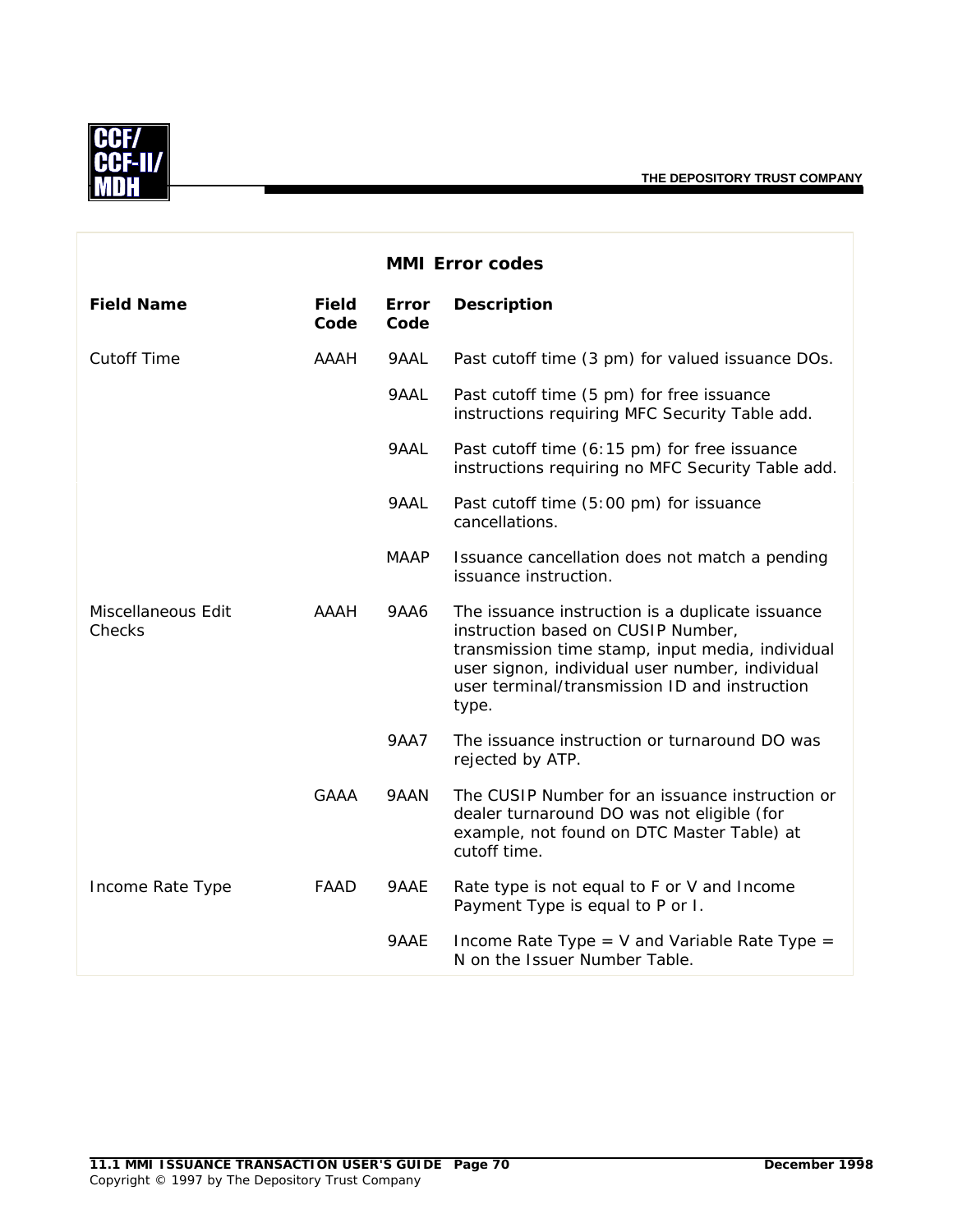

|                              |                      |               | <b>MMI Error codes</b>                                                                                                                                                                                                                                  |
|------------------------------|----------------------|---------------|---------------------------------------------------------------------------------------------------------------------------------------------------------------------------------------------------------------------------------------------------------|
| <b>Field Name</b>            | <b>Field</b><br>Code | Error<br>Code | <b>Description</b>                                                                                                                                                                                                                                      |
| <b>Cutoff Time</b>           | <b>AAAH</b>          | 9AAL          | Past cutoff time (3 pm) for valued issuance DOs.                                                                                                                                                                                                        |
|                              |                      | 9AAL          | Past cutoff time (5 pm) for free issuance<br>instructions requiring MFC Security Table add.                                                                                                                                                             |
|                              |                      | 9AAL          | Past cutoff time (6:15 pm) for free issuance<br>instructions requiring no MFC Security Table add.                                                                                                                                                       |
|                              |                      | 9AAL          | Past cutoff time (5:00 pm) for issuance<br>cancellations.                                                                                                                                                                                               |
|                              |                      | <b>MAAP</b>   | Issuance cancellation does not match a pending<br>issuance instruction.                                                                                                                                                                                 |
| Miscellaneous Edit<br>Checks | <b>AAAH</b>          | <b>9AA6</b>   | The issuance instruction is a duplicate issuance<br>instruction based on CUSIP Number,<br>transmission time stamp, input media, individual<br>user signon, individual user number, individual<br>user terminal/transmission ID and instruction<br>type. |
|                              |                      | <b>9AA7</b>   | The issuance instruction or turnaround DO was<br>rejected by ATP.                                                                                                                                                                                       |
|                              | GAAA                 | 9AAN          | The CUSIP Number for an issuance instruction or<br>dealer turnaround DO was not eligible (for<br>example, not found on DTC Master Table) at<br>cutoff time.                                                                                             |
| Income Rate Type             | <b>FAAD</b>          | 9AAE          | Rate type is not equal to F or V and Income<br>Payment Type is equal to P or I.                                                                                                                                                                         |
|                              |                      | 9AAE.         | Income Rate Type = $V$ and Variable Rate Type =<br>N on the Issuer Number Table.                                                                                                                                                                        |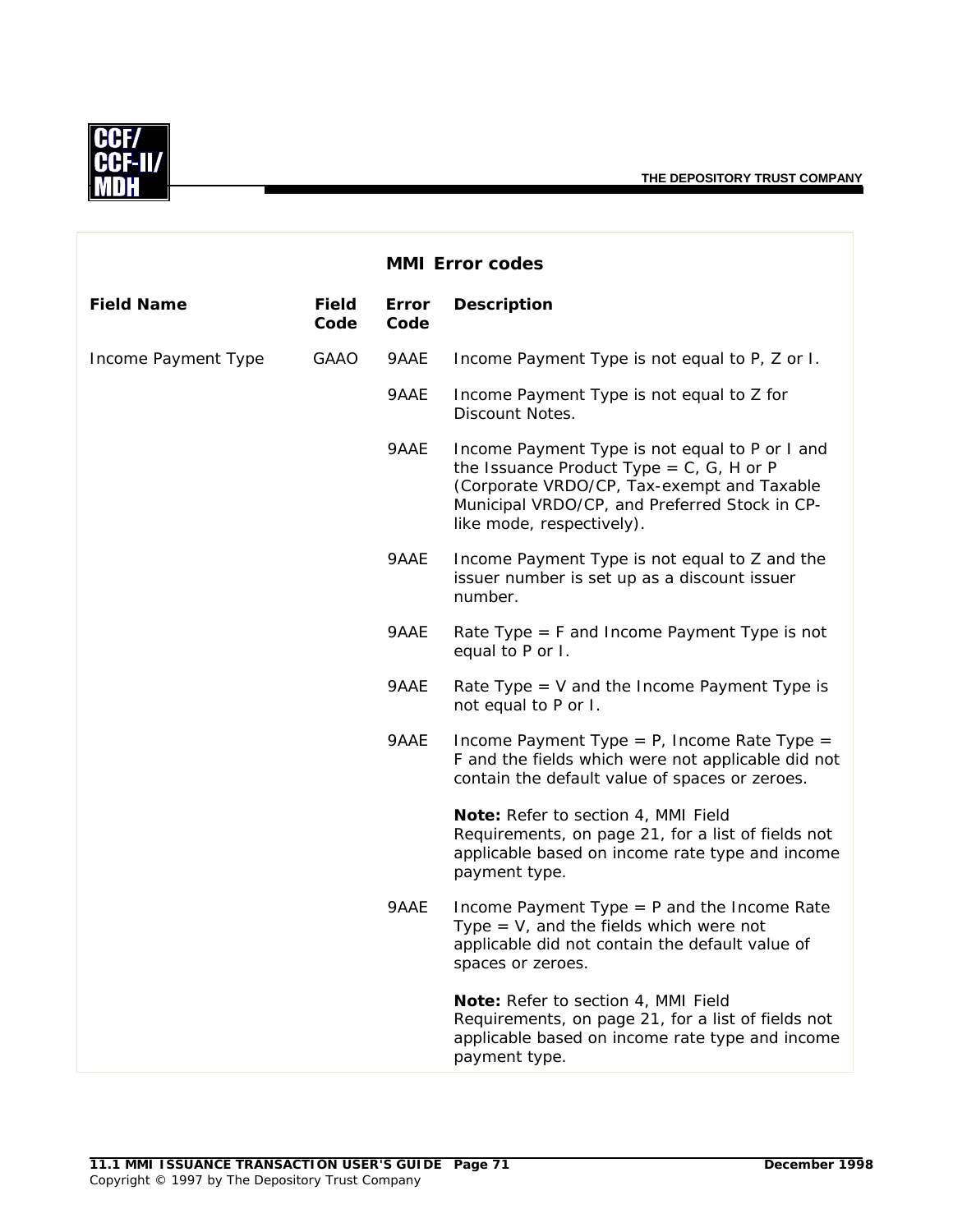

|                     |                      |               | <b>MMI Error codes</b>                                                                                                                                                                                                       |
|---------------------|----------------------|---------------|------------------------------------------------------------------------------------------------------------------------------------------------------------------------------------------------------------------------------|
| <b>Field Name</b>   | <b>Field</b><br>Code | Error<br>Code | <b>Description</b>                                                                                                                                                                                                           |
| Income Payment Type | <b>GAAO</b>          | 9AAE          | Income Payment Type is not equal to P, Z or I.                                                                                                                                                                               |
|                     |                      | 9AAE          | Income Payment Type is not equal to Z for<br>Discount Notes.                                                                                                                                                                 |
|                     |                      | 9AAE          | Income Payment Type is not equal to P or I and<br>the Issuance Product Type = $C$ , $G$ , H or P<br>(Corporate VRDO/CP, Tax-exempt and Taxable<br>Municipal VRDO/CP, and Preferred Stock in CP-<br>like mode, respectively). |
|                     |                      | 9AAE          | Income Payment Type is not equal to Z and the<br>issuer number is set up as a discount issuer<br>number.                                                                                                                     |
|                     |                      | 9AAE          | Rate Type $=$ F and Income Payment Type is not<br>equal to P or I.                                                                                                                                                           |
|                     |                      | 9AAE          | Rate Type $=$ V and the Income Payment Type is<br>not equal to P or I.                                                                                                                                                       |
|                     |                      | 9AAE          | Income Payment Type = $P$ , Income Rate Type =<br>F and the fields which were not applicable did not<br>contain the default value of spaces or zeroes.                                                                       |
|                     |                      |               | Note: Refer to section 4, MMI Field<br>Requirements, on page 21, for a list of fields not<br>applicable based on income rate type and income<br>payment type.                                                                |
|                     |                      | 9AAE          | Income Payment Type $=$ P and the Income Rate<br>Type = $V$ , and the fields which were not<br>applicable did not contain the default value of<br>spaces or zeroes.                                                          |
|                     |                      |               | Note: Refer to section 4, MMI Field<br>Requirements, on page 21, for a list of fields not<br>applicable based on income rate type and income<br>payment type.                                                                |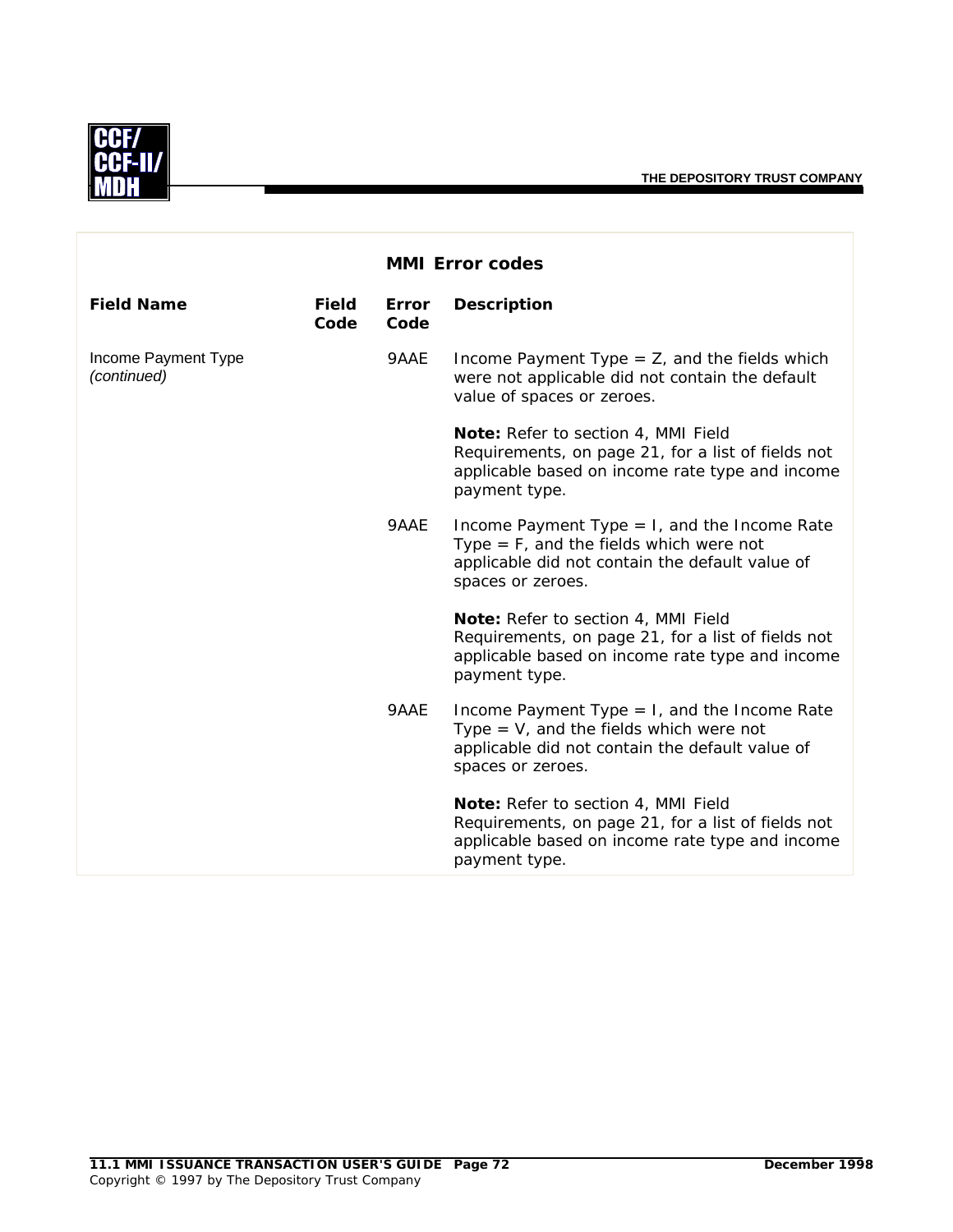

|                                    |                      |                      | <b>MMI Error codes</b>                                                                                                                                               |
|------------------------------------|----------------------|----------------------|----------------------------------------------------------------------------------------------------------------------------------------------------------------------|
| <b>Field Name</b>                  | <b>Field</b><br>Code | <b>Error</b><br>Code | <b>Description</b>                                                                                                                                                   |
| Income Payment Type<br>(continued) |                      | 9AAE                 | Income Payment Type $=$ Z, and the fields which<br>were not applicable did not contain the default<br>value of spaces or zeroes.                                     |
|                                    |                      |                      | Note: Refer to section 4, MMI Field<br>Requirements, on page 21, for a list of fields not<br>applicable based on income rate type and income<br>payment type.        |
|                                    |                      | 9AAE                 | Income Payment Type $= 1$ , and the Income Rate<br>Type $=$ F, and the fields which were not<br>applicable did not contain the default value of<br>spaces or zeroes. |
|                                    |                      |                      | Note: Refer to section 4, MMI Field<br>Requirements, on page 21, for a list of fields not<br>applicable based on income rate type and income<br>payment type.        |
|                                    |                      | 9AAE                 | Income Payment Type $= 1$ , and the Income Rate<br>Type $=$ V, and the fields which were not<br>applicable did not contain the default value of<br>spaces or zeroes. |
|                                    |                      |                      | Note: Refer to section 4, MMI Field<br>Requirements, on page 21, for a list of fields not<br>applicable based on income rate type and income<br>payment type.        |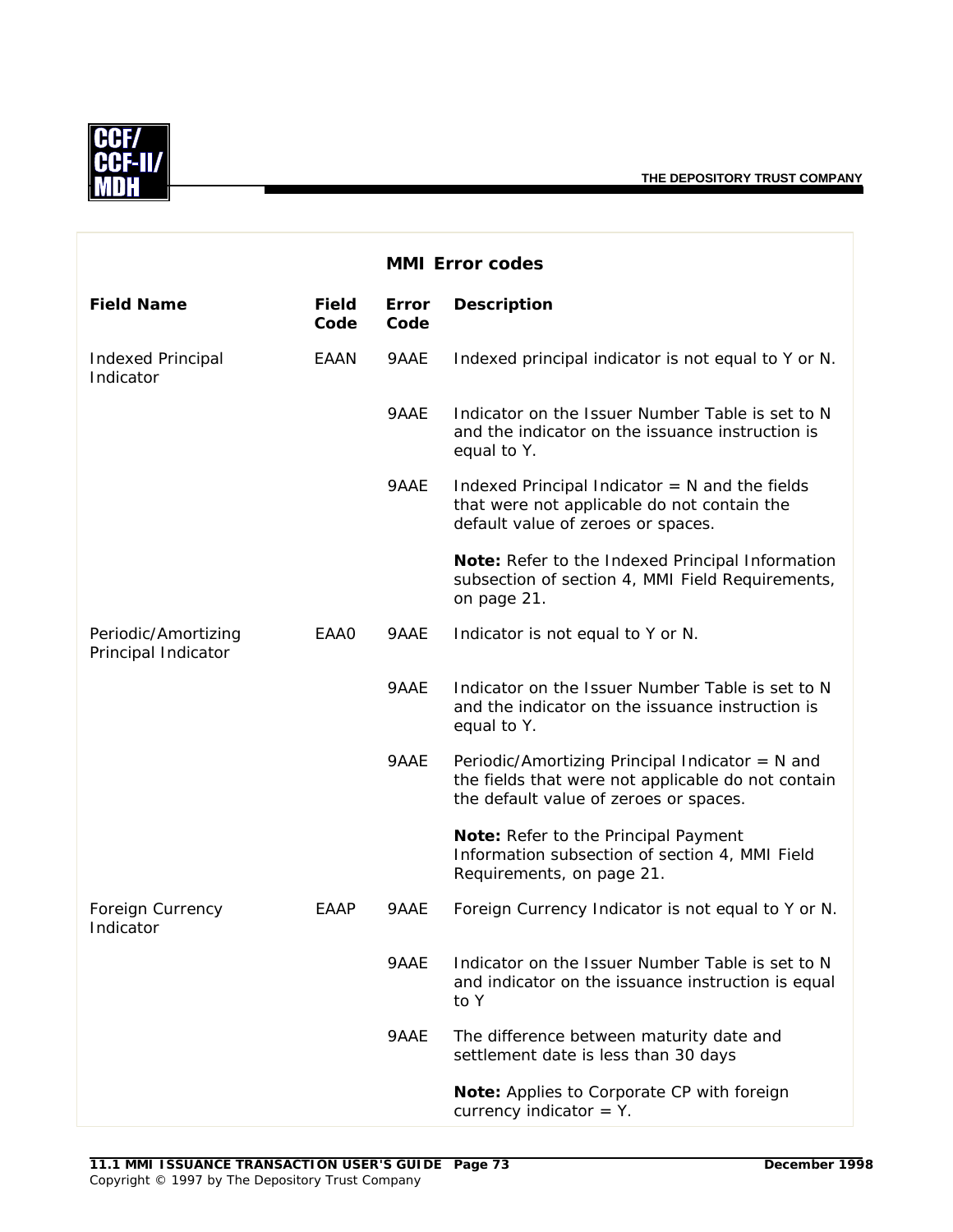

|                                            |                      |                      | <b>MMI Error codes</b>                                                                                                                          |
|--------------------------------------------|----------------------|----------------------|-------------------------------------------------------------------------------------------------------------------------------------------------|
| <b>Field Name</b>                          | <b>Field</b><br>Code | <b>Error</b><br>Code | <b>Description</b>                                                                                                                              |
| <b>Indexed Principal</b><br>Indicator      | EAAN                 | 9AAE                 | Indexed principal indicator is not equal to Y or N.                                                                                             |
|                                            |                      | 9AAE                 | Indicator on the Issuer Number Table is set to N<br>and the indicator on the issuance instruction is<br>equal to Y.                             |
|                                            |                      | 9AAE                 | Indexed Principal Indicator $= N$ and the fields<br>that were not applicable do not contain the<br>default value of zeroes or spaces.           |
|                                            |                      |                      | Note: Refer to the Indexed Principal Information<br>subsection of section 4, MMI Field Requirements,<br>on page 21.                             |
| Periodic/Amortizing<br>Principal Indicator | EAA0                 | 9AAE                 | Indicator is not equal to Y or N.                                                                                                               |
|                                            |                      | 9AAE                 | Indicator on the Issuer Number Table is set to N<br>and the indicator on the issuance instruction is<br>equal to Y.                             |
|                                            |                      | 9AAE                 | Periodic/Amortizing Principal Indicator = N and<br>the fields that were not applicable do not contain<br>the default value of zeroes or spaces. |
|                                            |                      |                      | Note: Refer to the Principal Payment<br>Information subsection of section 4, MMI Field<br>Requirements, on page 21.                             |
| Foreign Currency<br>Indicator              | EAAP                 | 9AAE                 | Foreign Currency Indicator is not equal to Y or N.                                                                                              |
|                                            |                      | 9AAE                 | Indicator on the Issuer Number Table is set to N<br>and indicator on the issuance instruction is equal<br>to Y                                  |
|                                            |                      | 9AAE                 | The difference between maturity date and<br>settlement date is less than 30 days                                                                |
|                                            |                      |                      | Note: Applies to Corporate CP with foreign<br>currency indicator $=$ Y.                                                                         |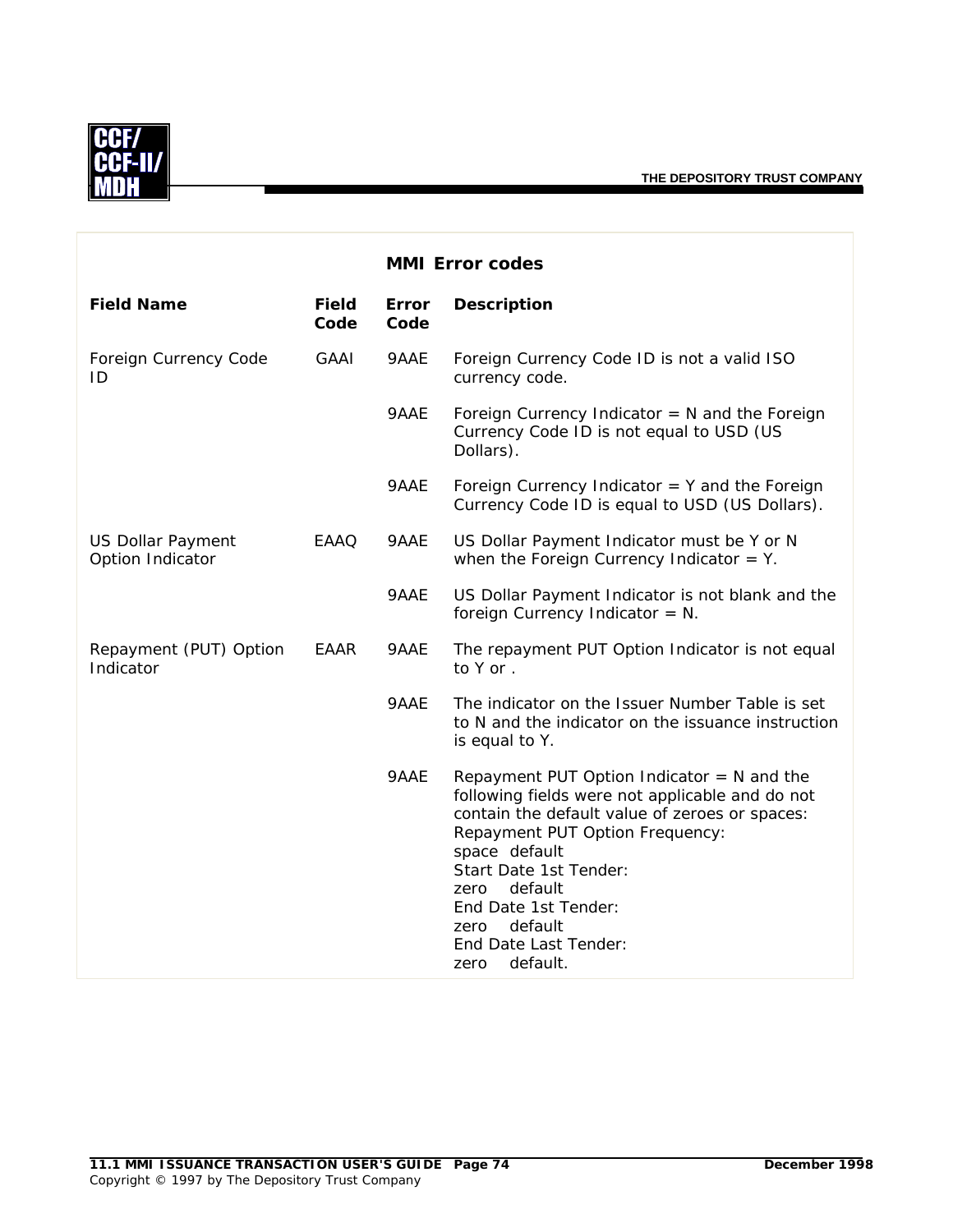

|                                              |                      |                      | <b>MMI Error codes</b>                                                                                                                                                                                                                                                                                                                     |
|----------------------------------------------|----------------------|----------------------|--------------------------------------------------------------------------------------------------------------------------------------------------------------------------------------------------------------------------------------------------------------------------------------------------------------------------------------------|
| <b>Field Name</b>                            | <b>Field</b><br>Code | <b>Error</b><br>Code | <b>Description</b>                                                                                                                                                                                                                                                                                                                         |
| Foreign Currency Code<br>ID                  | GAAI                 | 9AAE                 | Foreign Currency Code ID is not a valid ISO<br>currency code.                                                                                                                                                                                                                                                                              |
|                                              |                      | 9AAE                 | Foreign Currency Indicator $= N$ and the Foreign<br>Currency Code ID is not equal to USD (US<br>Dollars).                                                                                                                                                                                                                                  |
|                                              |                      | 9AAE                 | Foreign Currency Indicator $=$ Y and the Foreign<br>Currency Code ID is equal to USD (US Dollars).                                                                                                                                                                                                                                         |
| <b>US Dollar Payment</b><br>Option Indicator | EAAQ                 | 9AAE                 | US Dollar Payment Indicator must be Y or N<br>when the Foreign Currency Indicator = $Y$ .                                                                                                                                                                                                                                                  |
|                                              |                      | 9AAE                 | US Dollar Payment Indicator is not blank and the<br>foreign Currency Indicator = $N$ .                                                                                                                                                                                                                                                     |
| Repayment (PUT) Option<br>Indicator          | EAAR                 | 9AAE                 | The repayment PUT Option Indicator is not equal<br>to Y or.                                                                                                                                                                                                                                                                                |
|                                              |                      | 9AAE                 | The indicator on the Issuer Number Table is set<br>to N and the indicator on the issuance instruction<br>is equal to Y.                                                                                                                                                                                                                    |
|                                              |                      | 9AAE                 | Repayment PUT Option Indicator $= N$ and the<br>following fields were not applicable and do not<br>contain the default value of zeroes or spaces:<br>Repayment PUT Option Frequency:<br>space default<br>Start Date 1st Tender:<br>default<br>zero<br>End Date 1st Tender:<br>default<br>zero<br>End Date Last Tender:<br>default.<br>zero |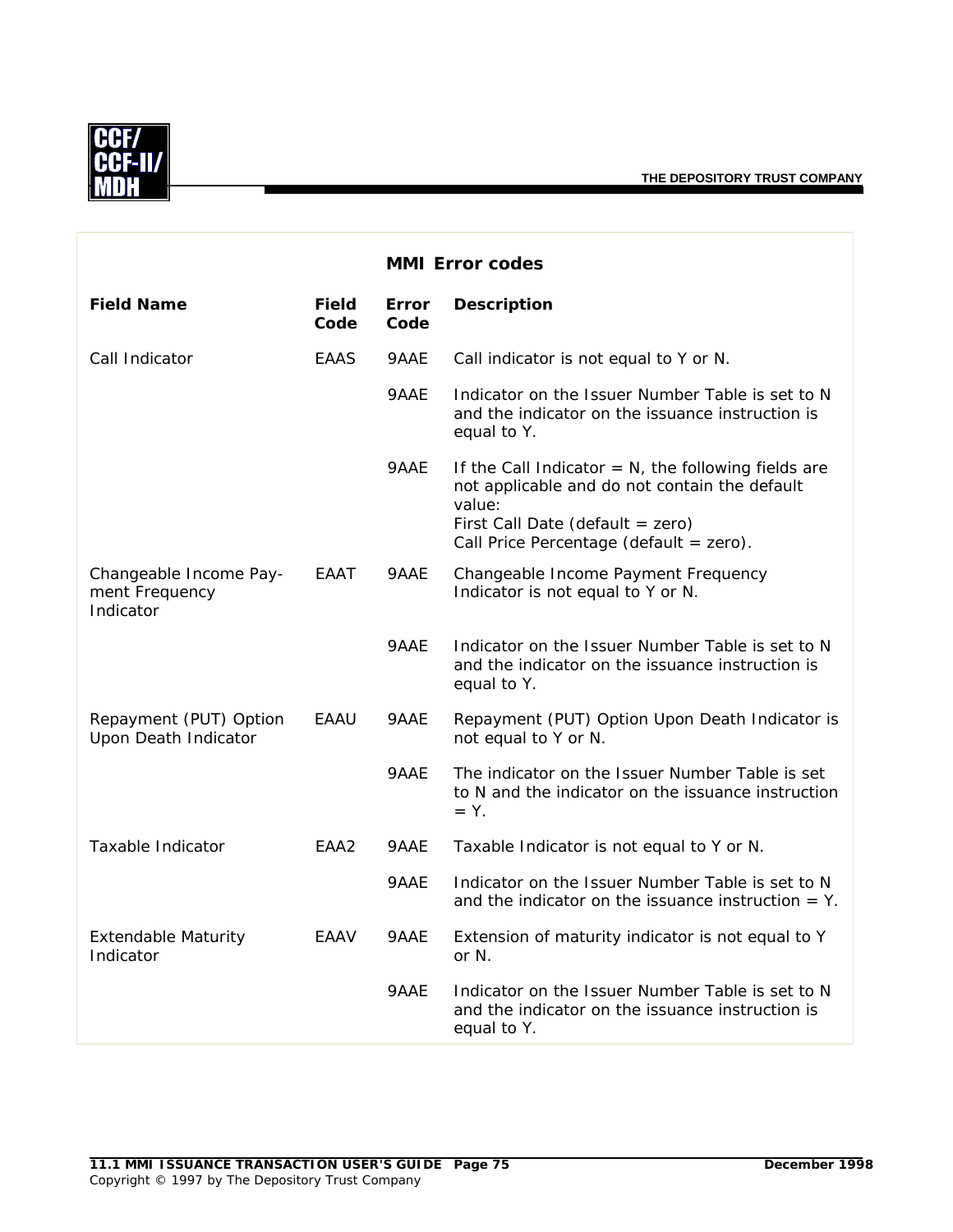

|                                                       |                      |                      | <b>MMI Error codes</b>                                                                                                                                                                                 |
|-------------------------------------------------------|----------------------|----------------------|--------------------------------------------------------------------------------------------------------------------------------------------------------------------------------------------------------|
| <b>Field Name</b>                                     | <b>Field</b><br>Code | <b>Error</b><br>Code | <b>Description</b>                                                                                                                                                                                     |
| Call Indicator                                        | EAAS                 | 9AAE                 | Call indicator is not equal to Y or N.                                                                                                                                                                 |
|                                                       |                      | 9AAE                 | Indicator on the Issuer Number Table is set to N<br>and the indicator on the issuance instruction is<br>equal to Y.                                                                                    |
|                                                       |                      | 9AAE                 | If the Call Indicator $= N$ , the following fields are<br>not applicable and do not contain the default<br>value:<br>First Call Date (default = $zero$ )<br>Call Price Percentage (default = $zero$ ). |
| Changeable Income Pay-<br>ment Frequency<br>Indicator | EAAT                 | 9AAE                 | Changeable Income Payment Frequency<br>Indicator is not equal to Y or N.                                                                                                                               |
|                                                       |                      | 9AAE                 | Indicator on the Issuer Number Table is set to N<br>and the indicator on the issuance instruction is<br>equal to Y.                                                                                    |
| Repayment (PUT) Option<br>Upon Death Indicator        | EAAU                 | 9AAE                 | Repayment (PUT) Option Upon Death Indicator is<br>not equal to Y or N.                                                                                                                                 |
|                                                       |                      | 9AAE                 | The indicator on the Issuer Number Table is set<br>to N and the indicator on the issuance instruction<br>$= Y$ .                                                                                       |
| Taxable Indicator                                     | EAA <sub>2</sub>     | 9AAE                 | Taxable Indicator is not equal to Y or N.                                                                                                                                                              |
|                                                       |                      | 9AAE                 | Indicator on the Issuer Number Table is set to N<br>and the indicator on the issuance instruction $= Y$ .                                                                                              |
| <b>Extendable Maturity</b><br>Indicator               | EAAV                 | 9AAE                 | Extension of maturity indicator is not equal to Y<br>or N.                                                                                                                                             |
|                                                       |                      | 9AAE                 | Indicator on the Issuer Number Table is set to N<br>and the indicator on the issuance instruction is<br>equal to Y.                                                                                    |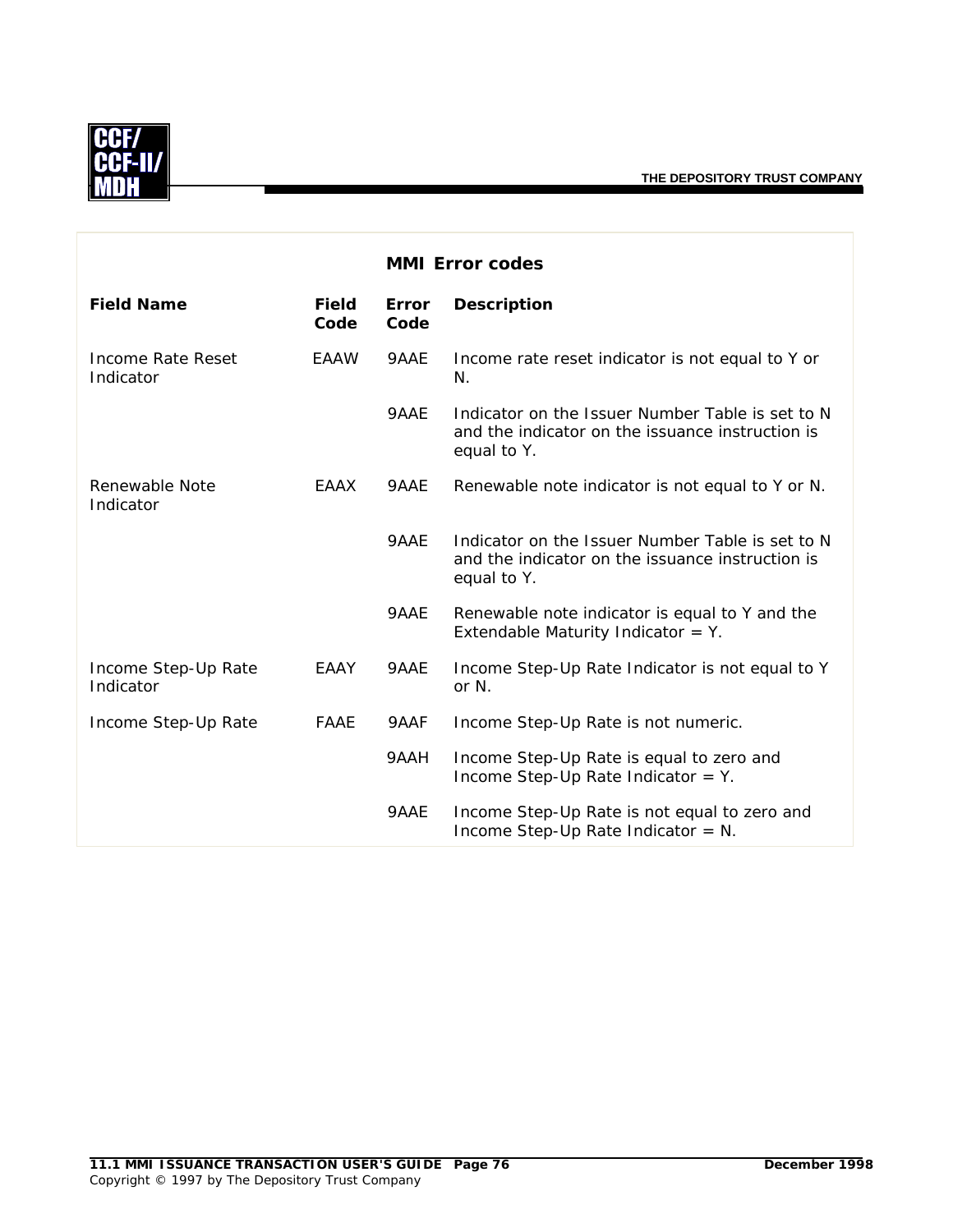

|                                  |                      |                      | <b>MMI Error codes</b>                                                                                              |
|----------------------------------|----------------------|----------------------|---------------------------------------------------------------------------------------------------------------------|
| <b>Field Name</b>                | <b>Field</b><br>Code | <b>Error</b><br>Code | <b>Description</b>                                                                                                  |
| Income Rate Reset<br>Indicator   | <b>EAAW</b>          | 9AAE                 | Income rate reset indicator is not equal to Y or<br>N.                                                              |
|                                  |                      | 9AAE                 | Indicator on the Issuer Number Table is set to N<br>and the indicator on the issuance instruction is<br>equal to Y. |
| Renewable Note<br>Indicator      | EAAX                 | 9AAE                 | Renewable note indicator is not equal to Y or N.                                                                    |
|                                  |                      | 9AAE                 | Indicator on the Issuer Number Table is set to N<br>and the indicator on the issuance instruction is<br>equal to Y. |
|                                  |                      | 9AAE                 | Renewable note indicator is equal to Y and the<br>Extendable Maturity Indicator = $Y$ .                             |
| Income Step-Up Rate<br>Indicator | EAAY                 | 9AAE                 | Income Step-Up Rate Indicator is not equal to Y<br>or N.                                                            |
| Income Step-Up Rate              | <b>FAAE</b>          | 9AAF                 | Income Step-Up Rate is not numeric.                                                                                 |
|                                  |                      | 9AAH                 | Income Step-Up Rate is equal to zero and<br>Income Step-Up Rate Indicator = $Y$ .                                   |
|                                  |                      | 9AAE                 | Income Step-Up Rate is not equal to zero and<br>Income Step-Up Rate Indicator = $N$ .                               |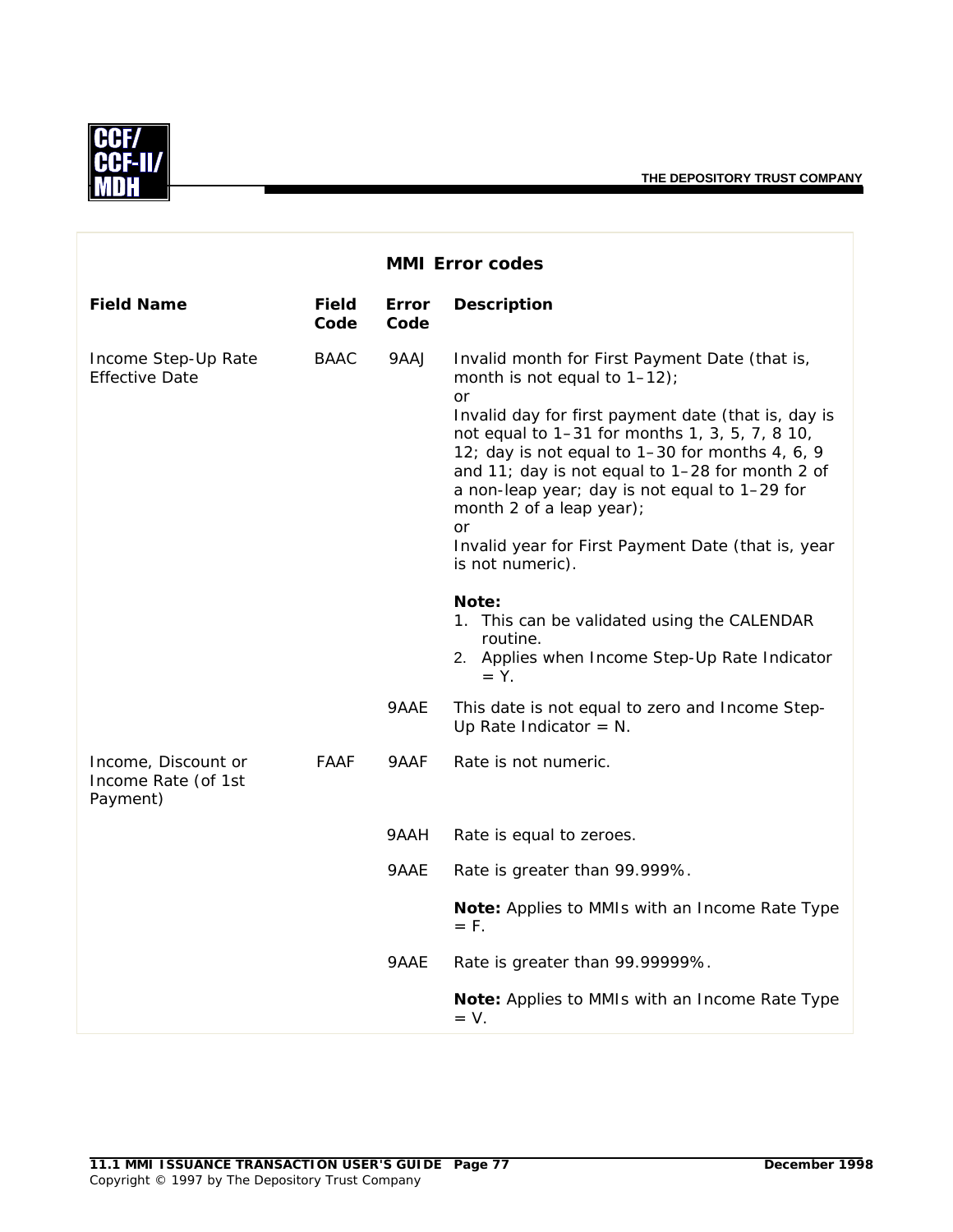

|                                                        |                      |                      | <b>MMI Error codes</b>                                                                                                                                                                                                                                                                                                                                                                                                                                                     |
|--------------------------------------------------------|----------------------|----------------------|----------------------------------------------------------------------------------------------------------------------------------------------------------------------------------------------------------------------------------------------------------------------------------------------------------------------------------------------------------------------------------------------------------------------------------------------------------------------------|
| <b>Field Name</b>                                      | <b>Field</b><br>Code | <b>Error</b><br>Code | <b>Description</b>                                                                                                                                                                                                                                                                                                                                                                                                                                                         |
| Income Step-Up Rate<br><b>Effective Date</b>           | <b>BAAC</b>          | 9AAJ                 | Invalid month for First Payment Date (that is,<br>month is not equal to $1-12$ );<br>or<br>Invalid day for first payment date (that is, day is<br>not equal to 1-31 for months 1, 3, 5, 7, 8 10,<br>12; day is not equal to 1-30 for months 4, 6, 9<br>and 11; day is not equal to 1-28 for month 2 of<br>a non-leap year; day is not equal to 1-29 for<br>month 2 of a leap year);<br><b>or</b><br>Invalid year for First Payment Date (that is, year<br>is not numeric). |
|                                                        |                      |                      | Note:<br>1. This can be validated using the CALENDAR<br>routine.<br>2. Applies when Income Step-Up Rate Indicator<br>$= Y$ .                                                                                                                                                                                                                                                                                                                                               |
|                                                        |                      | 9AAE                 | This date is not equal to zero and Income Step-<br>Up Rate Indicator = $N$ .                                                                                                                                                                                                                                                                                                                                                                                               |
| Income, Discount or<br>Income Rate (of 1st<br>Payment) | FAAF                 | 9AAF                 | Rate is not numeric.                                                                                                                                                                                                                                                                                                                                                                                                                                                       |
|                                                        |                      | 9AAH                 | Rate is equal to zeroes.                                                                                                                                                                                                                                                                                                                                                                                                                                                   |
|                                                        |                      | 9AAE                 | Rate is greater than 99.999%.                                                                                                                                                                                                                                                                                                                                                                                                                                              |
|                                                        |                      |                      | Note: Applies to MMIs with an Income Rate Type<br>$=$ F.                                                                                                                                                                                                                                                                                                                                                                                                                   |
|                                                        |                      | 9AAE                 | Rate is greater than 99.99999%.                                                                                                                                                                                                                                                                                                                                                                                                                                            |
|                                                        |                      |                      | Note: Applies to MMIs with an Income Rate Type<br>$= V.$                                                                                                                                                                                                                                                                                                                                                                                                                   |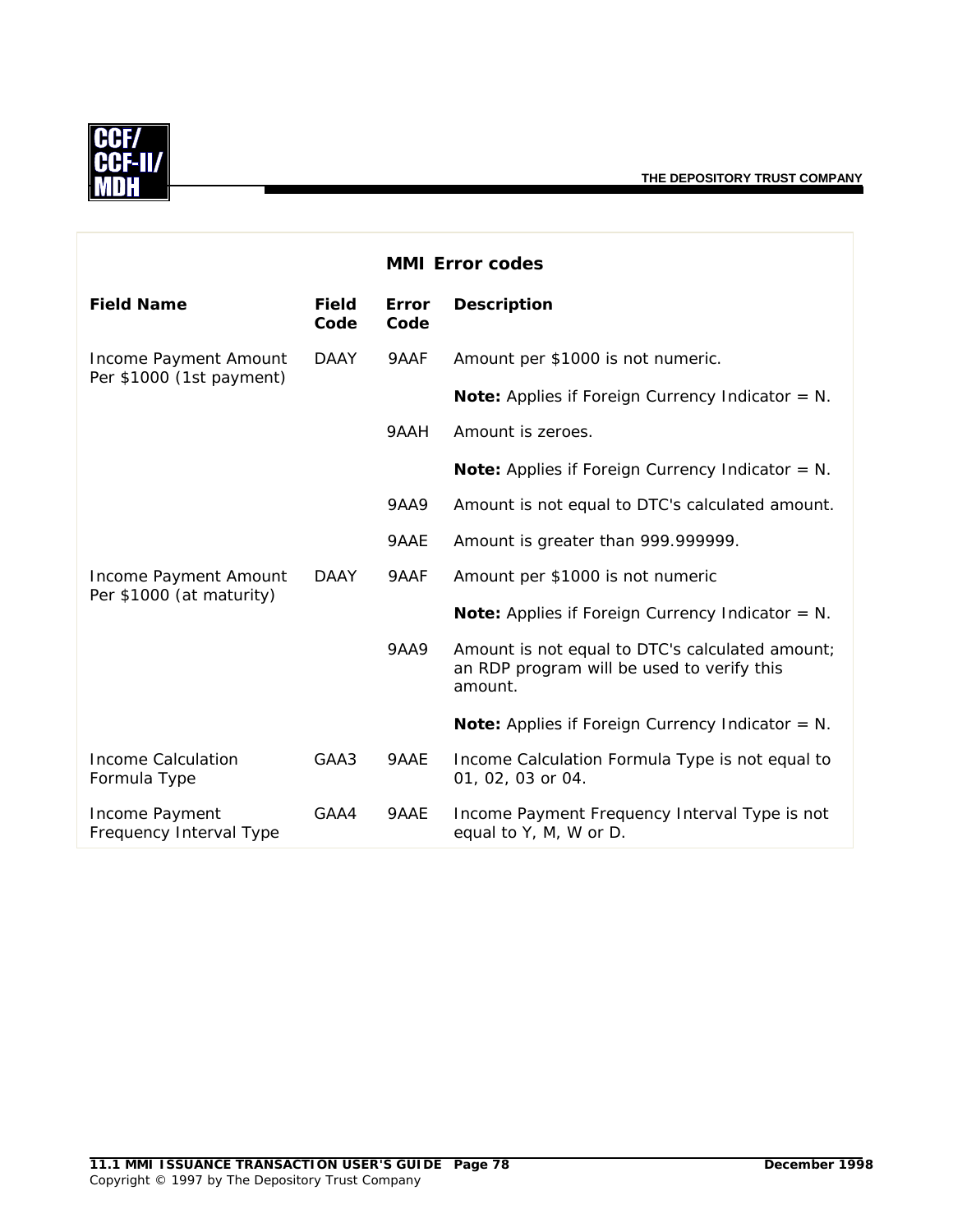

|                                                   |                      |               | <b>MMI Error codes</b>                                                                                   |
|---------------------------------------------------|----------------------|---------------|----------------------------------------------------------------------------------------------------------|
| <b>Field Name</b>                                 | <b>Field</b><br>Code | Error<br>Code | <b>Description</b>                                                                                       |
| Income Payment Amount                             | <b>DAAY</b>          | 9AAF          | Amount per \$1000 is not numeric.                                                                        |
| Per \$1000 (1st payment)                          |                      |               | <b>Note:</b> Applies if Foreign Currency Indicator = $N$ .                                               |
|                                                   |                      | 9AAH          | Amount is zeroes.                                                                                        |
|                                                   |                      |               | <b>Note:</b> Applies if Foreign Currency Indicator = $N$ .                                               |
|                                                   |                      | <b>9AA9</b>   | Amount is not equal to DTC's calculated amount.                                                          |
|                                                   |                      | 9AAE          | Amount is greater than 999.999999.                                                                       |
| Income Payment Amount<br>Per \$1000 (at maturity) | <b>DAAY</b>          | 9AAF          | Amount per \$1000 is not numeric                                                                         |
|                                                   |                      |               | Note: Applies if Foreign Currency Indicator = N.                                                         |
|                                                   |                      | <b>9AA9</b>   | Amount is not equal to DTC's calculated amount;<br>an RDP program will be used to verify this<br>amount. |
|                                                   |                      |               | <b>Note:</b> Applies if Foreign Currency Indicator = $N$ .                                               |
| Income Calculation<br>Formula Type                | GAA3                 | 9AAE          | Income Calculation Formula Type is not equal to<br>01, 02, 03 or 04.                                     |
| Income Payment<br>Frequency Interval Type         | GAA4                 | 9AAE          | Income Payment Frequency Interval Type is not<br>equal to Y, M, W or D.                                  |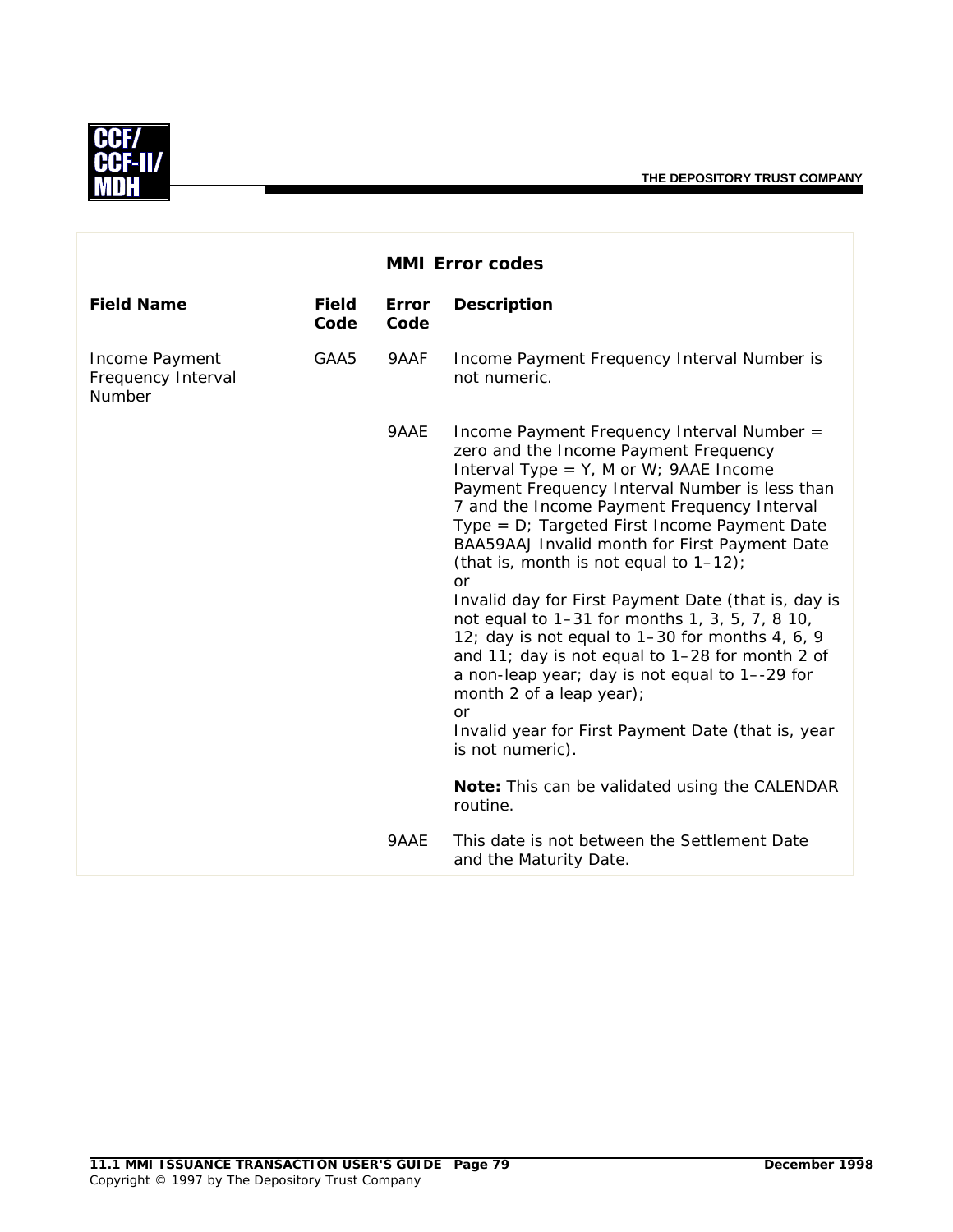

|                                                |                      |                      | <b>MMI Error codes</b>                                                                                                                                                                                                                                                                                                                                                                                                                                                                                                                                                                                                                                                                                                                                                                                                                |
|------------------------------------------------|----------------------|----------------------|---------------------------------------------------------------------------------------------------------------------------------------------------------------------------------------------------------------------------------------------------------------------------------------------------------------------------------------------------------------------------------------------------------------------------------------------------------------------------------------------------------------------------------------------------------------------------------------------------------------------------------------------------------------------------------------------------------------------------------------------------------------------------------------------------------------------------------------|
| <b>Field Name</b>                              | <b>Field</b><br>Code | <b>Error</b><br>Code | <b>Description</b>                                                                                                                                                                                                                                                                                                                                                                                                                                                                                                                                                                                                                                                                                                                                                                                                                    |
| Income Payment<br>Frequency Interval<br>Number | GAA5                 | 9AAF                 | Income Payment Frequency Interval Number is<br>not numeric.                                                                                                                                                                                                                                                                                                                                                                                                                                                                                                                                                                                                                                                                                                                                                                           |
|                                                |                      | 9AAE                 | Income Payment Frequency Interval Number =<br>zero and the Income Payment Frequency<br>Interval Type = $Y$ , M or W; 9AAE Income<br>Payment Frequency Interval Number is less than<br>7 and the Income Payment Frequency Interval<br>Type = $D$ ; Targeted First Income Payment Date<br>BAA59AAJ Invalid month for First Payment Date<br>(that is, month is not equal to $1-12$ );<br>or<br>Invalid day for First Payment Date (that is, day is<br>not equal to 1-31 for months 1, 3, 5, 7, 8 10,<br>12; day is not equal to 1-30 for months 4, 6, 9<br>and 11; day is not equal to $1-28$ for month 2 of<br>a non-leap year; day is not equal to 1--29 for<br>month 2 of a leap year);<br>or<br>Invalid year for First Payment Date (that is, year<br>is not numeric).<br>Note: This can be validated using the CALENDAR<br>routine. |
|                                                |                      | 9AAE                 | This date is not between the Settlement Date<br>and the Maturity Date.                                                                                                                                                                                                                                                                                                                                                                                                                                                                                                                                                                                                                                                                                                                                                                |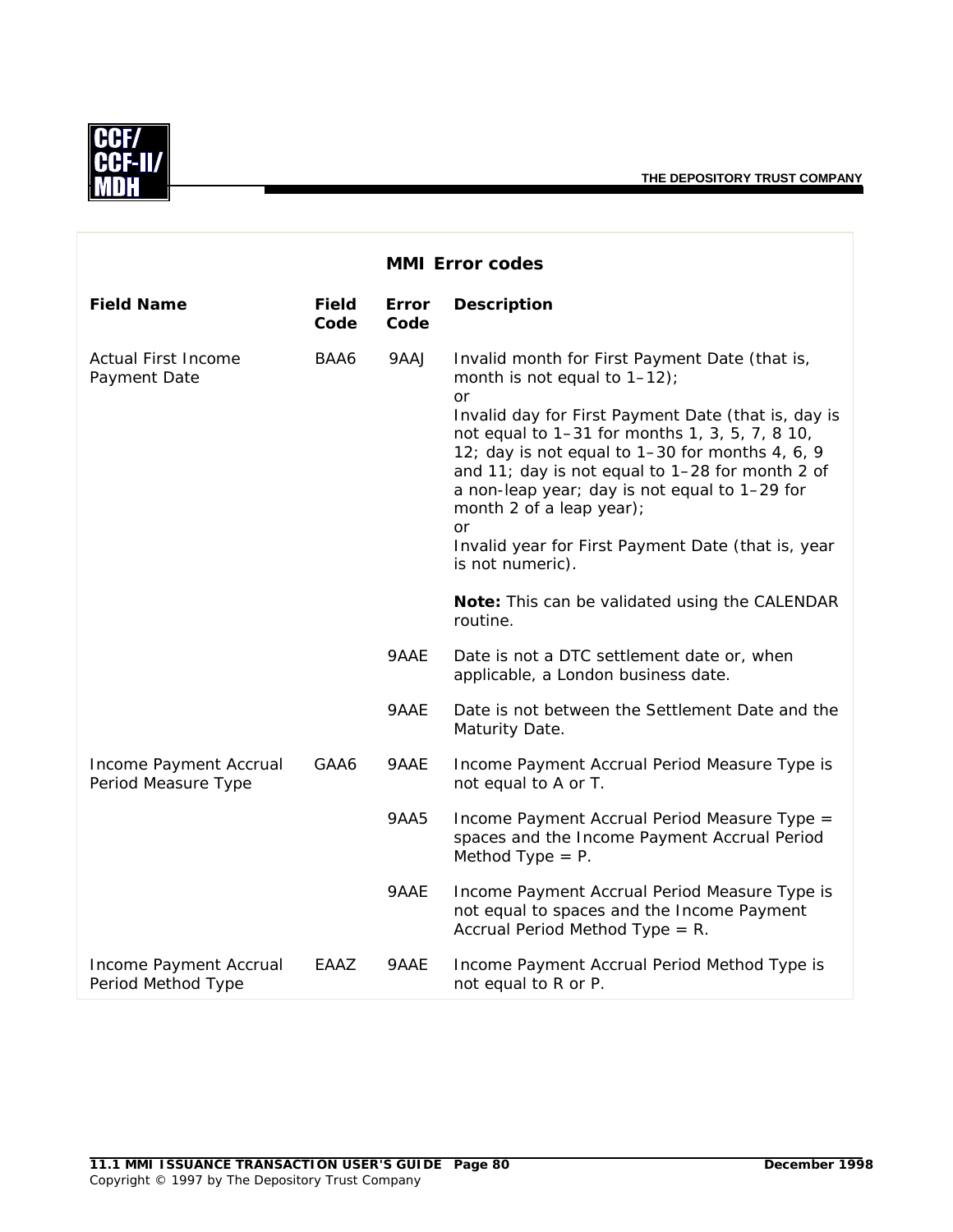

|                                               |                      |               | <b>MMI Error codes</b>                                                                                                                                                                                                                                                                                                                                                                                                                                                           |
|-----------------------------------------------|----------------------|---------------|----------------------------------------------------------------------------------------------------------------------------------------------------------------------------------------------------------------------------------------------------------------------------------------------------------------------------------------------------------------------------------------------------------------------------------------------------------------------------------|
| <b>Field Name</b>                             | <b>Field</b><br>Code | Error<br>Code | <b>Description</b>                                                                                                                                                                                                                                                                                                                                                                                                                                                               |
| <b>Actual First Income</b><br>Payment Date    | BAA6                 | 9AAJ          | Invalid month for First Payment Date (that is,<br>month is not equal to $1-12$ ;<br><b>or</b><br>Invalid day for First Payment Date (that is, day is<br>not equal to 1-31 for months 1, 3, 5, 7, 8 10,<br>12; day is not equal to 1-30 for months 4, 6, 9<br>and 11; day is not equal to 1-28 for month 2 of<br>a non-leap year; day is not equal to 1-29 for<br>month 2 of a leap year);<br><b>or</b><br>Invalid year for First Payment Date (that is, year<br>is not numeric). |
|                                               |                      |               | Note: This can be validated using the CALENDAR<br>routine.                                                                                                                                                                                                                                                                                                                                                                                                                       |
|                                               |                      | 9AAE          | Date is not a DTC settlement date or, when<br>applicable, a London business date.                                                                                                                                                                                                                                                                                                                                                                                                |
|                                               |                      | 9AAE          | Date is not between the Settlement Date and the<br>Maturity Date.                                                                                                                                                                                                                                                                                                                                                                                                                |
| Income Payment Accrual<br>Period Measure Type | GAA6                 | 9AAE          | Income Payment Accrual Period Measure Type is<br>not equal to A or T.                                                                                                                                                                                                                                                                                                                                                                                                            |
|                                               |                      | 9AA5          | Income Payment Accrual Period Measure Type =<br>spaces and the Income Payment Accrual Period<br>Method Type $= P$ .                                                                                                                                                                                                                                                                                                                                                              |
|                                               |                      | 9AAE          | Income Payment Accrual Period Measure Type is<br>not equal to spaces and the Income Payment<br>Accrual Period Method Type = $R$ .                                                                                                                                                                                                                                                                                                                                                |
| Income Payment Accrual<br>Period Method Type  | EAAZ                 | 9AAE          | Income Payment Accrual Period Method Type is<br>not equal to R or P.                                                                                                                                                                                                                                                                                                                                                                                                             |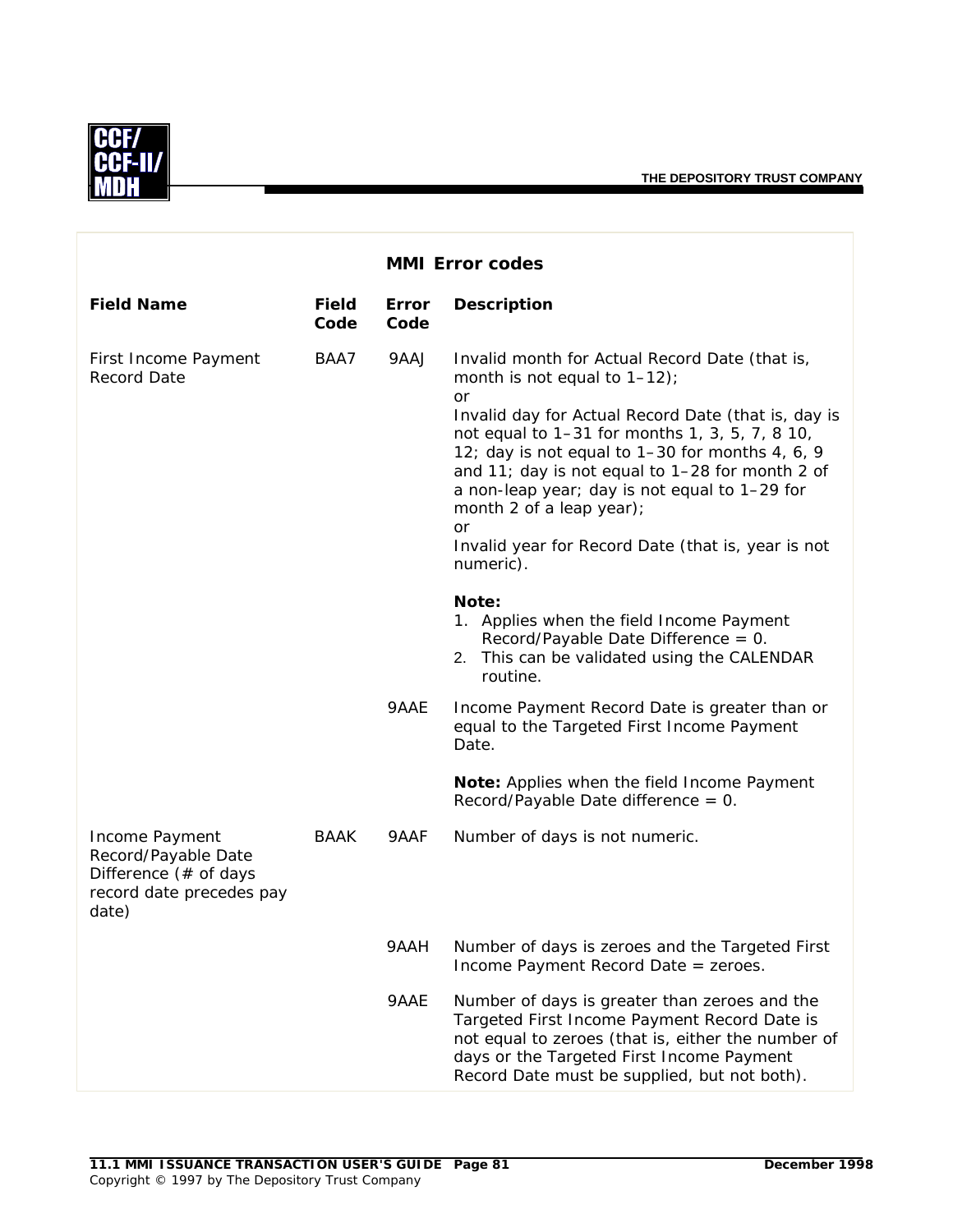

|                                                                                                       |                      |               | <b>MMI Error codes</b>                                                                                                                                                                                                                                                                                                                                                                                                                                              |
|-------------------------------------------------------------------------------------------------------|----------------------|---------------|---------------------------------------------------------------------------------------------------------------------------------------------------------------------------------------------------------------------------------------------------------------------------------------------------------------------------------------------------------------------------------------------------------------------------------------------------------------------|
| <b>Field Name</b>                                                                                     | <b>Field</b><br>Code | Error<br>Code | <b>Description</b>                                                                                                                                                                                                                                                                                                                                                                                                                                                  |
| First Income Payment<br><b>Record Date</b>                                                            | BAA7                 | 9AAJ          | Invalid month for Actual Record Date (that is,<br>month is not equal to $1-12$ );<br>or<br>Invalid day for Actual Record Date (that is, day is<br>not equal to 1-31 for months 1, 3, 5, 7, 8 10,<br>12; day is not equal to 1-30 for months 4, 6, 9<br>and 11; day is not equal to 1-28 for month 2 of<br>a non-leap year; day is not equal to 1-29 for<br>month 2 of a leap year);<br><b>or</b><br>Invalid year for Record Date (that is, year is not<br>numeric). |
|                                                                                                       |                      |               | Note:<br>1. Applies when the field Income Payment<br>Record/Payable Date Difference = 0.<br>2. This can be validated using the CALENDAR<br>routine.                                                                                                                                                                                                                                                                                                                 |
|                                                                                                       |                      | 9AAE          | Income Payment Record Date is greater than or<br>equal to the Targeted First Income Payment<br>Date.                                                                                                                                                                                                                                                                                                                                                                |
|                                                                                                       |                      |               | Note: Applies when the field Income Payment<br>Record/Payable Date difference = 0.                                                                                                                                                                                                                                                                                                                                                                                  |
| Income Payment<br>Record/Payable Date<br>Difference $(*$ of days<br>record date precedes pay<br>date) | <b>BAAK</b>          | 9AAF          | Number of days is not numeric.                                                                                                                                                                                                                                                                                                                                                                                                                                      |
|                                                                                                       |                      | 9AAH          | Number of days is zeroes and the Targeted First<br>Income Payment Record Date = zeroes.                                                                                                                                                                                                                                                                                                                                                                             |
|                                                                                                       |                      | 9AAE          | Number of days is greater than zeroes and the<br>Targeted First Income Payment Record Date is<br>not equal to zeroes (that is, either the number of<br>days or the Targeted First Income Payment<br>Record Date must be supplied, but not both).                                                                                                                                                                                                                    |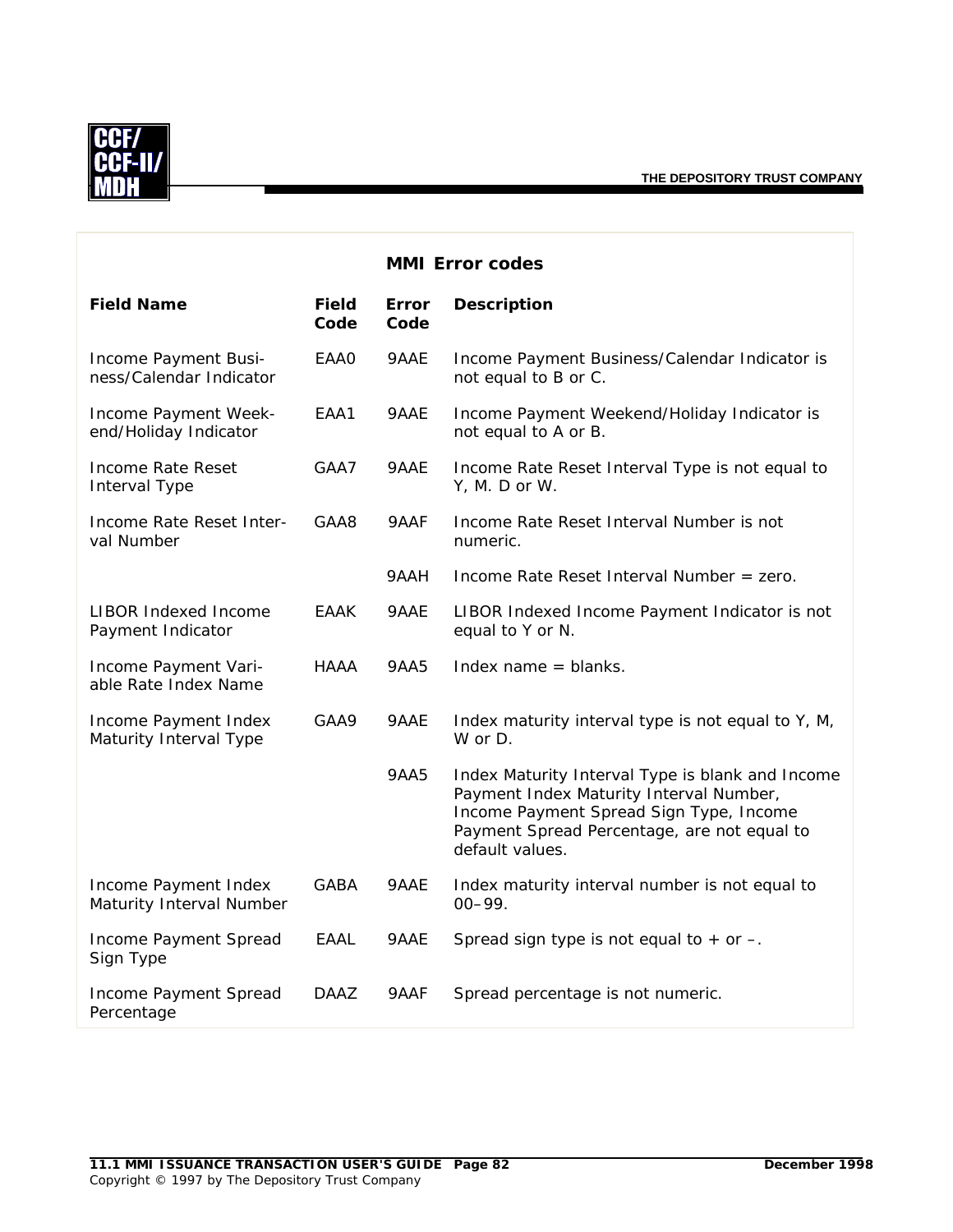

|                                                  |                      |                      | <b>MMI Error codes</b>                                                                                                                                                                                   |
|--------------------------------------------------|----------------------|----------------------|----------------------------------------------------------------------------------------------------------------------------------------------------------------------------------------------------------|
| <b>Field Name</b>                                | <b>Field</b><br>Code | <b>Error</b><br>Code | <b>Description</b>                                                                                                                                                                                       |
| Income Payment Busi-<br>ness/Calendar Indicator  | EAA0                 | 9AAE                 | Income Payment Business/Calendar Indicator is<br>not equal to B or C.                                                                                                                                    |
| Income Payment Week-<br>end/Holiday Indicator    | EAA1                 | 9AAE                 | Income Payment Weekend/Holiday Indicator is<br>not equal to A or B.                                                                                                                                      |
| Income Rate Reset<br>Interval Type               | GAA7                 | 9AAE                 | Income Rate Reset Interval Type is not equal to<br>Y, M. D or W.                                                                                                                                         |
| Income Rate Reset Inter-<br>val Number           | GAA8                 | 9AAF                 | Income Rate Reset Interval Number is not<br>numeric.                                                                                                                                                     |
|                                                  |                      | 9AAH                 | Income Rate Reset Interval Number = zero.                                                                                                                                                                |
| <b>LIBOR Indexed Income</b><br>Payment Indicator | EAAK                 | 9AAE                 | LIBOR Indexed Income Payment Indicator is not<br>equal to Y or N.                                                                                                                                        |
| Income Payment Vari-<br>able Rate Index Name     | <b>HAAA</b>          | <b>9AA5</b>          | Index name $=$ blanks.                                                                                                                                                                                   |
| Income Payment Index<br>Maturity Interval Type   | GAA9                 | 9AAE                 | Index maturity interval type is not equal to Y, M,<br>W or D.                                                                                                                                            |
|                                                  |                      | 9AA5                 | Index Maturity Interval Type is blank and Income<br>Payment Index Maturity Interval Number,<br>Income Payment Spread Sign Type, Income<br>Payment Spread Percentage, are not equal to<br>default values. |
| Income Payment Index<br>Maturity Interval Number | <b>GABA</b>          | 9AAE                 | Index maturity interval number is not equal to<br>$00 - 99.$                                                                                                                                             |
| Income Payment Spread<br>Sign Type               | EAAL                 | 9AAE                 | Spread sign type is not equal to $+$ or $-$ .                                                                                                                                                            |
| Income Payment Spread<br>Percentage              | <b>DAAZ</b>          | 9AAF                 | Spread percentage is not numeric.                                                                                                                                                                        |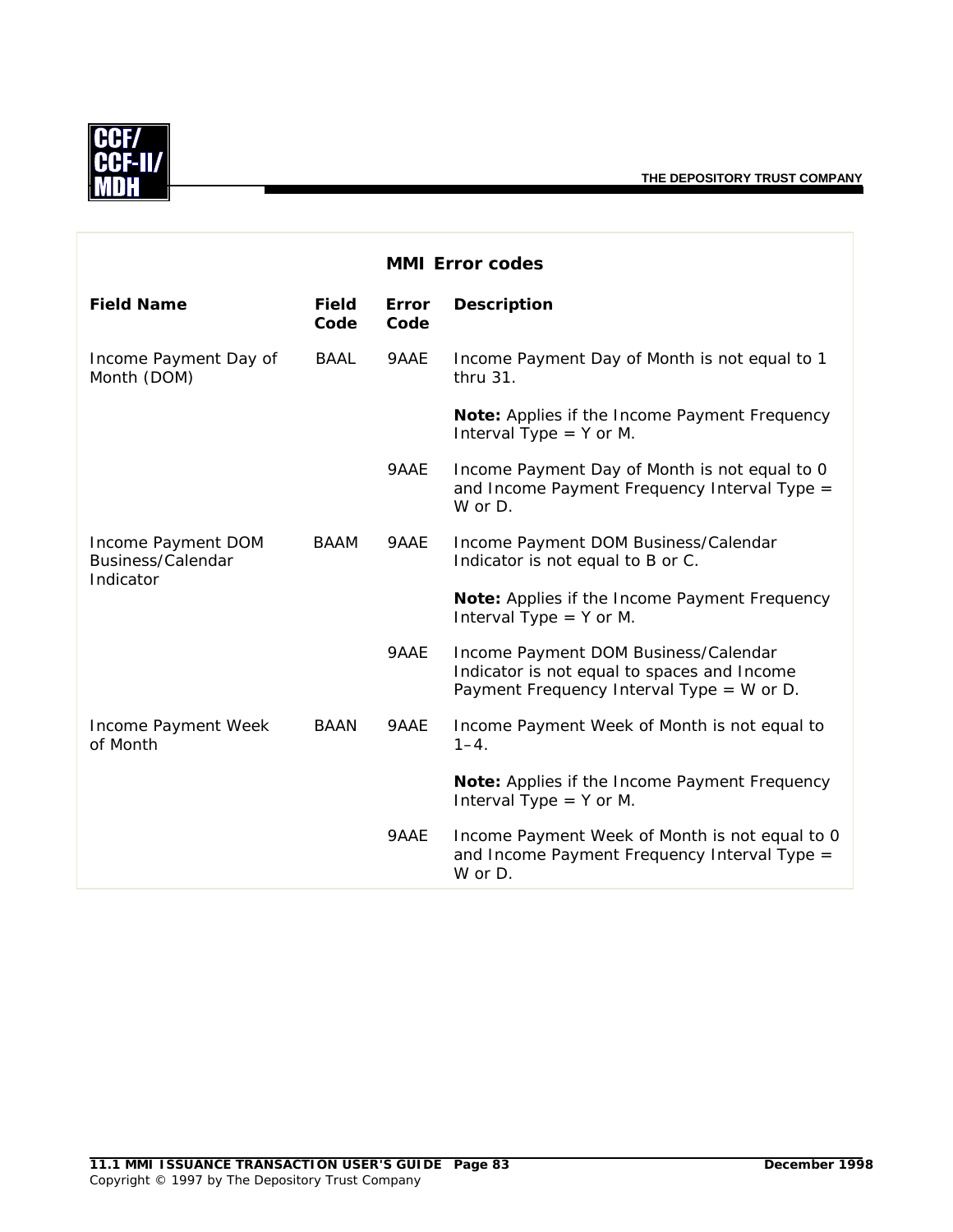

|                                                      |                      |                      | <b>MMI Error codes</b>                                                                                                           |
|------------------------------------------------------|----------------------|----------------------|----------------------------------------------------------------------------------------------------------------------------------|
| <b>Field Name</b>                                    | <b>Field</b><br>Code | <b>Error</b><br>Code | <b>Description</b>                                                                                                               |
| Income Payment Day of<br>Month (DOM)                 | <b>BAAL</b>          | 9AAE                 | Income Payment Day of Month is not equal to 1<br>thru 31.                                                                        |
|                                                      |                      |                      | Note: Applies if the Income Payment Frequency<br>Interval Type $=$ Y or M.                                                       |
|                                                      |                      | 9AAE                 | Income Payment Day of Month is not equal to 0<br>and Income Payment Frequency Interval Type =<br>W or D.                         |
| Income Payment DOM<br>Business/Calendar<br>Indicator | <b>BAAM</b>          | 9AAE                 | Income Payment DOM Business/Calendar<br>Indicator is not equal to B or C.                                                        |
|                                                      |                      |                      | Note: Applies if the Income Payment Frequency<br>Interval Type $=$ Y or M.                                                       |
|                                                      |                      | 9AAE                 | Income Payment DOM Business/Calendar<br>Indicator is not equal to spaces and Income<br>Payment Frequency Interval Type = W or D. |
| Income Payment Week<br>of Month                      | <b>BAAN</b>          | 9AAE                 | Income Payment Week of Month is not equal to<br>$1 - 4$ .                                                                        |
|                                                      |                      |                      | Note: Applies if the Income Payment Frequency<br>Interval Type $=$ Y or M.                                                       |
|                                                      |                      | 9AAE                 | Income Payment Week of Month is not equal to 0<br>and Income Payment Frequency Interval Type =<br>W or D.                        |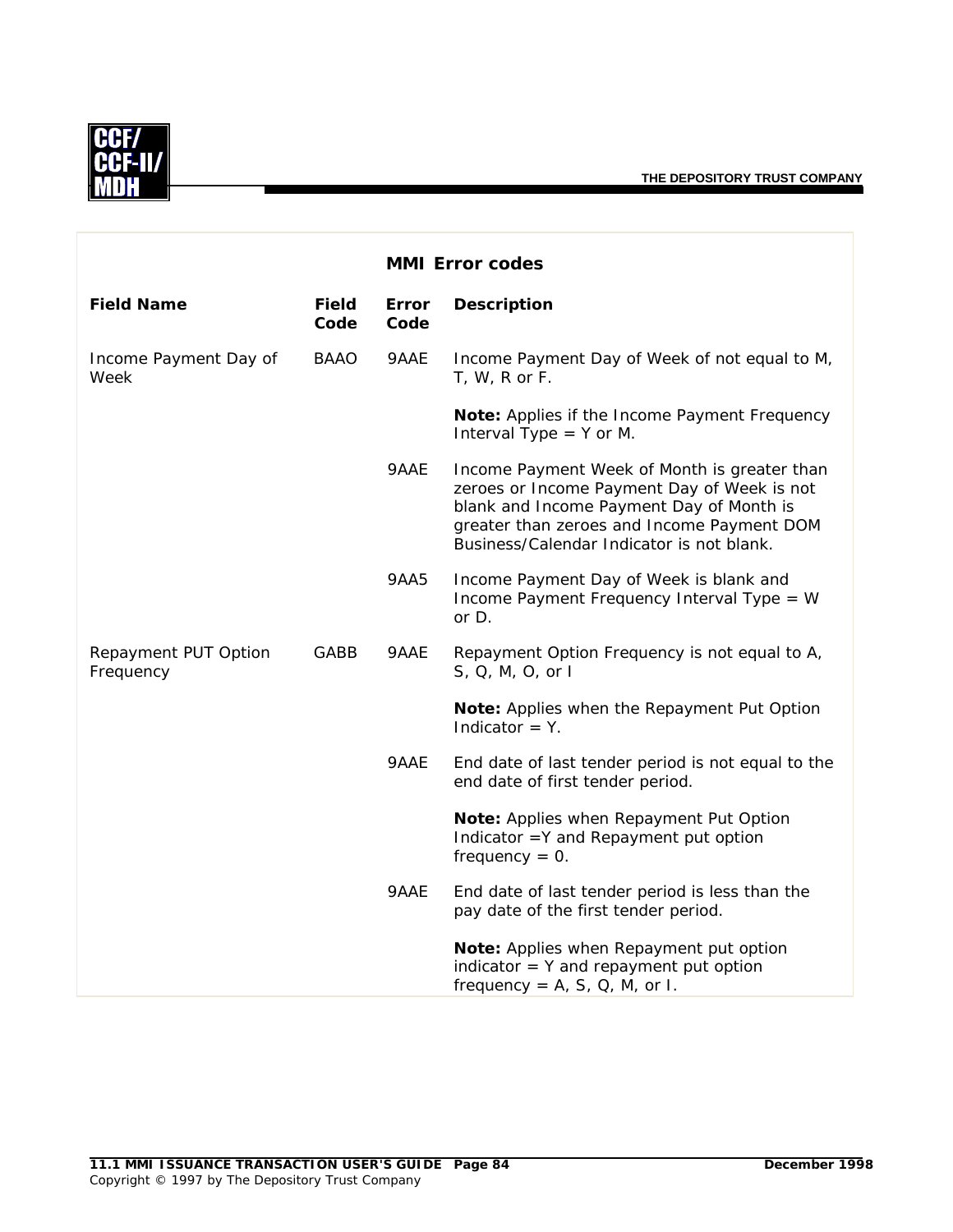

|                                   |                      |               | <b>MMI Error codes</b>                                                                                                                                                                                                             |
|-----------------------------------|----------------------|---------------|------------------------------------------------------------------------------------------------------------------------------------------------------------------------------------------------------------------------------------|
| <b>Field Name</b>                 | <b>Field</b><br>Code | Error<br>Code | <b>Description</b>                                                                                                                                                                                                                 |
| Income Payment Day of<br>Week     | <b>BAAO</b>          | 9AAE          | Income Payment Day of Week of not equal to M,<br>$T, W, R$ or $F.$                                                                                                                                                                 |
|                                   |                      |               | Note: Applies if the Income Payment Frequency<br>Interval Type $=$ Y or M.                                                                                                                                                         |
|                                   |                      | 9AAE          | Income Payment Week of Month is greater than<br>zeroes or Income Payment Day of Week is not<br>blank and Income Payment Day of Month is<br>greater than zeroes and Income Payment DOM<br>Business/Calendar Indicator is not blank. |
|                                   |                      | 9AA5          | Income Payment Day of Week is blank and<br>Income Payment Frequency Interval Type = W<br>or D.                                                                                                                                     |
| Repayment PUT Option<br>Frequency | GABB                 | 9AAE          | Repayment Option Frequency is not equal to A,<br>S, Q, M, O, or I                                                                                                                                                                  |
|                                   |                      |               | Note: Applies when the Repayment Put Option<br>Indicator $= Y$ .                                                                                                                                                                   |
|                                   |                      | 9AAE          | End date of last tender period is not equal to the<br>end date of first tender period.                                                                                                                                             |
|                                   |                      |               | Note: Applies when Repayment Put Option<br>Indicator = Y and Repayment put option<br>frequency = $0$ .                                                                                                                             |
|                                   |                      | 9AAE          | End date of last tender period is less than the<br>pay date of the first tender period.                                                                                                                                            |
|                                   |                      |               | Note: Applies when Repayment put option<br>indicator $=$ Y and repayment put option<br>frequency = $A$ , $S$ , $Q$ , $M$ , or I.                                                                                                   |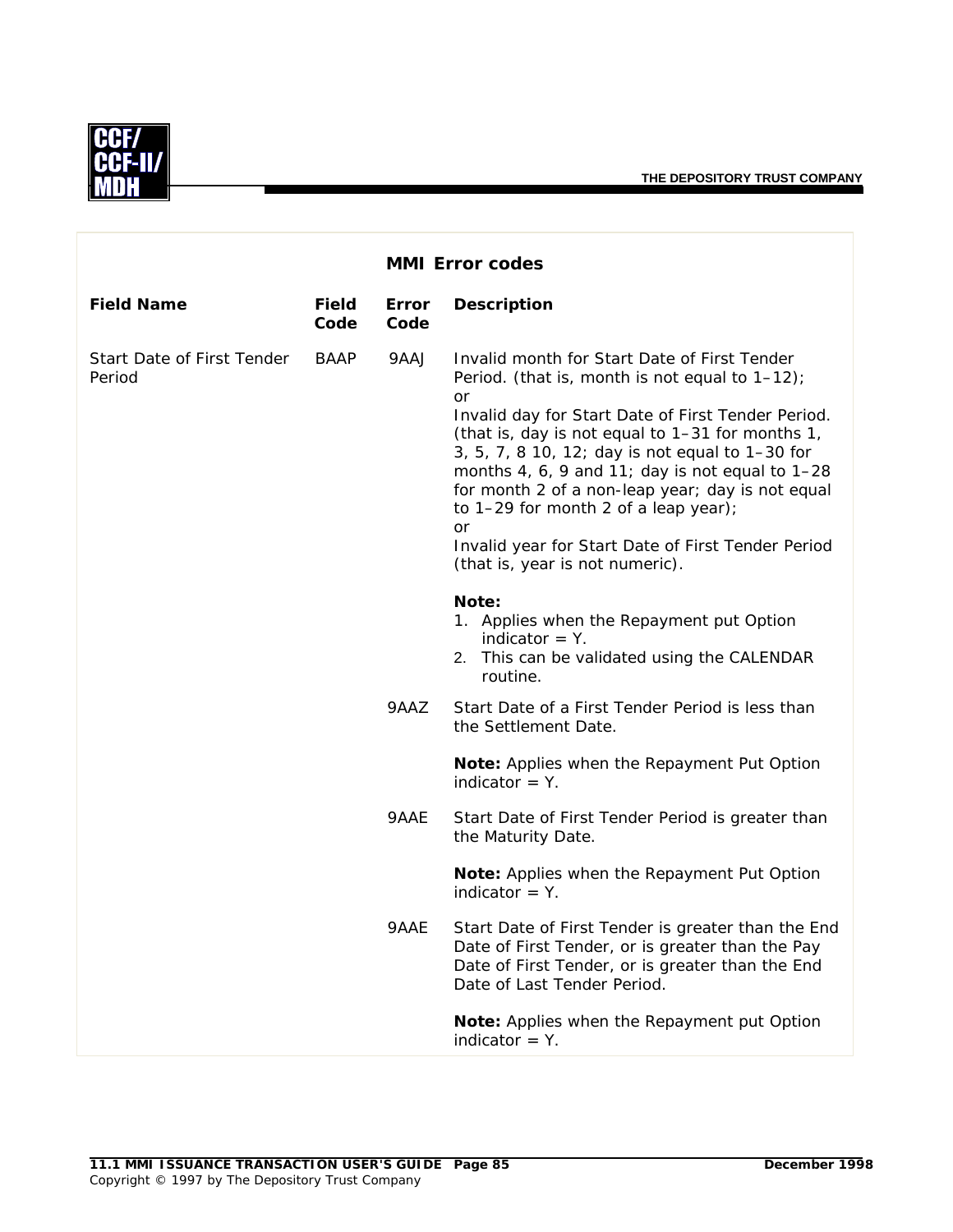

|                                      |               |               | <b>MMI Error codes</b>                                                                                                                                                                                                                                                                                                                                                                                                                                                                                                    |
|--------------------------------------|---------------|---------------|---------------------------------------------------------------------------------------------------------------------------------------------------------------------------------------------------------------------------------------------------------------------------------------------------------------------------------------------------------------------------------------------------------------------------------------------------------------------------------------------------------------------------|
| <b>Field Name</b>                    | Field<br>Code | Error<br>Code | <b>Description</b>                                                                                                                                                                                                                                                                                                                                                                                                                                                                                                        |
| Start Date of First Tender<br>Period | <b>BAAP</b>   | 9AAJ          | Invalid month for Start Date of First Tender<br>Period. (that is, month is not equal to $1-12$ );<br>or<br>Invalid day for Start Date of First Tender Period.<br>(that is, day is not equal to 1-31 for months 1,<br>3, 5, 7, 8 10, 12; day is not equal to 1-30 for<br>months 4, 6, 9 and 11; day is not equal to 1-28<br>for month 2 of a non-leap year; day is not equal<br>to 1-29 for month 2 of a leap year);<br><b>or</b><br>Invalid year for Start Date of First Tender Period<br>(that is, year is not numeric). |
|                                      |               |               | Note:<br>1. Applies when the Repayment put Option<br>indicator $=$ Y.<br>2. This can be validated using the CALENDAR<br>routine.                                                                                                                                                                                                                                                                                                                                                                                          |
|                                      |               | 9AAZ          | Start Date of a First Tender Period is less than<br>the Settlement Date.                                                                                                                                                                                                                                                                                                                                                                                                                                                  |
|                                      |               |               | Note: Applies when the Repayment Put Option<br>indicator $= Y$ .                                                                                                                                                                                                                                                                                                                                                                                                                                                          |
|                                      |               | 9AAE          | Start Date of First Tender Period is greater than<br>the Maturity Date.                                                                                                                                                                                                                                                                                                                                                                                                                                                   |
|                                      |               |               | Note: Applies when the Repayment Put Option<br>indicator $=$ Y.                                                                                                                                                                                                                                                                                                                                                                                                                                                           |
|                                      |               | 9AAE          | Start Date of First Tender is greater than the End<br>Date of First Tender, or is greater than the Pay<br>Date of First Tender, or is greater than the End<br>Date of Last Tender Period.                                                                                                                                                                                                                                                                                                                                 |
|                                      |               |               | Note: Applies when the Repayment put Option<br>indicator $=$ Y.                                                                                                                                                                                                                                                                                                                                                                                                                                                           |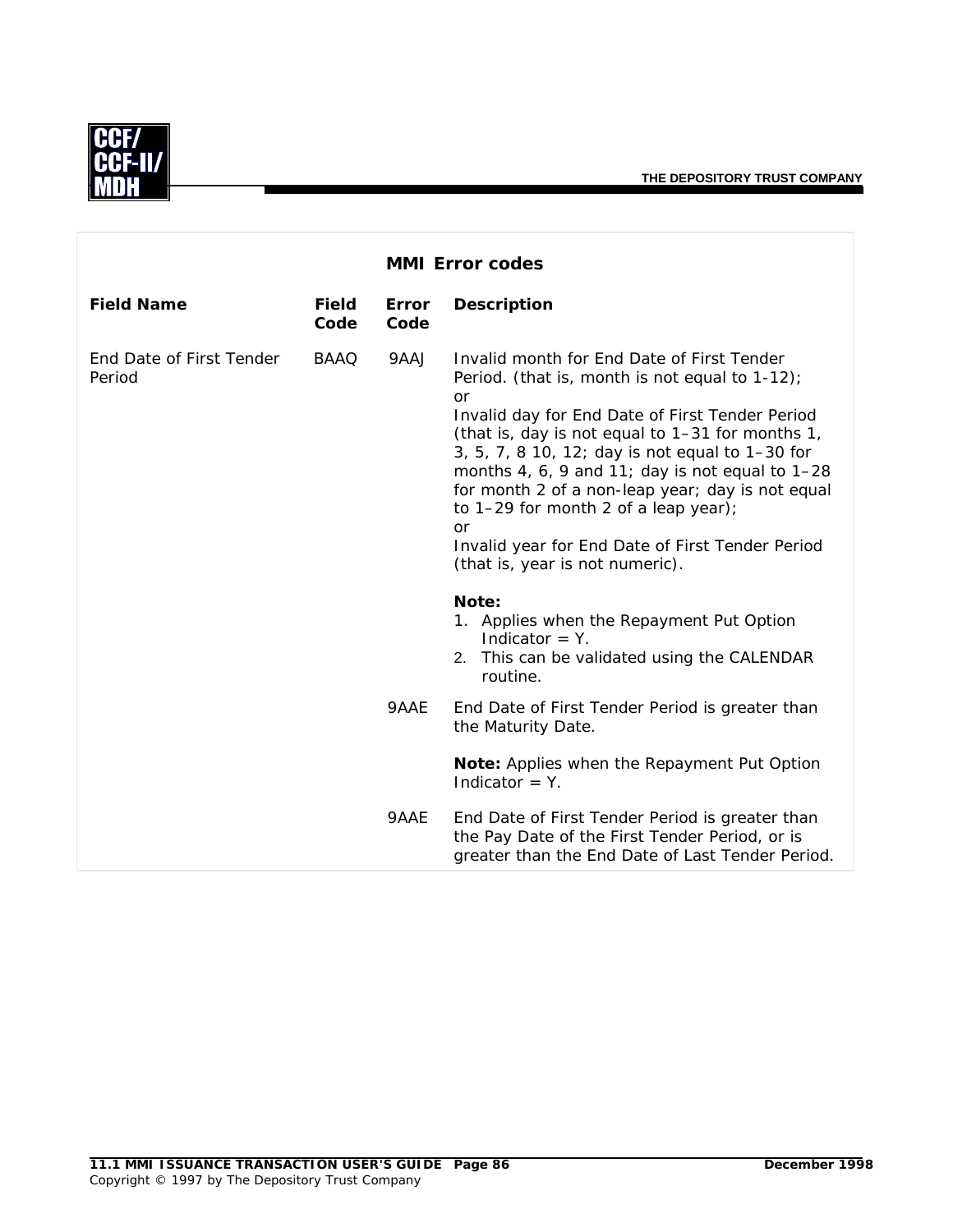

|                                    |                      |                      | <b>MMI Error codes</b>                                                                                                                                                                                                                                                                                                                                                                                                                                                                                               |
|------------------------------------|----------------------|----------------------|----------------------------------------------------------------------------------------------------------------------------------------------------------------------------------------------------------------------------------------------------------------------------------------------------------------------------------------------------------------------------------------------------------------------------------------------------------------------------------------------------------------------|
| <b>Field Name</b>                  | <b>Field</b><br>Code | <b>Error</b><br>Code | <b>Description</b>                                                                                                                                                                                                                                                                                                                                                                                                                                                                                                   |
| End Date of First Tender<br>Period | <b>BAAQ</b>          | 9AAJ                 | Invalid month for End Date of First Tender<br>Period. (that is, month is not equal to $1-12$ );<br><b>or</b><br>Invalid day for End Date of First Tender Period<br>(that is, day is not equal to 1-31 for months 1,<br>3, 5, 7, 8 10, 12; day is not equal to 1-30 for<br>months 4, 6, 9 and 11; day is not equal to $1-28$<br>for month 2 of a non-leap year; day is not equal<br>to 1-29 for month 2 of a leap year);<br>or<br>Invalid year for End Date of First Tender Period<br>(that is, year is not numeric). |
|                                    |                      |                      | Note:<br>1. Applies when the Repayment Put Option<br>Indicator $=$ Y.<br>2. This can be validated using the CALENDAR<br>routine.                                                                                                                                                                                                                                                                                                                                                                                     |
|                                    |                      | 9AAE                 | End Date of First Tender Period is greater than<br>the Maturity Date.                                                                                                                                                                                                                                                                                                                                                                                                                                                |
|                                    |                      |                      | Note: Applies when the Repayment Put Option<br>Indicator = $Y$ .                                                                                                                                                                                                                                                                                                                                                                                                                                                     |
|                                    |                      | 9AAE                 | End Date of First Tender Period is greater than<br>the Pay Date of the First Tender Period, or is<br>greater than the End Date of Last Tender Period.                                                                                                                                                                                                                                                                                                                                                                |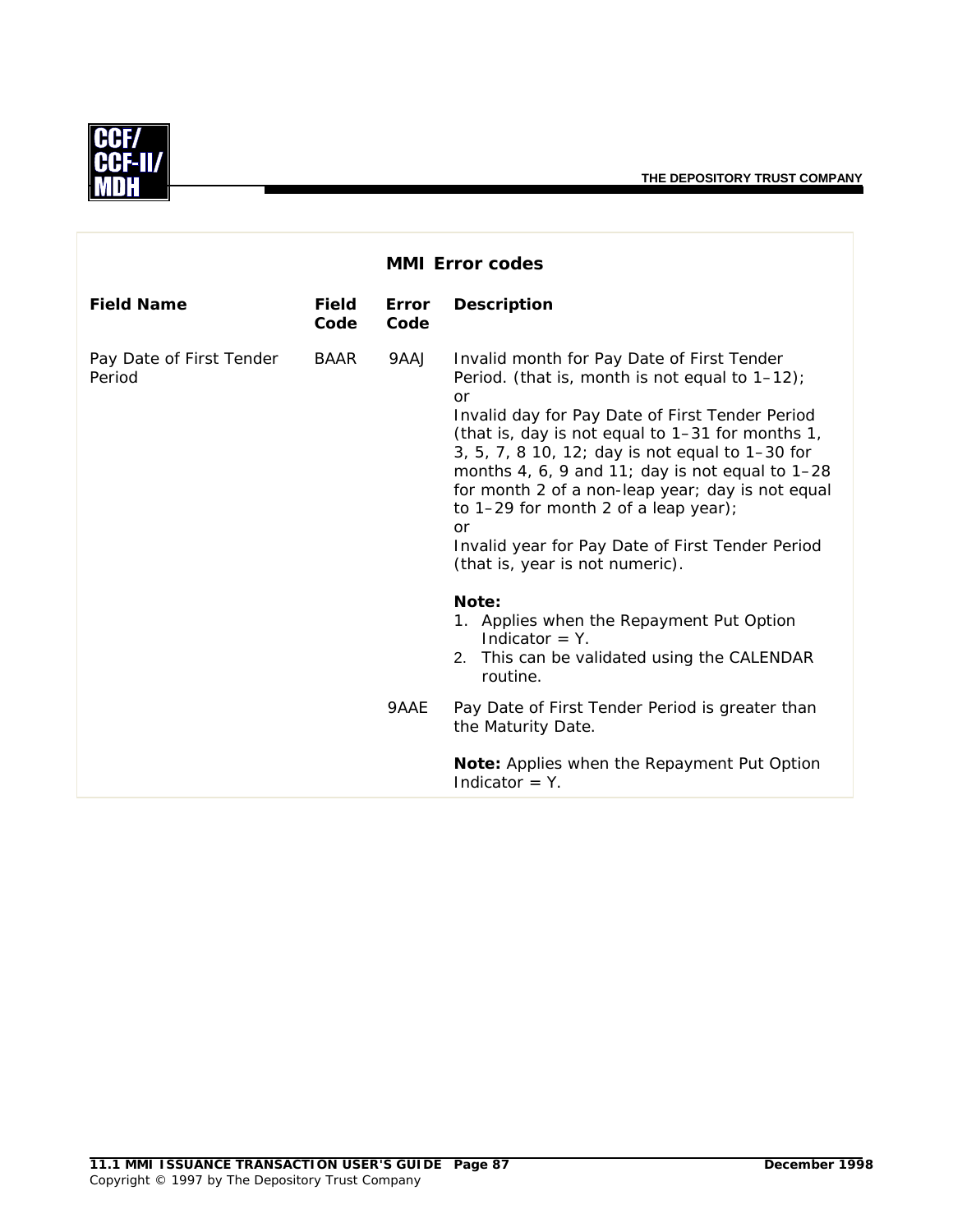

|                                    |                      |                      | <b>MMI Error codes</b>                                                                                                                                                                                                                                                                                                                                                                                                                                                                                               |
|------------------------------------|----------------------|----------------------|----------------------------------------------------------------------------------------------------------------------------------------------------------------------------------------------------------------------------------------------------------------------------------------------------------------------------------------------------------------------------------------------------------------------------------------------------------------------------------------------------------------------|
| <b>Field Name</b>                  | <b>Field</b><br>Code | <b>Error</b><br>Code | <b>Description</b>                                                                                                                                                                                                                                                                                                                                                                                                                                                                                                   |
| Pay Date of First Tender<br>Period | <b>BAAR</b>          | 9AAJ                 | Invalid month for Pay Date of First Tender<br>Period. (that is, month is not equal to $1-12$ );<br><b>or</b><br>Invalid day for Pay Date of First Tender Period<br>(that is, day is not equal to 1-31 for months 1,<br>3, 5, 7, 8 10, 12; day is not equal to 1-30 for<br>months 4, 6, 9 and 11; day is not equal to $1-28$<br>for month 2 of a non-leap year; day is not equal<br>to 1-29 for month 2 of a leap year);<br>or<br>Invalid year for Pay Date of First Tender Period<br>(that is, year is not numeric). |
|                                    |                      | 9AAE                 | Note:<br>1. Applies when the Repayment Put Option<br>Indicator $= Y$ .<br>2. This can be validated using the CALENDAR<br>routine.<br>Pay Date of First Tender Period is greater than<br>the Maturity Date.<br>Note: Applies when the Repayment Put Option<br>Indicator $=$ Y.                                                                                                                                                                                                                                        |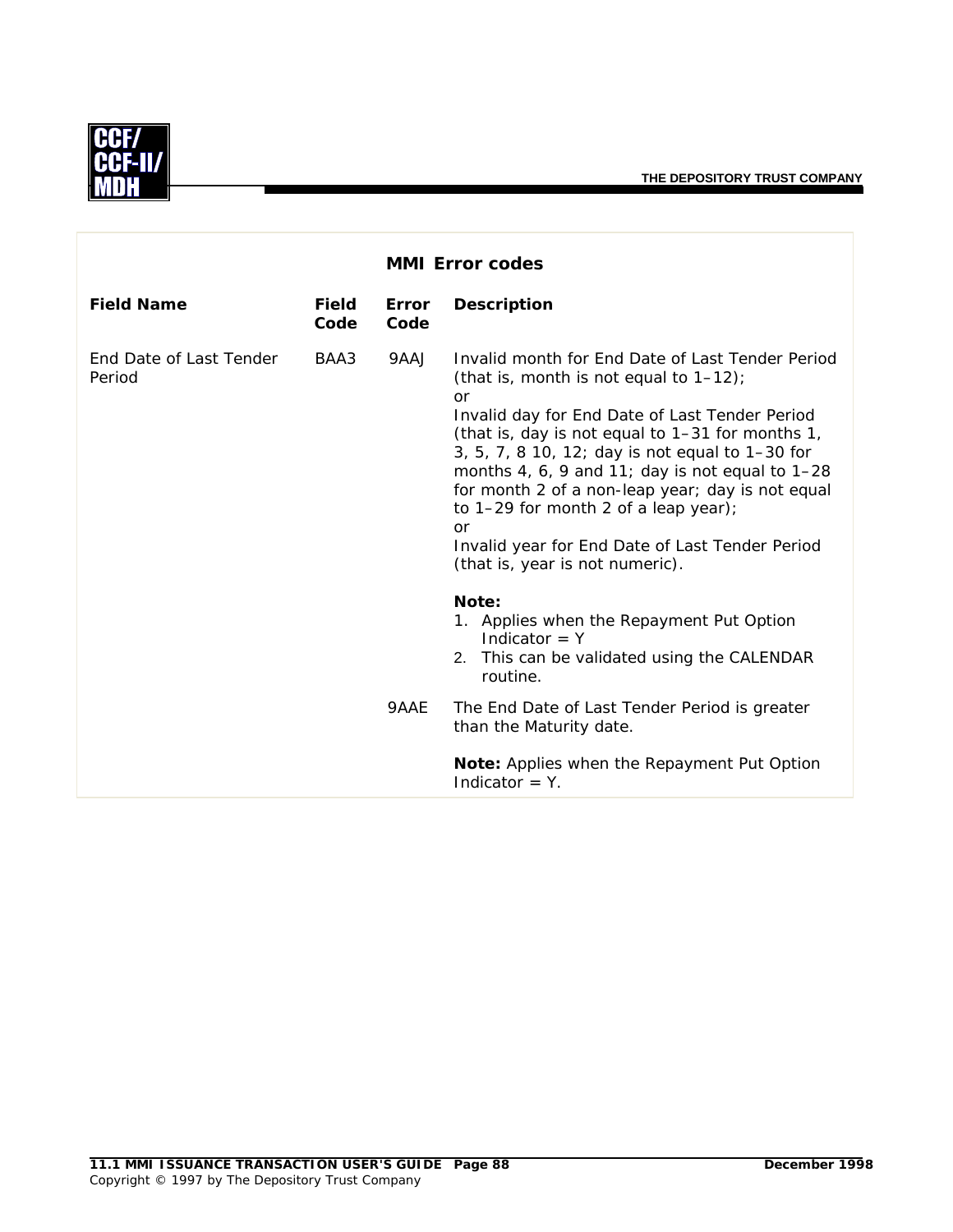

|                                   |                      |                      | <b>MMI Error codes</b>                                                                                                                                                                                                                                                                                                                                                                                                                                                                                      |
|-----------------------------------|----------------------|----------------------|-------------------------------------------------------------------------------------------------------------------------------------------------------------------------------------------------------------------------------------------------------------------------------------------------------------------------------------------------------------------------------------------------------------------------------------------------------------------------------------------------------------|
| <b>Field Name</b>                 | <b>Field</b><br>Code | <b>Error</b><br>Code | <b>Description</b>                                                                                                                                                                                                                                                                                                                                                                                                                                                                                          |
| End Date of Last Tender<br>Period | BAA3                 | 9AAJ                 | Invalid month for End Date of Last Tender Period<br>(that is, month is not equal to $1-12$ );<br>or<br>Invalid day for End Date of Last Tender Period<br>(that is, day is not equal to 1-31 for months 1,<br>3, 5, 7, 8 10, 12; day is not equal to 1-30 for<br>months 4, 6, 9 and 11; day is not equal to $1-28$<br>for month 2 of a non-leap year; day is not equal<br>to $1-29$ for month 2 of a leap year);<br>or<br>Invalid year for End Date of Last Tender Period<br>(that is, year is not numeric). |
|                                   |                      | 9AAE                 | Note:<br>1. Applies when the Repayment Put Option<br>Indicator $= Y$<br>2. This can be validated using the CALENDAR<br>routine.<br>The End Date of Last Tender Period is greater<br>than the Maturity date.<br><b>Note:</b> Applies when the Repayment Put Option<br>Indicator $= Y$ .                                                                                                                                                                                                                      |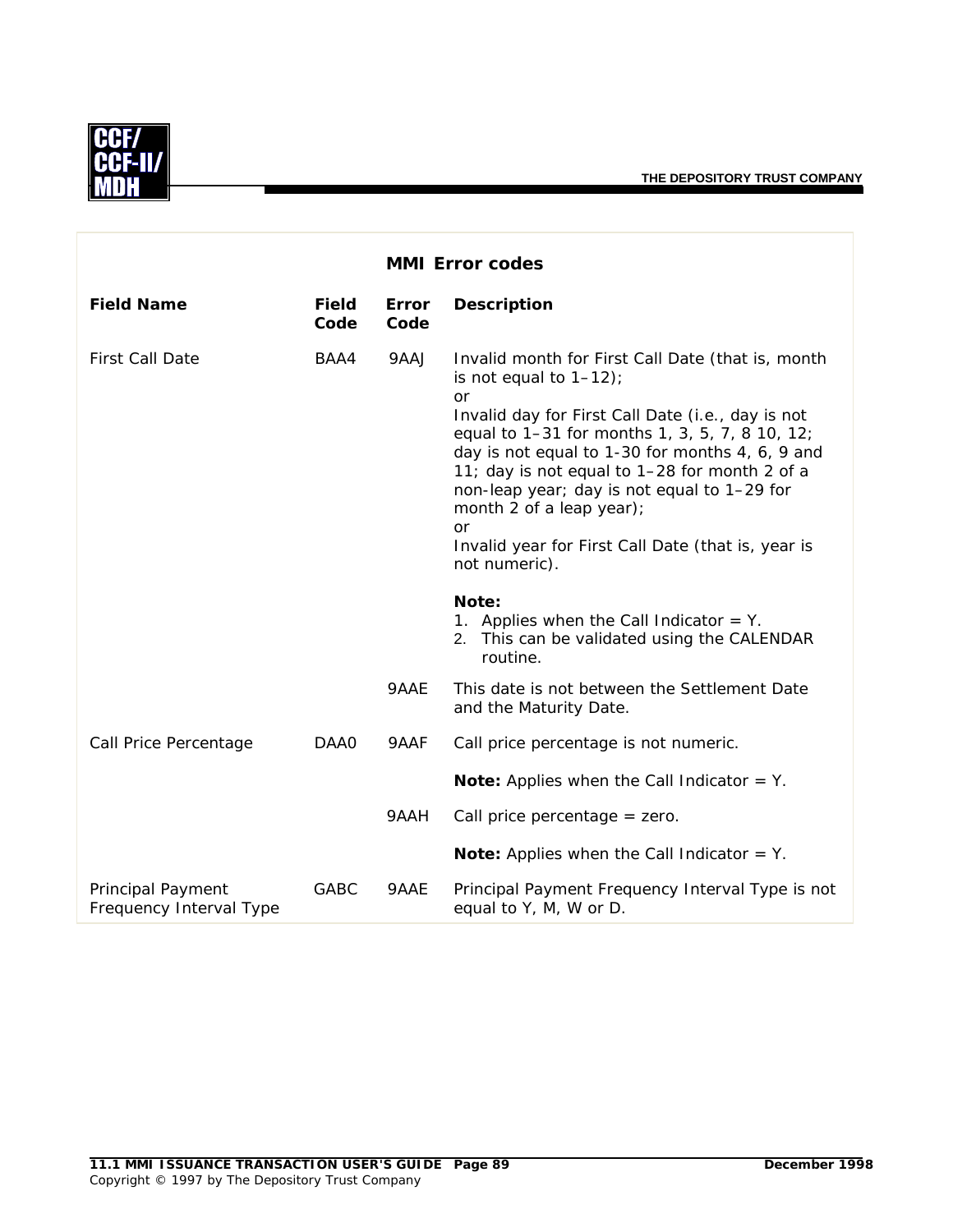

|                                              |               |               | <b>MMI Error codes</b>                                                                                                                                                                                                                                                                                                                                                                                                                                                |
|----------------------------------------------|---------------|---------------|-----------------------------------------------------------------------------------------------------------------------------------------------------------------------------------------------------------------------------------------------------------------------------------------------------------------------------------------------------------------------------------------------------------------------------------------------------------------------|
| <b>Field Name</b>                            | Field<br>Code | Error<br>Code | <b>Description</b>                                                                                                                                                                                                                                                                                                                                                                                                                                                    |
| <b>First Call Date</b>                       | BAA4          | 9AAJ          | Invalid month for First Call Date (that is, month<br>is not equal to $1-12$ );<br><b>or</b><br>Invalid day for First Call Date (i.e., day is not<br>equal to 1-31 for months 1, 3, 5, 7, 8 10, 12;<br>day is not equal to 1-30 for months 4, 6, 9 and<br>11; day is not equal to 1-28 for month 2 of a<br>non-leap year; day is not equal to 1-29 for<br>month 2 of a leap year);<br><b>or</b><br>Invalid year for First Call Date (that is, year is<br>not numeric). |
|                                              |               |               | Note:<br>1. Applies when the Call Indicator $=$ Y.<br>2. This can be validated using the CALENDAR<br>routine.                                                                                                                                                                                                                                                                                                                                                         |
|                                              |               | 9AAE          | This date is not between the Settlement Date<br>and the Maturity Date.                                                                                                                                                                                                                                                                                                                                                                                                |
| Call Price Percentage                        | DAA0          | 9AAF          | Call price percentage is not numeric.                                                                                                                                                                                                                                                                                                                                                                                                                                 |
|                                              |               |               | <b>Note:</b> Applies when the Call Indicator $=$ Y.                                                                                                                                                                                                                                                                                                                                                                                                                   |
|                                              |               | 9AAH          | Call price percentage $=$ zero.                                                                                                                                                                                                                                                                                                                                                                                                                                       |
|                                              |               |               | <b>Note:</b> Applies when the Call Indicator $=$ Y.                                                                                                                                                                                                                                                                                                                                                                                                                   |
| Principal Payment<br>Frequency Interval Type | GABC          | 9AAE          | Principal Payment Frequency Interval Type is not<br>equal to Y, M, W or D.                                                                                                                                                                                                                                                                                                                                                                                            |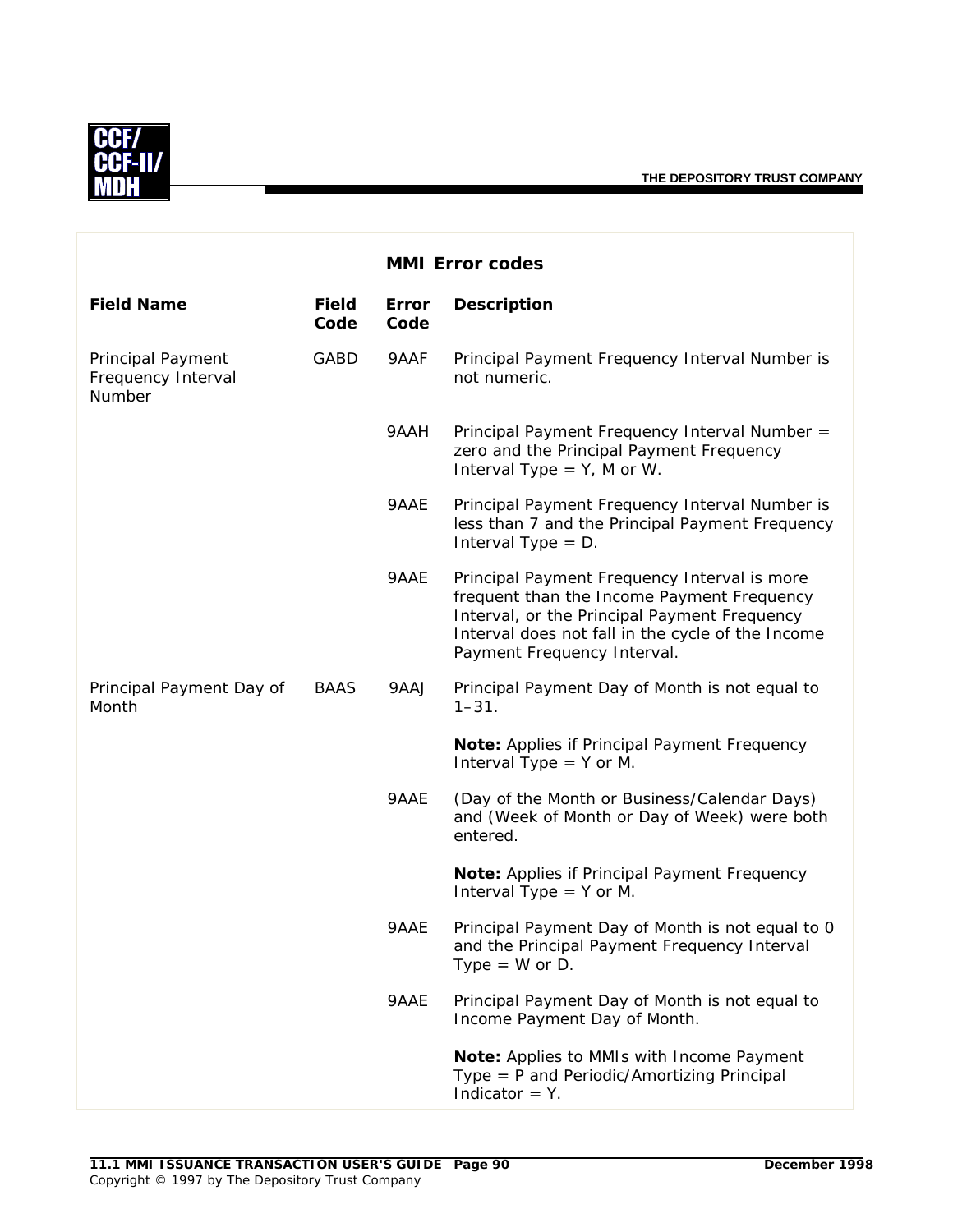

|                                                   |                      |               | <b>MMI Error codes</b>                                                                                                                                                                                                         |
|---------------------------------------------------|----------------------|---------------|--------------------------------------------------------------------------------------------------------------------------------------------------------------------------------------------------------------------------------|
| <b>Field Name</b>                                 | <b>Field</b><br>Code | Error<br>Code | <b>Description</b>                                                                                                                                                                                                             |
| Principal Payment<br>Frequency Interval<br>Number | GABD                 | 9AAF          | Principal Payment Frequency Interval Number is<br>not numeric.                                                                                                                                                                 |
|                                                   |                      | 9AAH          | Principal Payment Frequency Interval Number =<br>zero and the Principal Payment Frequency<br>Interval Type $= Y$ , M or W.                                                                                                     |
|                                                   |                      | 9AAE          | Principal Payment Frequency Interval Number is<br>less than 7 and the Principal Payment Frequency<br>Interval Type $= D$ .                                                                                                     |
|                                                   |                      | 9AAE          | Principal Payment Frequency Interval is more<br>frequent than the Income Payment Frequency<br>Interval, or the Principal Payment Frequency<br>Interval does not fall in the cycle of the Income<br>Payment Frequency Interval. |
| Principal Payment Day of<br>Month                 | <b>BAAS</b>          | 9AAJ          | Principal Payment Day of Month is not equal to<br>$1 - 31$ .                                                                                                                                                                   |
|                                                   |                      |               | Note: Applies if Principal Payment Frequency<br>Interval Type $=$ Y or M.                                                                                                                                                      |
|                                                   |                      | 9AAE          | (Day of the Month or Business/Calendar Days)<br>and (Week of Month or Day of Week) were both<br>entered.                                                                                                                       |
|                                                   |                      |               | Note: Applies if Principal Payment Frequency<br>Interval Type $=$ Y or M.                                                                                                                                                      |
|                                                   |                      | 9AAE          | Principal Payment Day of Month is not equal to 0<br>and the Principal Payment Frequency Interval<br>Type = $W$ or D.                                                                                                           |
|                                                   |                      | 9AAE          | Principal Payment Day of Month is not equal to<br>Income Payment Day of Month.                                                                                                                                                 |
|                                                   |                      |               | Note: Applies to MMIs with Income Payment<br>Type = P and Periodic/Amortizing Principal<br>Indicator $=$ Y.                                                                                                                    |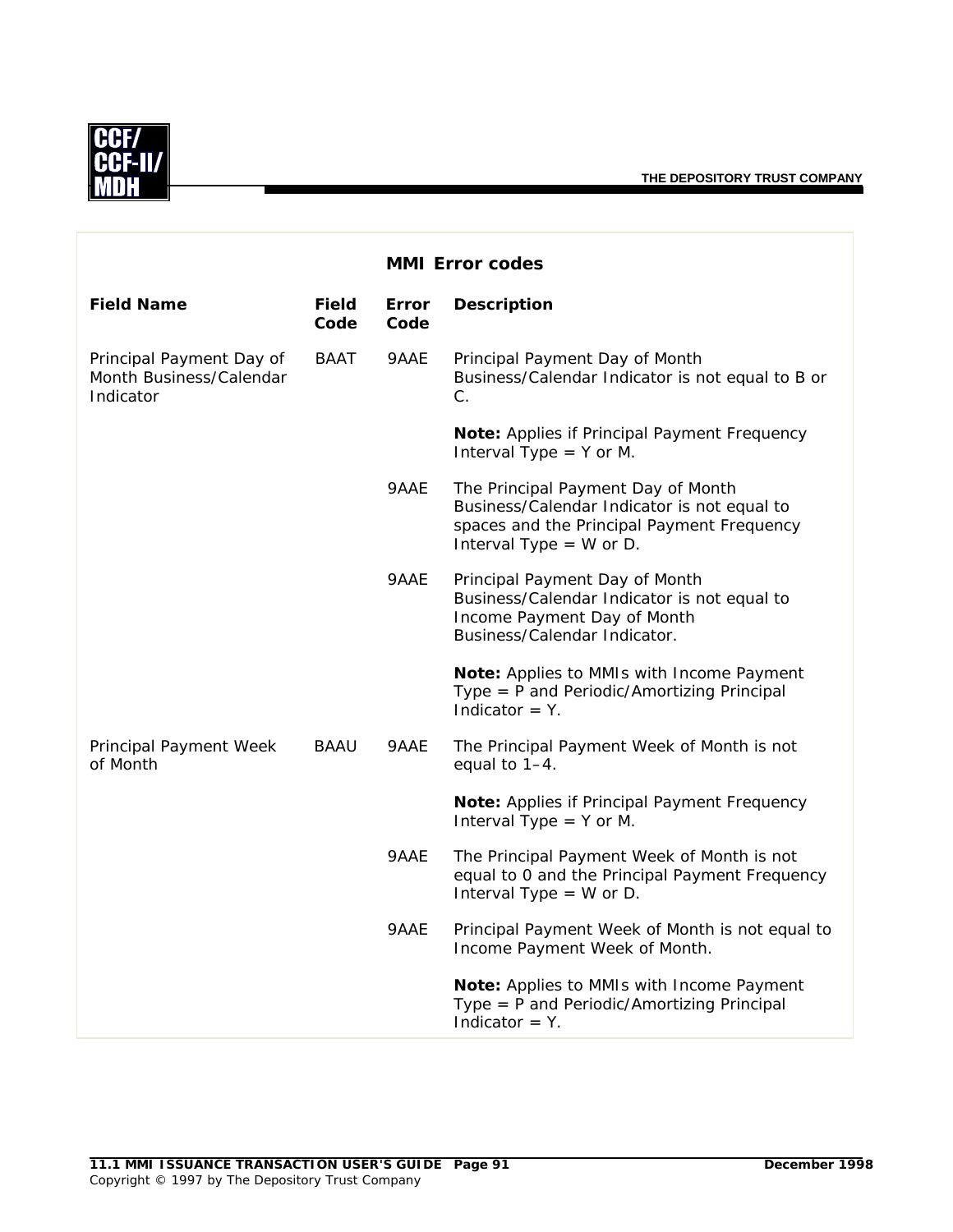

|                                                                  |               |                      | <b>MMI Error codes</b>                                                                                                                                       |
|------------------------------------------------------------------|---------------|----------------------|--------------------------------------------------------------------------------------------------------------------------------------------------------------|
| <b>Field Name</b>                                                | Field<br>Code | <b>Error</b><br>Code | <b>Description</b>                                                                                                                                           |
| Principal Payment Day of<br>Month Business/Calendar<br>Indicator | BAAT          | 9AAE                 | Principal Payment Day of Month<br>Business/Calendar Indicator is not equal to B or<br>C.                                                                     |
|                                                                  |               |                      | Note: Applies if Principal Payment Frequency<br>Interval Type $=$ Y or M.                                                                                    |
|                                                                  |               | 9AAE                 | The Principal Payment Day of Month<br>Business/Calendar Indicator is not equal to<br>spaces and the Principal Payment Frequency<br>Interval Type $=$ W or D. |
|                                                                  |               | 9AAE                 | Principal Payment Day of Month<br>Business/Calendar Indicator is not equal to<br>Income Payment Day of Month<br>Business/Calendar Indicator.                 |
|                                                                  |               |                      | Note: Applies to MMIs with Income Payment<br>Type = P and Periodic/Amortizing Principal<br>Indicator $=$ Y.                                                  |
| Principal Payment Week<br>of Month                               | BAAU          | 9AAE                 | The Principal Payment Week of Month is not<br>equal to $1-4$ .                                                                                               |
|                                                                  |               |                      | Note: Applies if Principal Payment Frequency<br>Interval Type $=$ Y or M.                                                                                    |
|                                                                  |               | 9AAE                 | The Principal Payment Week of Month is not<br>equal to 0 and the Principal Payment Frequency<br>Interval Type $=$ W or D.                                    |
|                                                                  |               | 9AAE                 | Principal Payment Week of Month is not equal to<br>Income Payment Week of Month.                                                                             |
|                                                                  |               |                      | Note: Applies to MMIs with Income Payment<br>Type = $P$ and Periodic/Amortizing Principal<br>Indicator $=$ Y.                                                |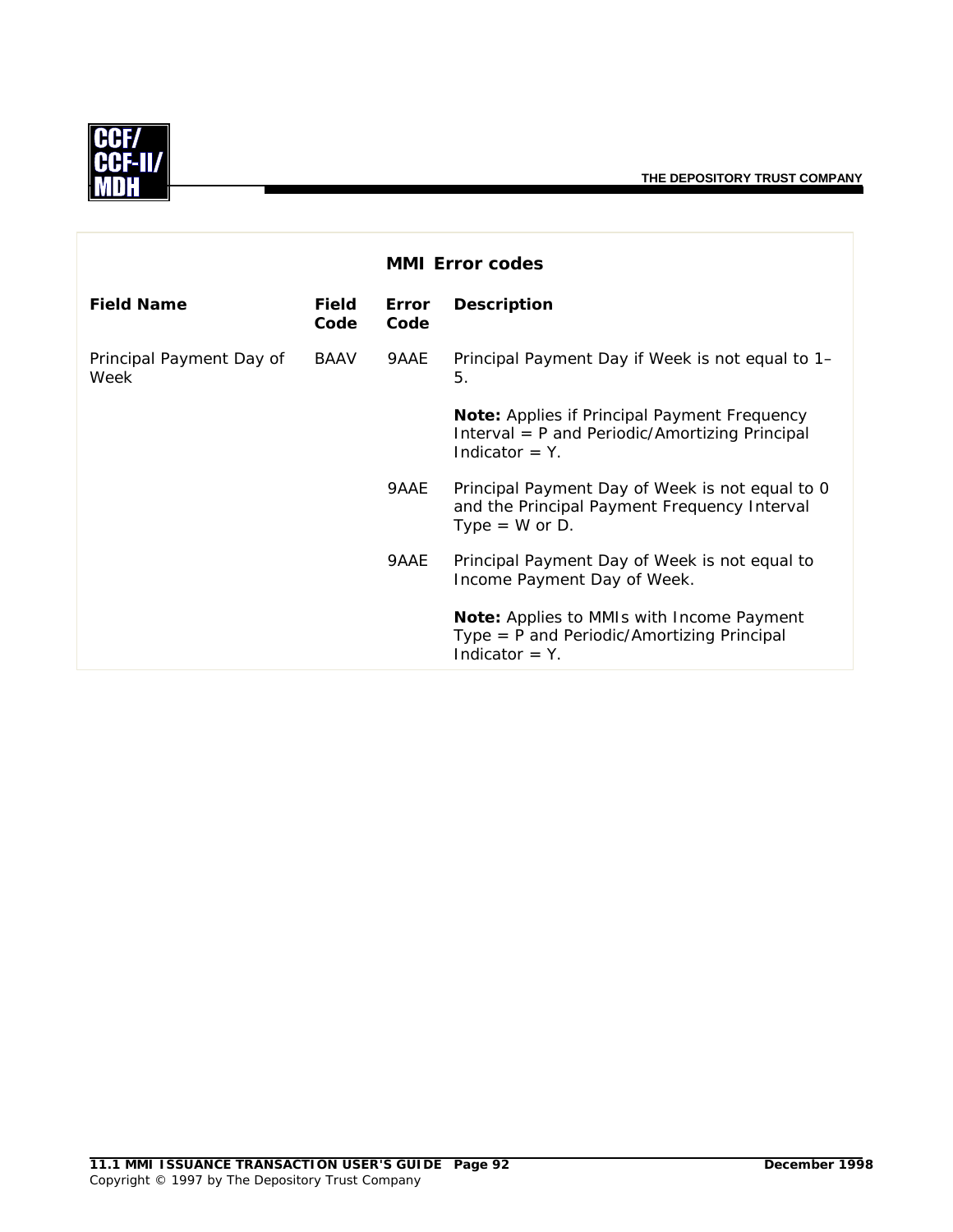

|                                  |                      |                      | <b>MMI Error codes</b>                                                                                               |
|----------------------------------|----------------------|----------------------|----------------------------------------------------------------------------------------------------------------------|
| <b>Field Name</b>                | <b>Field</b><br>Code | <b>Error</b><br>Code | <b>Description</b>                                                                                                   |
| Principal Payment Day of<br>Week | BAAV                 | 9AAE                 | Principal Payment Day if Week is not equal to 1–<br>5.                                                               |
|                                  |                      |                      | Note: Applies if Principal Payment Frequency<br>Interval = P and Periodic/Amortizing Principal<br>Indicator $=$ Y.   |
|                                  |                      | 9AAE                 | Principal Payment Day of Week is not equal to 0<br>and the Principal Payment Frequency Interval<br>Type = $W$ or D.  |
|                                  |                      | 9AAE                 | Principal Payment Day of Week is not equal to<br>Income Payment Day of Week.                                         |
|                                  |                      |                      | <b>Note:</b> Applies to MMIs with Income Payment<br>$Type = P$ and Periodic/Amortizing Principal<br>Indicator $=$ Y. |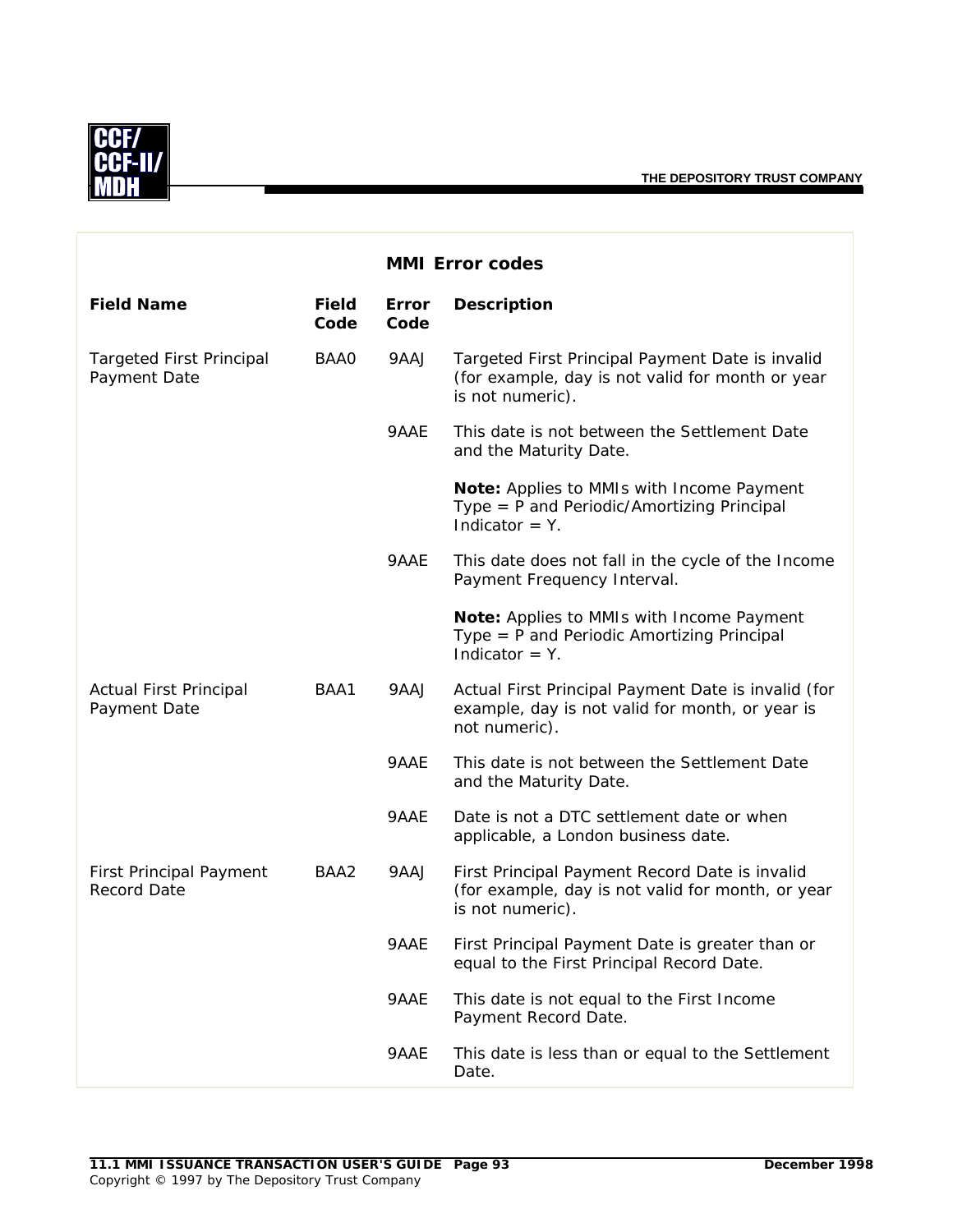

|                                                      |                      |               | <b>MMI Error codes</b>                                                                                                   |
|------------------------------------------------------|----------------------|---------------|--------------------------------------------------------------------------------------------------------------------------|
| <b>Field Name</b>                                    | <b>Field</b><br>Code | Error<br>Code | <b>Description</b>                                                                                                       |
| <b>Targeted First Principal</b><br>Payment Date      | BAA0                 | 9AAJ          | Targeted First Principal Payment Date is invalid<br>(for example, day is not valid for month or year<br>is not numeric). |
|                                                      |                      | 9AAE          | This date is not between the Settlement Date<br>and the Maturity Date.                                                   |
|                                                      |                      |               | Note: Applies to MMIs with Income Payment<br>Type = $P$ and Periodic/Amortizing Principal<br>Indicator $= Y$ .           |
|                                                      |                      | 9AAE          | This date does not fall in the cycle of the Income<br>Payment Frequency Interval.                                        |
|                                                      |                      |               | Note: Applies to MMIs with Income Payment<br>Type $=$ P and Periodic Amortizing Principal<br>Indicator $=$ Y.            |
| <b>Actual First Principal</b><br>Payment Date        | BAA1                 | 9AAJ          | Actual First Principal Payment Date is invalid (for<br>example, day is not valid for month, or year is<br>not numeric).  |
|                                                      |                      | 9AAE          | This date is not between the Settlement Date<br>and the Maturity Date.                                                   |
|                                                      |                      | 9AAE          | Date is not a DTC settlement date or when<br>applicable, a London business date.                                         |
| <b>First Principal Payment</b><br><b>Record Date</b> | BAA2                 | 9AAJ          | First Principal Payment Record Date is invalid<br>(for example, day is not valid for month, or year<br>is not numeric).  |
|                                                      |                      | 9AAE          | First Principal Payment Date is greater than or<br>equal to the First Principal Record Date.                             |
|                                                      |                      | 9AAE          | This date is not equal to the First Income<br>Payment Record Date.                                                       |
|                                                      |                      | 9AAE          | This date is less than or equal to the Settlement<br>Date.                                                               |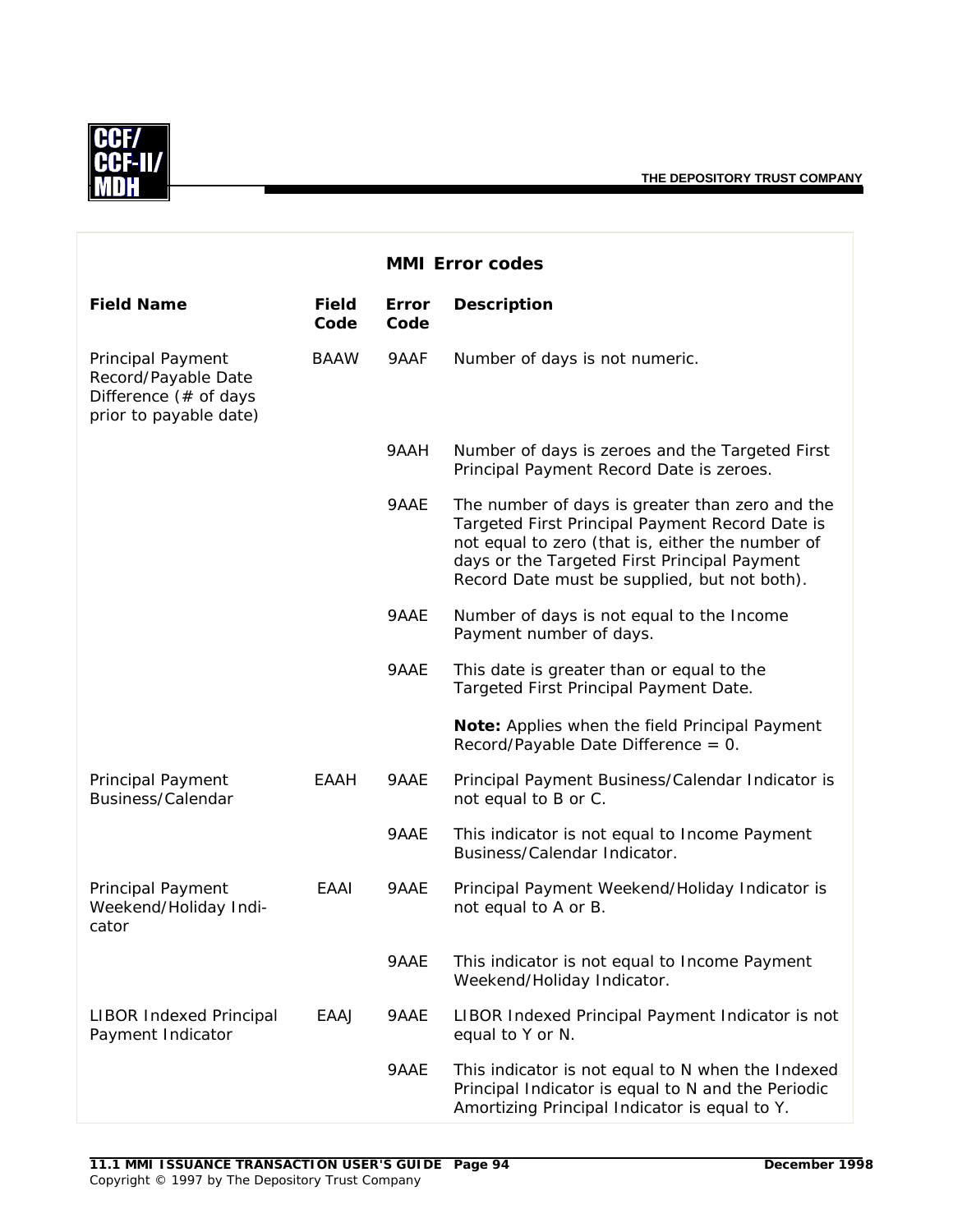

|                                                                                             |                      | <b>MMI Error codes</b> |                                                                                                                                                                                                                                                        |
|---------------------------------------------------------------------------------------------|----------------------|------------------------|--------------------------------------------------------------------------------------------------------------------------------------------------------------------------------------------------------------------------------------------------------|
| <b>Field Name</b>                                                                           | <b>Field</b><br>Code | Error<br>Code          | <b>Description</b>                                                                                                                                                                                                                                     |
| Principal Payment<br>Record/Payable Date<br>Difference (# of days<br>prior to payable date) | <b>BAAW</b>          | 9AAF                   | Number of days is not numeric.                                                                                                                                                                                                                         |
|                                                                                             |                      | 9AAH                   | Number of days is zeroes and the Targeted First<br>Principal Payment Record Date is zeroes.                                                                                                                                                            |
|                                                                                             |                      | 9AAE                   | The number of days is greater than zero and the<br>Targeted First Principal Payment Record Date is<br>not equal to zero (that is, either the number of<br>days or the Targeted First Principal Payment<br>Record Date must be supplied, but not both). |
|                                                                                             |                      | 9AAE                   | Number of days is not equal to the Income<br>Payment number of days.                                                                                                                                                                                   |
|                                                                                             |                      | 9AAE                   | This date is greater than or equal to the<br>Targeted First Principal Payment Date.                                                                                                                                                                    |
|                                                                                             |                      |                        | Note: Applies when the field Principal Payment<br>Record/Payable Date Difference = $0$ .                                                                                                                                                               |
| Principal Payment<br>Business/Calendar                                                      | EAAH                 | 9AAE                   | Principal Payment Business/Calendar Indicator is<br>not equal to B or C.                                                                                                                                                                               |
|                                                                                             |                      | 9AAE                   | This indicator is not equal to Income Payment<br>Business/Calendar Indicator.                                                                                                                                                                          |
| Principal Payment<br>Weekend/Holiday Indi-<br>cator                                         | EAAI                 | 9AAE                   | Principal Payment Weekend/Holiday Indicator is<br>not equal to A or B.                                                                                                                                                                                 |
|                                                                                             |                      | 9AAE                   | This indicator is not equal to Income Payment<br>Weekend/Holiday Indicator.                                                                                                                                                                            |
| <b>LIBOR Indexed Principal</b><br>Payment Indicator                                         | EAAJ                 | 9AAE                   | LIBOR Indexed Principal Payment Indicator is not<br>equal to Y or N.                                                                                                                                                                                   |
|                                                                                             |                      | 9AAE                   | This indicator is not equal to N when the Indexed<br>Principal Indicator is equal to N and the Periodic<br>Amortizing Principal Indicator is equal to Y.                                                                                               |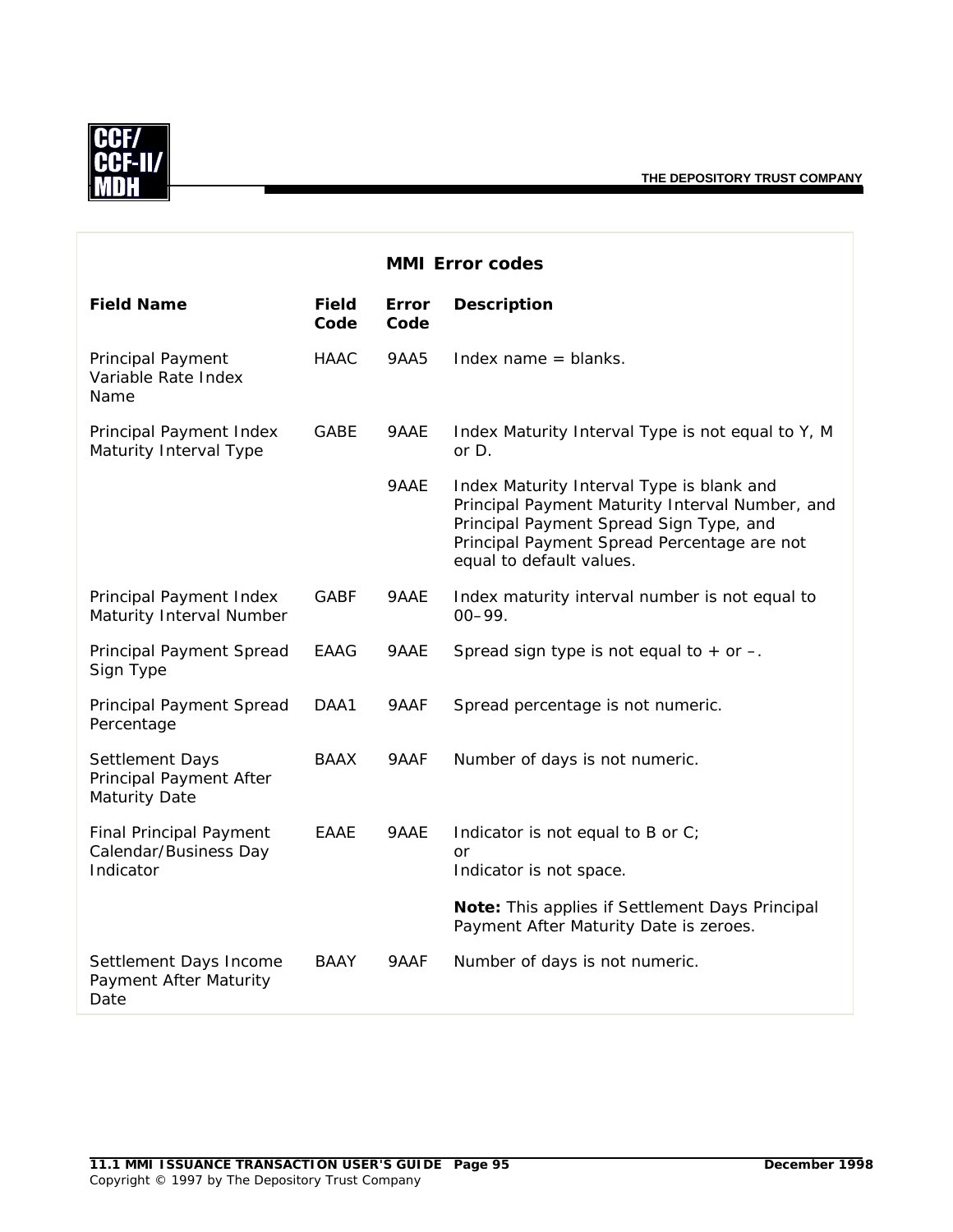

|                                                                      |               | <b>MMI Error codes</b> |                                                                                                                                                                                                                    |
|----------------------------------------------------------------------|---------------|------------------------|--------------------------------------------------------------------------------------------------------------------------------------------------------------------------------------------------------------------|
| <b>Field Name</b>                                                    | Field<br>Code | <b>Error</b><br>Code   | <b>Description</b>                                                                                                                                                                                                 |
| Principal Payment<br>Variable Rate Index<br>Name                     | <b>HAAC</b>   | 9AA5                   | Index name $=$ blanks.                                                                                                                                                                                             |
| Principal Payment Index<br>Maturity Interval Type                    | <b>GABE</b>   | 9AAE                   | Index Maturity Interval Type is not equal to Y, M<br>or $D$ .                                                                                                                                                      |
|                                                                      |               | 9AAE                   | Index Maturity Interval Type is blank and<br>Principal Payment Maturity Interval Number, and<br>Principal Payment Spread Sign Type, and<br>Principal Payment Spread Percentage are not<br>equal to default values. |
| Principal Payment Index<br>Maturity Interval Number                  | <b>GABF</b>   | 9AAE                   | Index maturity interval number is not equal to<br>$00 - 99.$                                                                                                                                                       |
| Principal Payment Spread<br>Sign Type                                | EAAG          | 9AAE                   | Spread sign type is not equal to $+$ or $-$ .                                                                                                                                                                      |
| Principal Payment Spread<br>Percentage                               | DAA1          | 9AAF                   | Spread percentage is not numeric.                                                                                                                                                                                  |
| Settlement Days<br>Principal Payment After<br><b>Maturity Date</b>   | <b>BAAX</b>   | 9AAF                   | Number of days is not numeric.                                                                                                                                                                                     |
| <b>Final Principal Payment</b><br>Calendar/Business Day<br>Indicator | EAAE          | 9AAE                   | Indicator is not equal to B or C;<br><b>or</b><br>Indicator is not space.                                                                                                                                          |
|                                                                      |               |                        | Note: This applies if Settlement Days Principal<br>Payment After Maturity Date is zeroes.                                                                                                                          |
| Settlement Days Income<br>Payment After Maturity<br>Date             | <b>BAAY</b>   | 9AAF                   | Number of days is not numeric.                                                                                                                                                                                     |